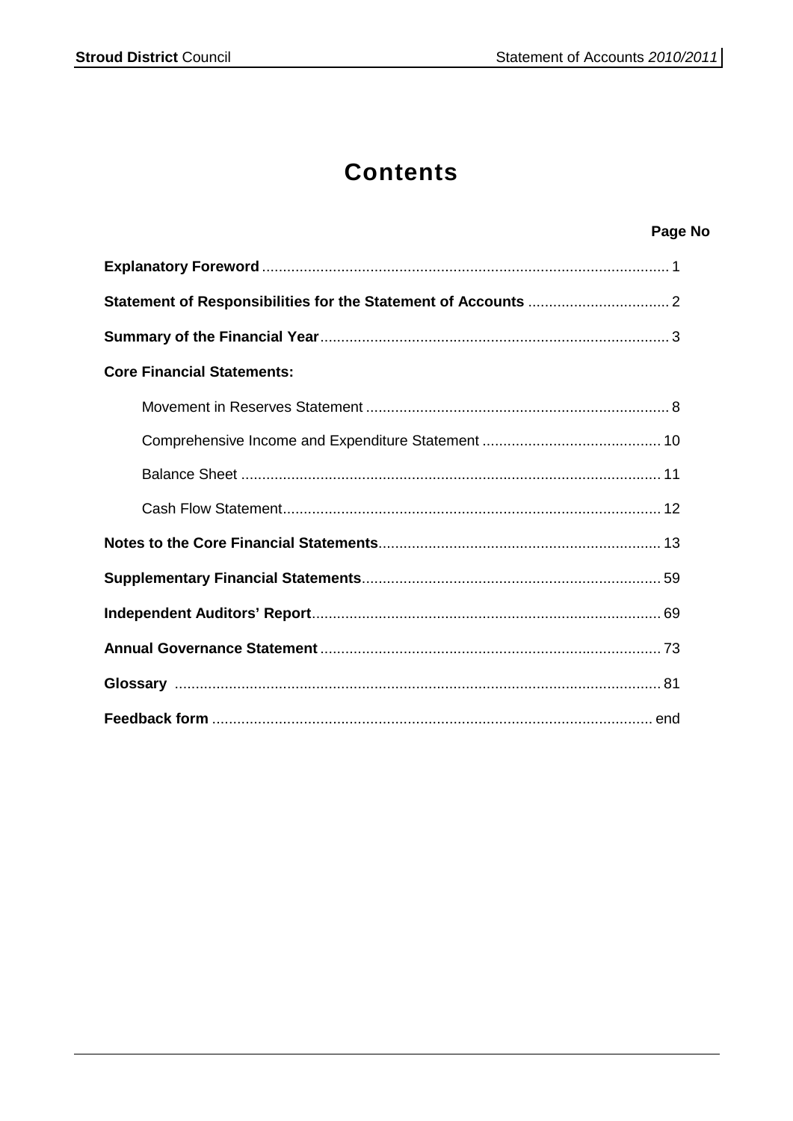# **Contents**

## Page No

| <b>Core Financial Statements:</b> |
|-----------------------------------|
|                                   |
|                                   |
|                                   |
|                                   |
|                                   |
|                                   |
|                                   |
|                                   |
|                                   |
|                                   |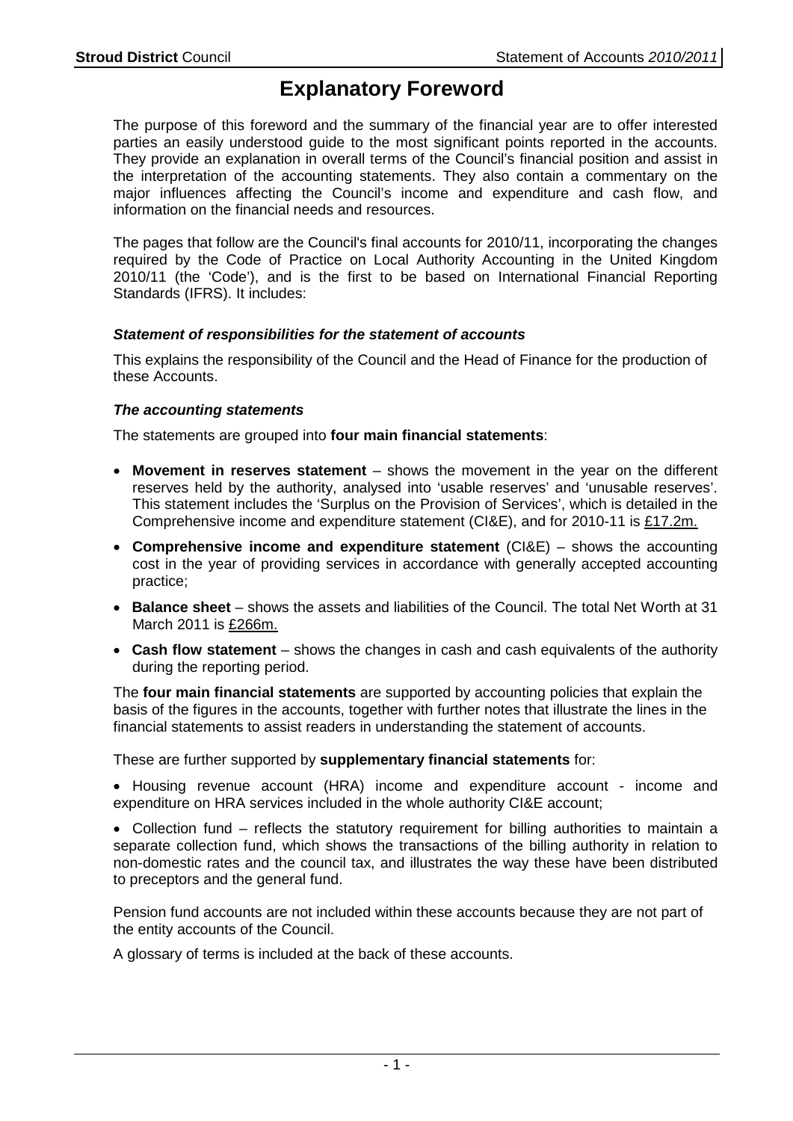# **Explanatory Foreword**

The purpose of this foreword and the summary of the financial year are to offer interested parties an easily understood guide to the most significant points reported in the accounts. They provide an explanation in overall terms of the Council's financial position and assist in the interpretation of the accounting statements. They also contain a commentary on the major influences affecting the Council's income and expenditure and cash flow, and information on the financial needs and resources.

The pages that follow are the Council's final accounts for 2010/11, incorporating the changes required by the Code of Practice on Local Authority Accounting in the United Kingdom 2010/11 (the 'Code'), and is the first to be based on International Financial Reporting Standards (IFRS). It includes:

### *Statement of responsibilities for the statement of accounts*

This explains the responsibility of the Council and the Head of Finance for the production of these Accounts.

### *The accounting statements*

The statements are grouped into **four main financial statements**:

- **Movement in reserves statement** shows the movement in the year on the different reserves held by the authority, analysed into 'usable reserves' and 'unusable reserves'. This statement includes the 'Surplus on the Provision of Services', which is detailed in the Comprehensive income and expenditure statement (CI&E), and for 2010-11 is £17.2m.
- **Comprehensive income and expenditure statement** (CI&E) shows the accounting cost in the year of providing services in accordance with generally accepted accounting practice;
- **Balance sheet** shows the assets and liabilities of the Council. The total Net Worth at 31 March 2011 is £266m.
- **Cash flow statement** shows the changes in cash and cash equivalents of the authority during the reporting period.

The **four main financial statements** are supported by accounting policies that explain the basis of the figures in the accounts, together with further notes that illustrate the lines in the financial statements to assist readers in understanding the statement of accounts.

These are further supported by **supplementary financial statements** for:

• Housing revenue account (HRA) income and expenditure account - income and expenditure on HRA services included in the whole authority CI&E account;

• Collection fund – reflects the statutory requirement for billing authorities to maintain a separate collection fund, which shows the transactions of the billing authority in relation to non-domestic rates and the council tax, and illustrates the way these have been distributed to preceptors and the general fund.

Pension fund accounts are not included within these accounts because they are not part of the entity accounts of the Council.

A glossary of terms is included at the back of these accounts.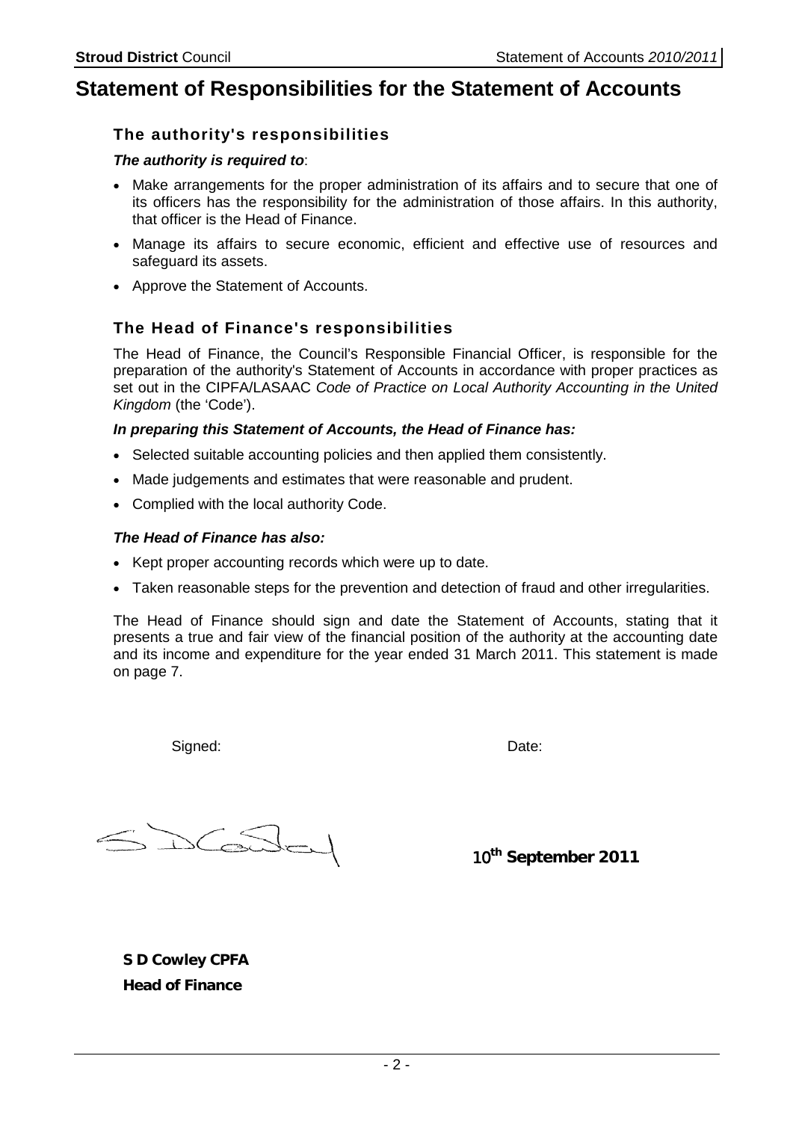# **Statement of Responsibilities for the Statement of Accounts**

## **The authority's responsibilities**

## *The authority is required to*:

- Make arrangements for the proper administration of its affairs and to secure that one of its officers has the responsibility for the administration of those affairs. In this authority, that officer is the Head of Finance.
- Manage its affairs to secure economic, efficient and effective use of resources and safeguard its assets.
- Approve the Statement of Accounts.

## **The Head of Finance's responsibilities**

The Head of Finance, the Council's Responsible Financial Officer, is responsible for the preparation of the authority's Statement of Accounts in accordance with proper practices as set out in the CIPFA/LASAAC *Code of Practice on Local Authority Accounting in the United Kingdom* (the 'Code').

### *In preparing this Statement of Accounts, the Head of Finance has:*

- Selected suitable accounting policies and then applied them consistently.
- Made judgements and estimates that were reasonable and prudent.
- Complied with the local authority Code.

## *The Head of Finance has also:*

- Kept proper accounting records which were up to date.
- Taken reasonable steps for the prevention and detection of fraud and other irregularities.

The Head of Finance should sign and date the Statement of Accounts, stating that it presents a true and fair view of the financial position of the authority at the accounting date and its income and expenditure for the year ended 31 March 2011. This statement is made on page 7.

Signed: Date:

 $SDCSL$ 

10**th September 2011**

**S D Cowley CPFA Head of Finance**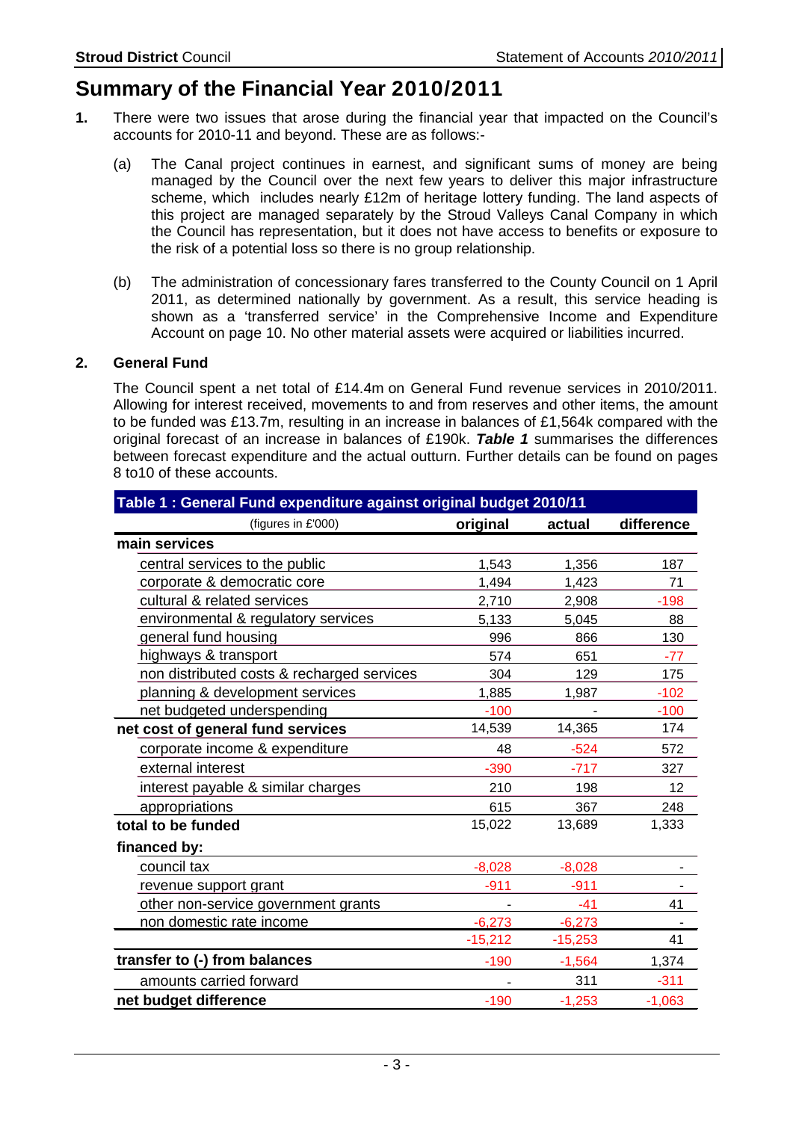# **Summary of the Financial Year 2010/2011**

- **1.** There were two issues that arose during the financial year that impacted on the Council's accounts for 2010-11 and beyond. These are as follows:-
	- (a) The Canal project continues in earnest, and significant sums of money are being managed by the Council over the next few years to deliver this major infrastructure scheme, which includes nearly £12m of heritage lottery funding. The land aspects of this project are managed separately by the Stroud Valleys Canal Company in which the Council has representation, but it does not have access to benefits or exposure to the risk of a potential loss so there is no group relationship.
	- (b) The administration of concessionary fares transferred to the County Council on 1 April 2011, as determined nationally by government. As a result, this service heading is shown as a 'transferred service' in the Comprehensive Income and Expenditure Account on page 10. No other material assets were acquired or liabilities incurred.

## **2. General Fund**

The Council spent a net total of £14.4m on General Fund revenue services in 2010/2011. Allowing for interest received, movements to and from reserves and other items, the amount to be funded was £13.7m, resulting in an increase in balances of £1,564k compared with the original forecast of an increase in balances of £190k. *Table 1* summarises the differences between forecast expenditure and the actual outturn. Further details can be found on pages 8 to10 of these accounts.

| Table 1: General Fund expenditure against original budget 2010/11 |           |           |            |  |  |  |
|-------------------------------------------------------------------|-----------|-----------|------------|--|--|--|
| (figures in £'000)                                                | original  | actual    | difference |  |  |  |
| main services                                                     |           |           |            |  |  |  |
| central services to the public                                    | 1,543     | 1,356     | 187        |  |  |  |
| corporate & democratic core                                       | 1,494     | 1,423     | 71         |  |  |  |
| cultural & related services                                       | 2,710     | 2,908     | $-198$     |  |  |  |
| environmental & regulatory services                               | 5,133     | 5,045     | 88         |  |  |  |
| general fund housing                                              | 996       | 866       | 130        |  |  |  |
| highways & transport                                              | 574       | 651       | $-77$      |  |  |  |
| non distributed costs & recharged services                        | 304       | 129       | 175        |  |  |  |
| planning & development services                                   | 1,885     | 1,987     | $-102$     |  |  |  |
| net budgeted underspending                                        | $-100$    |           | $-100$     |  |  |  |
| net cost of general fund services                                 | 14,539    | 14,365    | 174        |  |  |  |
| corporate income & expenditure                                    | 48        | $-524$    | 572        |  |  |  |
| external interest                                                 | $-390$    | $-717$    | 327        |  |  |  |
| interest payable & similar charges                                | 210       | 198       | 12         |  |  |  |
| appropriations                                                    | 615       | 367       | 248        |  |  |  |
| total to be funded                                                | 15,022    | 13,689    | 1,333      |  |  |  |
| financed by:                                                      |           |           |            |  |  |  |
| council tax                                                       | $-8,028$  | $-8,028$  |            |  |  |  |
| revenue support grant                                             | $-911$    | $-911$    |            |  |  |  |
| other non-service government grants                               |           | $-41$     | 41         |  |  |  |
| non domestic rate income                                          | $-6,273$  | $-6,273$  |            |  |  |  |
|                                                                   | $-15,212$ | $-15,253$ | 41         |  |  |  |
| transfer to (-) from balances                                     | $-190$    | $-1,564$  | 1,374      |  |  |  |
| amounts carried forward                                           |           | 311       | $-311$     |  |  |  |
| net budget difference                                             | $-190$    | $-1,253$  | $-1,063$   |  |  |  |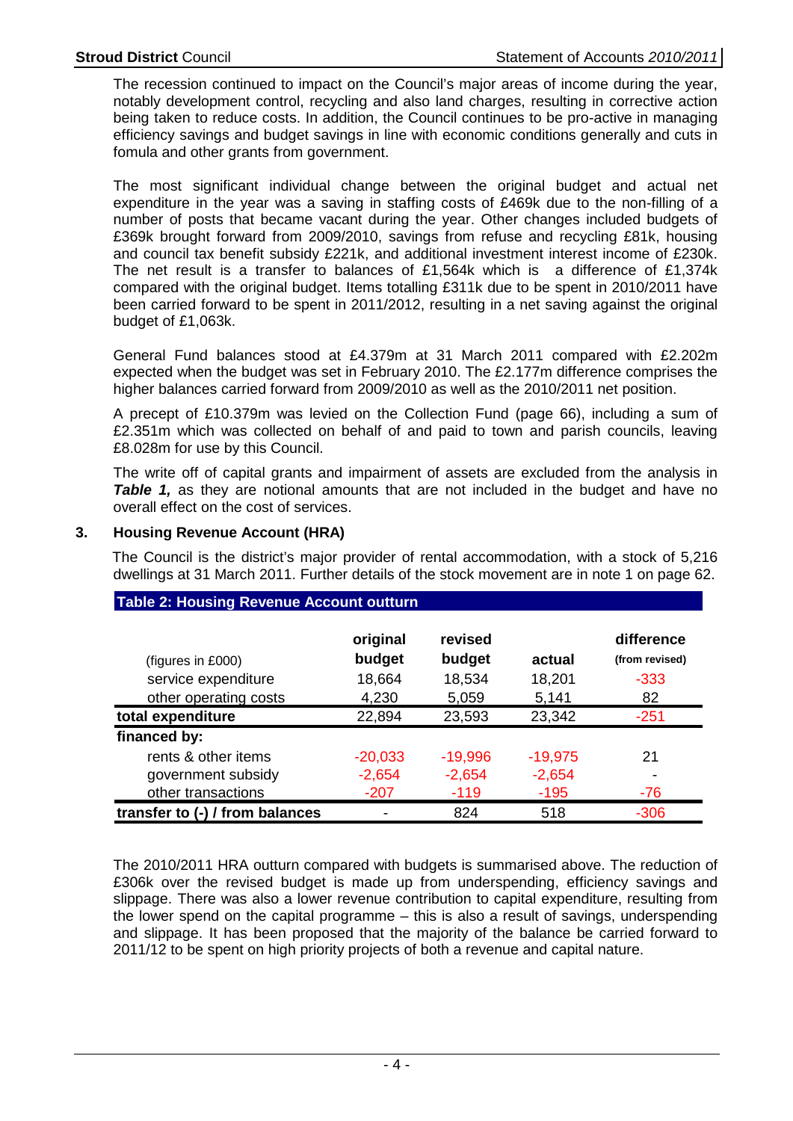The recession continued to impact on the Council's major areas of income during the year, notably development control, recycling and also land charges, resulting in corrective action being taken to reduce costs. In addition, the Council continues to be pro-active in managing efficiency savings and budget savings in line with economic conditions generally and cuts in fomula and other grants from government.

The most significant individual change between the original budget and actual net expenditure in the year was a saving in staffing costs of £469k due to the non-filling of a number of posts that became vacant during the year. Other changes included budgets of £369k brought forward from 2009/2010, savings from refuse and recycling £81k, housing and council tax benefit subsidy £221k, and additional investment interest income of £230k. The net result is a transfer to balances of £1,564k which is a difference of £1,374k compared with the original budget. Items totalling £311k due to be spent in 2010/2011 have been carried forward to be spent in 2011/2012, resulting in a net saving against the original budget of £1,063k.

General Fund balances stood at £4.379m at 31 March 2011 compared with £2.202m expected when the budget was set in February 2010. The £2.177m difference comprises the higher balances carried forward from 2009/2010 as well as the 2010/2011 net position.

A precept of £10.379m was levied on the Collection Fund (page 66), including a sum of £2.351m which was collected on behalf of and paid to town and parish councils, leaving £8.028m for use by this Council.

The write off of capital grants and impairment of assets are excluded from the analysis in *Table 1,* as they are notional amounts that are not included in the budget and have no overall effect on the cost of services.

## **3. Housing Revenue Account (HRA)**

The Council is the district's major provider of rental accommodation, with a stock of 5,216 dwellings at 31 March 2011. Further details of the stock movement are in note 1 on page 62.

| Table 2. Housing Revenue Account Outtunn |                    |                   |           |                              |
|------------------------------------------|--------------------|-------------------|-----------|------------------------------|
| (figures in £000)                        | original<br>budget | revised<br>budget | actual    | difference<br>(from revised) |
| service expenditure                      | 18,664             | 18,534            | 18,201    | $-333$                       |
| other operating costs                    | 4,230              | 5,059             | 5,141     | 82                           |
| total expenditure                        | 22,894             | 23,593            | 23,342    | $-251$                       |
| financed by:                             |                    |                   |           |                              |
| rents & other items                      | $-20,033$          | $-19,996$         | $-19,975$ | 21                           |
| government subsidy                       | $-2,654$           | $-2,654$          | $-2,654$  | $\overline{\phantom{0}}$     |
| other transactions                       | $-207$             | $-119$            | $-195$    | $-76$                        |
| transfer to (-) / from balances          |                    | 824               | 518       | $-306$                       |

## **Table 2: Housing Revenue Account outturn**

The 2010/2011 HRA outturn compared with budgets is summarised above. The reduction of £306k over the revised budget is made up from underspending, efficiency savings and slippage. There was also a lower revenue contribution to capital expenditure, resulting from the lower spend on the capital programme – this is also a result of savings, underspending and slippage. It has been proposed that the majority of the balance be carried forward to 2011/12 to be spent on high priority projects of both a revenue and capital nature.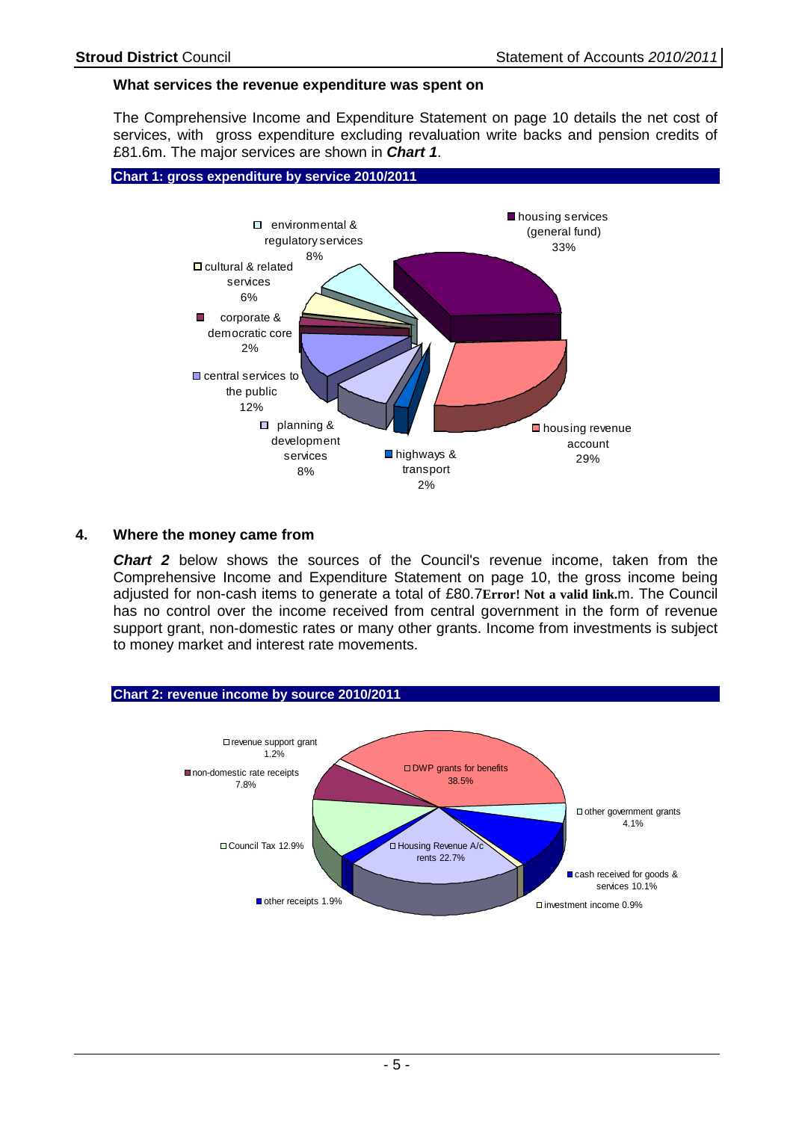## **What services the revenue expenditure was spent on**

The Comprehensive Income and Expenditure Statement on page 10 details the net cost of services, with gross expenditure excluding revaluation write backs and pension credits of £81.6m. The major services are shown in *Chart 1*.

### **Chart 1: gross expenditure by service 2010/2011**



## **4. Where the money came from**

**Chart 2** below shows the sources of the Council's revenue income, taken from the Comprehensive Income and Expenditure Statement on page 10, the gross income being adjusted for non-cash items to generate a total of £80.7**Error! Not a valid link.**m. The Council has no control over the income received from central government in the form of revenue support grant, non-domestic rates or many other grants. Income from investments is subject to money market and interest rate movements.

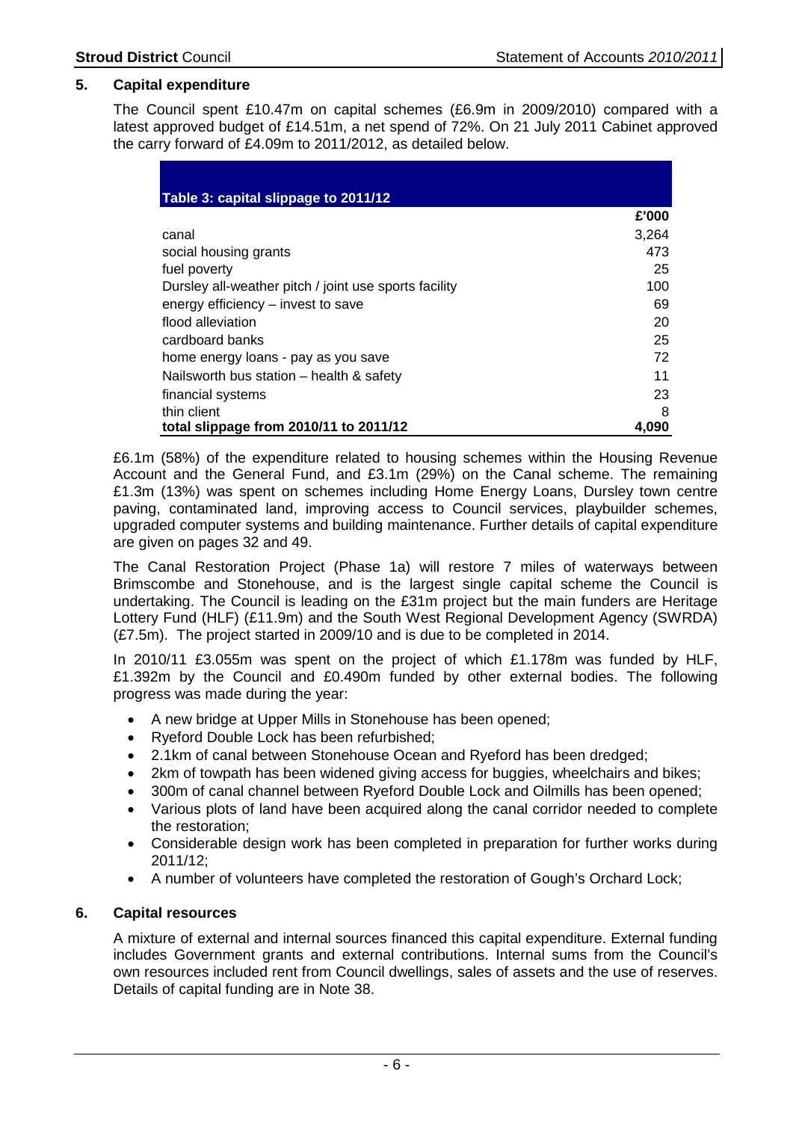## **5. Capital expenditure**

The Council spent £10.47m on capital schemes (£6.9m in 2009/2010) compared with a latest approved budget of £14.51m, a net spend of 72%. On 21 July 2011 Cabinet approved the carry forward of £4.09m to 2011/2012, as detailed below.

| Table 3: capital slippage to 2011/12                  |       |
|-------------------------------------------------------|-------|
|                                                       | £'000 |
| canal                                                 | 3,264 |
| social housing grants                                 | 473   |
| fuel poverty                                          | 25    |
| Dursley all-weather pitch / joint use sports facility | 100   |
| energy efficiency – invest to save                    | 69    |
| flood alleviation                                     | 20    |
| cardboard banks                                       | 25    |
| home energy loans - pay as you save                   | 72    |
| Nailsworth bus station – health & safety              | 11    |
| financial systems                                     | 23    |
| thin client                                           | 8     |
| total slippage from 2010/11 to 2011/12                | 4,090 |

£6.1m (58%) of the expenditure related to housing schemes within the Housing Revenue Account and the General Fund, and £3.1m (29%) on the Canal scheme. The remaining £1.3m (13%) was spent on schemes including Home Energy Loans, Dursley town centre paving, contaminated land, improving access to Council services, playbuilder schemes, upgraded computer systems and building maintenance. Further details of capital expenditure are given on pages 32 and 49.

The Canal Restoration Project (Phase 1a) will restore 7 miles of waterways between Brimscombe and Stonehouse, and is the largest single capital scheme the Council is undertaking. The Council is leading on the £31m project but the main funders are Heritage Lottery Fund (HLF) (£11.9m) and the South West Regional Development Agency (SWRDA) (£7.5m). The project started in 2009/10 and is due to be completed in 2014.

In 2010/11 £3.055m was spent on the project of which £1.178m was funded by HLF, £1.392m by the Council and £0.490m funded by other external bodies. The following progress was made during the year:

- A new bridge at Upper Mills in Stonehouse has been opened;
- Ryeford Double Lock has been refurbished;
- 2.1km of canal between Stonehouse Ocean and Ryeford has been dredged;
- 2km of towpath has been widened giving access for buggies, wheelchairs and bikes;
- 300m of canal channel between Ryeford Double Lock and Oilmills has been opened;
- Various plots of land have been acquired along the canal corridor needed to complete the restoration;
- Considerable design work has been completed in preparation for further works during 2011/12;
- A number of volunteers have completed the restoration of Gough's Orchard Lock;

### **6. Capital resources**

A mixture of external and internal sources financed this capital expenditure. External funding includes Government grants and external contributions. Internal sums from the Council's own resources included rent from Council dwellings, sales of assets and the use of reserves. Details of capital funding are in Note 38.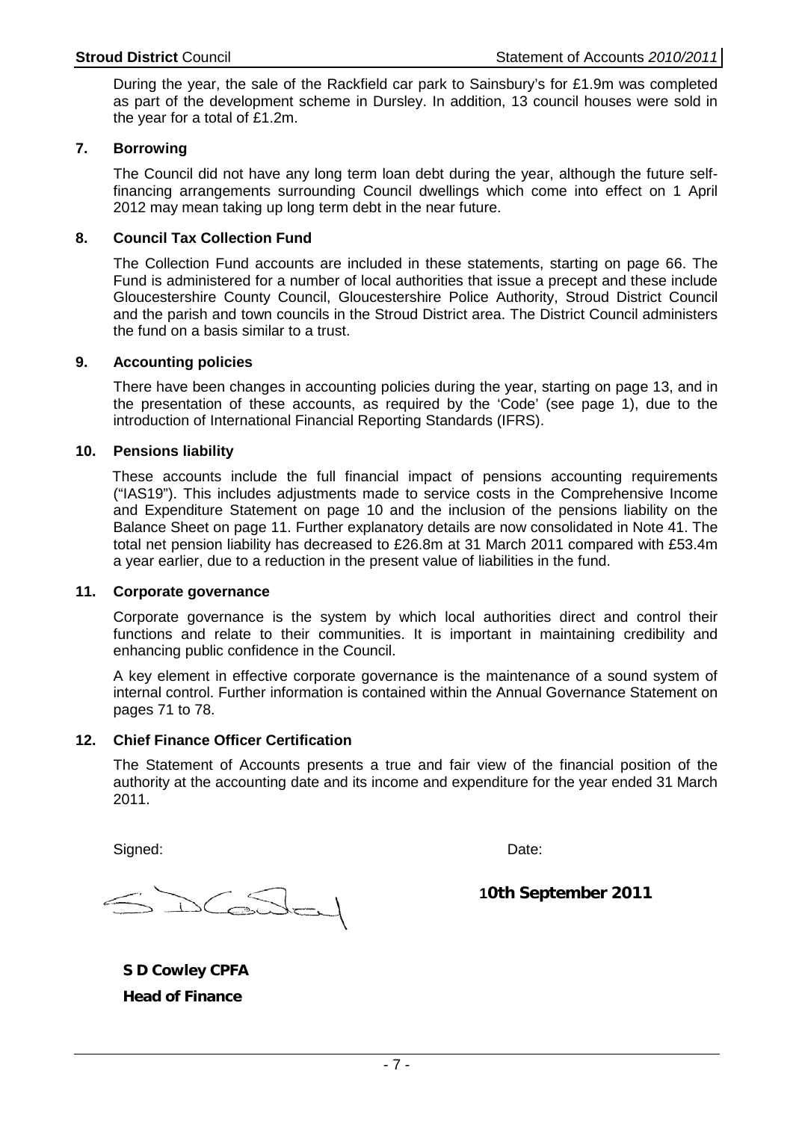During the year, the sale of the Rackfield car park to Sainsbury's for £1.9m was completed as part of the development scheme in Dursley. In addition, 13 council houses were sold in the year for a total of £1.2m.

## **7. Borrowing**

The Council did not have any long term loan debt during the year, although the future selffinancing arrangements surrounding Council dwellings which come into effect on 1 April 2012 may mean taking up long term debt in the near future.

### **8. Council Tax Collection Fund**

The Collection Fund accounts are included in these statements, starting on page 66. The Fund is administered for a number of local authorities that issue a precept and these include Gloucestershire County Council, Gloucestershire Police Authority, Stroud District Council and the parish and town councils in the Stroud District area. The District Council administers the fund on a basis similar to a trust.

### **9. Accounting policies**

There have been changes in accounting policies during the year, starting on page 13, and in the presentation of these accounts, as required by the 'Code' (see page 1), due to the introduction of International Financial Reporting Standards (IFRS).

### **10. Pensions liability**

 These accounts include the full financial impact of pensions accounting requirements ("IAS19"). This includes adjustments made to service costs in the Comprehensive Income and Expenditure Statement on page 10 and the inclusion of the pensions liability on the Balance Sheet on page 11. Further explanatory details are now consolidated in Note 41. The total net pension liability has decreased to £26.8m at 31 March 2011 compared with £53.4m a year earlier, due to a reduction in the present value of liabilities in the fund.

#### **11. Corporate governance**

Corporate governance is the system by which local authorities direct and control their functions and relate to their communities. It is important in maintaining credibility and enhancing public confidence in the Council.

A key element in effective corporate governance is the maintenance of a sound system of internal control. Further information is contained within the Annual Governance Statement on pages 71 to 78.

### **12. Chief Finance Officer Certification**

The Statement of Accounts presents a true and fair view of the financial position of the authority at the accounting date and its income and expenditure for the year ended 31 March 2011.

Signed: Date:

**10th September 2011**

**S D Cowley CPFA Head of Finance**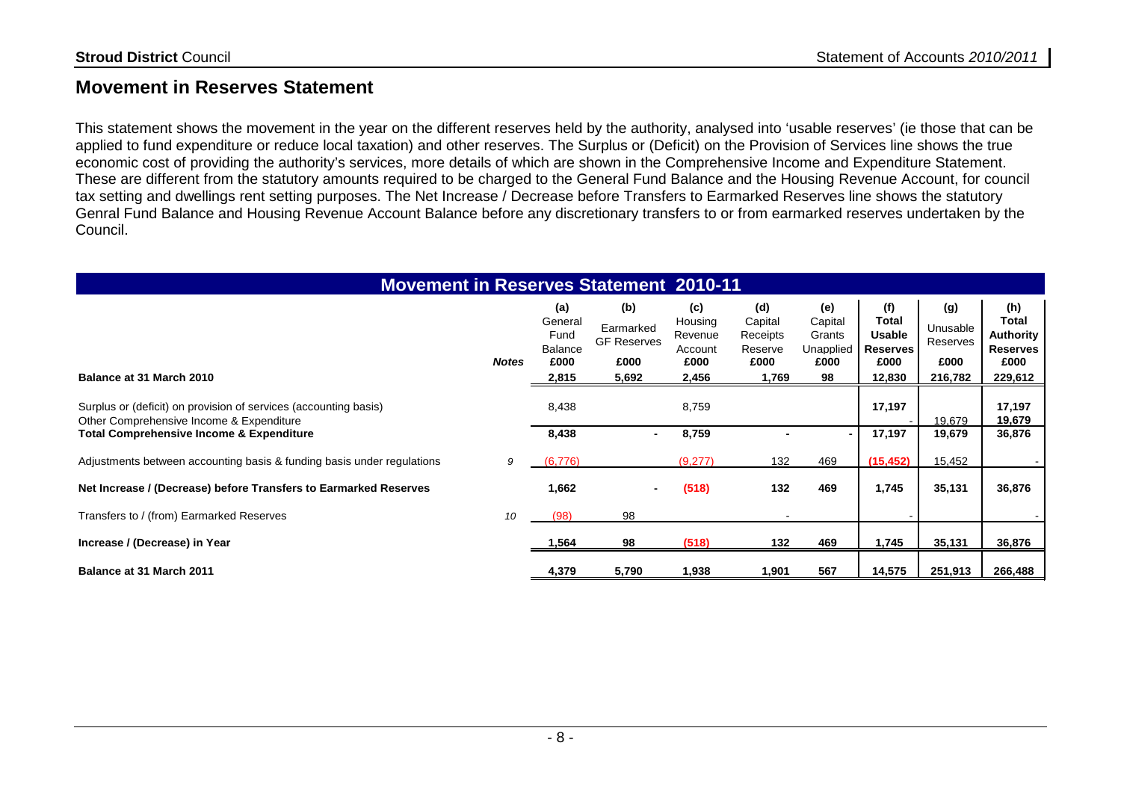## **Movement in Reserves Statement**

This statement shows the movement in the year on the different reserves held by the authority, analysed into 'usable reserves' (ie those that can be applied to fund expenditure or reduce local taxation) and other reserves. The Surplus or (Deficit) on the Provision of Services line shows the true economic cost of providing the authority's services, more details of which are shown in the Comprehensive Income and Expenditure Statement. These are different from the statutory amounts required to be charged to the General Fund Balance and the Housing Revenue Account, for council tax setting and dwellings rent setting purposes. The Net Increase / Decrease before Transfers to Earmarked Reserves line shows the statutory Genral Fund Balance and Housing Revenue Account Balance before any discretionary transfers to or from earmarked reserves undertaken by the Council.

| <b>Movement in Reserves Statement 2010-11</b>                                                                                                                       |              |                                                           |                                                         |                                                       |                                                        |                                                     |                                                             |                                                |                                                                        |
|---------------------------------------------------------------------------------------------------------------------------------------------------------------------|--------------|-----------------------------------------------------------|---------------------------------------------------------|-------------------------------------------------------|--------------------------------------------------------|-----------------------------------------------------|-------------------------------------------------------------|------------------------------------------------|------------------------------------------------------------------------|
| Balance at 31 March 2010                                                                                                                                            | <b>Notes</b> | (a)<br>General<br>Fund<br><b>Balance</b><br>£000<br>2,815 | (b)<br>Earmarked<br><b>GF Reserves</b><br>£000<br>5,692 | (c)<br>Housing<br>Revenue<br>Account<br>£000<br>2,456 | (d)<br>Capital<br>Receipts<br>Reserve<br>£000<br>1,769 | (e)<br>Capital<br>Grants<br>Unapplied<br>£000<br>98 | (f)<br>Total<br><b>Usable</b><br>Reserves<br>£000<br>12,830 | (g)<br>Unusable<br>Reserves<br>£000<br>216,782 | (h)<br>Total<br><b>Authority</b><br><b>Reserves</b><br>£000<br>229,612 |
| Surplus or (deficit) on provision of services (accounting basis)<br>Other Comprehensive Income & Expenditure<br><b>Total Comprehensive Income &amp; Expenditure</b> |              | 8,438<br>8,438                                            | $\blacksquare$                                          | 8,759<br>8,759                                        |                                                        |                                                     | 17,197<br>17,197                                            | 19,679<br>19,679                               | 17,197<br>19,679<br>36,876                                             |
| Adjustments between accounting basis & funding basis under regulations                                                                                              | 9            | (6,776)                                                   |                                                         | (9,277)                                               | 132                                                    | 469                                                 | (15, 452)                                                   | 15,452                                         |                                                                        |
| Net Increase / (Decrease) before Transfers to Earmarked Reserves                                                                                                    |              | 1,662                                                     | $\blacksquare$                                          | (518)                                                 | 132                                                    | 469                                                 | 1,745                                                       | 35,131                                         | 36,876                                                                 |
| Transfers to / (from) Earmarked Reserves                                                                                                                            | 10           | (98)                                                      | 98                                                      |                                                       |                                                        |                                                     |                                                             |                                                |                                                                        |
| Increase / (Decrease) in Year                                                                                                                                       |              | 1,564                                                     | 98                                                      | (518)                                                 | 132                                                    | 469                                                 | 1,745                                                       | 35,131                                         | 36,876                                                                 |
| Balance at 31 March 2011                                                                                                                                            |              | 4,379                                                     | 5,790                                                   | 1,938                                                 | 1,901                                                  | 567                                                 | 14,575                                                      | 251,913                                        | 266,488                                                                |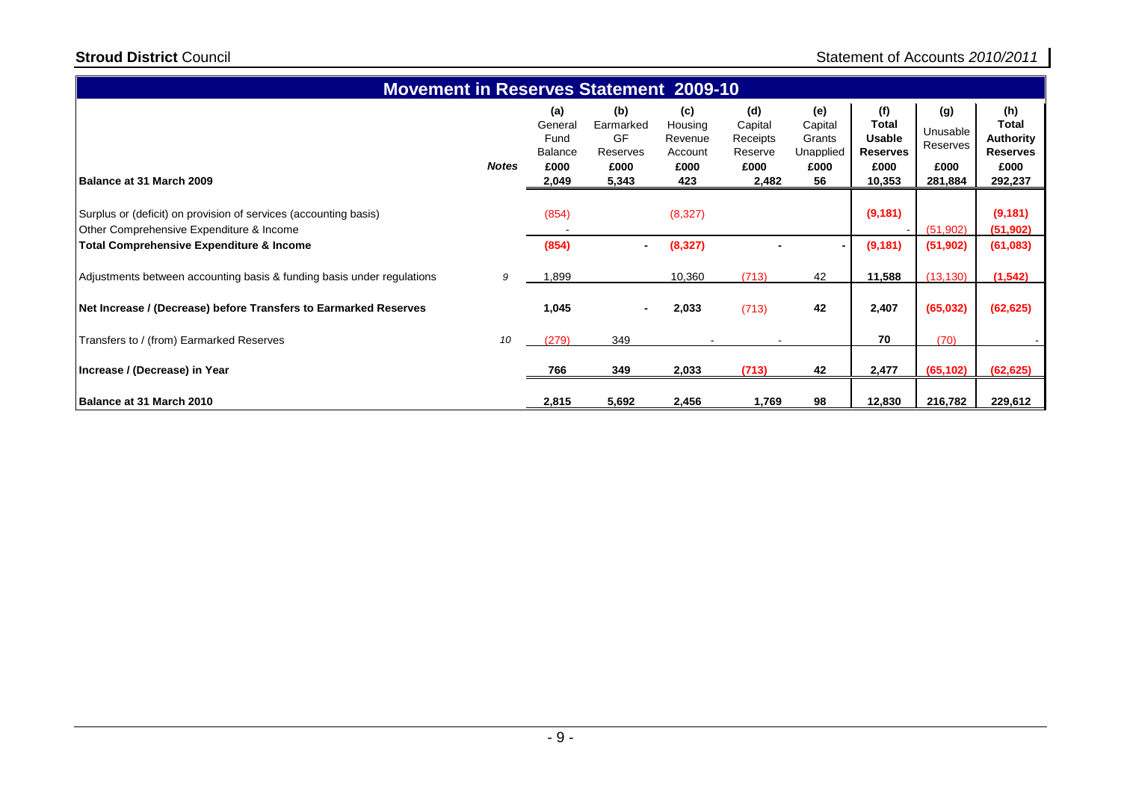| <b>Movement in Reserves Statement 2009-10</b> |                                                           |                                                     |                                                     |                                                        |                                                     |                                                                           |                                                |                                                                        |
|-----------------------------------------------|-----------------------------------------------------------|-----------------------------------------------------|-----------------------------------------------------|--------------------------------------------------------|-----------------------------------------------------|---------------------------------------------------------------------------|------------------------------------------------|------------------------------------------------------------------------|
| <b>Notes</b>                                  | (a)<br>General<br>Fund<br><b>Balance</b><br>£000<br>2,049 | (b)<br>Earmarked<br>GF<br>Reserves<br>£000<br>5,343 | (c)<br>Housing<br>Revenue<br>Account<br>£000<br>423 | (d)<br>Capital<br>Receipts<br>Reserve<br>£000<br>2,482 | (e)<br>Capital<br>Grants<br>Unapplied<br>£000<br>56 | (f)<br><b>Total</b><br><b>Usable</b><br><b>Reserves</b><br>£000<br>10,353 | (g)<br>Unusable<br>Reserves<br>£000<br>281,884 | (h)<br><b>Total</b><br>Authority<br><b>Reserves</b><br>£000<br>292,237 |
|                                               | (854)                                                     |                                                     | (8,327)                                             |                                                        |                                                     | (9, 181)                                                                  | (51, 902)                                      | (9, 181)<br>(51, 902)                                                  |
| 9                                             | 1,899                                                     |                                                     | 10,360                                              | (713)                                                  | 42                                                  | 11,588                                                                    | (13, 130)                                      | (61, 083)<br>(1, 542)                                                  |
|                                               | 1,045                                                     |                                                     | 2,033                                               | (713)                                                  | 42                                                  | 2,407                                                                     | (65, 032)                                      | (62, 625)                                                              |
| 10                                            |                                                           |                                                     |                                                     |                                                        |                                                     |                                                                           |                                                |                                                                        |
|                                               | 766                                                       | 349                                                 | 2,033                                               | (713)                                                  | 42                                                  | 2,477                                                                     | (65, 102)                                      | (62, 625)<br>229,612                                                   |
|                                               |                                                           | (854)<br>(279)<br>2,815                             | 349<br>5,692                                        | (8,327)<br>2,456                                       | 1,769                                               | 98                                                                        | (9, 181)<br>70<br>12,830                       | (51, 902)<br>(70)<br>216,782                                           |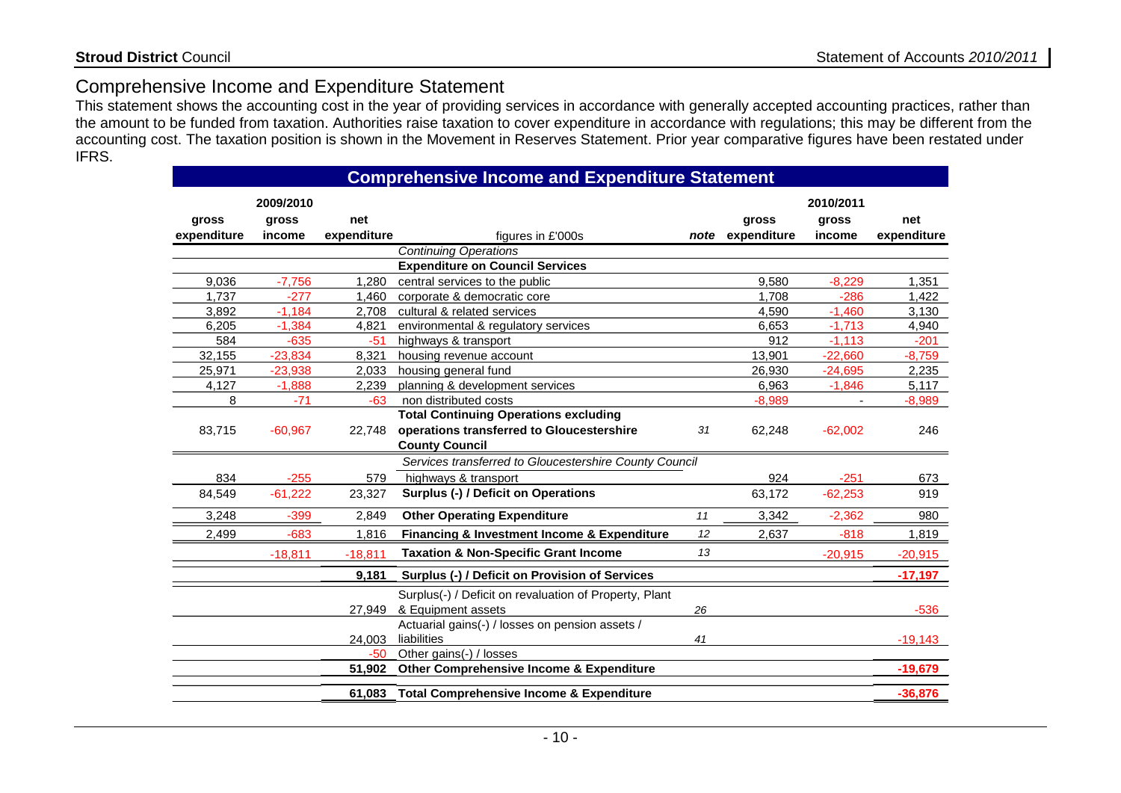## Comprehensive Income and Expenditure Statement

This statement shows the accounting cost in the year of providing services in accordance with generally accepted accounting practices, rather than the amount to be funded from taxation. Authorities raise taxation to cover expenditure in accordance with regulations; this may be different from the accounting cost. The taxation position is shown in the Movement in Reserves Statement. Prior year comparative figures have been restated under IFRS.

|                      |                              |                    | <b>Comprehensive Income and Expenditure Statement</b>                                                              |      |                      |                              |                    |
|----------------------|------------------------------|--------------------|--------------------------------------------------------------------------------------------------------------------|------|----------------------|------------------------------|--------------------|
| gross<br>expenditure | 2009/2010<br>gross<br>income | net<br>expenditure | figures in £'000s                                                                                                  | note | gross<br>expenditure | 2010/2011<br>gross<br>income | net<br>expenditure |
|                      |                              |                    | <b>Continuing Operations</b>                                                                                       |      |                      |                              |                    |
|                      |                              |                    | <b>Expenditure on Council Services</b>                                                                             |      |                      |                              |                    |
| 9,036                | $-7,756$                     | 1.280              | central services to the public                                                                                     |      | 9,580                | $-8,229$                     | 1,351              |
| 1,737                | $-277$                       | 1,460              | corporate & democratic core                                                                                        |      | 1,708                | $-286$                       | 1,422              |
| 3,892                | $-1,184$                     | 2,708              | cultural & related services                                                                                        |      | 4,590                | $-1,460$                     | 3,130              |
| 6,205                | $-1,384$                     | 4,821              | environmental & regulatory services                                                                                |      | 6,653                | $-1,713$                     | 4,940              |
| 584                  | $-635$                       | $-51$              | highways & transport                                                                                               |      | 912                  | $-1,113$                     | $-201$             |
| 32,155               | $-23,834$                    | 8,321              | housing revenue account                                                                                            |      | 13,901               | $-22,660$                    | $-8,759$           |
| 25,971               | $-23.938$                    | 2.033              | housing general fund                                                                                               |      | 26,930               | $-24,695$                    | 2,235              |
| 4,127                | $-1,888$                     | 2.239              | planning & development services                                                                                    |      | 6,963                | $-1,846$                     | 5,117              |
| 8                    | $-71$                        | $-63$              | non distributed costs                                                                                              |      | $-8,989$             |                              | $-8,989$           |
| 83,715               | $-60,967$                    | 22,748             | <b>Total Continuing Operations excluding</b><br>operations transferred to Gloucestershire<br><b>County Council</b> | 31   | 62,248               | $-62,002$                    | 246                |
|                      |                              |                    | Services transferred to Gloucestershire County Council                                                             |      |                      |                              |                    |
| 834                  | $-255$                       | 579                | highways & transport                                                                                               |      | 924                  | $-251$                       | 673                |
| 84,549               | $-61,222$                    | 23,327             | Surplus (-) / Deficit on Operations                                                                                |      | 63,172               | $-62,253$                    | 919                |
| 3,248                | $-399$                       | 2,849              | <b>Other Operating Expenditure</b>                                                                                 | 11   | 3,342                | $-2,362$                     | 980                |
| 2,499                | $-683$                       | 1,816              | Financing & Investment Income & Expenditure                                                                        | 12   | 2,637                | $-818$                       | 1,819              |
|                      | $-18,811$                    | $-18,811$          | <b>Taxation &amp; Non-Specific Grant Income</b>                                                                    | 13   |                      | $-20,915$                    | $-20,915$          |
|                      |                              | 9,181              | Surplus (-) / Deficit on Provision of Services                                                                     |      |                      |                              | $-17,197$          |
|                      |                              | 27.949             | Surplus(-) / Deficit on revaluation of Property, Plant<br>& Equipment assets                                       | 26   |                      |                              | $-536$             |
|                      |                              | 24,003             | Actuarial gains(-) / losses on pension assets /<br>liabilities                                                     | 41   |                      |                              | $-19,143$          |
|                      |                              | $-50$              | Other gains(-) / losses                                                                                            |      |                      |                              |                    |
|                      |                              | 51,902             | <b>Other Comprehensive Income &amp; Expenditure</b>                                                                |      |                      |                              | $-19,679$          |
|                      |                              | 61,083             | <b>Total Comprehensive Income &amp; Expenditure</b>                                                                |      |                      |                              | $-36,876$          |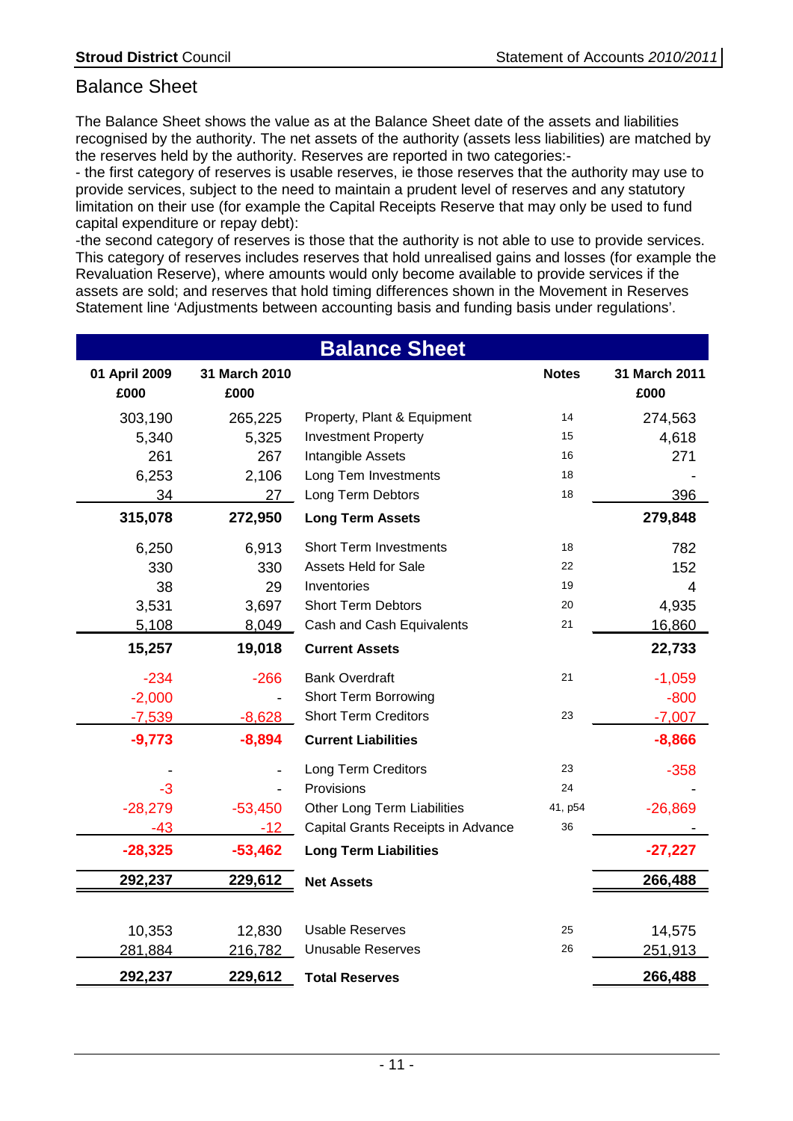## Balance Sheet

The Balance Sheet shows the value as at the Balance Sheet date of the assets and liabilities recognised by the authority. The net assets of the authority (assets less liabilities) are matched by the reserves held by the authority. Reserves are reported in two categories:-

- the first category of reserves is usable reserves, ie those reserves that the authority may use to provide services, subject to the need to maintain a prudent level of reserves and any statutory limitation on their use (for example the Capital Receipts Reserve that may only be used to fund capital expenditure or repay debt):

-the second category of reserves is those that the authority is not able to use to provide services. This category of reserves includes reserves that hold unrealised gains and losses (for example the Revaluation Reserve), where amounts would only become available to provide services if the assets are sold; and reserves that hold timing differences shown in the Movement in Reserves Statement line 'Adjustments between accounting basis and funding basis under regulations'.

|                       |                       | <b>Balance Sheet</b>               |              |                       |
|-----------------------|-----------------------|------------------------------------|--------------|-----------------------|
| 01 April 2009<br>£000 | 31 March 2010<br>£000 |                                    | <b>Notes</b> | 31 March 2011<br>£000 |
| 303,190               | 265,225               | Property, Plant & Equipment        | 14           | 274,563               |
| 5,340                 | 5,325                 | <b>Investment Property</b>         | 15           | 4,618                 |
| 261                   | 267                   | Intangible Assets                  | 16           | 271                   |
| 6,253                 | 2,106                 | Long Tem Investments               | 18           |                       |
| 34                    | 27                    | Long Term Debtors                  | 18           | 396                   |
| 315,078               | 272,950               | <b>Long Term Assets</b>            |              | 279,848               |
| 6,250                 | 6,913                 | <b>Short Term Investments</b>      | 18           | 782                   |
| 330                   | 330                   | <b>Assets Held for Sale</b>        | 22           | 152                   |
| 38                    | 29                    | Inventories                        | 19           | $\overline{4}$        |
| 3,531                 | 3,697                 | <b>Short Term Debtors</b>          | 20           | 4,935                 |
| 5,108                 | 8,049                 | Cash and Cash Equivalents          | 21           | 16,860                |
| 15,257                | 19,018                | <b>Current Assets</b>              |              | 22,733                |
| $-234$                | $-266$                | <b>Bank Overdraft</b>              | 21           | $-1,059$              |
| $-2,000$              |                       | <b>Short Term Borrowing</b>        |              | $-800$                |
| $-7,539$              | $-8,628$              | <b>Short Term Creditors</b>        | 23           | $-7,007$              |
| $-9,773$              | $-8,894$              | <b>Current Liabilities</b>         |              | $-8,866$              |
|                       |                       | Long Term Creditors                | 23           | $-358$                |
| $-3$                  |                       | Provisions                         | 24           |                       |
| $-28,279$             | $-53,450$             | Other Long Term Liabilities        | 41, p54      | $-26,869$             |
| $-43$                 | $-12$                 | Capital Grants Receipts in Advance | 36           |                       |
| $-28,325$             | $-53,462$             | <b>Long Term Liabilities</b>       |              | $-27,227$             |
| 292,237               | 229,612               | <b>Net Assets</b>                  |              | 266,488               |
| 10,353                | 12,830                | <b>Usable Reserves</b>             | 25           | 14,575                |
| <u>281,884</u>        | 216,782               | <b>Unusable Reserves</b>           | 26           | 251,913               |
| 292,237               | 229,612               | <b>Total Reserves</b>              |              | 266,488               |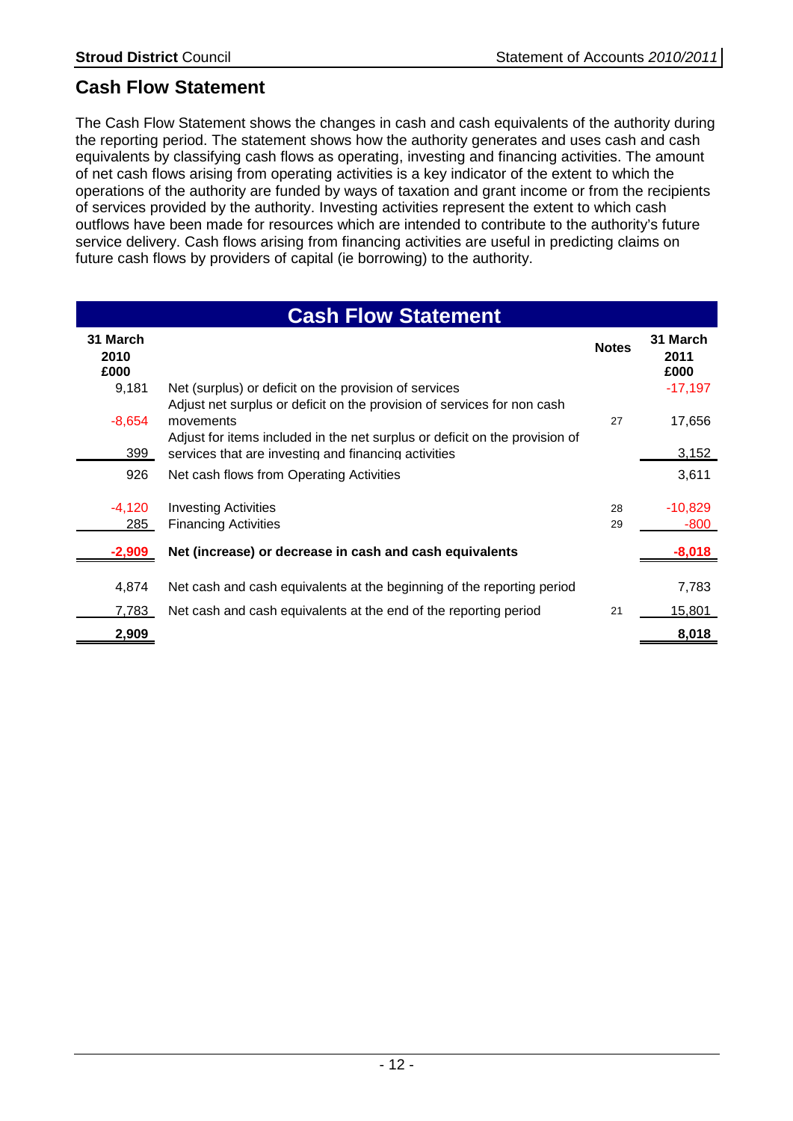## **Cash Flow Statement**

The Cash Flow Statement shows the changes in cash and cash equivalents of the authority during the reporting period. The statement shows how the authority generates and uses cash and cash equivalents by classifying cash flows as operating, investing and financing activities. The amount of net cash flows arising from operating activities is a key indicator of the extent to which the operations of the authority are funded by ways of taxation and grant income or from the recipients of services provided by the authority. Investing activities represent the extent to which cash outflows have been made for resources which are intended to contribute to the authority's future service delivery. Cash flows arising from financing activities are useful in predicting claims on future cash flows by providers of capital (ie borrowing) to the authority.

| <b>Cash Flow Statement</b> |                                                                                                                                  |              |                          |  |  |
|----------------------------|----------------------------------------------------------------------------------------------------------------------------------|--------------|--------------------------|--|--|
| 31 March<br>2010<br>£000   |                                                                                                                                  | <b>Notes</b> | 31 March<br>2011<br>£000 |  |  |
| 9,181                      | Net (surplus) or deficit on the provision of services<br>Adjust net surplus or deficit on the provision of services for non cash |              | $-17,197$                |  |  |
| $-8,654$                   | movements<br>Adjust for items included in the net surplus or deficit on the provision of                                         | 27           | 17,656                   |  |  |
| 399                        | services that are investing and financing activities                                                                             |              | 3,152                    |  |  |
| 926                        | Net cash flows from Operating Activities                                                                                         |              | 3,611                    |  |  |
| $-4.120$                   | <b>Investing Activities</b>                                                                                                      | 28           | $-10,829$                |  |  |
| 285                        | <b>Financing Activities</b>                                                                                                      | 29           | -800                     |  |  |
| $-2,909$                   | Net (increase) or decrease in cash and cash equivalents                                                                          |              | $-8,018$                 |  |  |
| 4,874                      | Net cash and cash equivalents at the beginning of the reporting period                                                           |              | 7,783                    |  |  |
| 7,783                      | Net cash and cash equivalents at the end of the reporting period                                                                 | 21           | 15,801                   |  |  |
| 2,909                      |                                                                                                                                  |              | 8,018                    |  |  |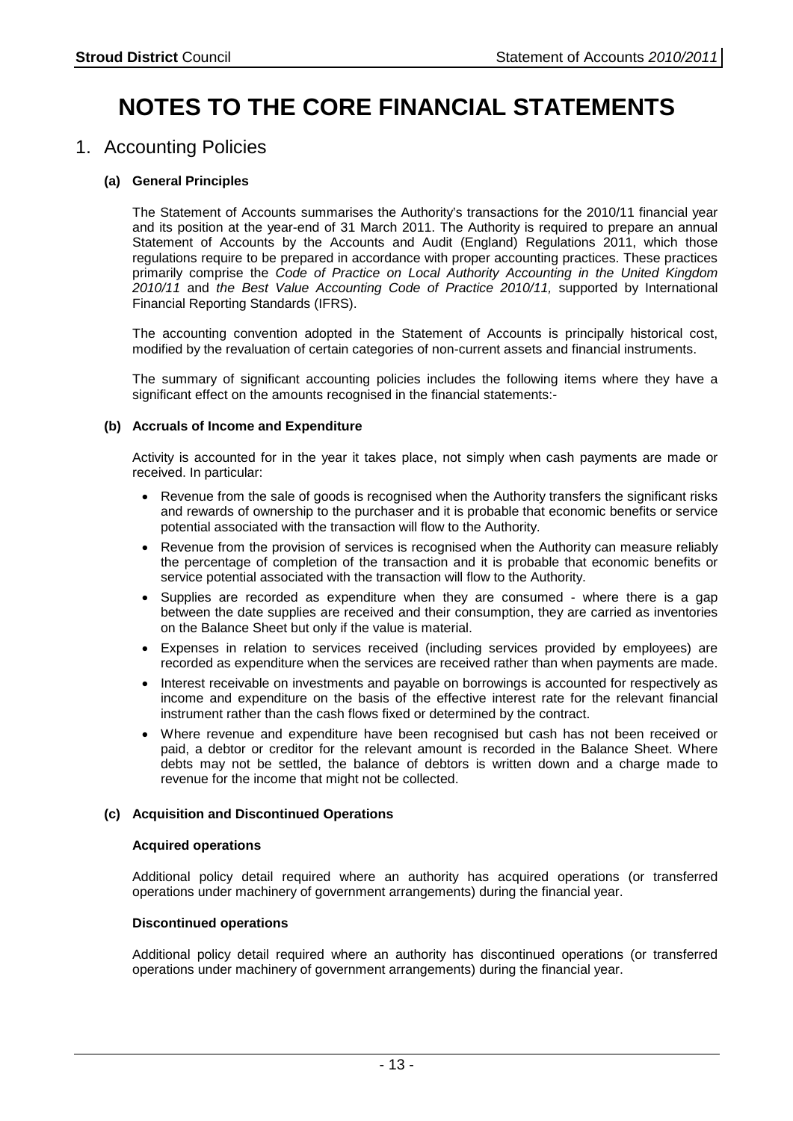# **NOTES TO THE CORE FINANCIAL STATEMENTS**

## 1. Accounting Policies

### **(a) General Principles**

The Statement of Accounts summarises the Authority's transactions for the 2010/11 financial year and its position at the year-end of 31 March 2011. The Authority is required to prepare an annual Statement of Accounts by the Accounts and Audit (England) Regulations 2011, which those regulations require to be prepared in accordance with proper accounting practices. These practices primarily comprise the *Code of Practice on Local Authority Accounting in the United Kingdom 2010/11* and *the Best Value Accounting Code of Practice 2010/11,* supported by International Financial Reporting Standards (IFRS).

The accounting convention adopted in the Statement of Accounts is principally historical cost, modified by the revaluation of certain categories of non-current assets and financial instruments.

The summary of significant accounting policies includes the following items where they have a significant effect on the amounts recognised in the financial statements:-

### **(b) Accruals of Income and Expenditure**

Activity is accounted for in the year it takes place, not simply when cash payments are made or received. In particular:

- Revenue from the sale of goods is recognised when the Authority transfers the significant risks and rewards of ownership to the purchaser and it is probable that economic benefits or service potential associated with the transaction will flow to the Authority.
- Revenue from the provision of services is recognised when the Authority can measure reliably the percentage of completion of the transaction and it is probable that economic benefits or service potential associated with the transaction will flow to the Authority.
- Supplies are recorded as expenditure when they are consumed where there is a gap between the date supplies are received and their consumption, they are carried as inventories on the Balance Sheet but only if the value is material.
- Expenses in relation to services received (including services provided by employees) are recorded as expenditure when the services are received rather than when payments are made.
- Interest receivable on investments and payable on borrowings is accounted for respectively as income and expenditure on the basis of the effective interest rate for the relevant financial instrument rather than the cash flows fixed or determined by the contract.
- Where revenue and expenditure have been recognised but cash has not been received or paid, a debtor or creditor for the relevant amount is recorded in the Balance Sheet. Where debts may not be settled, the balance of debtors is written down and a charge made to revenue for the income that might not be collected.

#### **(c) Acquisition and Discontinued Operations**

#### **Acquired operations**

Additional policy detail required where an authority has acquired operations (or transferred operations under machinery of government arrangements) during the financial year.

#### **Discontinued operations**

Additional policy detail required where an authority has discontinued operations (or transferred operations under machinery of government arrangements) during the financial year.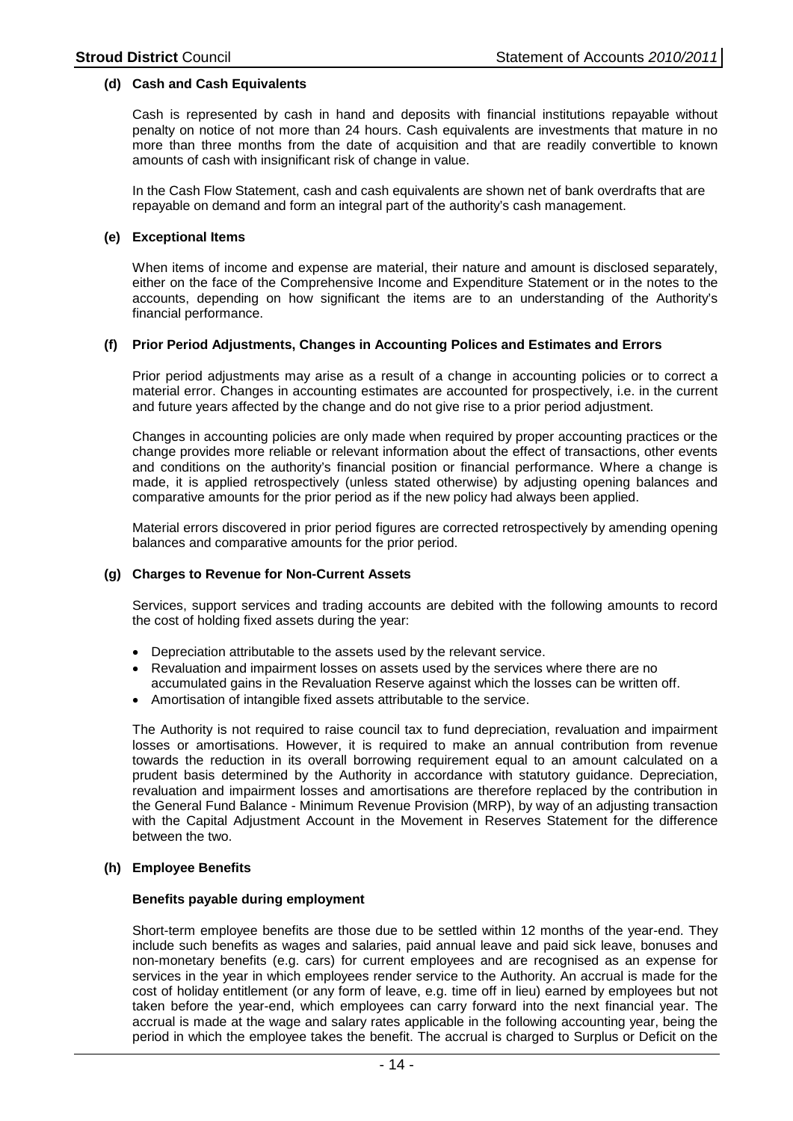#### **(d) Cash and Cash Equivalents**

Cash is represented by cash in hand and deposits with financial institutions repayable without penalty on notice of not more than 24 hours. Cash equivalents are investments that mature in no more than three months from the date of acquisition and that are readily convertible to known amounts of cash with insignificant risk of change in value.

In the Cash Flow Statement, cash and cash equivalents are shown net of bank overdrafts that are repayable on demand and form an integral part of the authority's cash management.

#### **(e) Exceptional Items**

When items of income and expense are material, their nature and amount is disclosed separately, either on the face of the Comprehensive Income and Expenditure Statement or in the notes to the accounts, depending on how significant the items are to an understanding of the Authority's financial performance.

#### **(f) Prior Period Adjustments, Changes in Accounting Polices and Estimates and Errors**

Prior period adjustments may arise as a result of a change in accounting policies or to correct a material error. Changes in accounting estimates are accounted for prospectively, i.e. in the current and future years affected by the change and do not give rise to a prior period adjustment.

Changes in accounting policies are only made when required by proper accounting practices or the change provides more reliable or relevant information about the effect of transactions, other events and conditions on the authority's financial position or financial performance. Where a change is made, it is applied retrospectively (unless stated otherwise) by adjusting opening balances and comparative amounts for the prior period as if the new policy had always been applied.

Material errors discovered in prior period figures are corrected retrospectively by amending opening balances and comparative amounts for the prior period.

#### **(g) Charges to Revenue for Non-Current Assets**

Services, support services and trading accounts are debited with the following amounts to record the cost of holding fixed assets during the year:

- Depreciation attributable to the assets used by the relevant service.
- Revaluation and impairment losses on assets used by the services where there are no accumulated gains in the Revaluation Reserve against which the losses can be written off.
- Amortisation of intangible fixed assets attributable to the service.

The Authority is not required to raise council tax to fund depreciation, revaluation and impairment losses or amortisations. However, it is required to make an annual contribution from revenue towards the reduction in its overall borrowing requirement equal to an amount calculated on a prudent basis determined by the Authority in accordance with statutory guidance. Depreciation, revaluation and impairment losses and amortisations are therefore replaced by the contribution in the General Fund Balance - Minimum Revenue Provision (MRP), by way of an adjusting transaction with the Capital Adjustment Account in the Movement in Reserves Statement for the difference between the two.

#### **(h) Employee Benefits**

#### **Benefits payable during employment**

Short-term employee benefits are those due to be settled within 12 months of the year-end. They include such benefits as wages and salaries, paid annual leave and paid sick leave, bonuses and non-monetary benefits (e.g. cars) for current employees and are recognised as an expense for services in the year in which employees render service to the Authority. An accrual is made for the cost of holiday entitlement (or any form of leave, e.g. time off in lieu) earned by employees but not taken before the year-end, which employees can carry forward into the next financial year. The accrual is made at the wage and salary rates applicable in the following accounting year, being the period in which the employee takes the benefit. The accrual is charged to Surplus or Deficit on the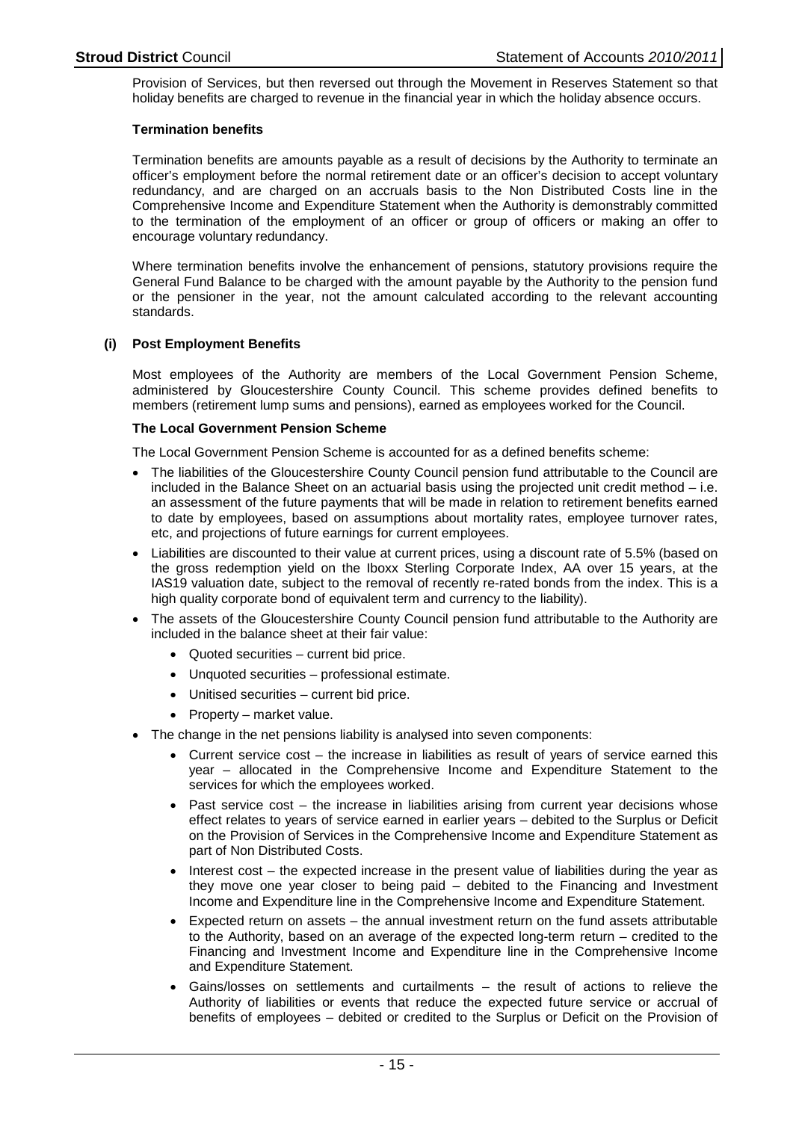Provision of Services, but then reversed out through the Movement in Reserves Statement so that holiday benefits are charged to revenue in the financial year in which the holiday absence occurs.

#### **Termination benefits**

Termination benefits are amounts payable as a result of decisions by the Authority to terminate an officer's employment before the normal retirement date or an officer's decision to accept voluntary redundancy, and are charged on an accruals basis to the Non Distributed Costs line in the Comprehensive Income and Expenditure Statement when the Authority is demonstrably committed to the termination of the employment of an officer or group of officers or making an offer to encourage voluntary redundancy.

Where termination benefits involve the enhancement of pensions, statutory provisions require the General Fund Balance to be charged with the amount payable by the Authority to the pension fund or the pensioner in the year, not the amount calculated according to the relevant accounting standards.

#### **(i) Post Employment Benefits**

Most employees of the Authority are members of the Local Government Pension Scheme, administered by Gloucestershire County Council. This scheme provides defined benefits to members (retirement lump sums and pensions), earned as employees worked for the Council.

#### **The Local Government Pension Scheme**

The Local Government Pension Scheme is accounted for as a defined benefits scheme:

- The liabilities of the Gloucestershire County Council pension fund attributable to the Council are included in the Balance Sheet on an actuarial basis using the projected unit credit method – i.e. an assessment of the future payments that will be made in relation to retirement benefits earned to date by employees, based on assumptions about mortality rates, employee turnover rates, etc, and projections of future earnings for current employees.
- Liabilities are discounted to their value at current prices, using a discount rate of 5.5% (based on the gross redemption yield on the Iboxx Sterling Corporate Index, AA over 15 years, at the IAS19 valuation date, subject to the removal of recently re-rated bonds from the index. This is a high quality corporate bond of equivalent term and currency to the liability).
- The assets of the Gloucestershire County Council pension fund attributable to the Authority are included in the balance sheet at their fair value:
	- Quoted securities current bid price.
	- Unquoted securities professional estimate.
	- Unitised securities current bid price.
	- Property market value.
- The change in the net pensions liability is analysed into seven components:
	- Current service cost the increase in liabilities as result of years of service earned this year – allocated in the Comprehensive Income and Expenditure Statement to the services for which the employees worked.
	- Past service cost the increase in liabilities arising from current year decisions whose effect relates to years of service earned in earlier years – debited to the Surplus or Deficit on the Provision of Services in the Comprehensive Income and Expenditure Statement as part of Non Distributed Costs.
	- Interest cost the expected increase in the present value of liabilities during the year as they move one year closer to being paid – debited to the Financing and Investment Income and Expenditure line in the Comprehensive Income and Expenditure Statement.
	- Expected return on assets the annual investment return on the fund assets attributable to the Authority, based on an average of the expected long-term return – credited to the Financing and Investment Income and Expenditure line in the Comprehensive Income and Expenditure Statement.
	- Gains/losses on settlements and curtailments the result of actions to relieve the Authority of liabilities or events that reduce the expected future service or accrual of benefits of employees – debited or credited to the Surplus or Deficit on the Provision of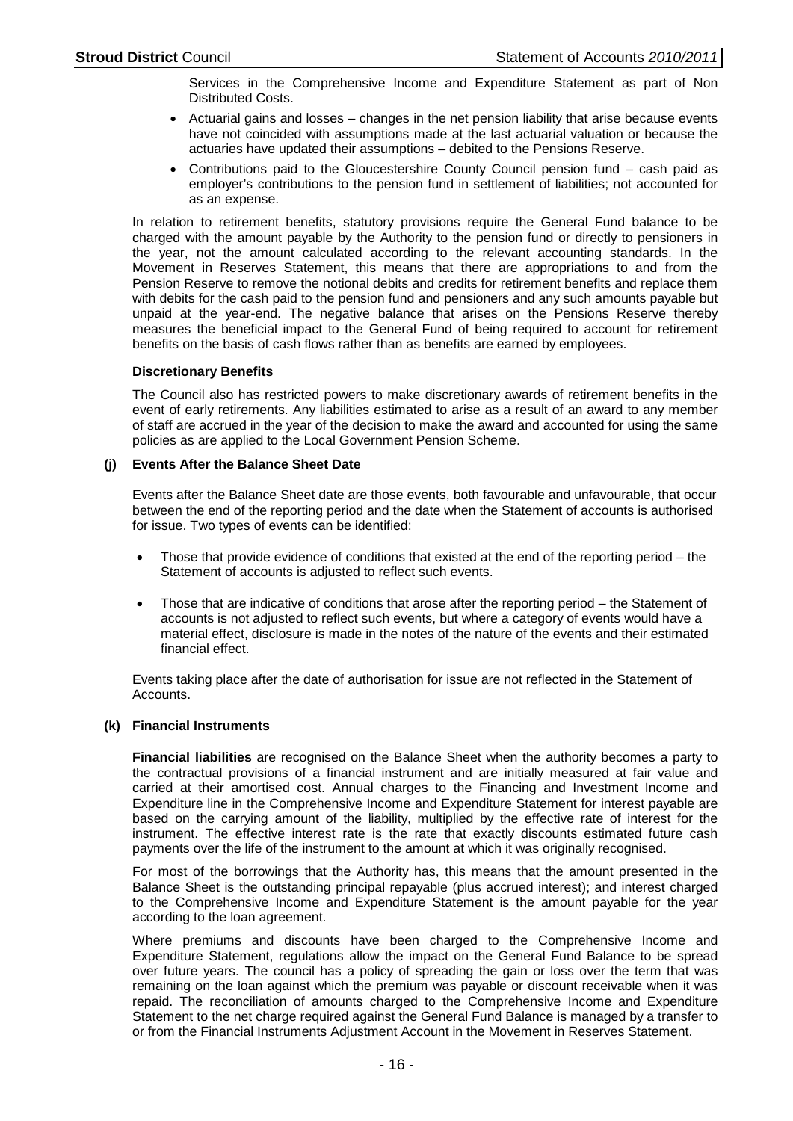Services in the Comprehensive Income and Expenditure Statement as part of Non Distributed Costs.

- Actuarial gains and losses changes in the net pension liability that arise because events have not coincided with assumptions made at the last actuarial valuation or because the actuaries have updated their assumptions – debited to the Pensions Reserve.
- Contributions paid to the Gloucestershire County Council pension fund cash paid as employer's contributions to the pension fund in settlement of liabilities; not accounted for as an expense.

In relation to retirement benefits, statutory provisions require the General Fund balance to be charged with the amount payable by the Authority to the pension fund or directly to pensioners in the year, not the amount calculated according to the relevant accounting standards. In the Movement in Reserves Statement, this means that there are appropriations to and from the Pension Reserve to remove the notional debits and credits for retirement benefits and replace them with debits for the cash paid to the pension fund and pensioners and any such amounts payable but unpaid at the year-end. The negative balance that arises on the Pensions Reserve thereby measures the beneficial impact to the General Fund of being required to account for retirement benefits on the basis of cash flows rather than as benefits are earned by employees.

### **Discretionary Benefits**

The Council also has restricted powers to make discretionary awards of retirement benefits in the event of early retirements. Any liabilities estimated to arise as a result of an award to any member of staff are accrued in the year of the decision to make the award and accounted for using the same policies as are applied to the Local Government Pension Scheme.

#### **(j) Events After the Balance Sheet Date**

Events after the Balance Sheet date are those events, both favourable and unfavourable, that occur between the end of the reporting period and the date when the Statement of accounts is authorised for issue. Two types of events can be identified:

- Those that provide evidence of conditions that existed at the end of the reporting period the Statement of accounts is adjusted to reflect such events.
- Those that are indicative of conditions that arose after the reporting period the Statement of accounts is not adjusted to reflect such events, but where a category of events would have a material effect, disclosure is made in the notes of the nature of the events and their estimated financial effect.

Events taking place after the date of authorisation for issue are not reflected in the Statement of Accounts.

### **(k) Financial Instruments**

**Financial liabilities** are recognised on the Balance Sheet when the authority becomes a party to the contractual provisions of a financial instrument and are initially measured at fair value and carried at their amortised cost. Annual charges to the Financing and Investment Income and Expenditure line in the Comprehensive Income and Expenditure Statement for interest payable are based on the carrying amount of the liability, multiplied by the effective rate of interest for the instrument. The effective interest rate is the rate that exactly discounts estimated future cash payments over the life of the instrument to the amount at which it was originally recognised.

For most of the borrowings that the Authority has, this means that the amount presented in the Balance Sheet is the outstanding principal repayable (plus accrued interest); and interest charged to the Comprehensive Income and Expenditure Statement is the amount payable for the year according to the loan agreement.

Where premiums and discounts have been charged to the Comprehensive Income and Expenditure Statement, regulations allow the impact on the General Fund Balance to be spread over future years. The council has a policy of spreading the gain or loss over the term that was remaining on the loan against which the premium was payable or discount receivable when it was repaid. The reconciliation of amounts charged to the Comprehensive Income and Expenditure Statement to the net charge required against the General Fund Balance is managed by a transfer to or from the Financial Instruments Adjustment Account in the Movement in Reserves Statement.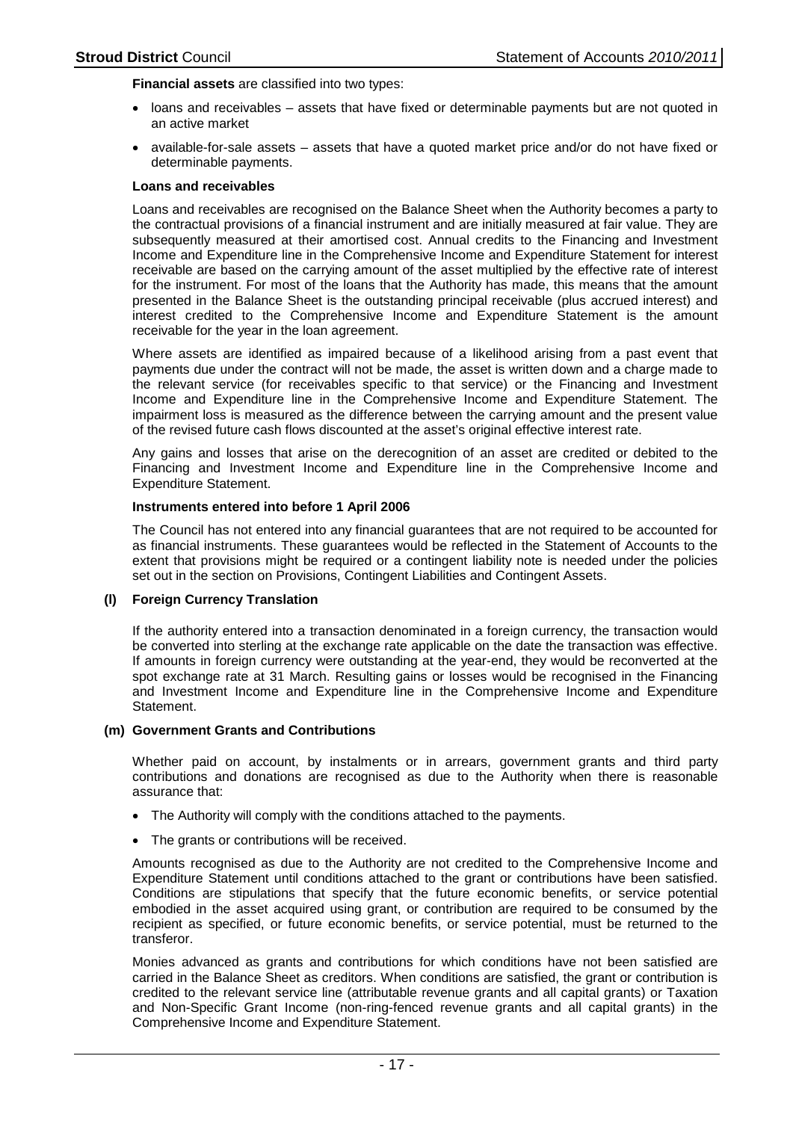#### **Financial assets** are classified into two types:

- loans and receivables assets that have fixed or determinable payments but are not quoted in an active market
- available-for-sale assets assets that have a quoted market price and/or do not have fixed or determinable payments.

#### **Loans and receivables**

Loans and receivables are recognised on the Balance Sheet when the Authority becomes a party to the contractual provisions of a financial instrument and are initially measured at fair value. They are subsequently measured at their amortised cost. Annual credits to the Financing and Investment Income and Expenditure line in the Comprehensive Income and Expenditure Statement for interest receivable are based on the carrying amount of the asset multiplied by the effective rate of interest for the instrument. For most of the loans that the Authority has made, this means that the amount presented in the Balance Sheet is the outstanding principal receivable (plus accrued interest) and interest credited to the Comprehensive Income and Expenditure Statement is the amount receivable for the year in the loan agreement.

Where assets are identified as impaired because of a likelihood arising from a past event that payments due under the contract will not be made, the asset is written down and a charge made to the relevant service (for receivables specific to that service) or the Financing and Investment Income and Expenditure line in the Comprehensive Income and Expenditure Statement. The impairment loss is measured as the difference between the carrying amount and the present value of the revised future cash flows discounted at the asset's original effective interest rate.

Any gains and losses that arise on the derecognition of an asset are credited or debited to the Financing and Investment Income and Expenditure line in the Comprehensive Income and Expenditure Statement.

#### **Instruments entered into before 1 April 2006**

The Council has not entered into any financial guarantees that are not required to be accounted for as financial instruments. These guarantees would be reflected in the Statement of Accounts to the extent that provisions might be required or a contingent liability note is needed under the policies set out in the section on Provisions, Contingent Liabilities and Contingent Assets.

#### **(l) Foreign Currency Translation**

If the authority entered into a transaction denominated in a foreign currency, the transaction would be converted into sterling at the exchange rate applicable on the date the transaction was effective. If amounts in foreign currency were outstanding at the year-end, they would be reconverted at the spot exchange rate at 31 March. Resulting gains or losses would be recognised in the Financing and Investment Income and Expenditure line in the Comprehensive Income and Expenditure Statement.

#### **(m) Government Grants and Contributions**

Whether paid on account, by instalments or in arrears, government grants and third party contributions and donations are recognised as due to the Authority when there is reasonable assurance that:

- The Authority will comply with the conditions attached to the payments.
- The grants or contributions will be received.

Amounts recognised as due to the Authority are not credited to the Comprehensive Income and Expenditure Statement until conditions attached to the grant or contributions have been satisfied. Conditions are stipulations that specify that the future economic benefits, or service potential embodied in the asset acquired using grant, or contribution are required to be consumed by the recipient as specified, or future economic benefits, or service potential, must be returned to the transferor.

Monies advanced as grants and contributions for which conditions have not been satisfied are carried in the Balance Sheet as creditors. When conditions are satisfied, the grant or contribution is credited to the relevant service line (attributable revenue grants and all capital grants) or Taxation and Non-Specific Grant Income (non-ring-fenced revenue grants and all capital grants) in the Comprehensive Income and Expenditure Statement.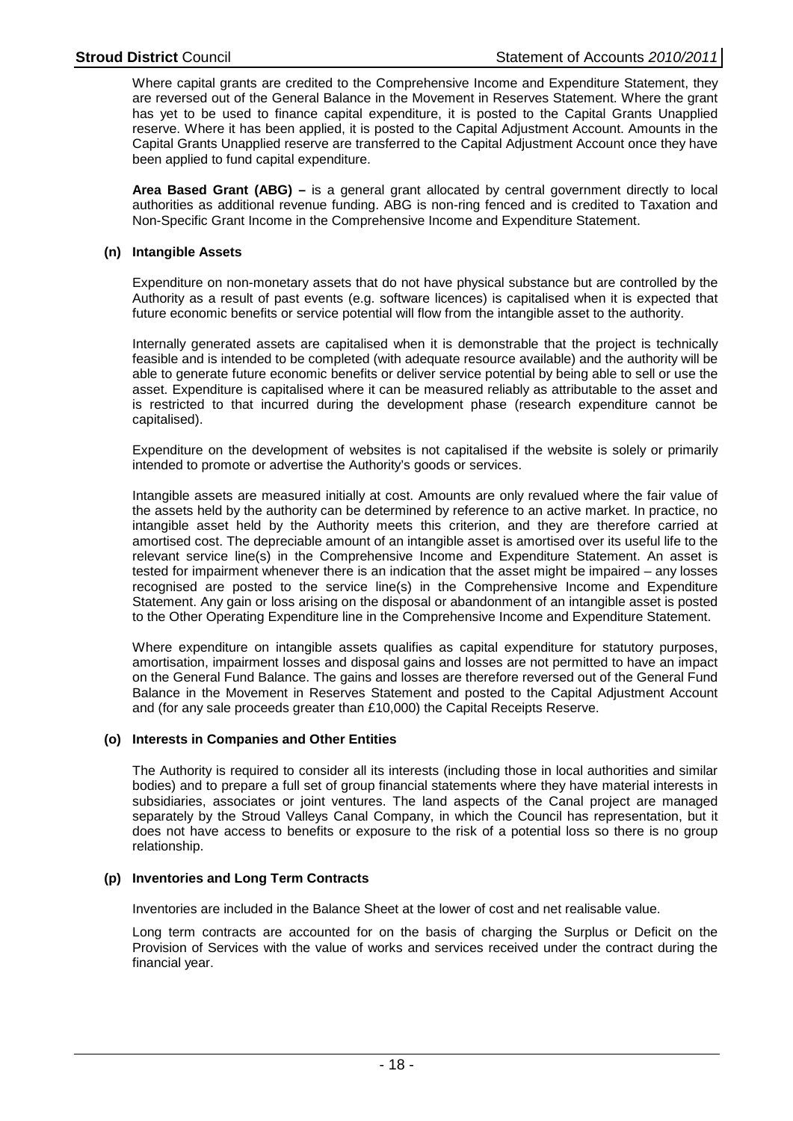Where capital grants are credited to the Comprehensive Income and Expenditure Statement, they are reversed out of the General Balance in the Movement in Reserves Statement. Where the grant has yet to be used to finance capital expenditure, it is posted to the Capital Grants Unapplied reserve. Where it has been applied, it is posted to the Capital Adjustment Account. Amounts in the Capital Grants Unapplied reserve are transferred to the Capital Adjustment Account once they have been applied to fund capital expenditure.

**Area Based Grant (ABG) –** is a general grant allocated by central government directly to local authorities as additional revenue funding. ABG is non-ring fenced and is credited to Taxation and Non-Specific Grant Income in the Comprehensive Income and Expenditure Statement.

### **(n) Intangible Assets**

Expenditure on non-monetary assets that do not have physical substance but are controlled by the Authority as a result of past events (e.g. software licences) is capitalised when it is expected that future economic benefits or service potential will flow from the intangible asset to the authority.

Internally generated assets are capitalised when it is demonstrable that the project is technically feasible and is intended to be completed (with adequate resource available) and the authority will be able to generate future economic benefits or deliver service potential by being able to sell or use the asset. Expenditure is capitalised where it can be measured reliably as attributable to the asset and is restricted to that incurred during the development phase (research expenditure cannot be capitalised).

Expenditure on the development of websites is not capitalised if the website is solely or primarily intended to promote or advertise the Authority's goods or services.

Intangible assets are measured initially at cost. Amounts are only revalued where the fair value of the assets held by the authority can be determined by reference to an active market. In practice, no intangible asset held by the Authority meets this criterion, and they are therefore carried at amortised cost. The depreciable amount of an intangible asset is amortised over its useful life to the relevant service line(s) in the Comprehensive Income and Expenditure Statement. An asset is tested for impairment whenever there is an indication that the asset might be impaired – any losses recognised are posted to the service line(s) in the Comprehensive Income and Expenditure Statement. Any gain or loss arising on the disposal or abandonment of an intangible asset is posted to the Other Operating Expenditure line in the Comprehensive Income and Expenditure Statement.

Where expenditure on intangible assets qualifies as capital expenditure for statutory purposes, amortisation, impairment losses and disposal gains and losses are not permitted to have an impact on the General Fund Balance. The gains and losses are therefore reversed out of the General Fund Balance in the Movement in Reserves Statement and posted to the Capital Adjustment Account and (for any sale proceeds greater than £10,000) the Capital Receipts Reserve.

#### **(o) Interests in Companies and Other Entities**

The Authority is required to consider all its interests (including those in local authorities and similar bodies) and to prepare a full set of group financial statements where they have material interests in subsidiaries, associates or joint ventures. The land aspects of the Canal project are managed separately by the Stroud Valleys Canal Company, in which the Council has representation, but it does not have access to benefits or exposure to the risk of a potential loss so there is no group relationship.

#### **(p) Inventories and Long Term Contracts**

Inventories are included in the Balance Sheet at the lower of cost and net realisable value.

Long term contracts are accounted for on the basis of charging the Surplus or Deficit on the Provision of Services with the value of works and services received under the contract during the financial year.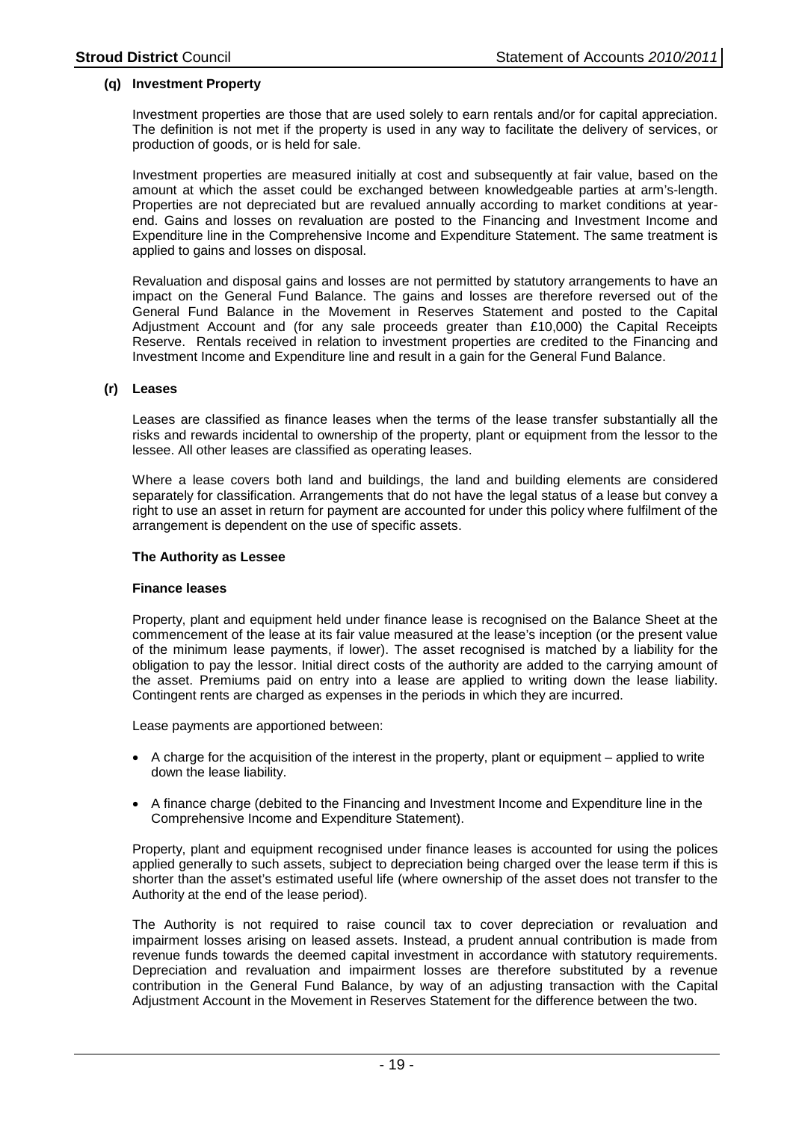#### **(q) Investment Property**

Investment properties are those that are used solely to earn rentals and/or for capital appreciation. The definition is not met if the property is used in any way to facilitate the delivery of services, or production of goods, or is held for sale.

Investment properties are measured initially at cost and subsequently at fair value, based on the amount at which the asset could be exchanged between knowledgeable parties at arm's-length. Properties are not depreciated but are revalued annually according to market conditions at yearend. Gains and losses on revaluation are posted to the Financing and Investment Income and Expenditure line in the Comprehensive Income and Expenditure Statement. The same treatment is applied to gains and losses on disposal.

Revaluation and disposal gains and losses are not permitted by statutory arrangements to have an impact on the General Fund Balance. The gains and losses are therefore reversed out of the General Fund Balance in the Movement in Reserves Statement and posted to the Capital Adjustment Account and (for any sale proceeds greater than £10,000) the Capital Receipts Reserve. Rentals received in relation to investment properties are credited to the Financing and Investment Income and Expenditure line and result in a gain for the General Fund Balance.

#### **(r) Leases**

Leases are classified as finance leases when the terms of the lease transfer substantially all the risks and rewards incidental to ownership of the property, plant or equipment from the lessor to the lessee. All other leases are classified as operating leases.

Where a lease covers both land and buildings, the land and building elements are considered separately for classification. Arrangements that do not have the legal status of a lease but convey a right to use an asset in return for payment are accounted for under this policy where fulfilment of the arrangement is dependent on the use of specific assets.

#### **The Authority as Lessee**

#### **Finance leases**

Property, plant and equipment held under finance lease is recognised on the Balance Sheet at the commencement of the lease at its fair value measured at the lease's inception (or the present value of the minimum lease payments, if lower). The asset recognised is matched by a liability for the obligation to pay the lessor. Initial direct costs of the authority are added to the carrying amount of the asset. Premiums paid on entry into a lease are applied to writing down the lease liability. Contingent rents are charged as expenses in the periods in which they are incurred.

Lease payments are apportioned between:

- A charge for the acquisition of the interest in the property, plant or equipment applied to write down the lease liability.
- A finance charge (debited to the Financing and Investment Income and Expenditure line in the Comprehensive Income and Expenditure Statement).

Property, plant and equipment recognised under finance leases is accounted for using the polices applied generally to such assets, subject to depreciation being charged over the lease term if this is shorter than the asset's estimated useful life (where ownership of the asset does not transfer to the Authority at the end of the lease period).

The Authority is not required to raise council tax to cover depreciation or revaluation and impairment losses arising on leased assets. Instead, a prudent annual contribution is made from revenue funds towards the deemed capital investment in accordance with statutory requirements. Depreciation and revaluation and impairment losses are therefore substituted by a revenue contribution in the General Fund Balance, by way of an adjusting transaction with the Capital Adjustment Account in the Movement in Reserves Statement for the difference between the two.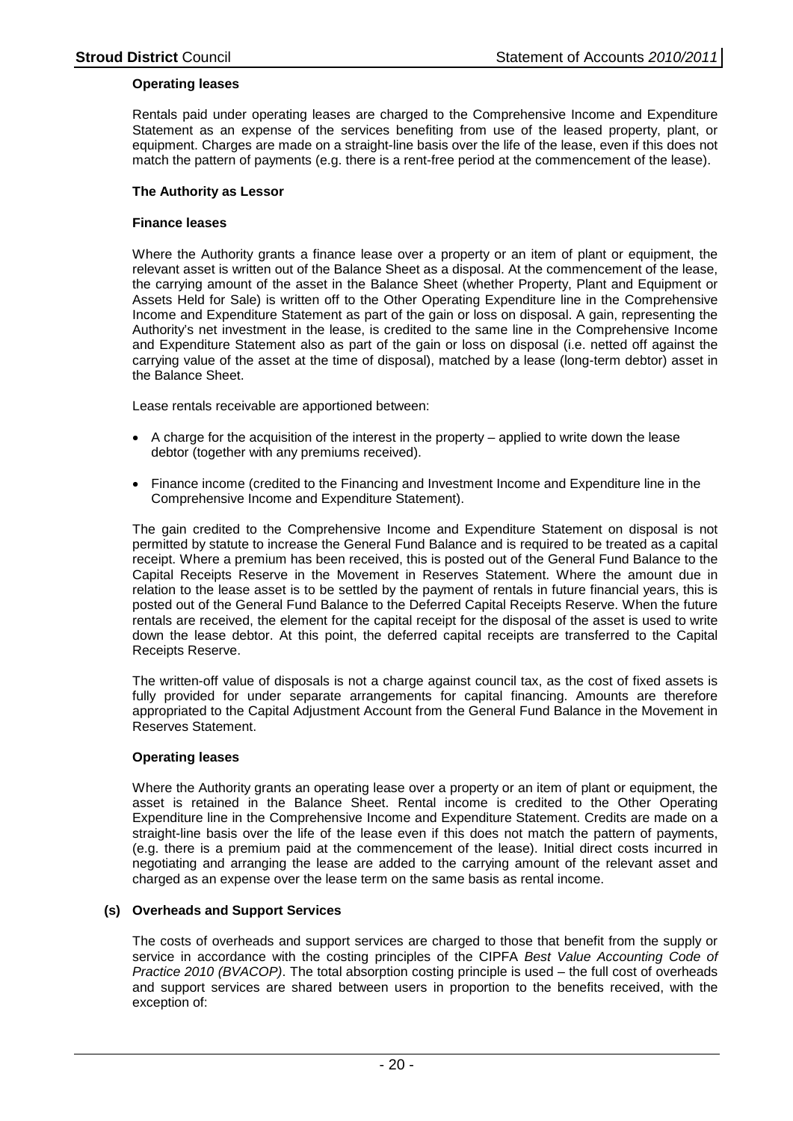#### **Operating leases**

Rentals paid under operating leases are charged to the Comprehensive Income and Expenditure Statement as an expense of the services benefiting from use of the leased property, plant, or equipment. Charges are made on a straight-line basis over the life of the lease, even if this does not match the pattern of payments (e.g. there is a rent-free period at the commencement of the lease).

#### **The Authority as Lessor**

#### **Finance leases**

Where the Authority grants a finance lease over a property or an item of plant or equipment, the relevant asset is written out of the Balance Sheet as a disposal. At the commencement of the lease, the carrying amount of the asset in the Balance Sheet (whether Property, Plant and Equipment or Assets Held for Sale) is written off to the Other Operating Expenditure line in the Comprehensive Income and Expenditure Statement as part of the gain or loss on disposal. A gain, representing the Authority's net investment in the lease, is credited to the same line in the Comprehensive Income and Expenditure Statement also as part of the gain or loss on disposal (i.e. netted off against the carrying value of the asset at the time of disposal), matched by a lease (long-term debtor) asset in the Balance Sheet.

Lease rentals receivable are apportioned between:

- A charge for the acquisition of the interest in the property applied to write down the lease debtor (together with any premiums received).
- Finance income (credited to the Financing and Investment Income and Expenditure line in the Comprehensive Income and Expenditure Statement).

The gain credited to the Comprehensive Income and Expenditure Statement on disposal is not permitted by statute to increase the General Fund Balance and is required to be treated as a capital receipt. Where a premium has been received, this is posted out of the General Fund Balance to the Capital Receipts Reserve in the Movement in Reserves Statement. Where the amount due in relation to the lease asset is to be settled by the payment of rentals in future financial years, this is posted out of the General Fund Balance to the Deferred Capital Receipts Reserve. When the future rentals are received, the element for the capital receipt for the disposal of the asset is used to write down the lease debtor. At this point, the deferred capital receipts are transferred to the Capital Receipts Reserve.

The written-off value of disposals is not a charge against council tax, as the cost of fixed assets is fully provided for under separate arrangements for capital financing. Amounts are therefore appropriated to the Capital Adjustment Account from the General Fund Balance in the Movement in Reserves Statement.

#### **Operating leases**

Where the Authority grants an operating lease over a property or an item of plant or equipment, the asset is retained in the Balance Sheet. Rental income is credited to the Other Operating Expenditure line in the Comprehensive Income and Expenditure Statement. Credits are made on a straight-line basis over the life of the lease even if this does not match the pattern of payments, (e.g. there is a premium paid at the commencement of the lease). Initial direct costs incurred in negotiating and arranging the lease are added to the carrying amount of the relevant asset and charged as an expense over the lease term on the same basis as rental income.

#### **(s) Overheads and Support Services**

The costs of overheads and support services are charged to those that benefit from the supply or service in accordance with the costing principles of the CIPFA *Best Value Accounting Code of Practice 2010 (BVACOP)*. The total absorption costing principle is used – the full cost of overheads and support services are shared between users in proportion to the benefits received, with the exception of: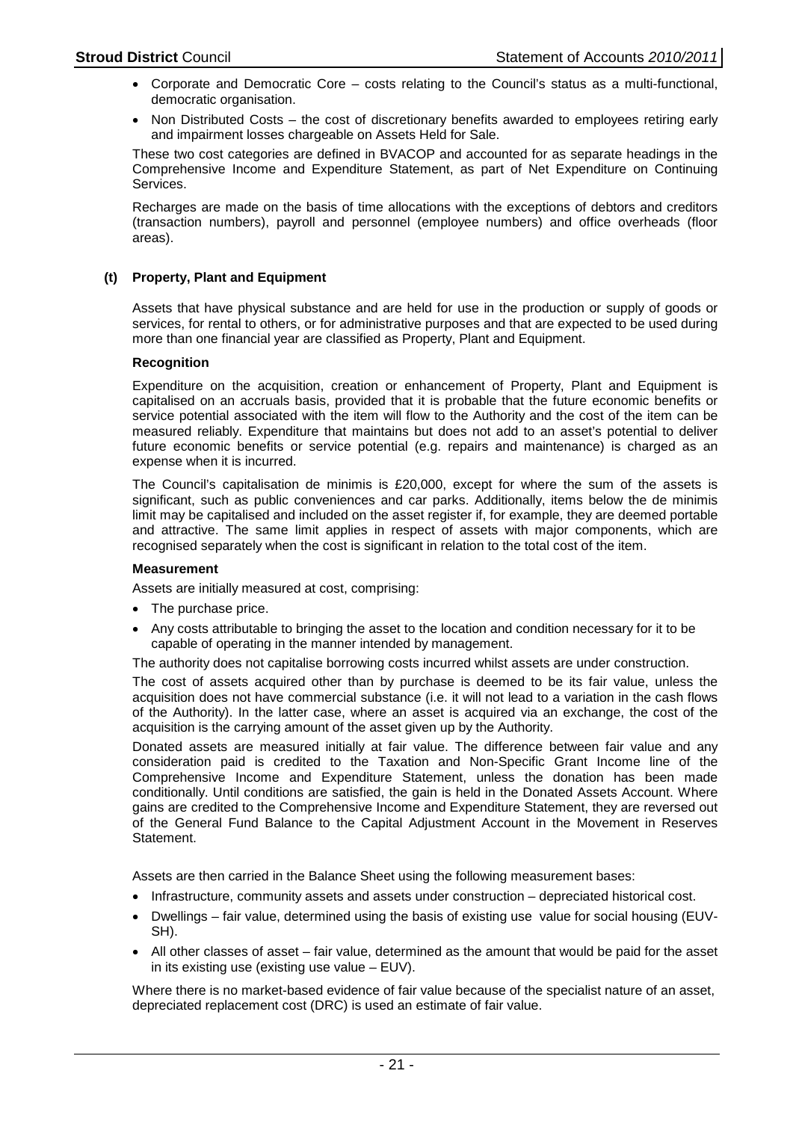- Corporate and Democratic Core costs relating to the Council's status as a multi-functional, democratic organisation.
- Non Distributed Costs the cost of discretionary benefits awarded to employees retiring early and impairment losses chargeable on Assets Held for Sale.

These two cost categories are defined in BVACOP and accounted for as separate headings in the Comprehensive Income and Expenditure Statement, as part of Net Expenditure on Continuing Services.

Recharges are made on the basis of time allocations with the exceptions of debtors and creditors (transaction numbers), payroll and personnel (employee numbers) and office overheads (floor areas).

### **(t) Property, Plant and Equipment**

Assets that have physical substance and are held for use in the production or supply of goods or services, for rental to others, or for administrative purposes and that are expected to be used during more than one financial year are classified as Property, Plant and Equipment.

### **Recognition**

Expenditure on the acquisition, creation or enhancement of Property, Plant and Equipment is capitalised on an accruals basis, provided that it is probable that the future economic benefits or service potential associated with the item will flow to the Authority and the cost of the item can be measured reliably. Expenditure that maintains but does not add to an asset's potential to deliver future economic benefits or service potential (e.g. repairs and maintenance) is charged as an expense when it is incurred.

The Council's capitalisation de minimis is £20,000, except for where the sum of the assets is significant, such as public conveniences and car parks. Additionally, items below the de minimis limit may be capitalised and included on the asset register if, for example, they are deemed portable and attractive. The same limit applies in respect of assets with major components, which are recognised separately when the cost is significant in relation to the total cost of the item.

#### **Measurement**

Assets are initially measured at cost, comprising:

- The purchase price.
- Any costs attributable to bringing the asset to the location and condition necessary for it to be capable of operating in the manner intended by management.

The authority does not capitalise borrowing costs incurred whilst assets are under construction.

The cost of assets acquired other than by purchase is deemed to be its fair value, unless the acquisition does not have commercial substance (i.e. it will not lead to a variation in the cash flows of the Authority). In the latter case, where an asset is acquired via an exchange, the cost of the acquisition is the carrying amount of the asset given up by the Authority.

Donated assets are measured initially at fair value. The difference between fair value and any consideration paid is credited to the Taxation and Non-Specific Grant Income line of the Comprehensive Income and Expenditure Statement, unless the donation has been made conditionally. Until conditions are satisfied, the gain is held in the Donated Assets Account. Where gains are credited to the Comprehensive Income and Expenditure Statement, they are reversed out of the General Fund Balance to the Capital Adjustment Account in the Movement in Reserves Statement.

Assets are then carried in the Balance Sheet using the following measurement bases:

- Infrastructure, community assets and assets under construction depreciated historical cost.
- Dwellings fair value, determined using the basis of existing use value for social housing (EUV-SH).
- All other classes of asset fair value, determined as the amount that would be paid for the asset in its existing use (existing use value – EUV).

Where there is no market-based evidence of fair value because of the specialist nature of an asset, depreciated replacement cost (DRC) is used an estimate of fair value.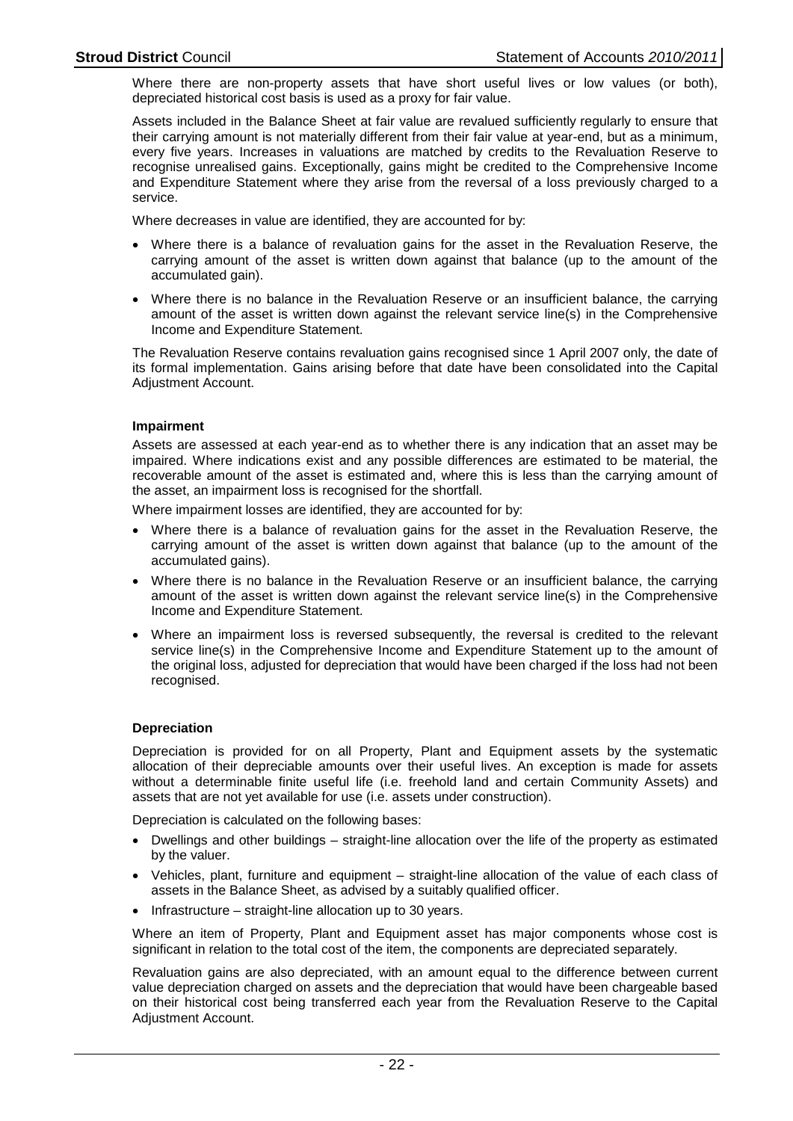Where there are non-property assets that have short useful lives or low values (or both), depreciated historical cost basis is used as a proxy for fair value.

Assets included in the Balance Sheet at fair value are revalued sufficiently regularly to ensure that their carrying amount is not materially different from their fair value at year-end, but as a minimum, every five years. Increases in valuations are matched by credits to the Revaluation Reserve to recognise unrealised gains. Exceptionally, gains might be credited to the Comprehensive Income and Expenditure Statement where they arise from the reversal of a loss previously charged to a service.

Where decreases in value are identified, they are accounted for by:

- Where there is a balance of revaluation gains for the asset in the Revaluation Reserve, the carrying amount of the asset is written down against that balance (up to the amount of the accumulated gain).
- Where there is no balance in the Revaluation Reserve or an insufficient balance, the carrying amount of the asset is written down against the relevant service line(s) in the Comprehensive Income and Expenditure Statement.

The Revaluation Reserve contains revaluation gains recognised since 1 April 2007 only, the date of its formal implementation. Gains arising before that date have been consolidated into the Capital Adjustment Account.

#### **Impairment**

Assets are assessed at each year-end as to whether there is any indication that an asset may be impaired. Where indications exist and any possible differences are estimated to be material, the recoverable amount of the asset is estimated and, where this is less than the carrying amount of the asset, an impairment loss is recognised for the shortfall.

Where impairment losses are identified, they are accounted for by:

- Where there is a balance of revaluation gains for the asset in the Revaluation Reserve, the carrying amount of the asset is written down against that balance (up to the amount of the accumulated gains).
- Where there is no balance in the Revaluation Reserve or an insufficient balance, the carrying amount of the asset is written down against the relevant service line(s) in the Comprehensive Income and Expenditure Statement.
- Where an impairment loss is reversed subsequently, the reversal is credited to the relevant service line(s) in the Comprehensive Income and Expenditure Statement up to the amount of the original loss, adjusted for depreciation that would have been charged if the loss had not been recognised.

#### **Depreciation**

Depreciation is provided for on all Property, Plant and Equipment assets by the systematic allocation of their depreciable amounts over their useful lives. An exception is made for assets without a determinable finite useful life (i.e. freehold land and certain Community Assets) and assets that are not yet available for use (i.e. assets under construction).

Depreciation is calculated on the following bases:

- Dwellings and other buildings straight-line allocation over the life of the property as estimated by the valuer.
- Vehicles, plant, furniture and equipment straight-line allocation of the value of each class of assets in the Balance Sheet, as advised by a suitably qualified officer.
- Infrastructure straight-line allocation up to 30 years.

Where an item of Property, Plant and Equipment asset has major components whose cost is significant in relation to the total cost of the item, the components are depreciated separately.

Revaluation gains are also depreciated, with an amount equal to the difference between current value depreciation charged on assets and the depreciation that would have been chargeable based on their historical cost being transferred each year from the Revaluation Reserve to the Capital Adjustment Account.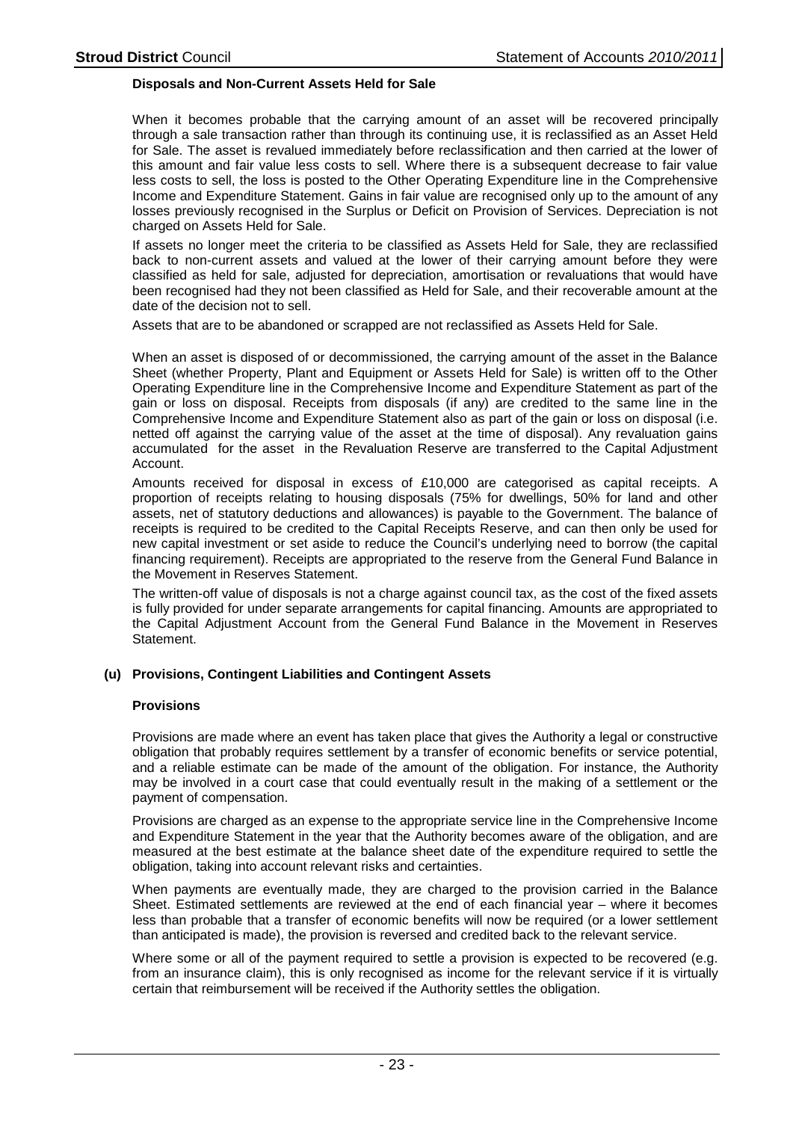#### **Disposals and Non-Current Assets Held for Sale**

When it becomes probable that the carrying amount of an asset will be recovered principally through a sale transaction rather than through its continuing use, it is reclassified as an Asset Held for Sale. The asset is revalued immediately before reclassification and then carried at the lower of this amount and fair value less costs to sell. Where there is a subsequent decrease to fair value less costs to sell, the loss is posted to the Other Operating Expenditure line in the Comprehensive Income and Expenditure Statement. Gains in fair value are recognised only up to the amount of any losses previously recognised in the Surplus or Deficit on Provision of Services. Depreciation is not charged on Assets Held for Sale.

If assets no longer meet the criteria to be classified as Assets Held for Sale, they are reclassified back to non-current assets and valued at the lower of their carrying amount before they were classified as held for sale, adjusted for depreciation, amortisation or revaluations that would have been recognised had they not been classified as Held for Sale, and their recoverable amount at the date of the decision not to sell.

Assets that are to be abandoned or scrapped are not reclassified as Assets Held for Sale.

When an asset is disposed of or decommissioned, the carrying amount of the asset in the Balance Sheet (whether Property, Plant and Equipment or Assets Held for Sale) is written off to the Other Operating Expenditure line in the Comprehensive Income and Expenditure Statement as part of the gain or loss on disposal. Receipts from disposals (if any) are credited to the same line in the Comprehensive Income and Expenditure Statement also as part of the gain or loss on disposal (i.e. netted off against the carrying value of the asset at the time of disposal). Any revaluation gains accumulated for the asset in the Revaluation Reserve are transferred to the Capital Adjustment Account.

Amounts received for disposal in excess of £10,000 are categorised as capital receipts. A proportion of receipts relating to housing disposals (75% for dwellings, 50% for land and other assets, net of statutory deductions and allowances) is payable to the Government. The balance of receipts is required to be credited to the Capital Receipts Reserve, and can then only be used for new capital investment or set aside to reduce the Council's underlying need to borrow (the capital financing requirement). Receipts are appropriated to the reserve from the General Fund Balance in the Movement in Reserves Statement.

The written-off value of disposals is not a charge against council tax, as the cost of the fixed assets is fully provided for under separate arrangements for capital financing. Amounts are appropriated to the Capital Adjustment Account from the General Fund Balance in the Movement in Reserves Statement.

#### **(u) Provisions, Contingent Liabilities and Contingent Assets**

#### **Provisions**

Provisions are made where an event has taken place that gives the Authority a legal or constructive obligation that probably requires settlement by a transfer of economic benefits or service potential, and a reliable estimate can be made of the amount of the obligation. For instance, the Authority may be involved in a court case that could eventually result in the making of a settlement or the payment of compensation.

Provisions are charged as an expense to the appropriate service line in the Comprehensive Income and Expenditure Statement in the year that the Authority becomes aware of the obligation, and are measured at the best estimate at the balance sheet date of the expenditure required to settle the obligation, taking into account relevant risks and certainties.

When payments are eventually made, they are charged to the provision carried in the Balance Sheet. Estimated settlements are reviewed at the end of each financial year – where it becomes less than probable that a transfer of economic benefits will now be required (or a lower settlement than anticipated is made), the provision is reversed and credited back to the relevant service.

Where some or all of the payment required to settle a provision is expected to be recovered (e.g. from an insurance claim), this is only recognised as income for the relevant service if it is virtually certain that reimbursement will be received if the Authority settles the obligation.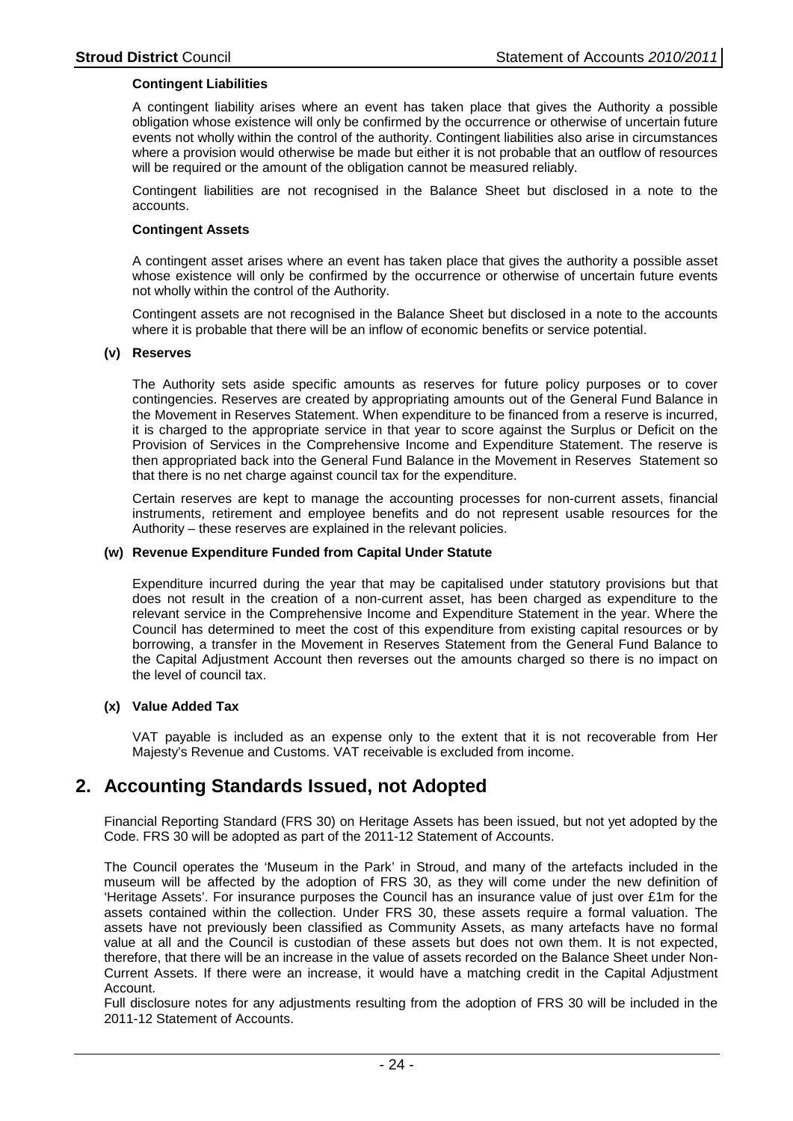#### **Contingent Liabilities**

A contingent liability arises where an event has taken place that gives the Authority a possible obligation whose existence will only be confirmed by the occurrence or otherwise of uncertain future events not wholly within the control of the authority. Contingent liabilities also arise in circumstances where a provision would otherwise be made but either it is not probable that an outflow of resources will be required or the amount of the obligation cannot be measured reliably.

Contingent liabilities are not recognised in the Balance Sheet but disclosed in a note to the accounts.

#### **Contingent Assets**

A contingent asset arises where an event has taken place that gives the authority a possible asset whose existence will only be confirmed by the occurrence or otherwise of uncertain future events not wholly within the control of the Authority.

Contingent assets are not recognised in the Balance Sheet but disclosed in a note to the accounts where it is probable that there will be an inflow of economic benefits or service potential.

#### **(v) Reserves**

The Authority sets aside specific amounts as reserves for future policy purposes or to cover contingencies. Reserves are created by appropriating amounts out of the General Fund Balance in the Movement in Reserves Statement. When expenditure to be financed from a reserve is incurred, it is charged to the appropriate service in that year to score against the Surplus or Deficit on the Provision of Services in the Comprehensive Income and Expenditure Statement. The reserve is then appropriated back into the General Fund Balance in the Movement in Reserves Statement so that there is no net charge against council tax for the expenditure.

Certain reserves are kept to manage the accounting processes for non-current assets, financial instruments, retirement and employee benefits and do not represent usable resources for the Authority – these reserves are explained in the relevant policies.

#### **(w) Revenue Expenditure Funded from Capital Under Statute**

Expenditure incurred during the year that may be capitalised under statutory provisions but that does not result in the creation of a non-current asset, has been charged as expenditure to the relevant service in the Comprehensive Income and Expenditure Statement in the year. Where the Council has determined to meet the cost of this expenditure from existing capital resources or by borrowing, a transfer in the Movement in Reserves Statement from the General Fund Balance to the Capital Adjustment Account then reverses out the amounts charged so there is no impact on the level of council tax.

#### **(x) Value Added Tax**

VAT payable is included as an expense only to the extent that it is not recoverable from Her Majesty's Revenue and Customs. VAT receivable is excluded from income.

## **2. Accounting Standards Issued, not Adopted**

Financial Reporting Standard (FRS 30) on Heritage Assets has been issued, but not yet adopted by the Code. FRS 30 will be adopted as part of the 2011-12 Statement of Accounts.

The Council operates the 'Museum in the Park' in Stroud, and many of the artefacts included in the museum will be affected by the adoption of FRS 30, as they will come under the new definition of 'Heritage Assets'. For insurance purposes the Council has an insurance value of just over £1m for the assets contained within the collection. Under FRS 30, these assets require a formal valuation. The assets have not previously been classified as Community Assets, as many artefacts have no formal value at all and the Council is custodian of these assets but does not own them. It is not expected, therefore, that there will be an increase in the value of assets recorded on the Balance Sheet under Non-Current Assets. If there were an increase, it would have a matching credit in the Capital Adjustment Account.

Full disclosure notes for any adjustments resulting from the adoption of FRS 30 will be included in the 2011-12 Statement of Accounts.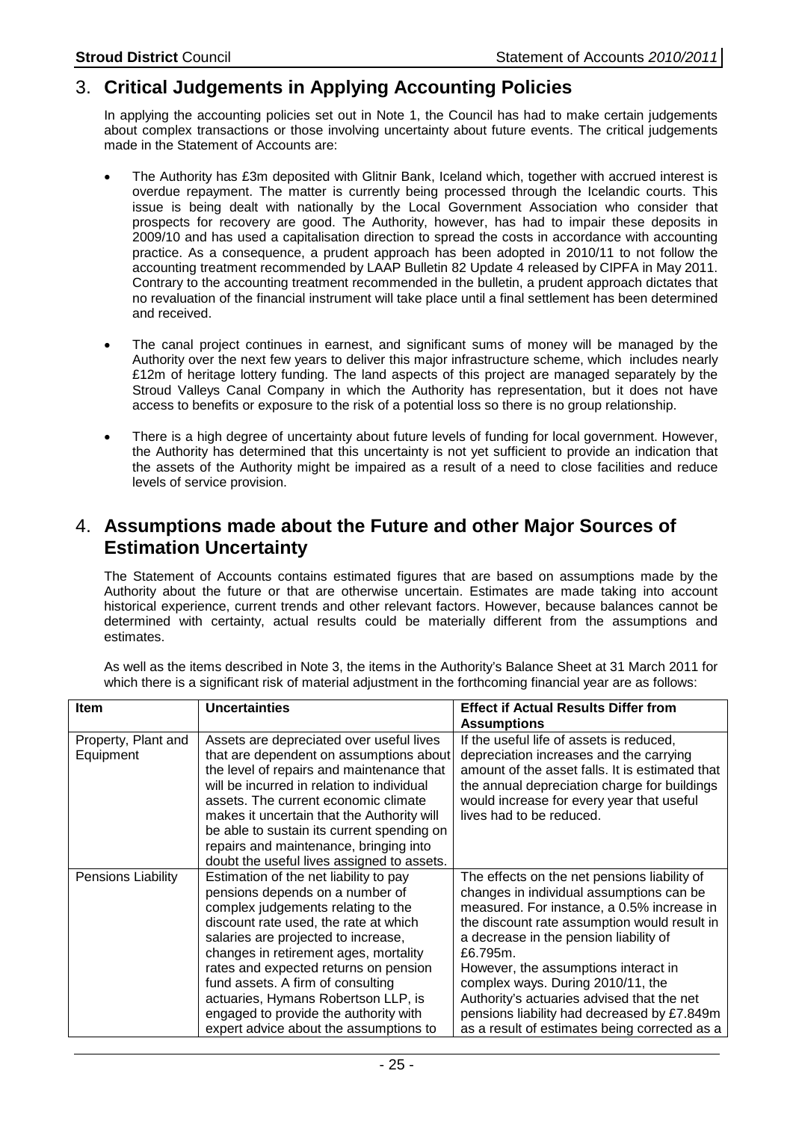## 3. **Critical Judgements in Applying Accounting Policies**

In applying the accounting policies set out in Note 1, the Council has had to make certain judgements about complex transactions or those involving uncertainty about future events. The critical judgements made in the Statement of Accounts are:

- The Authority has £3m deposited with Glitnir Bank, Iceland which, together with accrued interest is overdue repayment. The matter is currently being processed through the Icelandic courts. This issue is being dealt with nationally by the Local Government Association who consider that prospects for recovery are good. The Authority, however, has had to impair these deposits in 2009/10 and has used a capitalisation direction to spread the costs in accordance with accounting practice. As a consequence, a prudent approach has been adopted in 2010/11 to not follow the accounting treatment recommended by LAAP Bulletin 82 Update 4 released by CIPFA in May 2011. Contrary to the accounting treatment recommended in the bulletin, a prudent approach dictates that no revaluation of the financial instrument will take place until a final settlement has been determined and received.
- The canal project continues in earnest, and significant sums of money will be managed by the Authority over the next few years to deliver this major infrastructure scheme, which includes nearly £12m of heritage lottery funding. The land aspects of this project are managed separately by the Stroud Valleys Canal Company in which the Authority has representation, but it does not have access to benefits or exposure to the risk of a potential loss so there is no group relationship.
- There is a high degree of uncertainty about future levels of funding for local government. However, the Authority has determined that this uncertainty is not yet sufficient to provide an indication that the assets of the Authority might be impaired as a result of a need to close facilities and reduce levels of service provision.

## 4. **Assumptions made about the Future and other Major Sources of Estimation Uncertainty**

The Statement of Accounts contains estimated figures that are based on assumptions made by the Authority about the future or that are otherwise uncertain. Estimates are made taking into account historical experience, current trends and other relevant factors. However, because balances cannot be determined with certainty, actual results could be materially different from the assumptions and estimates.

As well as the items described in Note 3, the items in the Authority's Balance Sheet at 31 March 2011 for which there is a significant risk of material adjustment in the forthcoming financial year are as follows:

| <b>Item</b>                      | <b>Uncertainties</b>                                                                                                                                                                                                                                                                                                                                                                                                                             | <b>Effect if Actual Results Differ from</b>                                                                                                                                                                                                                                                                                                                                                                                                                             |
|----------------------------------|--------------------------------------------------------------------------------------------------------------------------------------------------------------------------------------------------------------------------------------------------------------------------------------------------------------------------------------------------------------------------------------------------------------------------------------------------|-------------------------------------------------------------------------------------------------------------------------------------------------------------------------------------------------------------------------------------------------------------------------------------------------------------------------------------------------------------------------------------------------------------------------------------------------------------------------|
|                                  |                                                                                                                                                                                                                                                                                                                                                                                                                                                  | <b>Assumptions</b>                                                                                                                                                                                                                                                                                                                                                                                                                                                      |
| Property, Plant and<br>Equipment | Assets are depreciated over useful lives<br>that are dependent on assumptions about<br>the level of repairs and maintenance that<br>will be incurred in relation to individual<br>assets. The current economic climate<br>makes it uncertain that the Authority will<br>be able to sustain its current spending on<br>repairs and maintenance, bringing into<br>doubt the useful lives assigned to assets.                                       | If the useful life of assets is reduced,<br>depreciation increases and the carrying<br>amount of the asset falls. It is estimated that<br>the annual depreciation charge for buildings<br>would increase for every year that useful<br>lives had to be reduced.                                                                                                                                                                                                         |
| Pensions Liability               | Estimation of the net liability to pay<br>pensions depends on a number of<br>complex judgements relating to the<br>discount rate used, the rate at which<br>salaries are projected to increase,<br>changes in retirement ages, mortality<br>rates and expected returns on pension<br>fund assets. A firm of consulting<br>actuaries, Hymans Robertson LLP, is<br>engaged to provide the authority with<br>expert advice about the assumptions to | The effects on the net pensions liability of<br>changes in individual assumptions can be<br>measured. For instance, a 0.5% increase in<br>the discount rate assumption would result in<br>a decrease in the pension liability of<br>£6.795m.<br>However, the assumptions interact in<br>complex ways. During 2010/11, the<br>Authority's actuaries advised that the net<br>pensions liability had decreased by £7.849m<br>as a result of estimates being corrected as a |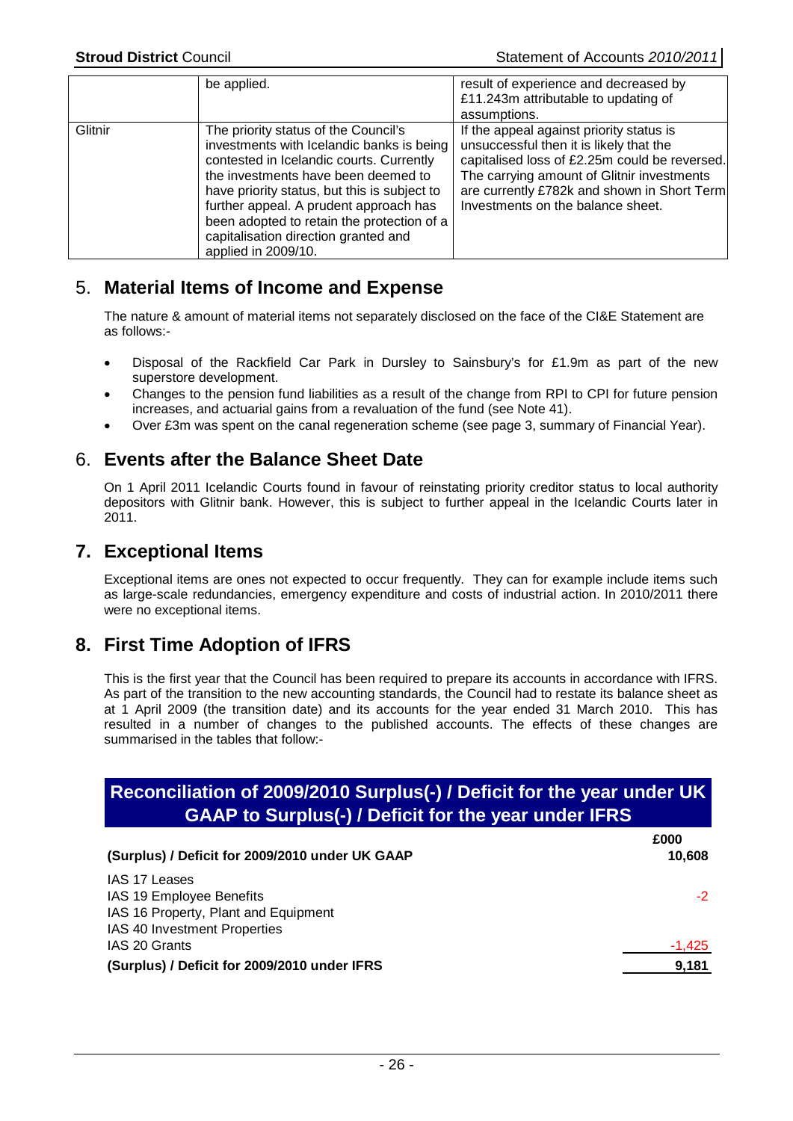|         | be applied.                                                                                                                                                                                                                                                                                                                                                                 | result of experience and decreased by<br>£11.243m attributable to updating of<br>assumptions.                                                                                                                                                                          |
|---------|-----------------------------------------------------------------------------------------------------------------------------------------------------------------------------------------------------------------------------------------------------------------------------------------------------------------------------------------------------------------------------|------------------------------------------------------------------------------------------------------------------------------------------------------------------------------------------------------------------------------------------------------------------------|
| Glitnir | The priority status of the Council's<br>investments with Icelandic banks is being<br>contested in Icelandic courts. Currently<br>the investments have been deemed to<br>have priority status, but this is subject to<br>further appeal. A prudent approach has<br>been adopted to retain the protection of a<br>capitalisation direction granted and<br>applied in 2009/10. | If the appeal against priority status is<br>unsuccessful then it is likely that the<br>capitalised loss of £2.25m could be reversed.<br>The carrying amount of Glitnir investments<br>are currently £782k and shown in Short Term<br>Investments on the balance sheet. |

## 5. **Material Items of Income and Expense**

The nature & amount of material items not separately disclosed on the face of the CI&E Statement are as follows:-

- Disposal of the Rackfield Car Park in Dursley to Sainsbury's for £1.9m as part of the new superstore development.
- Changes to the pension fund liabilities as a result of the change from RPI to CPI for future pension increases, and actuarial gains from a revaluation of the fund (see Note 41).
- Over £3m was spent on the canal regeneration scheme (see page 3, summary of Financial Year).

## 6. **Events after the Balance Sheet Date**

On 1 April 2011 Icelandic Courts found in favour of reinstating priority creditor status to local authority depositors with Glitnir bank. However, this is subject to further appeal in the Icelandic Courts later in 2011.

## **7. Exceptional Items**

Exceptional items are ones not expected to occur frequently. They can for example include items such as large-scale redundancies, emergency expenditure and costs of industrial action. In 2010/2011 there were no exceptional items.

## **8. First Time Adoption of IFRS**

This is the first year that the Council has been required to prepare its accounts in accordance with IFRS. As part of the transition to the new accounting standards, the Council had to restate its balance sheet as at 1 April 2009 (the transition date) and its accounts for the year ended 31 March 2010. This has resulted in a number of changes to the published accounts. The effects of these changes are summarised in the tables that follow:-

## **Reconciliation of 2009/2010 Surplus(-) / Deficit for the year under UK GAAP to Surplus(-) / Deficit for the year under IFRS**

| (Surplus) / Deficit for 2009/2010 under UK GAAP | £000<br>10.608 |
|-------------------------------------------------|----------------|
| IAS 17 Leases                                   |                |
| IAS 19 Employee Benefits                        | -2             |
| IAS 16 Property, Plant and Equipment            |                |
| IAS 40 Investment Properties                    |                |
| IAS 20 Grants                                   | $-1,425$       |
| (Surplus) / Deficit for 2009/2010 under IFRS    | 9,181          |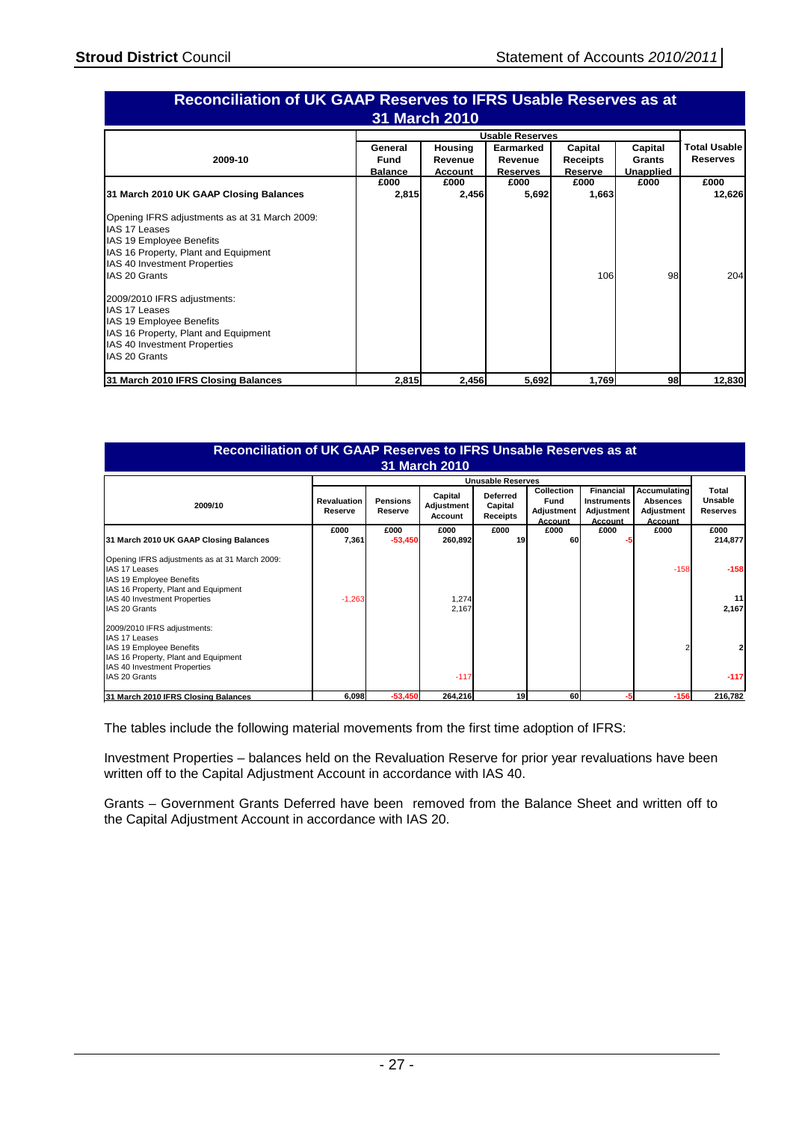$\overline{a}$ 

| <b>Reconciliation of UK GAAP Reserves to IFRS Usable Reserves as at</b> |                |                |                        |                 |                  |                     |  |  |  |
|-------------------------------------------------------------------------|----------------|----------------|------------------------|-----------------|------------------|---------------------|--|--|--|
|                                                                         | 31 March 2010  |                |                        |                 |                  |                     |  |  |  |
|                                                                         |                |                | <b>Usable Reserves</b> |                 |                  |                     |  |  |  |
|                                                                         | General        | <b>Housing</b> | Earmarked              | Capital         | Capital          | <b>Total Usable</b> |  |  |  |
| 2009-10                                                                 | Fund           | Revenue        | Revenue                | <b>Receipts</b> | Grants           | <b>Reserves</b>     |  |  |  |
|                                                                         | <b>Balance</b> | <b>Account</b> | <b>Reserves</b>        | Reserve         | <b>Unapplied</b> |                     |  |  |  |
|                                                                         | £000           | £000           | £000                   | £000            | £000             | £000                |  |  |  |
| 31 March 2010 UK GAAP Closing Balances                                  | 2,815          | 2,456          | 5,692                  | 1,663           |                  | 12,626              |  |  |  |
| Opening IFRS adjustments as at 31 March 2009:                           |                |                |                        |                 |                  |                     |  |  |  |
| IAS 17 Leases                                                           |                |                |                        |                 |                  |                     |  |  |  |
| IAS 19 Employee Benefits                                                |                |                |                        |                 |                  |                     |  |  |  |
| IAS 16 Property, Plant and Equipment                                    |                |                |                        |                 |                  |                     |  |  |  |
| IAS 40 Investment Properties                                            |                |                |                        |                 |                  |                     |  |  |  |
| IAS 20 Grants                                                           |                |                |                        | 106             | 98               | 204                 |  |  |  |
| 2009/2010 IFRS adjustments:                                             |                |                |                        |                 |                  |                     |  |  |  |
| <b>IAS 17 Leases</b>                                                    |                |                |                        |                 |                  |                     |  |  |  |
| IAS 19 Employee Benefits                                                |                |                |                        |                 |                  |                     |  |  |  |
| IAS 16 Property, Plant and Equipment                                    |                |                |                        |                 |                  |                     |  |  |  |
| IAS 40 Investment Properties                                            |                |                |                        |                 |                  |                     |  |  |  |
| IAS 20 Grants                                                           |                |                |                        |                 |                  |                     |  |  |  |
| 31 March 2010 IFRS Closing Balances                                     | 2,815          | 2,456          | 5,692                  | 1,769           | 98               | 12,830              |  |  |  |

#### **Reconciliation of UK GAAP Reserves to IFRS Unsable Reserves as at 31 March 2010**

|                                                                                                                                                                                     |                        |                     |                                  | <b>Unusable Reserves</b>               |                                                           |                                                                 |                                                                        |                              |
|-------------------------------------------------------------------------------------------------------------------------------------------------------------------------------------|------------------------|---------------------|----------------------------------|----------------------------------------|-----------------------------------------------------------|-----------------------------------------------------------------|------------------------------------------------------------------------|------------------------------|
| 2009/10                                                                                                                                                                             | Revaluation<br>Reserve | Pensions<br>Reserve | Capital<br>Adjustment<br>Account | <b>Deferred</b><br>Capital<br>Receipts | <b>Collection</b><br>Fund<br>Adjustment<br><b>Account</b> | Financial<br><b>Instruments</b><br>Adjustment<br><b>Account</b> | <b>Accumulating</b><br><b>Absences</b><br>Adjustment<br><b>Account</b> | Total<br>Unsable<br>Reserves |
|                                                                                                                                                                                     | £000                   | £000                | £000                             | £000                                   | £000                                                      | £000                                                            | £000                                                                   | £000                         |
| 31 March 2010 UK GAAP Closing Balances                                                                                                                                              | 7,361                  | $-53,450$           | 260,892                          | 19                                     | 60                                                        |                                                                 |                                                                        | 214,877                      |
| Opening IFRS adjustments as at 31 March 2009:<br>IAS 17 Leases<br>IAS 19 Employee Benefits<br>IAS 16 Property, Plant and Equipment<br>IAS 40 Investment Properties<br>IAS 20 Grants | $-1,263$               |                     | 1,274<br>2,167                   |                                        |                                                           |                                                                 | $-158$                                                                 | $-158$<br>11<br>2,167        |
| 2009/2010 IFRS adjustments:<br>IAS 17 Leases<br>IAS 19 Employee Benefits<br>IAS 16 Property, Plant and Equipment<br>IAS 40 Investment Properties                                    |                        |                     | $-117$                           |                                        |                                                           |                                                                 |                                                                        | $-117$                       |
| IAS 20 Grants<br>31 March 2010 IFRS Closing Balances                                                                                                                                | 6,098                  | $-53,450$           | 264,216                          | 19                                     | 60                                                        |                                                                 | $-156$                                                                 | 216,782                      |

The tables include the following material movements from the first time adoption of IFRS:

Investment Properties – balances held on the Revaluation Reserve for prior year revaluations have been written off to the Capital Adjustment Account in accordance with IAS 40.

Grants – Government Grants Deferred have been removed from the Balance Sheet and written off to the Capital Adjustment Account in accordance with IAS 20.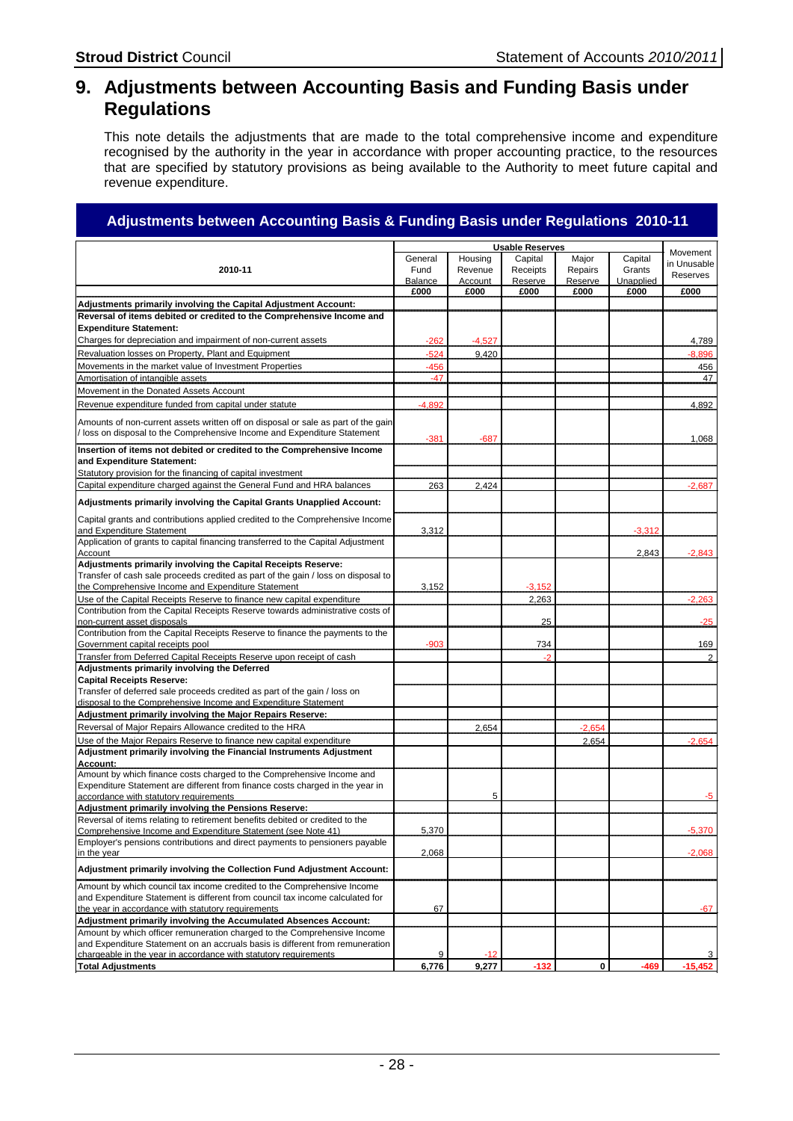## **9. Adjustments between Accounting Basis and Funding Basis under Regulations**

This note details the adjustments that are made to the total comprehensive income and expenditure recognised by the authority in the year in accordance with proper accounting practice, to the resources that are specified by statutory provisions as being available to the Authority to meet future capital and revenue expenditure.

## **Adjustments between Accounting Basis & Funding Basis under Regulations 2010-11**

|                                                                                                                                                             |          | Movement |          |          |           |                |
|-------------------------------------------------------------------------------------------------------------------------------------------------------------|----------|----------|----------|----------|-----------|----------------|
|                                                                                                                                                             | General  | Housing  | Capital  | Major    | Capital   | in Unusable    |
| 2010-11                                                                                                                                                     | Fund     | Revenue  | Receipts | Repairs  | Grants    | Reserves       |
|                                                                                                                                                             | Balance  | Account  | Reserve  | Reserve  | Unapplied |                |
|                                                                                                                                                             | £000     | £000     | £000     | £000     | £000      | £000           |
| Adjustments primarily involving the Capital Adjustment Account:                                                                                             |          |          |          |          |           |                |
| Reversal of items debited or credited to the Comprehensive Income and<br><b>Expenditure Statement:</b>                                                      |          |          |          |          |           |                |
| Charges for depreciation and impairment of non-current assets                                                                                               | $-262$   | $-4.527$ |          |          |           | 4.789          |
| Revaluation losses on Property, Plant and Equipment                                                                                                         | $-524$   | 9,420    |          |          |           | $-8,896$       |
| Movements in the market value of Investment Properties                                                                                                      | $-456$   |          |          |          |           | 456            |
| Amortisation of intangible assets                                                                                                                           | $-47$    |          |          |          |           | 47             |
| Movement in the Donated Assets Account                                                                                                                      |          |          |          |          |           |                |
| Revenue expenditure funded from capital under statute                                                                                                       | $-4,892$ |          |          |          |           | 4,892          |
| Amounts of non-current assets written off on disposal or sale as part of the gain<br>Ioss on disposal to the Comprehensive Income and Expenditure Statement | $-381$   | $-687$   |          |          |           | 1,068          |
| Insertion of items not debited or credited to the Comprehensive Income                                                                                      |          |          |          |          |           |                |
| and Expenditure Statement:                                                                                                                                  |          |          |          |          |           |                |
| Statutory provision for the financing of capital investment                                                                                                 |          |          |          |          |           |                |
| Capital expenditure charged against the General Fund and HRA balances                                                                                       | 263      | 2,424    |          |          |           | $-2,687$       |
| Adjustments primarily involving the Capital Grants Unapplied Account:                                                                                       |          |          |          |          |           |                |
| Capital grants and contributions applied credited to the Comprehensive Income                                                                               |          |          |          |          |           |                |
| and Expenditure Statement                                                                                                                                   | 3,312    |          |          |          | $-3,312$  |                |
| Application of grants to capital financing transferred to the Capital Adjustment                                                                            |          |          |          |          |           |                |
| Account                                                                                                                                                     |          |          |          |          | 2,843     | $-2,843$       |
| Adjustments primarily involving the Capital Receipts Reserve:                                                                                               |          |          |          |          |           |                |
| Transfer of cash sale proceeds credited as part of the gain / loss on disposal to                                                                           |          |          |          |          |           |                |
| the Comprehensive Income and Expenditure Statement                                                                                                          | 3,152    |          | $-3,152$ |          |           |                |
| Use of the Capital Receipts Reserve to finance new capital expenditure                                                                                      |          |          | 2,263    |          |           | $-2,263$       |
| Contribution from the Capital Receipts Reserve towards administrative costs of                                                                              |          |          |          |          |           |                |
| non-current asset disposals                                                                                                                                 |          |          | 25       |          |           | $-25$          |
| Contribution from the Capital Receipts Reserve to finance the payments to the<br>Government capital receipts pool                                           | $-903$   |          | 734      |          |           | 169            |
| Transfer from Deferred Capital Receipts Reserve upon receipt of cash                                                                                        |          |          | -2       |          |           | $\overline{2}$ |
| Adjustments primarily involving the Deferred                                                                                                                |          |          |          |          |           |                |
| <b>Capital Receipts Reserve:</b>                                                                                                                            |          |          |          |          |           |                |
| Transfer of deferred sale proceeds credited as part of the gain / loss on                                                                                   |          |          |          |          |           |                |
| disposal to the Comprehensive Income and Expenditure Statement                                                                                              |          |          |          |          |           |                |
| Adjustment primarily involving the Major Repairs Reserve:                                                                                                   |          |          |          |          |           |                |
| Reversal of Major Repairs Allowance credited to the HRA                                                                                                     |          | 2,654    |          | $-2,654$ |           |                |
| Use of the Major Repairs Reserve to finance new capital expenditure                                                                                         |          |          |          | 2,654    |           | $-2.654$       |
| Adjustment primarily involving the Financial Instruments Adjustment                                                                                         |          |          |          |          |           |                |
| Account:                                                                                                                                                    |          |          |          |          |           |                |
| Amount by which finance costs charged to the Comprehensive Income and                                                                                       |          |          |          |          |           |                |
| Expenditure Statement are different from finance costs charged in the year in                                                                               |          |          |          |          |           |                |
| accordance with statutory requirements                                                                                                                      |          | 5        |          |          |           | -5             |
| Adjustment primarily involving the Pensions Reserve:                                                                                                        |          |          |          |          |           |                |
| Reversal of items relating to retirement benefits debited or credited to the                                                                                |          |          |          |          |           |                |
| Comprehensive Income and Expenditure Statement (see Note 41)                                                                                                | 5,370    |          |          |          |           | $-5,370$       |
| Employer's pensions contributions and direct payments to pensioners payable<br>in the year                                                                  | 2,068    |          |          |          |           | $-2,068$       |
|                                                                                                                                                             |          |          |          |          |           |                |
| Adjustment primarily involving the Collection Fund Adjustment Account:                                                                                      |          |          |          |          |           |                |
| Amount by which council tax income credited to the Comprehensive Income                                                                                     |          |          |          |          |           |                |
| and Expenditure Statement is different from council tax income calculated for                                                                               |          |          |          |          |           |                |
| the year in accordance with statutory requirements                                                                                                          | 67       |          |          |          |           | $-67$          |
| Adjustment primarily involving the Accumulated Absences Account:                                                                                            |          |          |          |          |           |                |
| Amount by which officer remuneration charged to the Comprehensive Income                                                                                    |          |          |          |          |           |                |
| and Expenditure Statement on an accruals basis is different from remuneration                                                                               |          |          |          |          |           |                |
| chargeable in the year in accordance with statutory requirements                                                                                            | 9        | $-12$    |          | 0        |           | 3<br>$-15,452$ |
| <b>Total Adjustments</b>                                                                                                                                    | 6,776    | 9,277    | $-132$   |          | $-469$    |                |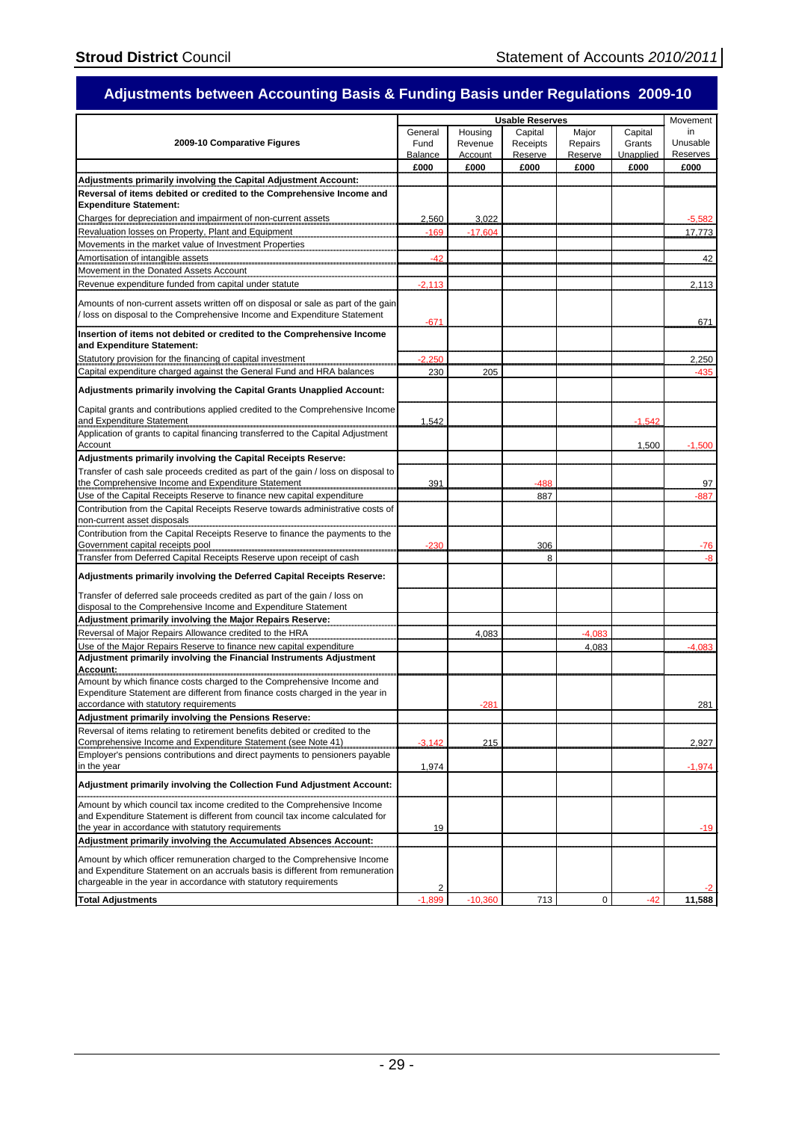## **Adjustments between Accounting Basis & Funding Basis under Regulations 2009-10**

| Housing<br>Capital<br>General<br>Capital<br>Major<br>in<br>Unusable<br>2009-10 Comparative Figures<br>Fund<br>Revenue<br>Grants<br>Receipts<br>Repairs<br>Reserve<br>Reserve<br>Unapplied<br>Reserves<br>Balance<br>Account<br>£000<br>£000<br>£000<br>£000<br>£000<br>£000<br>Adjustments primarily involving the Capital Adjustment Account:<br>Reversal of items debited or credited to the Comprehensive Income and<br><b>Expenditure Statement:</b><br>Charges for depreciation and impairment of non-current assets<br>$-5,582$<br>2,560<br>3,022<br>Revaluation losses on Property, Plant and Equipment<br>$-169$<br>$-17,604$<br>Movements in the market value of Investment Properties<br>Amortisation of intangible assets<br>-42<br>42<br>Movement in the Donated Assets Account<br>Revenue expenditure funded from capital under statute<br>$-2,113$<br>Amounts of non-current assets written off on disposal or sale as part of the gain<br>/ loss on disposal to the Comprehensive Income and Expenditure Statement<br>$-671$<br>671<br>Insertion of items not debited or credited to the Comprehensive Income<br>and Expenditure Statement:<br>Statutory provision for the financing of capital investment<br>$-2,250$<br>Capital expenditure charged against the General Fund and HRA balances<br>230<br>205<br>$-435$<br>Adjustments primarily involving the Capital Grants Unapplied Account:<br>Capital grants and contributions applied credited to the Comprehensive Income<br>and Expenditure Statement<br>1,542<br>$-1,542$<br>Application of grants to capital financing transferred to the Capital Adjustment<br>Account<br>1,500<br>Adjustments primarily involving the Capital Receipts Reserve:<br>Transfer of cash sale proceeds credited as part of the gain / loss on disposal to<br>the Comprehensive Income and Expenditure Statement<br>391<br>-488<br>Use of the Capital Receipts Reserve to finance new capital expenditure<br>887<br>$-887$<br>Contribution from the Capital Receipts Reserve towards administrative costs of<br>non-current asset disposals<br>Contribution from the Capital Receipts Reserve to finance the payments to the<br>Government capital receipts pool<br>$-230$<br>306<br>-76<br>Transfer from Deferred Capital Receipts Reserve upon receipt of cash<br>-8<br>8<br>Adjustments primarily involving the Deferred Capital Receipts Reserve:<br>Transfer of deferred sale proceeds credited as part of the gain / loss on<br>disposal to the Comprehensive Income and Expenditure Statement<br>Adjustment primarily involving the Major Repairs Reserve:<br>Reversal of Major Repairs Allowance credited to the HRA<br>4,083<br>-4,083<br>Use of the Major Repairs Reserve to finance new capital expenditure<br>4,083<br>Adjustment primarily involving the Financial Instruments Adjustment<br>Account:<br>Amount by which finance costs charged to the Comprehensive Income and<br>Expenditure Statement are different from finance costs charged in the year in<br>accordance with statutory requirements<br>281<br>281<br><b>Adjustment primarily involving the Pensions Reserve:</b><br>Reversal of items relating to retirement benefits debited or credited to the<br>Comprehensive Income and Expenditure Statement (see Note 41)<br>$-3,142$<br>215<br>Employer's pensions contributions and direct payments to pensioners payable<br>in the year<br>1,974<br>Adjustment primarily involving the Collection Fund Adjustment Account:<br>Amount by which council tax income credited to the Comprehensive Income<br>and Expenditure Statement is different from council tax income calculated for<br>the year in accordance with statutory requirements<br>19<br>Adjustment primarily involving the Accumulated Absences Account: | <b>Usable Reserves</b> |  |  |  | Movement |  |
|-----------------------------------------------------------------------------------------------------------------------------------------------------------------------------------------------------------------------------------------------------------------------------------------------------------------------------------------------------------------------------------------------------------------------------------------------------------------------------------------------------------------------------------------------------------------------------------------------------------------------------------------------------------------------------------------------------------------------------------------------------------------------------------------------------------------------------------------------------------------------------------------------------------------------------------------------------------------------------------------------------------------------------------------------------------------------------------------------------------------------------------------------------------------------------------------------------------------------------------------------------------------------------------------------------------------------------------------------------------------------------------------------------------------------------------------------------------------------------------------------------------------------------------------------------------------------------------------------------------------------------------------------------------------------------------------------------------------------------------------------------------------------------------------------------------------------------------------------------------------------------------------------------------------------------------------------------------------------------------------------------------------------------------------------------------------------------------------------------------------------------------------------------------------------------------------------------------------------------------------------------------------------------------------------------------------------------------------------------------------------------------------------------------------------------------------------------------------------------------------------------------------------------------------------------------------------------------------------------------------------------------------------------------------------------------------------------------------------------------------------------------------------------------------------------------------------------------------------------------------------------------------------------------------------------------------------------------------------------------------------------------------------------------------------------------------------------------------------------------------------------------------------------------------------------------------------------------------------------------------------------------------------------------------------------------------------------------------------------------------------------------------------------------------------------------------------------------------------------------------------------------------------------------------------------------------------------------------------------------------------------------------------------------------------------------------------------------------------------------------------------------------------------------------------------------|------------------------|--|--|--|----------|--|
|                                                                                                                                                                                                                                                                                                                                                                                                                                                                                                                                                                                                                                                                                                                                                                                                                                                                                                                                                                                                                                                                                                                                                                                                                                                                                                                                                                                                                                                                                                                                                                                                                                                                                                                                                                                                                                                                                                                                                                                                                                                                                                                                                                                                                                                                                                                                                                                                                                                                                                                                                                                                                                                                                                                                                                                                                                                                                                                                                                                                                                                                                                                                                                                                                                                                                                                                                                                                                                                                                                                                                                                                                                                                                                                                                                                                           |                        |  |  |  |          |  |
| 17,773<br>2,113                                                                                                                                                                                                                                                                                                                                                                                                                                                                                                                                                                                                                                                                                                                                                                                                                                                                                                                                                                                                                                                                                                                                                                                                                                                                                                                                                                                                                                                                                                                                                                                                                                                                                                                                                                                                                                                                                                                                                                                                                                                                                                                                                                                                                                                                                                                                                                                                                                                                                                                                                                                                                                                                                                                                                                                                                                                                                                                                                                                                                                                                                                                                                                                                                                                                                                                                                                                                                                                                                                                                                                                                                                                                                                                                                                                           |                        |  |  |  |          |  |
|                                                                                                                                                                                                                                                                                                                                                                                                                                                                                                                                                                                                                                                                                                                                                                                                                                                                                                                                                                                                                                                                                                                                                                                                                                                                                                                                                                                                                                                                                                                                                                                                                                                                                                                                                                                                                                                                                                                                                                                                                                                                                                                                                                                                                                                                                                                                                                                                                                                                                                                                                                                                                                                                                                                                                                                                                                                                                                                                                                                                                                                                                                                                                                                                                                                                                                                                                                                                                                                                                                                                                                                                                                                                                                                                                                                                           |                        |  |  |  |          |  |
|                                                                                                                                                                                                                                                                                                                                                                                                                                                                                                                                                                                                                                                                                                                                                                                                                                                                                                                                                                                                                                                                                                                                                                                                                                                                                                                                                                                                                                                                                                                                                                                                                                                                                                                                                                                                                                                                                                                                                                                                                                                                                                                                                                                                                                                                                                                                                                                                                                                                                                                                                                                                                                                                                                                                                                                                                                                                                                                                                                                                                                                                                                                                                                                                                                                                                                                                                                                                                                                                                                                                                                                                                                                                                                                                                                                                           |                        |  |  |  |          |  |
|                                                                                                                                                                                                                                                                                                                                                                                                                                                                                                                                                                                                                                                                                                                                                                                                                                                                                                                                                                                                                                                                                                                                                                                                                                                                                                                                                                                                                                                                                                                                                                                                                                                                                                                                                                                                                                                                                                                                                                                                                                                                                                                                                                                                                                                                                                                                                                                                                                                                                                                                                                                                                                                                                                                                                                                                                                                                                                                                                                                                                                                                                                                                                                                                                                                                                                                                                                                                                                                                                                                                                                                                                                                                                                                                                                                                           |                        |  |  |  |          |  |
|                                                                                                                                                                                                                                                                                                                                                                                                                                                                                                                                                                                                                                                                                                                                                                                                                                                                                                                                                                                                                                                                                                                                                                                                                                                                                                                                                                                                                                                                                                                                                                                                                                                                                                                                                                                                                                                                                                                                                                                                                                                                                                                                                                                                                                                                                                                                                                                                                                                                                                                                                                                                                                                                                                                                                                                                                                                                                                                                                                                                                                                                                                                                                                                                                                                                                                                                                                                                                                                                                                                                                                                                                                                                                                                                                                                                           |                        |  |  |  |          |  |
|                                                                                                                                                                                                                                                                                                                                                                                                                                                                                                                                                                                                                                                                                                                                                                                                                                                                                                                                                                                                                                                                                                                                                                                                                                                                                                                                                                                                                                                                                                                                                                                                                                                                                                                                                                                                                                                                                                                                                                                                                                                                                                                                                                                                                                                                                                                                                                                                                                                                                                                                                                                                                                                                                                                                                                                                                                                                                                                                                                                                                                                                                                                                                                                                                                                                                                                                                                                                                                                                                                                                                                                                                                                                                                                                                                                                           |                        |  |  |  |          |  |
|                                                                                                                                                                                                                                                                                                                                                                                                                                                                                                                                                                                                                                                                                                                                                                                                                                                                                                                                                                                                                                                                                                                                                                                                                                                                                                                                                                                                                                                                                                                                                                                                                                                                                                                                                                                                                                                                                                                                                                                                                                                                                                                                                                                                                                                                                                                                                                                                                                                                                                                                                                                                                                                                                                                                                                                                                                                                                                                                                                                                                                                                                                                                                                                                                                                                                                                                                                                                                                                                                                                                                                                                                                                                                                                                                                                                           |                        |  |  |  |          |  |
|                                                                                                                                                                                                                                                                                                                                                                                                                                                                                                                                                                                                                                                                                                                                                                                                                                                                                                                                                                                                                                                                                                                                                                                                                                                                                                                                                                                                                                                                                                                                                                                                                                                                                                                                                                                                                                                                                                                                                                                                                                                                                                                                                                                                                                                                                                                                                                                                                                                                                                                                                                                                                                                                                                                                                                                                                                                                                                                                                                                                                                                                                                                                                                                                                                                                                                                                                                                                                                                                                                                                                                                                                                                                                                                                                                                                           |                        |  |  |  |          |  |
|                                                                                                                                                                                                                                                                                                                                                                                                                                                                                                                                                                                                                                                                                                                                                                                                                                                                                                                                                                                                                                                                                                                                                                                                                                                                                                                                                                                                                                                                                                                                                                                                                                                                                                                                                                                                                                                                                                                                                                                                                                                                                                                                                                                                                                                                                                                                                                                                                                                                                                                                                                                                                                                                                                                                                                                                                                                                                                                                                                                                                                                                                                                                                                                                                                                                                                                                                                                                                                                                                                                                                                                                                                                                                                                                                                                                           |                        |  |  |  |          |  |
|                                                                                                                                                                                                                                                                                                                                                                                                                                                                                                                                                                                                                                                                                                                                                                                                                                                                                                                                                                                                                                                                                                                                                                                                                                                                                                                                                                                                                                                                                                                                                                                                                                                                                                                                                                                                                                                                                                                                                                                                                                                                                                                                                                                                                                                                                                                                                                                                                                                                                                                                                                                                                                                                                                                                                                                                                                                                                                                                                                                                                                                                                                                                                                                                                                                                                                                                                                                                                                                                                                                                                                                                                                                                                                                                                                                                           |                        |  |  |  |          |  |
|                                                                                                                                                                                                                                                                                                                                                                                                                                                                                                                                                                                                                                                                                                                                                                                                                                                                                                                                                                                                                                                                                                                                                                                                                                                                                                                                                                                                                                                                                                                                                                                                                                                                                                                                                                                                                                                                                                                                                                                                                                                                                                                                                                                                                                                                                                                                                                                                                                                                                                                                                                                                                                                                                                                                                                                                                                                                                                                                                                                                                                                                                                                                                                                                                                                                                                                                                                                                                                                                                                                                                                                                                                                                                                                                                                                                           |                        |  |  |  |          |  |
|                                                                                                                                                                                                                                                                                                                                                                                                                                                                                                                                                                                                                                                                                                                                                                                                                                                                                                                                                                                                                                                                                                                                                                                                                                                                                                                                                                                                                                                                                                                                                                                                                                                                                                                                                                                                                                                                                                                                                                                                                                                                                                                                                                                                                                                                                                                                                                                                                                                                                                                                                                                                                                                                                                                                                                                                                                                                                                                                                                                                                                                                                                                                                                                                                                                                                                                                                                                                                                                                                                                                                                                                                                                                                                                                                                                                           |                        |  |  |  |          |  |
|                                                                                                                                                                                                                                                                                                                                                                                                                                                                                                                                                                                                                                                                                                                                                                                                                                                                                                                                                                                                                                                                                                                                                                                                                                                                                                                                                                                                                                                                                                                                                                                                                                                                                                                                                                                                                                                                                                                                                                                                                                                                                                                                                                                                                                                                                                                                                                                                                                                                                                                                                                                                                                                                                                                                                                                                                                                                                                                                                                                                                                                                                                                                                                                                                                                                                                                                                                                                                                                                                                                                                                                                                                                                                                                                                                                                           |                        |  |  |  |          |  |
|                                                                                                                                                                                                                                                                                                                                                                                                                                                                                                                                                                                                                                                                                                                                                                                                                                                                                                                                                                                                                                                                                                                                                                                                                                                                                                                                                                                                                                                                                                                                                                                                                                                                                                                                                                                                                                                                                                                                                                                                                                                                                                                                                                                                                                                                                                                                                                                                                                                                                                                                                                                                                                                                                                                                                                                                                                                                                                                                                                                                                                                                                                                                                                                                                                                                                                                                                                                                                                                                                                                                                                                                                                                                                                                                                                                                           |                        |  |  |  |          |  |
| 2,250<br>$-1,500$<br>97<br>$-4,083$<br>2,927<br>$-1,974$<br>-19                                                                                                                                                                                                                                                                                                                                                                                                                                                                                                                                                                                                                                                                                                                                                                                                                                                                                                                                                                                                                                                                                                                                                                                                                                                                                                                                                                                                                                                                                                                                                                                                                                                                                                                                                                                                                                                                                                                                                                                                                                                                                                                                                                                                                                                                                                                                                                                                                                                                                                                                                                                                                                                                                                                                                                                                                                                                                                                                                                                                                                                                                                                                                                                                                                                                                                                                                                                                                                                                                                                                                                                                                                                                                                                                           |                        |  |  |  |          |  |
|                                                                                                                                                                                                                                                                                                                                                                                                                                                                                                                                                                                                                                                                                                                                                                                                                                                                                                                                                                                                                                                                                                                                                                                                                                                                                                                                                                                                                                                                                                                                                                                                                                                                                                                                                                                                                                                                                                                                                                                                                                                                                                                                                                                                                                                                                                                                                                                                                                                                                                                                                                                                                                                                                                                                                                                                                                                                                                                                                                                                                                                                                                                                                                                                                                                                                                                                                                                                                                                                                                                                                                                                                                                                                                                                                                                                           |                        |  |  |  |          |  |
|                                                                                                                                                                                                                                                                                                                                                                                                                                                                                                                                                                                                                                                                                                                                                                                                                                                                                                                                                                                                                                                                                                                                                                                                                                                                                                                                                                                                                                                                                                                                                                                                                                                                                                                                                                                                                                                                                                                                                                                                                                                                                                                                                                                                                                                                                                                                                                                                                                                                                                                                                                                                                                                                                                                                                                                                                                                                                                                                                                                                                                                                                                                                                                                                                                                                                                                                                                                                                                                                                                                                                                                                                                                                                                                                                                                                           |                        |  |  |  |          |  |
|                                                                                                                                                                                                                                                                                                                                                                                                                                                                                                                                                                                                                                                                                                                                                                                                                                                                                                                                                                                                                                                                                                                                                                                                                                                                                                                                                                                                                                                                                                                                                                                                                                                                                                                                                                                                                                                                                                                                                                                                                                                                                                                                                                                                                                                                                                                                                                                                                                                                                                                                                                                                                                                                                                                                                                                                                                                                                                                                                                                                                                                                                                                                                                                                                                                                                                                                                                                                                                                                                                                                                                                                                                                                                                                                                                                                           |                        |  |  |  |          |  |
|                                                                                                                                                                                                                                                                                                                                                                                                                                                                                                                                                                                                                                                                                                                                                                                                                                                                                                                                                                                                                                                                                                                                                                                                                                                                                                                                                                                                                                                                                                                                                                                                                                                                                                                                                                                                                                                                                                                                                                                                                                                                                                                                                                                                                                                                                                                                                                                                                                                                                                                                                                                                                                                                                                                                                                                                                                                                                                                                                                                                                                                                                                                                                                                                                                                                                                                                                                                                                                                                                                                                                                                                                                                                                                                                                                                                           |                        |  |  |  |          |  |
|                                                                                                                                                                                                                                                                                                                                                                                                                                                                                                                                                                                                                                                                                                                                                                                                                                                                                                                                                                                                                                                                                                                                                                                                                                                                                                                                                                                                                                                                                                                                                                                                                                                                                                                                                                                                                                                                                                                                                                                                                                                                                                                                                                                                                                                                                                                                                                                                                                                                                                                                                                                                                                                                                                                                                                                                                                                                                                                                                                                                                                                                                                                                                                                                                                                                                                                                                                                                                                                                                                                                                                                                                                                                                                                                                                                                           |                        |  |  |  |          |  |
|                                                                                                                                                                                                                                                                                                                                                                                                                                                                                                                                                                                                                                                                                                                                                                                                                                                                                                                                                                                                                                                                                                                                                                                                                                                                                                                                                                                                                                                                                                                                                                                                                                                                                                                                                                                                                                                                                                                                                                                                                                                                                                                                                                                                                                                                                                                                                                                                                                                                                                                                                                                                                                                                                                                                                                                                                                                                                                                                                                                                                                                                                                                                                                                                                                                                                                                                                                                                                                                                                                                                                                                                                                                                                                                                                                                                           |                        |  |  |  |          |  |
|                                                                                                                                                                                                                                                                                                                                                                                                                                                                                                                                                                                                                                                                                                                                                                                                                                                                                                                                                                                                                                                                                                                                                                                                                                                                                                                                                                                                                                                                                                                                                                                                                                                                                                                                                                                                                                                                                                                                                                                                                                                                                                                                                                                                                                                                                                                                                                                                                                                                                                                                                                                                                                                                                                                                                                                                                                                                                                                                                                                                                                                                                                                                                                                                                                                                                                                                                                                                                                                                                                                                                                                                                                                                                                                                                                                                           |                        |  |  |  |          |  |
|                                                                                                                                                                                                                                                                                                                                                                                                                                                                                                                                                                                                                                                                                                                                                                                                                                                                                                                                                                                                                                                                                                                                                                                                                                                                                                                                                                                                                                                                                                                                                                                                                                                                                                                                                                                                                                                                                                                                                                                                                                                                                                                                                                                                                                                                                                                                                                                                                                                                                                                                                                                                                                                                                                                                                                                                                                                                                                                                                                                                                                                                                                                                                                                                                                                                                                                                                                                                                                                                                                                                                                                                                                                                                                                                                                                                           |                        |  |  |  |          |  |
|                                                                                                                                                                                                                                                                                                                                                                                                                                                                                                                                                                                                                                                                                                                                                                                                                                                                                                                                                                                                                                                                                                                                                                                                                                                                                                                                                                                                                                                                                                                                                                                                                                                                                                                                                                                                                                                                                                                                                                                                                                                                                                                                                                                                                                                                                                                                                                                                                                                                                                                                                                                                                                                                                                                                                                                                                                                                                                                                                                                                                                                                                                                                                                                                                                                                                                                                                                                                                                                                                                                                                                                                                                                                                                                                                                                                           |                        |  |  |  |          |  |
|                                                                                                                                                                                                                                                                                                                                                                                                                                                                                                                                                                                                                                                                                                                                                                                                                                                                                                                                                                                                                                                                                                                                                                                                                                                                                                                                                                                                                                                                                                                                                                                                                                                                                                                                                                                                                                                                                                                                                                                                                                                                                                                                                                                                                                                                                                                                                                                                                                                                                                                                                                                                                                                                                                                                                                                                                                                                                                                                                                                                                                                                                                                                                                                                                                                                                                                                                                                                                                                                                                                                                                                                                                                                                                                                                                                                           |                        |  |  |  |          |  |
|                                                                                                                                                                                                                                                                                                                                                                                                                                                                                                                                                                                                                                                                                                                                                                                                                                                                                                                                                                                                                                                                                                                                                                                                                                                                                                                                                                                                                                                                                                                                                                                                                                                                                                                                                                                                                                                                                                                                                                                                                                                                                                                                                                                                                                                                                                                                                                                                                                                                                                                                                                                                                                                                                                                                                                                                                                                                                                                                                                                                                                                                                                                                                                                                                                                                                                                                                                                                                                                                                                                                                                                                                                                                                                                                                                                                           |                        |  |  |  |          |  |
|                                                                                                                                                                                                                                                                                                                                                                                                                                                                                                                                                                                                                                                                                                                                                                                                                                                                                                                                                                                                                                                                                                                                                                                                                                                                                                                                                                                                                                                                                                                                                                                                                                                                                                                                                                                                                                                                                                                                                                                                                                                                                                                                                                                                                                                                                                                                                                                                                                                                                                                                                                                                                                                                                                                                                                                                                                                                                                                                                                                                                                                                                                                                                                                                                                                                                                                                                                                                                                                                                                                                                                                                                                                                                                                                                                                                           |                        |  |  |  |          |  |
|                                                                                                                                                                                                                                                                                                                                                                                                                                                                                                                                                                                                                                                                                                                                                                                                                                                                                                                                                                                                                                                                                                                                                                                                                                                                                                                                                                                                                                                                                                                                                                                                                                                                                                                                                                                                                                                                                                                                                                                                                                                                                                                                                                                                                                                                                                                                                                                                                                                                                                                                                                                                                                                                                                                                                                                                                                                                                                                                                                                                                                                                                                                                                                                                                                                                                                                                                                                                                                                                                                                                                                                                                                                                                                                                                                                                           |                        |  |  |  |          |  |
|                                                                                                                                                                                                                                                                                                                                                                                                                                                                                                                                                                                                                                                                                                                                                                                                                                                                                                                                                                                                                                                                                                                                                                                                                                                                                                                                                                                                                                                                                                                                                                                                                                                                                                                                                                                                                                                                                                                                                                                                                                                                                                                                                                                                                                                                                                                                                                                                                                                                                                                                                                                                                                                                                                                                                                                                                                                                                                                                                                                                                                                                                                                                                                                                                                                                                                                                                                                                                                                                                                                                                                                                                                                                                                                                                                                                           |                        |  |  |  |          |  |
|                                                                                                                                                                                                                                                                                                                                                                                                                                                                                                                                                                                                                                                                                                                                                                                                                                                                                                                                                                                                                                                                                                                                                                                                                                                                                                                                                                                                                                                                                                                                                                                                                                                                                                                                                                                                                                                                                                                                                                                                                                                                                                                                                                                                                                                                                                                                                                                                                                                                                                                                                                                                                                                                                                                                                                                                                                                                                                                                                                                                                                                                                                                                                                                                                                                                                                                                                                                                                                                                                                                                                                                                                                                                                                                                                                                                           |                        |  |  |  |          |  |
|                                                                                                                                                                                                                                                                                                                                                                                                                                                                                                                                                                                                                                                                                                                                                                                                                                                                                                                                                                                                                                                                                                                                                                                                                                                                                                                                                                                                                                                                                                                                                                                                                                                                                                                                                                                                                                                                                                                                                                                                                                                                                                                                                                                                                                                                                                                                                                                                                                                                                                                                                                                                                                                                                                                                                                                                                                                                                                                                                                                                                                                                                                                                                                                                                                                                                                                                                                                                                                                                                                                                                                                                                                                                                                                                                                                                           |                        |  |  |  |          |  |
|                                                                                                                                                                                                                                                                                                                                                                                                                                                                                                                                                                                                                                                                                                                                                                                                                                                                                                                                                                                                                                                                                                                                                                                                                                                                                                                                                                                                                                                                                                                                                                                                                                                                                                                                                                                                                                                                                                                                                                                                                                                                                                                                                                                                                                                                                                                                                                                                                                                                                                                                                                                                                                                                                                                                                                                                                                                                                                                                                                                                                                                                                                                                                                                                                                                                                                                                                                                                                                                                                                                                                                                                                                                                                                                                                                                                           |                        |  |  |  |          |  |
|                                                                                                                                                                                                                                                                                                                                                                                                                                                                                                                                                                                                                                                                                                                                                                                                                                                                                                                                                                                                                                                                                                                                                                                                                                                                                                                                                                                                                                                                                                                                                                                                                                                                                                                                                                                                                                                                                                                                                                                                                                                                                                                                                                                                                                                                                                                                                                                                                                                                                                                                                                                                                                                                                                                                                                                                                                                                                                                                                                                                                                                                                                                                                                                                                                                                                                                                                                                                                                                                                                                                                                                                                                                                                                                                                                                                           |                        |  |  |  |          |  |
|                                                                                                                                                                                                                                                                                                                                                                                                                                                                                                                                                                                                                                                                                                                                                                                                                                                                                                                                                                                                                                                                                                                                                                                                                                                                                                                                                                                                                                                                                                                                                                                                                                                                                                                                                                                                                                                                                                                                                                                                                                                                                                                                                                                                                                                                                                                                                                                                                                                                                                                                                                                                                                                                                                                                                                                                                                                                                                                                                                                                                                                                                                                                                                                                                                                                                                                                                                                                                                                                                                                                                                                                                                                                                                                                                                                                           |                        |  |  |  |          |  |
|                                                                                                                                                                                                                                                                                                                                                                                                                                                                                                                                                                                                                                                                                                                                                                                                                                                                                                                                                                                                                                                                                                                                                                                                                                                                                                                                                                                                                                                                                                                                                                                                                                                                                                                                                                                                                                                                                                                                                                                                                                                                                                                                                                                                                                                                                                                                                                                                                                                                                                                                                                                                                                                                                                                                                                                                                                                                                                                                                                                                                                                                                                                                                                                                                                                                                                                                                                                                                                                                                                                                                                                                                                                                                                                                                                                                           |                        |  |  |  |          |  |
|                                                                                                                                                                                                                                                                                                                                                                                                                                                                                                                                                                                                                                                                                                                                                                                                                                                                                                                                                                                                                                                                                                                                                                                                                                                                                                                                                                                                                                                                                                                                                                                                                                                                                                                                                                                                                                                                                                                                                                                                                                                                                                                                                                                                                                                                                                                                                                                                                                                                                                                                                                                                                                                                                                                                                                                                                                                                                                                                                                                                                                                                                                                                                                                                                                                                                                                                                                                                                                                                                                                                                                                                                                                                                                                                                                                                           |                        |  |  |  |          |  |
|                                                                                                                                                                                                                                                                                                                                                                                                                                                                                                                                                                                                                                                                                                                                                                                                                                                                                                                                                                                                                                                                                                                                                                                                                                                                                                                                                                                                                                                                                                                                                                                                                                                                                                                                                                                                                                                                                                                                                                                                                                                                                                                                                                                                                                                                                                                                                                                                                                                                                                                                                                                                                                                                                                                                                                                                                                                                                                                                                                                                                                                                                                                                                                                                                                                                                                                                                                                                                                                                                                                                                                                                                                                                                                                                                                                                           |                        |  |  |  |          |  |
|                                                                                                                                                                                                                                                                                                                                                                                                                                                                                                                                                                                                                                                                                                                                                                                                                                                                                                                                                                                                                                                                                                                                                                                                                                                                                                                                                                                                                                                                                                                                                                                                                                                                                                                                                                                                                                                                                                                                                                                                                                                                                                                                                                                                                                                                                                                                                                                                                                                                                                                                                                                                                                                                                                                                                                                                                                                                                                                                                                                                                                                                                                                                                                                                                                                                                                                                                                                                                                                                                                                                                                                                                                                                                                                                                                                                           |                        |  |  |  |          |  |
|                                                                                                                                                                                                                                                                                                                                                                                                                                                                                                                                                                                                                                                                                                                                                                                                                                                                                                                                                                                                                                                                                                                                                                                                                                                                                                                                                                                                                                                                                                                                                                                                                                                                                                                                                                                                                                                                                                                                                                                                                                                                                                                                                                                                                                                                                                                                                                                                                                                                                                                                                                                                                                                                                                                                                                                                                                                                                                                                                                                                                                                                                                                                                                                                                                                                                                                                                                                                                                                                                                                                                                                                                                                                                                                                                                                                           |                        |  |  |  |          |  |
|                                                                                                                                                                                                                                                                                                                                                                                                                                                                                                                                                                                                                                                                                                                                                                                                                                                                                                                                                                                                                                                                                                                                                                                                                                                                                                                                                                                                                                                                                                                                                                                                                                                                                                                                                                                                                                                                                                                                                                                                                                                                                                                                                                                                                                                                                                                                                                                                                                                                                                                                                                                                                                                                                                                                                                                                                                                                                                                                                                                                                                                                                                                                                                                                                                                                                                                                                                                                                                                                                                                                                                                                                                                                                                                                                                                                           |                        |  |  |  |          |  |
|                                                                                                                                                                                                                                                                                                                                                                                                                                                                                                                                                                                                                                                                                                                                                                                                                                                                                                                                                                                                                                                                                                                                                                                                                                                                                                                                                                                                                                                                                                                                                                                                                                                                                                                                                                                                                                                                                                                                                                                                                                                                                                                                                                                                                                                                                                                                                                                                                                                                                                                                                                                                                                                                                                                                                                                                                                                                                                                                                                                                                                                                                                                                                                                                                                                                                                                                                                                                                                                                                                                                                                                                                                                                                                                                                                                                           |                        |  |  |  |          |  |
|                                                                                                                                                                                                                                                                                                                                                                                                                                                                                                                                                                                                                                                                                                                                                                                                                                                                                                                                                                                                                                                                                                                                                                                                                                                                                                                                                                                                                                                                                                                                                                                                                                                                                                                                                                                                                                                                                                                                                                                                                                                                                                                                                                                                                                                                                                                                                                                                                                                                                                                                                                                                                                                                                                                                                                                                                                                                                                                                                                                                                                                                                                                                                                                                                                                                                                                                                                                                                                                                                                                                                                                                                                                                                                                                                                                                           |                        |  |  |  |          |  |
|                                                                                                                                                                                                                                                                                                                                                                                                                                                                                                                                                                                                                                                                                                                                                                                                                                                                                                                                                                                                                                                                                                                                                                                                                                                                                                                                                                                                                                                                                                                                                                                                                                                                                                                                                                                                                                                                                                                                                                                                                                                                                                                                                                                                                                                                                                                                                                                                                                                                                                                                                                                                                                                                                                                                                                                                                                                                                                                                                                                                                                                                                                                                                                                                                                                                                                                                                                                                                                                                                                                                                                                                                                                                                                                                                                                                           |                        |  |  |  |          |  |
|                                                                                                                                                                                                                                                                                                                                                                                                                                                                                                                                                                                                                                                                                                                                                                                                                                                                                                                                                                                                                                                                                                                                                                                                                                                                                                                                                                                                                                                                                                                                                                                                                                                                                                                                                                                                                                                                                                                                                                                                                                                                                                                                                                                                                                                                                                                                                                                                                                                                                                                                                                                                                                                                                                                                                                                                                                                                                                                                                                                                                                                                                                                                                                                                                                                                                                                                                                                                                                                                                                                                                                                                                                                                                                                                                                                                           |                        |  |  |  |          |  |
|                                                                                                                                                                                                                                                                                                                                                                                                                                                                                                                                                                                                                                                                                                                                                                                                                                                                                                                                                                                                                                                                                                                                                                                                                                                                                                                                                                                                                                                                                                                                                                                                                                                                                                                                                                                                                                                                                                                                                                                                                                                                                                                                                                                                                                                                                                                                                                                                                                                                                                                                                                                                                                                                                                                                                                                                                                                                                                                                                                                                                                                                                                                                                                                                                                                                                                                                                                                                                                                                                                                                                                                                                                                                                                                                                                                                           |                        |  |  |  |          |  |
|                                                                                                                                                                                                                                                                                                                                                                                                                                                                                                                                                                                                                                                                                                                                                                                                                                                                                                                                                                                                                                                                                                                                                                                                                                                                                                                                                                                                                                                                                                                                                                                                                                                                                                                                                                                                                                                                                                                                                                                                                                                                                                                                                                                                                                                                                                                                                                                                                                                                                                                                                                                                                                                                                                                                                                                                                                                                                                                                                                                                                                                                                                                                                                                                                                                                                                                                                                                                                                                                                                                                                                                                                                                                                                                                                                                                           |                        |  |  |  |          |  |
|                                                                                                                                                                                                                                                                                                                                                                                                                                                                                                                                                                                                                                                                                                                                                                                                                                                                                                                                                                                                                                                                                                                                                                                                                                                                                                                                                                                                                                                                                                                                                                                                                                                                                                                                                                                                                                                                                                                                                                                                                                                                                                                                                                                                                                                                                                                                                                                                                                                                                                                                                                                                                                                                                                                                                                                                                                                                                                                                                                                                                                                                                                                                                                                                                                                                                                                                                                                                                                                                                                                                                                                                                                                                                                                                                                                                           |                        |  |  |  |          |  |
|                                                                                                                                                                                                                                                                                                                                                                                                                                                                                                                                                                                                                                                                                                                                                                                                                                                                                                                                                                                                                                                                                                                                                                                                                                                                                                                                                                                                                                                                                                                                                                                                                                                                                                                                                                                                                                                                                                                                                                                                                                                                                                                                                                                                                                                                                                                                                                                                                                                                                                                                                                                                                                                                                                                                                                                                                                                                                                                                                                                                                                                                                                                                                                                                                                                                                                                                                                                                                                                                                                                                                                                                                                                                                                                                                                                                           |                        |  |  |  |          |  |
| Amount by which officer remuneration charged to the Comprehensive Income<br>and Expenditure Statement on an accruals basis is different from remuneration<br>chargeable in the year in accordance with statutory requirements                                                                                                                                                                                                                                                                                                                                                                                                                                                                                                                                                                                                                                                                                                                                                                                                                                                                                                                                                                                                                                                                                                                                                                                                                                                                                                                                                                                                                                                                                                                                                                                                                                                                                                                                                                                                                                                                                                                                                                                                                                                                                                                                                                                                                                                                                                                                                                                                                                                                                                                                                                                                                                                                                                                                                                                                                                                                                                                                                                                                                                                                                                                                                                                                                                                                                                                                                                                                                                                                                                                                                                             |                        |  |  |  |          |  |
| $\overline{c}$<br>-2<br>$-1,899$<br>713<br>$-10,360$<br>0<br>$-42$<br>11,588<br><b>Total Adjustments</b>                                                                                                                                                                                                                                                                                                                                                                                                                                                                                                                                                                                                                                                                                                                                                                                                                                                                                                                                                                                                                                                                                                                                                                                                                                                                                                                                                                                                                                                                                                                                                                                                                                                                                                                                                                                                                                                                                                                                                                                                                                                                                                                                                                                                                                                                                                                                                                                                                                                                                                                                                                                                                                                                                                                                                                                                                                                                                                                                                                                                                                                                                                                                                                                                                                                                                                                                                                                                                                                                                                                                                                                                                                                                                                  |                        |  |  |  |          |  |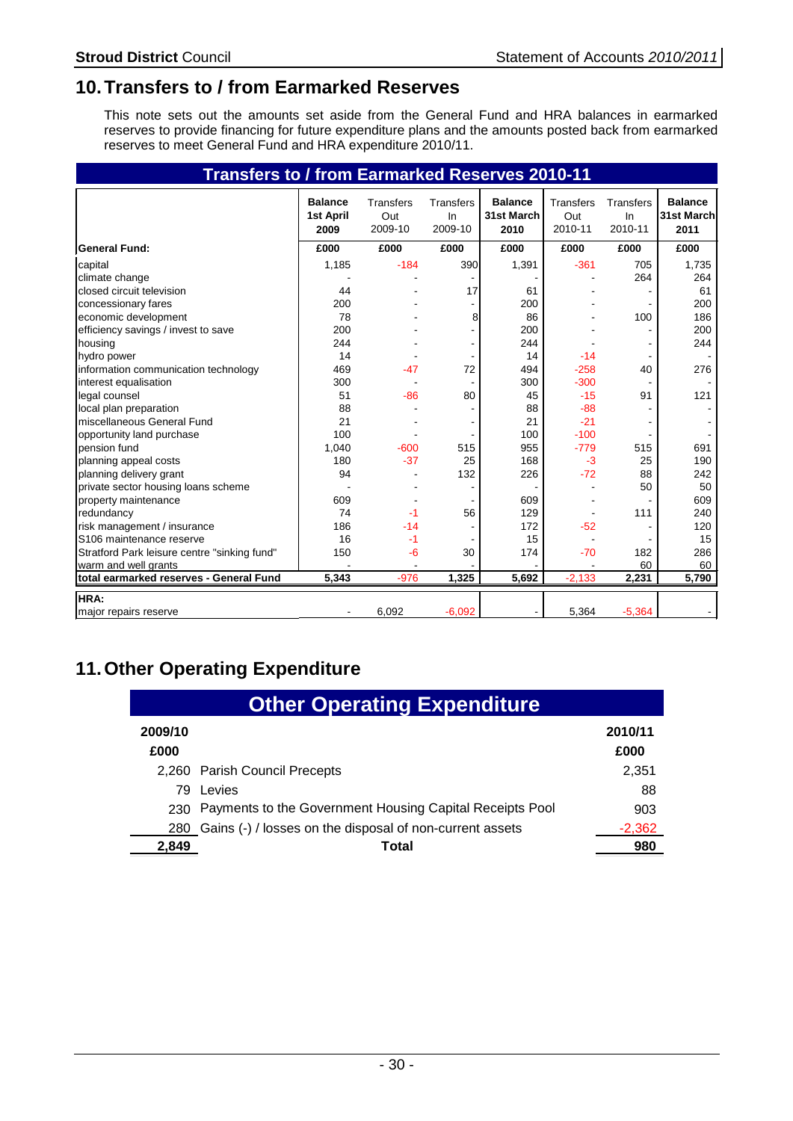## **10.Transfers to / from Earmarked Reserves**

This note sets out the amounts set aside from the General Fund and HRA balances in earmarked reserves to provide financing for future expenditure plans and the amounts posted back from earmarked reserves to meet General Fund and HRA expenditure 2010/11.

| Transfers to / from Earmarked Reserves 2010-11 |                                     |                                    |                                   |                                      |                                    |                                   |                                      |
|------------------------------------------------|-------------------------------------|------------------------------------|-----------------------------------|--------------------------------------|------------------------------------|-----------------------------------|--------------------------------------|
|                                                | <b>Balance</b><br>1st April<br>2009 | <b>Transfers</b><br>Out<br>2009-10 | <b>Transfers</b><br>In<br>2009-10 | <b>Balance</b><br>31st March<br>2010 | <b>Transfers</b><br>Out<br>2010-11 | <b>Transfers</b><br>In<br>2010-11 | <b>Balance</b><br>31st March<br>2011 |
| <b>General Fund:</b>                           | £000                                | £000                               | £000                              | £000                                 | £000                               | £000                              | £000                                 |
| capital                                        | 1,185                               | $-184$                             | 390                               | 1,391                                | $-361$                             | 705                               | 1,735                                |
| climate change                                 |                                     |                                    |                                   |                                      |                                    | 264                               | 264                                  |
| closed circuit television                      | 44                                  |                                    | 17                                | 61                                   |                                    |                                   | 61                                   |
| concessionary fares                            | 200                                 |                                    |                                   | 200                                  |                                    |                                   | 200                                  |
| economic development                           | 78                                  |                                    | 8                                 | 86                                   |                                    | 100                               | 186                                  |
| efficiency savings / invest to save            | 200                                 |                                    |                                   | 200                                  |                                    |                                   | 200                                  |
| housing                                        | 244                                 |                                    |                                   | 244                                  |                                    |                                   | 244                                  |
| hydro power                                    | 14                                  |                                    |                                   | 14                                   | $-14$                              |                                   |                                      |
| information communication technology           | 469                                 | $-47$                              | 72                                | 494                                  | $-258$                             | 40                                | 276                                  |
| interest equalisation                          | 300                                 |                                    |                                   | 300                                  | $-300$                             |                                   |                                      |
| legal counsel                                  | 51                                  | $-86$                              | 80                                | 45                                   | $-15$                              | 91                                | 121                                  |
| local plan preparation                         | 88                                  |                                    |                                   | 88                                   | $-88$                              |                                   |                                      |
| miscellaneous General Fund                     | 21                                  |                                    |                                   | 21                                   | $-21$                              |                                   |                                      |
| opportunity land purchase                      | 100                                 |                                    |                                   | 100                                  | $-100$                             |                                   |                                      |
| pension fund                                   | 1.040                               | $-600$                             | 515                               | 955                                  | $-779$                             | 515                               | 691                                  |
| planning appeal costs                          | 180                                 | $-37$                              | 25                                | 168                                  | $-3$                               | 25                                | 190                                  |
| planning delivery grant                        | 94                                  |                                    | 132                               | 226                                  | $-72$                              | 88                                | 242                                  |
| private sector housing loans scheme            |                                     |                                    |                                   |                                      |                                    | 50                                | 50                                   |
| property maintenance                           | 609                                 |                                    |                                   | 609                                  |                                    |                                   | 609                                  |
| redundancy                                     | 74                                  | $-1$                               | 56                                | 129                                  |                                    | 111                               | 240                                  |
| risk management / insurance                    | 186                                 | $-14$                              |                                   | 172                                  | $-52$                              |                                   | 120                                  |
| S106 maintenance reserve                       | 16                                  | -1                                 |                                   | 15                                   |                                    |                                   | 15                                   |
| Stratford Park leisure centre "sinking fund"   | 150                                 | $-6$                               | 30                                | 174                                  | $-70$                              | 182                               | 286                                  |
| warm and well grants                           |                                     |                                    |                                   |                                      |                                    | 60                                | 60                                   |
| total earmarked reserves - General Fund        | 5,343                               | $-976$                             | 1,325                             | 5,692                                | $-2.133$                           | 2,231                             | 5,790                                |
| HRA:                                           |                                     |                                    |                                   |                                      |                                    |                                   |                                      |
| major repairs reserve                          |                                     | 6,092                              | $-6,092$                          |                                      | 5,364                              | $-5,364$                          |                                      |

# **11.Other Operating Expenditure**

| <b>Other Operating Expenditure</b> |                                                              |                 |  |  |  |  |  |  |
|------------------------------------|--------------------------------------------------------------|-----------------|--|--|--|--|--|--|
| 2009/10<br>£000                    |                                                              | 2010/11<br>£000 |  |  |  |  |  |  |
|                                    | 2,260 Parish Council Precepts                                | 2,351           |  |  |  |  |  |  |
| 79                                 | Levies                                                       | 88              |  |  |  |  |  |  |
|                                    | 230 Payments to the Government Housing Capital Receipts Pool | 903             |  |  |  |  |  |  |
|                                    | 280 Gains (-) / losses on the disposal of non-current assets | $-2,362$        |  |  |  |  |  |  |
| 2.849                              | Total                                                        | 980             |  |  |  |  |  |  |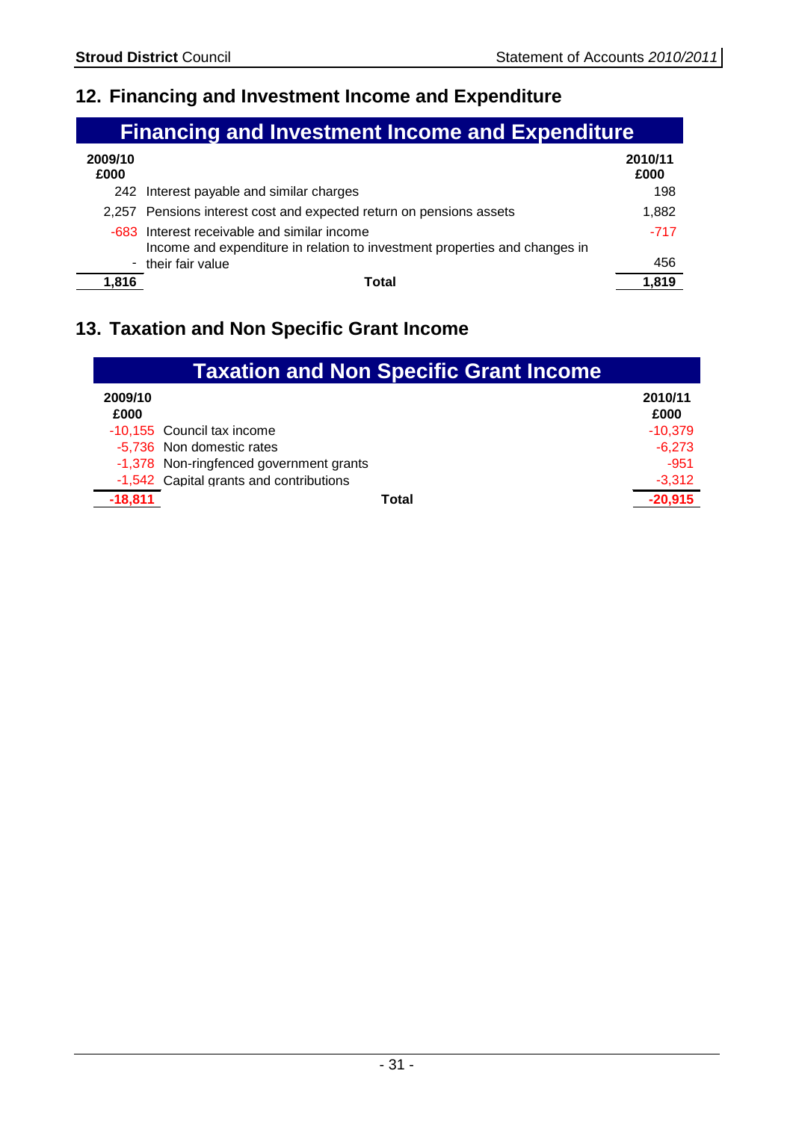# **12. Financing and Investment Income and Expenditure**

|                 | <b>Financing and Investment Income and Expenditure</b>                                                                    |                 |  |  |  |  |  |
|-----------------|---------------------------------------------------------------------------------------------------------------------------|-----------------|--|--|--|--|--|
| 2009/10<br>£000 |                                                                                                                           | 2010/11<br>£000 |  |  |  |  |  |
|                 | 242 Interest payable and similar charges                                                                                  | 198             |  |  |  |  |  |
|                 | 2,257 Pensions interest cost and expected return on pensions assets                                                       | 1,882           |  |  |  |  |  |
|                 | -683 Interest receivable and similar income<br>Income and expenditure in relation to investment properties and changes in | $-717$          |  |  |  |  |  |
|                 | - their fair value                                                                                                        | 456             |  |  |  |  |  |
| 1.816           | Total                                                                                                                     | 1.819           |  |  |  |  |  |

# **13. Taxation and Non Specific Grant Income**

|                 | <b>Taxation and Non Specific Grant Income</b> |                 |  |  |  |  |  |  |
|-----------------|-----------------------------------------------|-----------------|--|--|--|--|--|--|
| 2009/10<br>£000 |                                               | 2010/11<br>£000 |  |  |  |  |  |  |
|                 | -10,155 Council tax income                    | $-10.379$       |  |  |  |  |  |  |
|                 | -5,736 Non domestic rates                     | $-6,273$        |  |  |  |  |  |  |
|                 | -1,378 Non-ringfenced government grants       | $-951$          |  |  |  |  |  |  |
|                 | -1,542 Capital grants and contributions       | $-3,312$        |  |  |  |  |  |  |
| $-18.811$       | Total                                         |                 |  |  |  |  |  |  |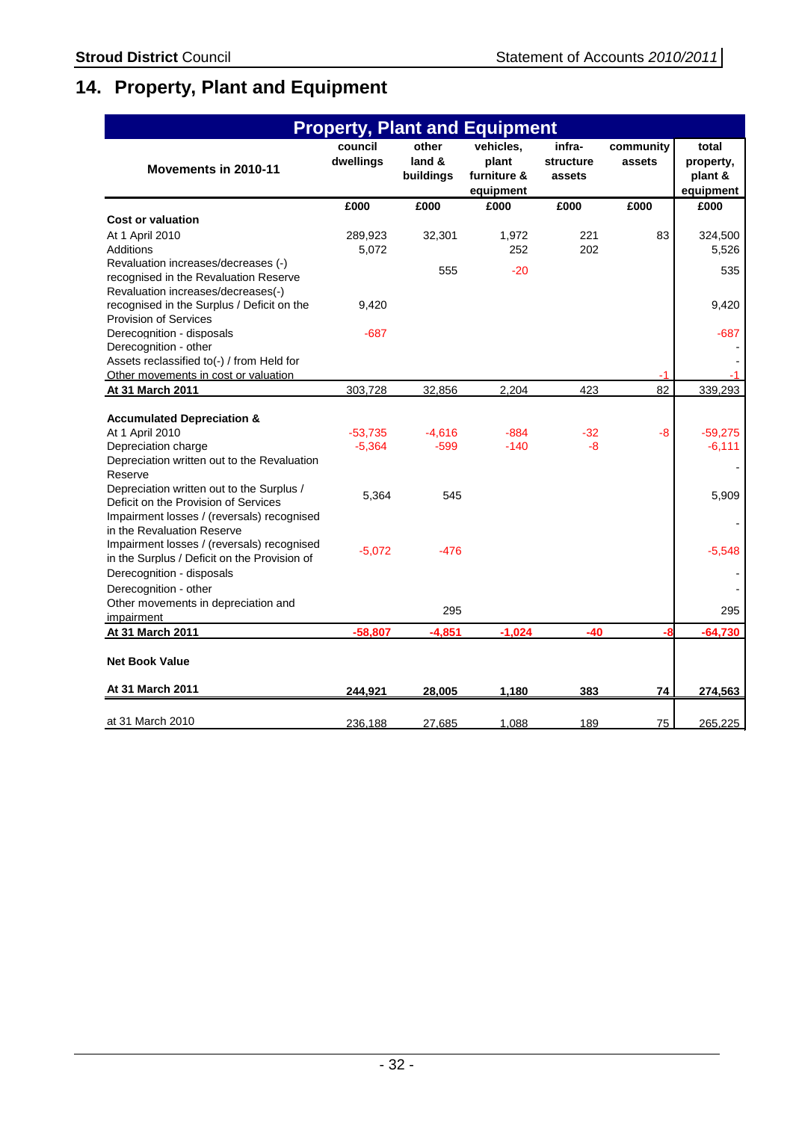# **14. Property, Plant and Equipment**

|                                                                            |                      |                              | <b>Property, Plant and Equipment</b>           |                               |                     |                                            |
|----------------------------------------------------------------------------|----------------------|------------------------------|------------------------------------------------|-------------------------------|---------------------|--------------------------------------------|
| Movements in 2010-11                                                       | council<br>dwellings | other<br>land &<br>buildings | vehicles,<br>plant<br>furniture &<br>equipment | infra-<br>structure<br>assets | community<br>assets | total<br>property,<br>plant &<br>equipment |
|                                                                            | £000                 | £000                         | £000                                           | £000                          | £000                | £000                                       |
| <b>Cost or valuation</b>                                                   |                      |                              |                                                |                               |                     |                                            |
| At 1 April 2010                                                            | 289,923              | 32,301                       | 1,972                                          | 221                           | 83                  | 324,500                                    |
| Additions                                                                  | 5,072                |                              | 252                                            | 202                           |                     | 5,526                                      |
| Revaluation increases/decreases (-)                                        |                      | 555                          | $-20$                                          |                               |                     | 535                                        |
| recognised in the Revaluation Reserve                                      |                      |                              |                                                |                               |                     |                                            |
| Revaluation increases/decreases(-)                                         |                      |                              |                                                |                               |                     |                                            |
| recognised in the Surplus / Deficit on the<br><b>Provision of Services</b> | 9,420                |                              |                                                |                               |                     | 9,420                                      |
| Derecognition - disposals                                                  | $-687$               |                              |                                                |                               |                     | $-687$                                     |
| Derecognition - other                                                      |                      |                              |                                                |                               |                     |                                            |
| Assets reclassified to(-) / from Held for                                  |                      |                              |                                                |                               |                     |                                            |
| Other movements in cost or valuation                                       |                      |                              |                                                |                               |                     |                                            |
| At 31 March 2011                                                           | 303,728              | 32,856                       | 2,204                                          | 423                           | 82                  | 339,293                                    |
| <b>Accumulated Depreciation &amp;</b>                                      |                      |                              |                                                |                               |                     |                                            |
| At 1 April 2010                                                            | $-53.735$            | $-4,616$                     | $-884$                                         | $-32$                         | -8                  | $-59.275$                                  |
| Depreciation charge                                                        | $-5,364$             | $-599$                       | $-140$                                         | -8                            |                     | $-6,111$                                   |
| Depreciation written out to the Revaluation                                |                      |                              |                                                |                               |                     |                                            |
| Reserve                                                                    |                      |                              |                                                |                               |                     |                                            |
| Depreciation written out to the Surplus /                                  | 5,364                | 545                          |                                                |                               |                     | 5,909                                      |
| Deficit on the Provision of Services                                       |                      |                              |                                                |                               |                     |                                            |
| Impairment losses / (reversals) recognised                                 |                      |                              |                                                |                               |                     |                                            |
| in the Revaluation Reserve                                                 |                      |                              |                                                |                               |                     |                                            |
| Impairment losses / (reversals) recognised                                 | $-5,072$             | $-476$                       |                                                |                               |                     | $-5,548$                                   |
| in the Surplus / Deficit on the Provision of                               |                      |                              |                                                |                               |                     |                                            |
| Derecognition - disposals                                                  |                      |                              |                                                |                               |                     |                                            |
| Derecognition - other                                                      |                      |                              |                                                |                               |                     |                                            |
| Other movements in depreciation and                                        |                      | 295                          |                                                |                               |                     | 295                                        |
| impairment                                                                 |                      |                              |                                                |                               |                     |                                            |
| At 31 March 2011                                                           | $-58,807$            | $-4,851$                     | $-1,024$                                       | $-40$                         | -8                  | $-64,730$                                  |
| <b>Net Book Value</b>                                                      |                      |                              |                                                |                               |                     |                                            |
| At 31 March 2011                                                           | 244,921              | 28,005                       | 1,180                                          | 383                           | 74                  | 274,563                                    |
| at 31 March 2010                                                           | 236,188              | 27,685                       | 1,088                                          | 189                           | 75                  | 265,225                                    |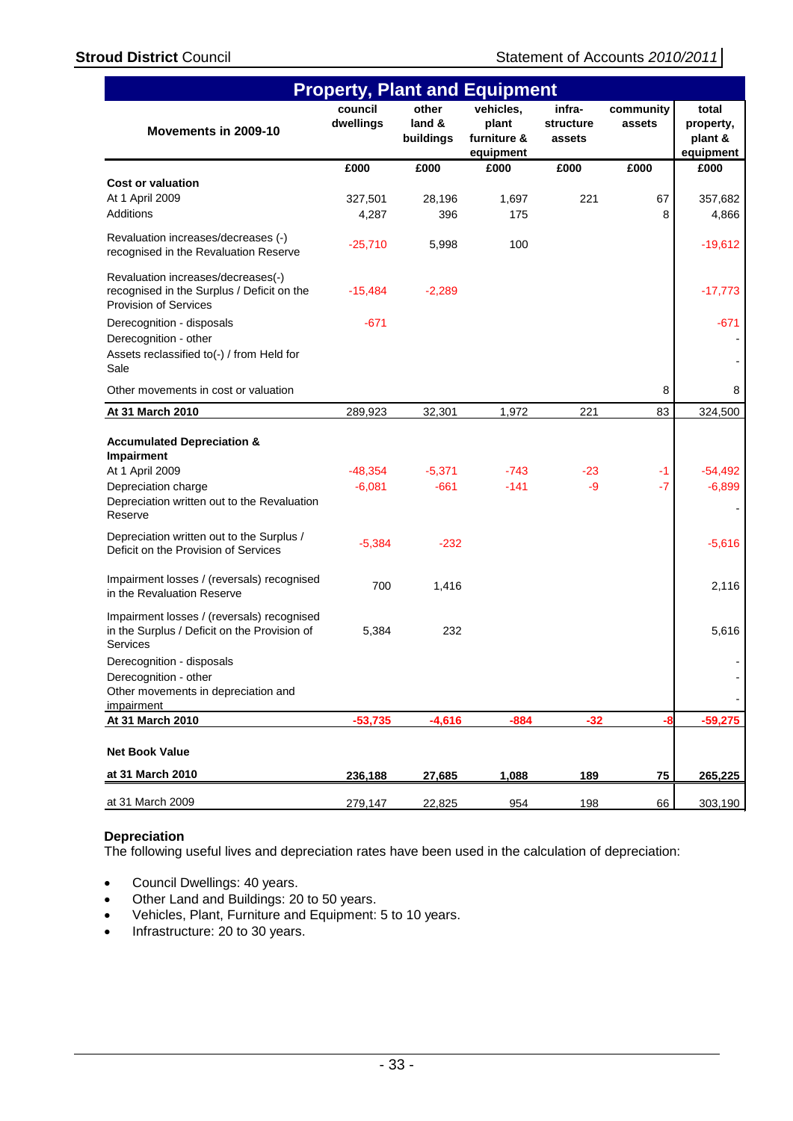|                                                                                                                                                                |                       |                              | <b>Property, Plant and Equipment</b>           |                               |                     |                                            |
|----------------------------------------------------------------------------------------------------------------------------------------------------------------|-----------------------|------------------------------|------------------------------------------------|-------------------------------|---------------------|--------------------------------------------|
| Movements in 2009-10                                                                                                                                           | council<br>dwellings  | other<br>land &<br>buildings | vehicles,<br>plant<br>furniture &<br>equipment | infra-<br>structure<br>assets | community<br>assets | total<br>property,<br>plant &<br>equipment |
|                                                                                                                                                                | £000                  | £000                         | £000                                           | £000                          | £000                | £000                                       |
| <b>Cost or valuation</b>                                                                                                                                       |                       |                              |                                                |                               |                     |                                            |
| At 1 April 2009                                                                                                                                                | 327,501               | 28,196                       | 1,697                                          | 221                           | 67                  | 357,682                                    |
| Additions                                                                                                                                                      | 4,287                 | 396                          | 175                                            |                               | 8                   | 4,866                                      |
| Revaluation increases/decreases (-)<br>recognised in the Revaluation Reserve                                                                                   | $-25,710$             | 5,998                        | 100                                            |                               |                     | $-19,612$                                  |
| Revaluation increases/decreases(-)<br>recognised in the Surplus / Deficit on the<br><b>Provision of Services</b>                                               | $-15,484$             | $-2,289$                     |                                                |                               |                     | $-17,773$                                  |
| Derecognition - disposals                                                                                                                                      | $-671$                |                              |                                                |                               |                     | $-671$                                     |
| Derecognition - other                                                                                                                                          |                       |                              |                                                |                               |                     |                                            |
| Assets reclassified to(-) / from Held for<br>Sale                                                                                                              |                       |                              |                                                |                               |                     |                                            |
| Other movements in cost or valuation                                                                                                                           |                       |                              |                                                |                               | 8                   | 8                                          |
| At 31 March 2010                                                                                                                                               | 289,923               | 32,301                       | 1,972                                          | 221                           | 83                  | 324,500                                    |
| <b>Accumulated Depreciation &amp;</b><br><b>Impairment</b><br>At 1 April 2009<br>Depreciation charge<br>Depreciation written out to the Revaluation<br>Reserve | $-48,354$<br>$-6,081$ | $-5,371$<br>$-661$           | $-743$<br>$-141$                               | $-23$<br>-9                   | -1<br>$-7$          | $-54,492$<br>$-6,899$                      |
| Depreciation written out to the Surplus /<br>Deficit on the Provision of Services                                                                              | $-5,384$              | $-232$                       |                                                |                               |                     | $-5,616$                                   |
| Impairment losses / (reversals) recognised<br>in the Revaluation Reserve                                                                                       | 700                   | 1,416                        |                                                |                               |                     | 2,116                                      |
| Impairment losses / (reversals) recognised<br>in the Surplus / Deficit on the Provision of<br>Services                                                         | 5,384                 | 232                          |                                                |                               |                     | 5,616                                      |
| Derecognition - disposals<br>Derecognition - other                                                                                                             |                       |                              |                                                |                               |                     |                                            |
| Other movements in depreciation and<br>impairment                                                                                                              |                       |                              |                                                |                               |                     |                                            |
| At 31 March 2010                                                                                                                                               | $-53,735$             | $-4,616$                     | $-884$                                         | $-32$                         | -8                  | $-59,275$                                  |
| <b>Net Book Value</b>                                                                                                                                          |                       |                              |                                                |                               |                     |                                            |
| at 31 March 2010                                                                                                                                               | 236,188               | 27,685                       | 1,088                                          | 189                           | 75                  | 265,225                                    |
| at 31 March 2009                                                                                                                                               | 279,147               | 22,825                       | 954                                            | 198                           | 66                  | 303,190                                    |

## **Depreciation**

The following useful lives and depreciation rates have been used in the calculation of depreciation:

- Council Dwellings: 40 years.
- Other Land and Buildings: 20 to 50 years.
- Vehicles, Plant, Furniture and Equipment: 5 to 10 years.
- Infrastructure: 20 to 30 years.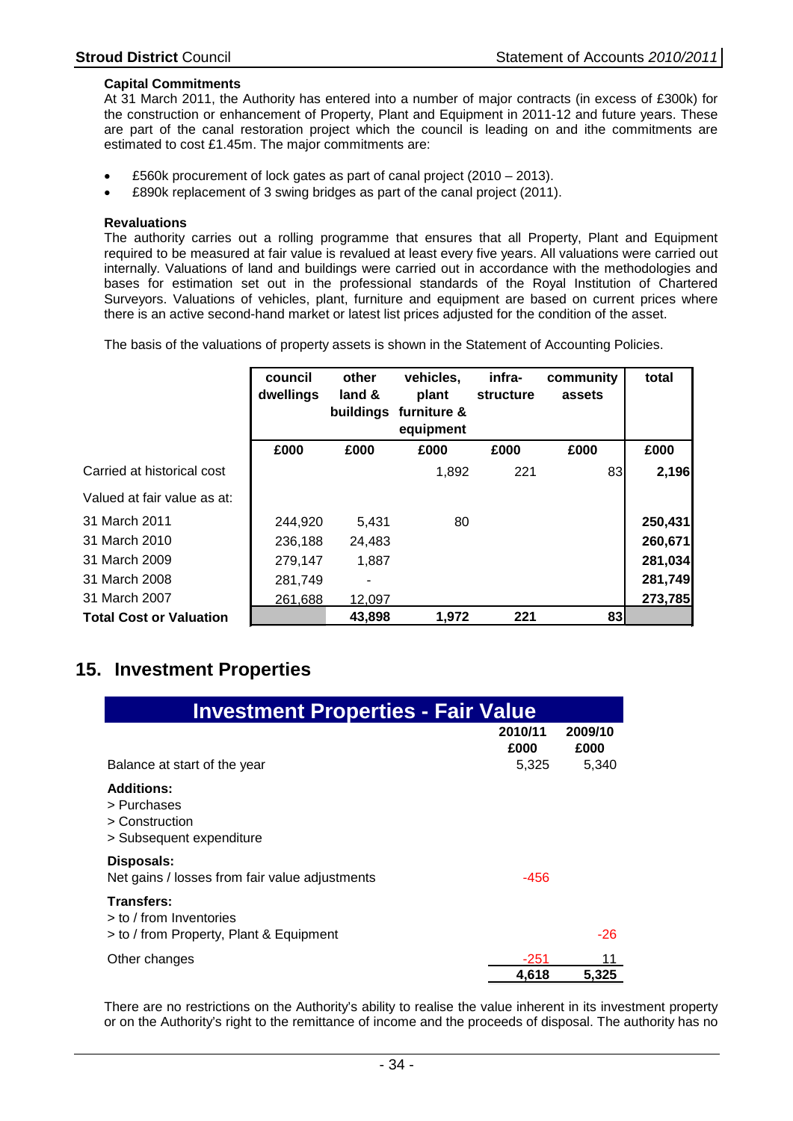### **Capital Commitments**

At 31 March 2011, the Authority has entered into a number of major contracts (in excess of £300k) for the construction or enhancement of Property, Plant and Equipment in 2011-12 and future years. These are part of the canal restoration project which the council is leading on and ithe commitments are estimated to cost £1.45m. The major commitments are:

- £560k procurement of lock gates as part of canal project (2010 2013).
- £890k replacement of 3 swing bridges as part of the canal project (2011).

#### **Revaluations**

The authority carries out a rolling programme that ensures that all Property, Plant and Equipment required to be measured at fair value is revalued at least every five years. All valuations were carried out internally. Valuations of land and buildings were carried out in accordance with the methodologies and bases for estimation set out in the professional standards of the Royal Institution of Chartered Surveyors. Valuations of vehicles, plant, furniture and equipment are based on current prices where there is an active second-hand market or latest list prices adjusted for the condition of the asset.

The basis of the valuations of property assets is shown in the Statement of Accounting Policies.

|                                | council<br>dwellings | other<br>land &<br>buildings | vehicles,<br>plant<br>furniture &<br>equipment | infra-<br>structure | community<br>assets | total   |
|--------------------------------|----------------------|------------------------------|------------------------------------------------|---------------------|---------------------|---------|
|                                | £000                 | £000                         | £000                                           | £000                | £000                | £000    |
| Carried at historical cost     |                      |                              | 1,892                                          | 221                 | 83                  | 2,196   |
| Valued at fair value as at:    |                      |                              |                                                |                     |                     |         |
| 31 March 2011                  | 244,920              | 5,431                        | 80                                             |                     |                     | 250,431 |
| 31 March 2010                  | 236,188              | 24,483                       |                                                |                     |                     | 260,671 |
| 31 March 2009                  | 279,147              | 1,887                        |                                                |                     |                     | 281,034 |
| 31 March 2008                  | 281,749              |                              |                                                |                     |                     | 281,749 |
| 31 March 2007                  | 261,688              | 12,097                       |                                                |                     |                     | 273,785 |
| <b>Total Cost or Valuation</b> |                      | 43.898                       | 1.972                                          | 221                 | 83                  |         |

## **15. Investment Properties**

| <b>Investment Properties - Fair Value</b>                                          |                 |                 |
|------------------------------------------------------------------------------------|-----------------|-----------------|
|                                                                                    | 2010/11<br>£000 | 2009/10<br>£000 |
| Balance at start of the year                                                       | 5,325           | 5,340           |
| <b>Additions:</b><br>> Purchases<br>> Construction<br>> Subsequent expenditure     |                 |                 |
| <b>Disposals:</b><br>Net gains / losses from fair value adjustments                | -456            |                 |
| Transfers:<br>$>$ to / from Inventories<br>> to / from Property, Plant & Equipment |                 | $-26$           |
| Other changes                                                                      | $-25^{\prime}$  | 11              |
|                                                                                    | 4.618           | 5.325           |

There are no restrictions on the Authority's ability to realise the value inherent in its investment property or on the Authority's right to the remittance of income and the proceeds of disposal. The authority has no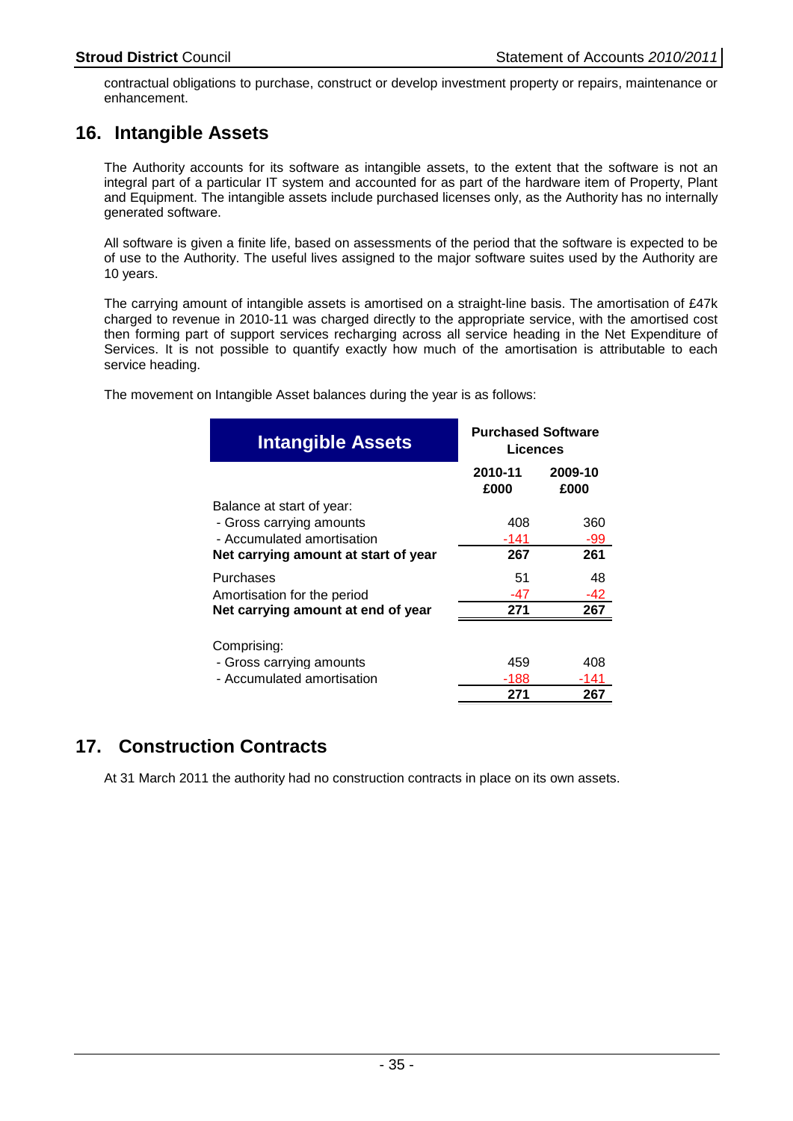contractual obligations to purchase, construct or develop investment property or repairs, maintenance or enhancement.

## **16. Intangible Assets**

The Authority accounts for its software as intangible assets, to the extent that the software is not an integral part of a particular IT system and accounted for as part of the hardware item of Property, Plant and Equipment. The intangible assets include purchased licenses only, as the Authority has no internally generated software.

All software is given a finite life, based on assessments of the period that the software is expected to be of use to the Authority. The useful lives assigned to the major software suites used by the Authority are 10 years.

The carrying amount of intangible assets is amortised on a straight-line basis. The amortisation of £47k charged to revenue in 2010-11 was charged directly to the appropriate service, with the amortised cost then forming part of support services recharging across all service heading in the Net Expenditure of Services. It is not possible to quantify exactly how much of the amortisation is attributable to each service heading.

The movement on Intangible Asset balances during the year is as follows:

| <b>Intangible Assets</b>             | <b>Purchased Software</b><br><b>Licences</b> |                 |
|--------------------------------------|----------------------------------------------|-----------------|
|                                      | 2010-11<br>£000                              | 2009-10<br>£000 |
| Balance at start of year:            |                                              |                 |
| - Gross carrying amounts             | 408                                          | 360             |
| - Accumulated amortisation           | -141                                         | -99             |
| Net carrying amount at start of year | 267                                          | 261             |
| Purchases                            | 51                                           | 48              |
| Amortisation for the period          | -47                                          | -42             |
| Net carrying amount at end of year   | 271                                          | 267             |
| Comprising:                          |                                              |                 |
| - Gross carrying amounts             | 459                                          | 408             |
| - Accumulated amortisation           | $-188$                                       | -141            |
|                                      | 271                                          | 267             |

## **17. Construction Contracts**

At 31 March 2011 the authority had no construction contracts in place on its own assets.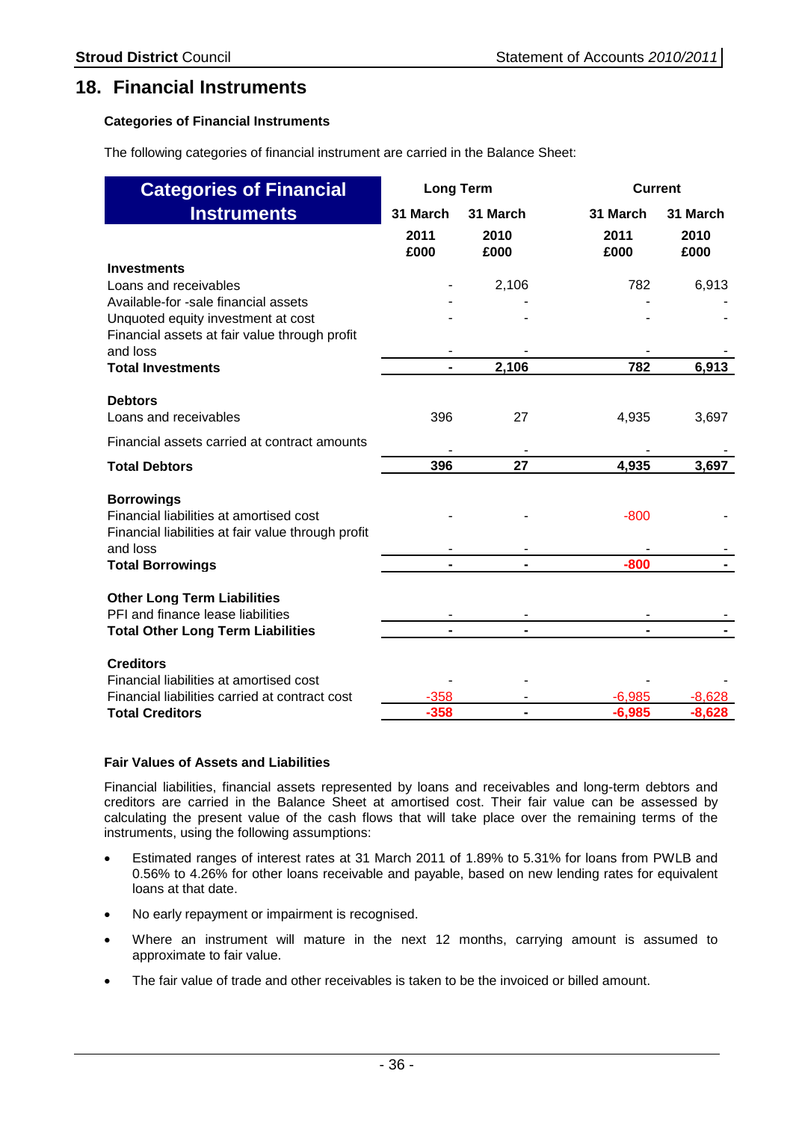## **18. Financial Instruments**

#### **Categories of Financial Instruments**

The following categories of financial instrument are carried in the Balance Sheet:

| <b>Categories of Financial</b>                                | <b>Long Term</b> |              |              | <b>Current</b> |  |
|---------------------------------------------------------------|------------------|--------------|--------------|----------------|--|
| <b>Instruments</b>                                            | 31 March         | 31 March     | 31 March     | 31 March       |  |
|                                                               | 2011<br>£000     | 2010<br>£000 | 2011<br>£000 | 2010<br>£000   |  |
| <b>Investments</b>                                            |                  |              |              |                |  |
| Loans and receivables<br>Available-for -sale financial assets |                  | 2,106        | 782          | 6,913          |  |
| Unquoted equity investment at cost                            |                  |              |              |                |  |
| Financial assets at fair value through profit                 |                  |              |              |                |  |
| and loss                                                      |                  |              |              |                |  |
| <b>Total Investments</b>                                      |                  | 2,106        | 782          | 6,913          |  |
| <b>Debtors</b>                                                |                  |              |              |                |  |
| Loans and receivables                                         | 396              | 27           | 4,935        | 3,697          |  |
| Financial assets carried at contract amounts                  |                  |              |              |                |  |
| <b>Total Debtors</b>                                          | 396              | 27           | 4,935        | 3,697          |  |
|                                                               |                  |              |              |                |  |
| <b>Borrowings</b><br>Financial liabilities at amortised cost  |                  |              | $-800$       |                |  |
| Financial liabilities at fair value through profit            |                  |              |              |                |  |
| and loss                                                      |                  |              |              |                |  |
| <b>Total Borrowings</b>                                       |                  |              | $-800$       |                |  |
| <b>Other Long Term Liabilities</b>                            |                  |              |              |                |  |
| PFI and finance lease liabilities                             |                  |              |              |                |  |
| <b>Total Other Long Term Liabilities</b>                      |                  |              |              |                |  |
| <b>Creditors</b>                                              |                  |              |              |                |  |
| Financial liabilities at amortised cost                       |                  |              |              |                |  |
| Financial liabilities carried at contract cost                | $-358$           |              | $-6,985$     | $-8,628$       |  |
| <b>Total Creditors</b>                                        | $-358$           |              | $-6,985$     | $-8,628$       |  |

#### **Fair Values of Assets and Liabilities**

Financial liabilities, financial assets represented by loans and receivables and long-term debtors and creditors are carried in the Balance Sheet at amortised cost. Their fair value can be assessed by calculating the present value of the cash flows that will take place over the remaining terms of the instruments, using the following assumptions:

- Estimated ranges of interest rates at 31 March 2011 of 1.89% to 5.31% for loans from PWLB and 0.56% to 4.26% for other loans receivable and payable, based on new lending rates for equivalent loans at that date.
- No early repayment or impairment is recognised.
- Where an instrument will mature in the next 12 months, carrying amount is assumed to approximate to fair value.
- The fair value of trade and other receivables is taken to be the invoiced or billed amount.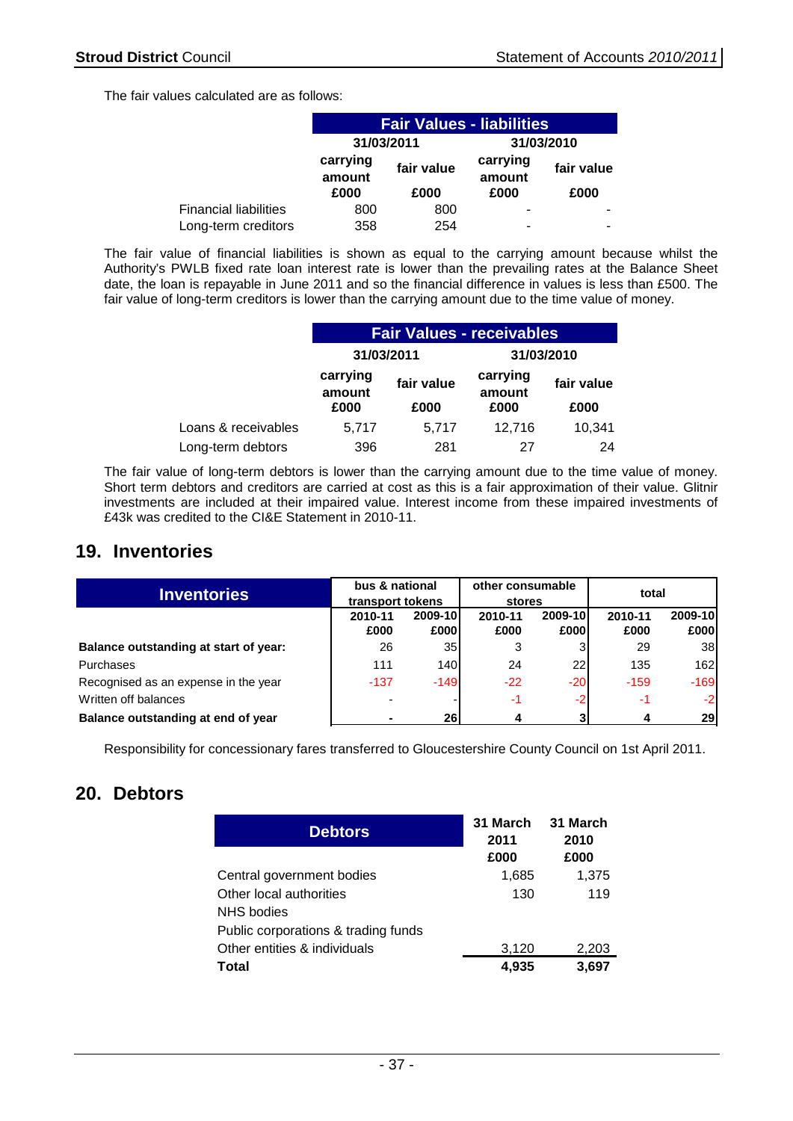The fair values calculated are as follows:

|                              | <b>Fair Values - liabilities</b> |                    |                            |                    |  |
|------------------------------|----------------------------------|--------------------|----------------------------|--------------------|--|
|                              | 31/03/2011                       |                    |                            | 31/03/2010         |  |
|                              | carrying<br>amount<br>£000       | fair value<br>£000 | carrying<br>amount<br>£000 | fair value<br>£000 |  |
| <b>Financial liabilities</b> | 800                              | 800                | -                          |                    |  |
| Long-term creditors          | 358                              | 254                | -                          |                    |  |

The fair value of financial liabilities is shown as equal to the carrying amount because whilst the Authority's PWLB fixed rate loan interest rate is lower than the prevailing rates at the Balance Sheet date, the loan is repayable in June 2011 and so the financial difference in values is less than £500. The fair value of long-term creditors is lower than the carrying amount due to the time value of money.

|                     |                                                  | <b>Fair Values - receivables</b> |                            |                    |  |  |
|---------------------|--------------------------------------------------|----------------------------------|----------------------------|--------------------|--|--|
|                     |                                                  | 31/03/2011<br>31/03/2010         |                            |                    |  |  |
|                     | carrying<br>fair value<br>amount<br>£000<br>£000 |                                  | carrying<br>amount<br>£000 | fair value<br>£000 |  |  |
| Loans & receivables | 5,717                                            | 5,717                            | 12,716                     | 10,341             |  |  |
| Long-term debtors   | 396                                              | 281                              | 27                         | 24                 |  |  |

The fair value of long-term debtors is lower than the carrying amount due to the time value of money. Short term debtors and creditors are carried at cost as this is a fair approximation of their value. Glitnir investments are included at their impaired value. Interest income from these impaired investments of £43k was credited to the CI&E Statement in 2010-11.

## **19. Inventories**

|                                       | bus & national   |                 | other consumable |         | total   |         |
|---------------------------------------|------------------|-----------------|------------------|---------|---------|---------|
| <b>Inventories</b>                    | transport tokens |                 | stores           |         |         |         |
|                                       | 2010-11          | 2009-10         | 2010-11          | 2009-10 | 2010-11 | 2009-10 |
|                                       | £000             | £000            | £000             | £000l   | £000    | £000    |
| Balance outstanding at start of year: | 26               | 35 <sub>l</sub> | 3                |         | 29      | 38      |
| <b>Purchases</b>                      | 111              | 140             | 24               | 22      | 135     | 162     |
| Recognised as an expense in the year  | $-137$           | $-149$          | $-22$            | $-20$   | $-159$  | $-169$  |
| Written off balances                  |                  |                 | -1               | $-2$    | $-1$    | $-2$    |
| Balance outstanding at end of year    |                  | <b>26</b>       |                  |         | 4       | 29      |

Responsibility for concessionary fares transferred to Gloucestershire County Council on 1st April 2011.

## **20. Debtors**

| <b>Debtors</b>                      | 31 March<br>2011 | 31 March<br>2010 |
|-------------------------------------|------------------|------------------|
|                                     | £000             | £000             |
| Central government bodies           | 1,685            | 1,375            |
| Other local authorities             | 130              | 119              |
| NHS bodies                          |                  |                  |
| Public corporations & trading funds |                  |                  |
| Other entities & individuals        | 3,120            | 2,203            |
| Total                               | 4,935            | 3,697            |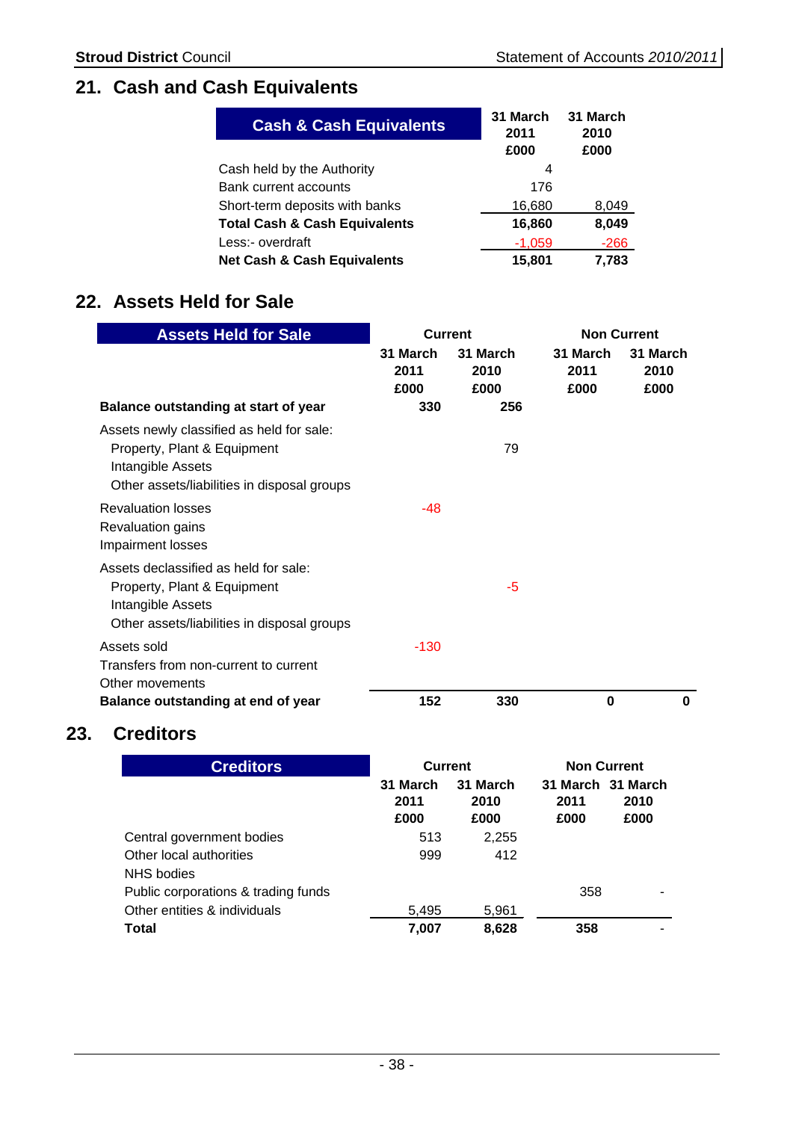## **21. Cash and Cash Equivalents**

| <b>Cash &amp; Cash Equivalents</b>       | 31 March<br>2011 | 31 March<br>2010 |
|------------------------------------------|------------------|------------------|
|                                          | £000             | £000             |
| Cash held by the Authority               | 4                |                  |
| Bank current accounts                    | 176              |                  |
| Short-term deposits with banks           | 16,680           | 8,049            |
| <b>Total Cash &amp; Cash Equivalents</b> | 16,860           | 8,049            |
| Less:- overdraft                         | $-1,059$         | $-266$           |
| <b>Net Cash &amp; Cash Equivalents</b>   | 15,801           | 7.783            |

## **22. Assets Held for Sale**

| <b>Assets Held for Sale</b>                                                                                                                  |                          | <b>Current</b>           | <b>Non Current</b>       |                          |
|----------------------------------------------------------------------------------------------------------------------------------------------|--------------------------|--------------------------|--------------------------|--------------------------|
|                                                                                                                                              | 31 March<br>2011<br>£000 | 31 March<br>2010<br>£000 | 31 March<br>2011<br>£000 | 31 March<br>2010<br>£000 |
| Balance outstanding at start of year                                                                                                         | 330                      | 256                      |                          |                          |
| Assets newly classified as held for sale:<br>Property, Plant & Equipment<br>Intangible Assets<br>Other assets/liabilities in disposal groups |                          | 79                       |                          |                          |
| <b>Revaluation losses</b><br>Revaluation gains<br>Impairment losses                                                                          | -48                      |                          |                          |                          |
| Assets declassified as held for sale:<br>Property, Plant & Equipment<br>Intangible Assets<br>Other assets/liabilities in disposal groups     |                          | -5                       |                          |                          |
| Assets sold<br>Transfers from non-current to current<br>Other movements                                                                      | $-130$                   |                          |                          |                          |
| Balance outstanding at end of year                                                                                                           | 152                      | 330                      | 0                        | 0                        |

## **23. Creditors**

| <b>Creditors</b>                      | Current<br><b>Non Current</b> |                          |              |                                   |  |
|---------------------------------------|-------------------------------|--------------------------|--------------|-----------------------------------|--|
|                                       | 31 March<br>2011<br>£000      | 31 March<br>2010<br>£000 | 2011<br>£000 | 31 March 31 March<br>2010<br>£000 |  |
| Central government bodies             | 513                           | 2,255                    |              |                                   |  |
| Other local authorities<br>NHS bodies | 999                           | 412                      |              |                                   |  |
| Public corporations & trading funds   |                               |                          | 358          | -                                 |  |
| Other entities & individuals          | 5,495                         | 5,961                    |              |                                   |  |
| Total                                 | 7,007                         | 8.628                    | 358          | ۰                                 |  |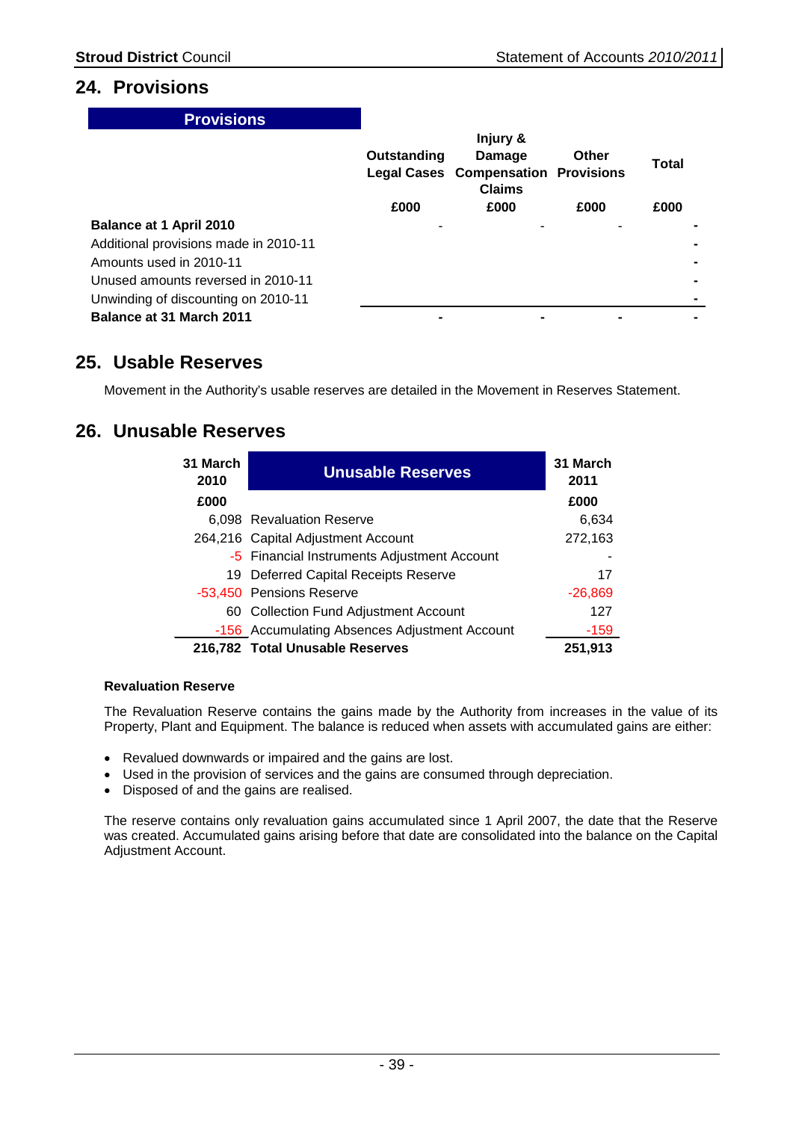## **24. Provisions**

|--|

|                                       | Outstanding | Injury &<br>Damage<br><b>Legal Cases Compensation Provisions</b><br><b>Claims</b> | <b>Other</b> | Total |
|---------------------------------------|-------------|-----------------------------------------------------------------------------------|--------------|-------|
|                                       | £000        | £000                                                                              | £000         | £000  |
| <b>Balance at 1 April 2010</b>        |             |                                                                                   |              |       |
| Additional provisions made in 2010-11 |             |                                                                                   |              |       |
| Amounts used in 2010-11               |             |                                                                                   |              |       |
| Unused amounts reversed in 2010-11    |             |                                                                                   |              |       |
| Unwinding of discounting on 2010-11   |             |                                                                                   |              |       |
| Balance at 31 March 2011              | ۰           |                                                                                   |              |       |

## **25. Usable Reserves**

Movement in the Authority's usable reserves are detailed in the Movement in Reserves Statement.

## **26. Unusable Reserves**

| 31 March<br>2010 | <b>Unusable Reserves</b>                      | 31 March<br>2011 |
|------------------|-----------------------------------------------|------------------|
| £000             |                                               | £000             |
|                  | 6,098 Revaluation Reserve                     | 6,634            |
|                  | 264,216 Capital Adjustment Account            | 272,163          |
|                  | -5 Financial Instruments Adjustment Account   |                  |
|                  | 19 Deferred Capital Receipts Reserve          | 17               |
|                  | -53,450 Pensions Reserve                      | $-26,869$        |
|                  | 60 Collection Fund Adjustment Account         | 127              |
|                  | -156 Accumulating Absences Adjustment Account | -159             |
|                  | 216,782 Total Unusable Reserves               | 251,913          |

#### **Revaluation Reserve**

The Revaluation Reserve contains the gains made by the Authority from increases in the value of its Property, Plant and Equipment. The balance is reduced when assets with accumulated gains are either:

- Revalued downwards or impaired and the gains are lost.
- Used in the provision of services and the gains are consumed through depreciation.
- Disposed of and the gains are realised.

The reserve contains only revaluation gains accumulated since 1 April 2007, the date that the Reserve was created. Accumulated gains arising before that date are consolidated into the balance on the Capital Adjustment Account.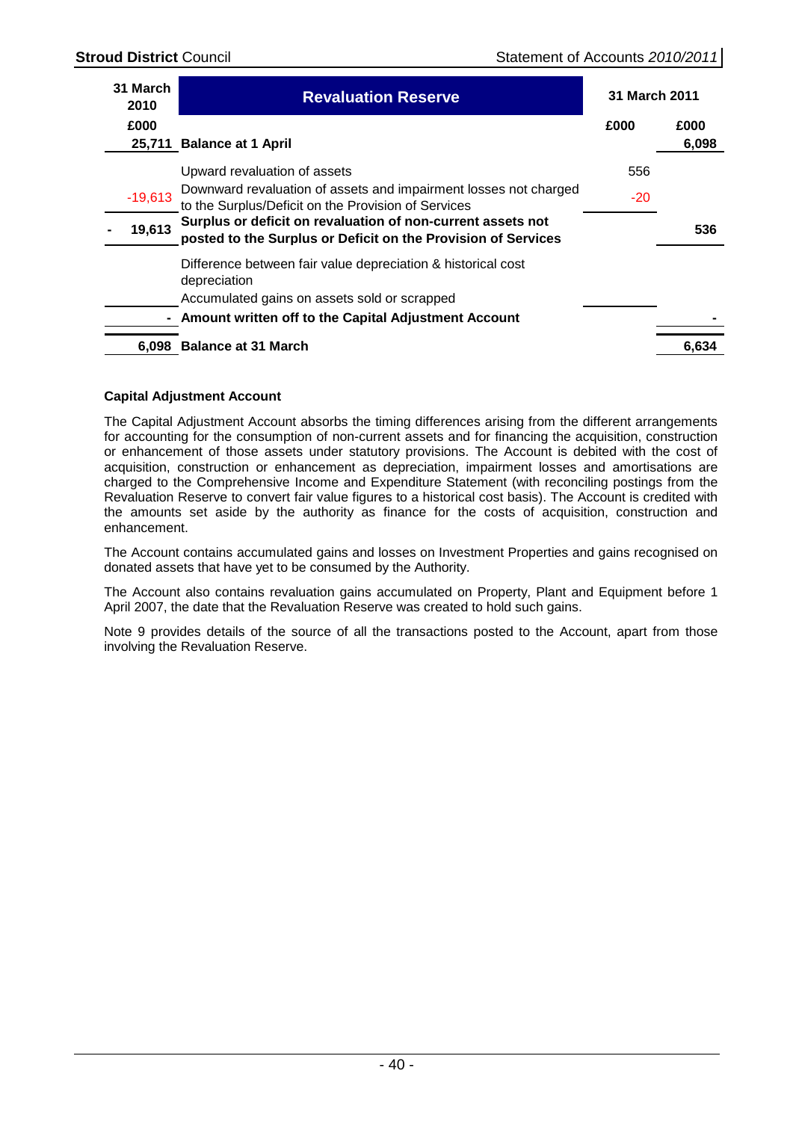| 31 March<br>2010 | <b>Revaluation Reserve</b>                                                                                                   | 31 March 2011 |               |
|------------------|------------------------------------------------------------------------------------------------------------------------------|---------------|---------------|
| £000             | 25,711 Balance at 1 April                                                                                                    | £000          | £000<br>6,098 |
|                  | Upward revaluation of assets                                                                                                 | 556           |               |
| $-19,613$        | Downward revaluation of assets and impairment losses not charged<br>to the Surplus/Deficit on the Provision of Services      | $-20$         |               |
| 19,613           | Surplus or deficit on revaluation of non-current assets not<br>posted to the Surplus or Deficit on the Provision of Services |               | 536           |
|                  | Difference between fair value depreciation & historical cost<br>depreciation                                                 |               |               |
|                  | Accumulated gains on assets sold or scrapped                                                                                 |               |               |
|                  | - Amount written off to the Capital Adjustment Account                                                                       |               |               |
|                  | 6,098 Balance at 31 March                                                                                                    |               | 6.634         |

#### **Capital Adjustment Account**

The Capital Adjustment Account absorbs the timing differences arising from the different arrangements for accounting for the consumption of non-current assets and for financing the acquisition, construction or enhancement of those assets under statutory provisions. The Account is debited with the cost of acquisition, construction or enhancement as depreciation, impairment losses and amortisations are charged to the Comprehensive Income and Expenditure Statement (with reconciling postings from the Revaluation Reserve to convert fair value figures to a historical cost basis). The Account is credited with the amounts set aside by the authority as finance for the costs of acquisition, construction and enhancement.

The Account contains accumulated gains and losses on Investment Properties and gains recognised on donated assets that have yet to be consumed by the Authority.

The Account also contains revaluation gains accumulated on Property, Plant and Equipment before 1 April 2007, the date that the Revaluation Reserve was created to hold such gains.

Note 9 provides details of the source of all the transactions posted to the Account, apart from those involving the Revaluation Reserve.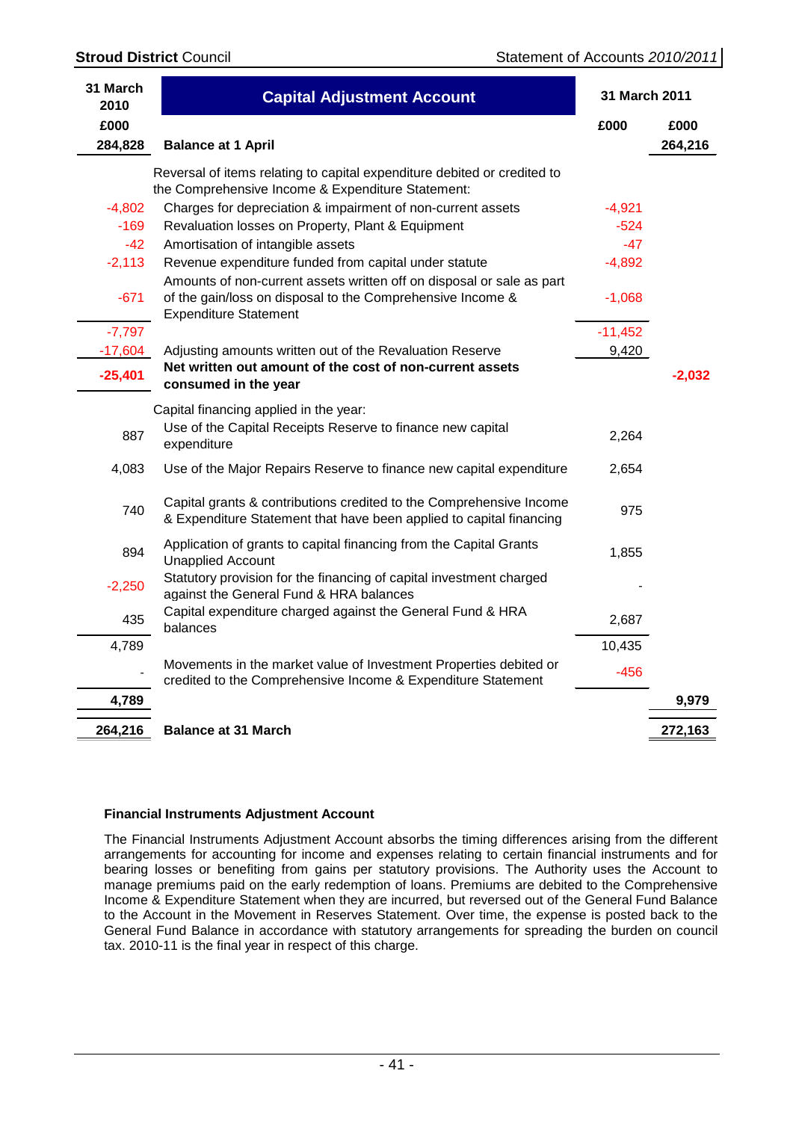| 31 March<br>2010 | <b>Capital Adjustment Account</b>                                                                                                                                   | 31 March 2011 |          |
|------------------|---------------------------------------------------------------------------------------------------------------------------------------------------------------------|---------------|----------|
| £000             |                                                                                                                                                                     | £000          | £000     |
| 284,828          | <b>Balance at 1 April</b>                                                                                                                                           |               | 264,216  |
|                  | Reversal of items relating to capital expenditure debited or credited to<br>the Comprehensive Income & Expenditure Statement:                                       |               |          |
| $-4,802$         | Charges for depreciation & impairment of non-current assets                                                                                                         | $-4,921$      |          |
| $-169$           | Revaluation losses on Property, Plant & Equipment                                                                                                                   | $-524$        |          |
| $-42$            | Amortisation of intangible assets                                                                                                                                   | $-47$         |          |
| $-2,113$         | Revenue expenditure funded from capital under statute                                                                                                               | $-4,892$      |          |
| $-671$           | Amounts of non-current assets written off on disposal or sale as part<br>of the gain/loss on disposal to the Comprehensive Income &<br><b>Expenditure Statement</b> | $-1,068$      |          |
| $-7,797$         |                                                                                                                                                                     | $-11,452$     |          |
| $-17,604$        | Adjusting amounts written out of the Revaluation Reserve                                                                                                            | 9,420         |          |
| $-25,401$        | Net written out amount of the cost of non-current assets<br>consumed in the year                                                                                    |               | $-2,032$ |
| 887              | Capital financing applied in the year:<br>Use of the Capital Receipts Reserve to finance new capital<br>expenditure                                                 | 2,264         |          |
| 4,083            | Use of the Major Repairs Reserve to finance new capital expenditure                                                                                                 | 2,654         |          |
| 740              | Capital grants & contributions credited to the Comprehensive Income<br>& Expenditure Statement that have been applied to capital financing                          | 975           |          |
| 894              | Application of grants to capital financing from the Capital Grants<br><b>Unapplied Account</b>                                                                      | 1,855         |          |
| $-2,250$         | Statutory provision for the financing of capital investment charged<br>against the General Fund & HRA balances                                                      |               |          |
| 435              | Capital expenditure charged against the General Fund & HRA<br>balances                                                                                              | 2,687         |          |
| 4,789            |                                                                                                                                                                     | 10,435        |          |
|                  | Movements in the market value of Investment Properties debited or<br>credited to the Comprehensive Income & Expenditure Statement                                   | $-456$        |          |
| 4,789            |                                                                                                                                                                     |               | 9,979    |
| 264,216          | <b>Balance at 31 March</b>                                                                                                                                          |               | 272,163  |
|                  |                                                                                                                                                                     |               |          |

#### **Financial Instruments Adjustment Account**

The Financial Instruments Adjustment Account absorbs the timing differences arising from the different arrangements for accounting for income and expenses relating to certain financial instruments and for bearing losses or benefiting from gains per statutory provisions. The Authority uses the Account to manage premiums paid on the early redemption of loans. Premiums are debited to the Comprehensive Income & Expenditure Statement when they are incurred, but reversed out of the General Fund Balance to the Account in the Movement in Reserves Statement. Over time, the expense is posted back to the General Fund Balance in accordance with statutory arrangements for spreading the burden on council tax. 2010-11 is the final year in respect of this charge.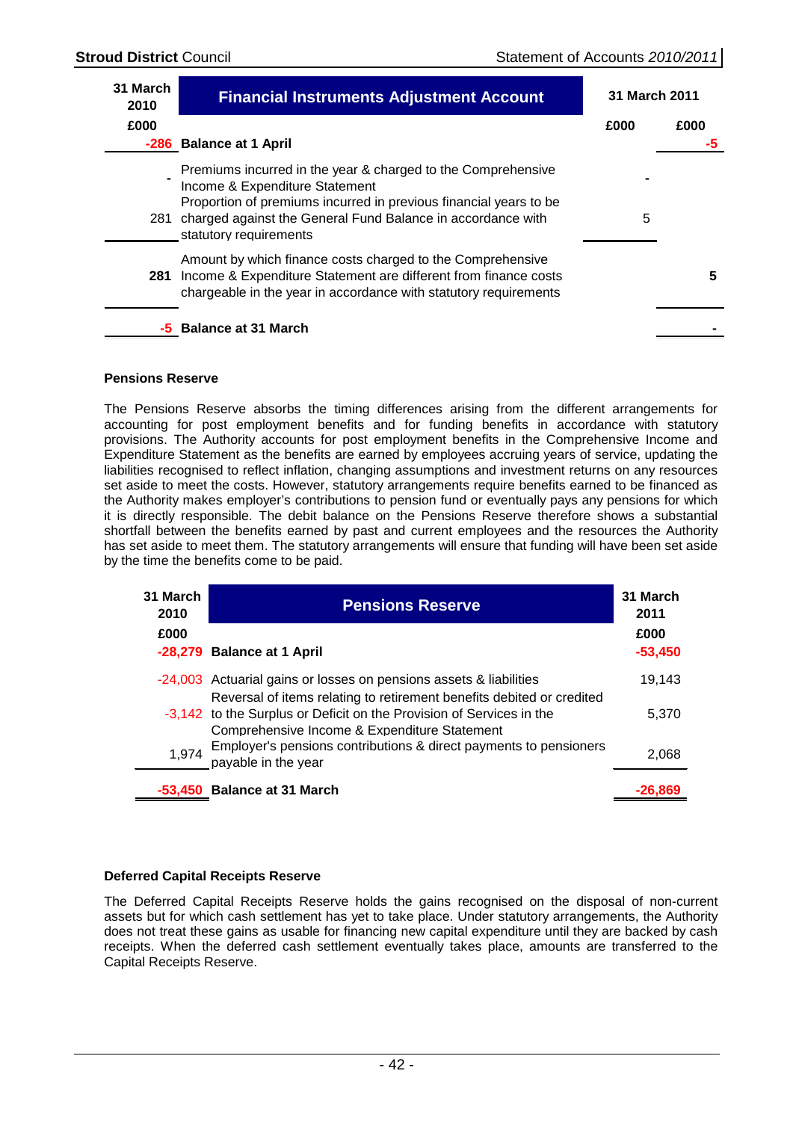| 31 March<br>2010 | <b>Financial Instruments Adjustment Account</b>                                                                                                                                                       | 31 March 2011 |      |  |  |
|------------------|-------------------------------------------------------------------------------------------------------------------------------------------------------------------------------------------------------|---------------|------|--|--|
| £000             | -286 Balance at 1 April                                                                                                                                                                               | £000          | £000 |  |  |
|                  | Premiums incurred in the year & charged to the Comprehensive<br>Income & Expenditure Statement                                                                                                        |               |      |  |  |
|                  | Proportion of premiums incurred in previous financial years to be<br>281 charged against the General Fund Balance in accordance with<br>statutory requirements                                        | 5             |      |  |  |
|                  | Amount by which finance costs charged to the Comprehensive<br>281 Income & Expenditure Statement are different from finance costs<br>chargeable in the year in accordance with statutory requirements |               | 5    |  |  |
|                  | -5 Balance at 31 March                                                                                                                                                                                |               |      |  |  |

#### **Pensions Reserve**

The Pensions Reserve absorbs the timing differences arising from the different arrangements for accounting for post employment benefits and for funding benefits in accordance with statutory provisions. The Authority accounts for post employment benefits in the Comprehensive Income and Expenditure Statement as the benefits are earned by employees accruing years of service, updating the liabilities recognised to reflect inflation, changing assumptions and investment returns on any resources set aside to meet the costs. However, statutory arrangements require benefits earned to be financed as the Authority makes employer's contributions to pension fund or eventually pays any pensions for which it is directly responsible. The debit balance on the Pensions Reserve therefore shows a substantial shortfall between the benefits earned by past and current employees and the resources the Authority has set aside to meet them. The statutory arrangements will ensure that funding will have been set aside by the time the benefits come to be paid.

| 31 March<br>2010 | <b>Pensions Reserve</b>                                                                                                                     | 31 March<br>2011  |
|------------------|---------------------------------------------------------------------------------------------------------------------------------------------|-------------------|
| £000             | -28,279 Balance at 1 April                                                                                                                  | £000<br>$-53,450$ |
|                  | -24,003 Actuarial gains or losses on pensions assets & liabilities<br>Reversal of items relating to retirement benefits debited or credited | 19,143            |
|                  | -3,142 to the Surplus or Deficit on the Provision of Services in the<br>Comprehensive Income & Expenditure Statement                        | 5,370             |
| 1,974            | Employer's pensions contributions & direct payments to pensioners<br>payable in the year                                                    | 2,068             |
| -53.45           | <b>Balance at 31 March</b>                                                                                                                  | -26.8             |

#### **Deferred Capital Receipts Reserve**

The Deferred Capital Receipts Reserve holds the gains recognised on the disposal of non-current assets but for which cash settlement has yet to take place. Under statutory arrangements, the Authority does not treat these gains as usable for financing new capital expenditure until they are backed by cash receipts. When the deferred cash settlement eventually takes place, amounts are transferred to the Capital Receipts Reserve.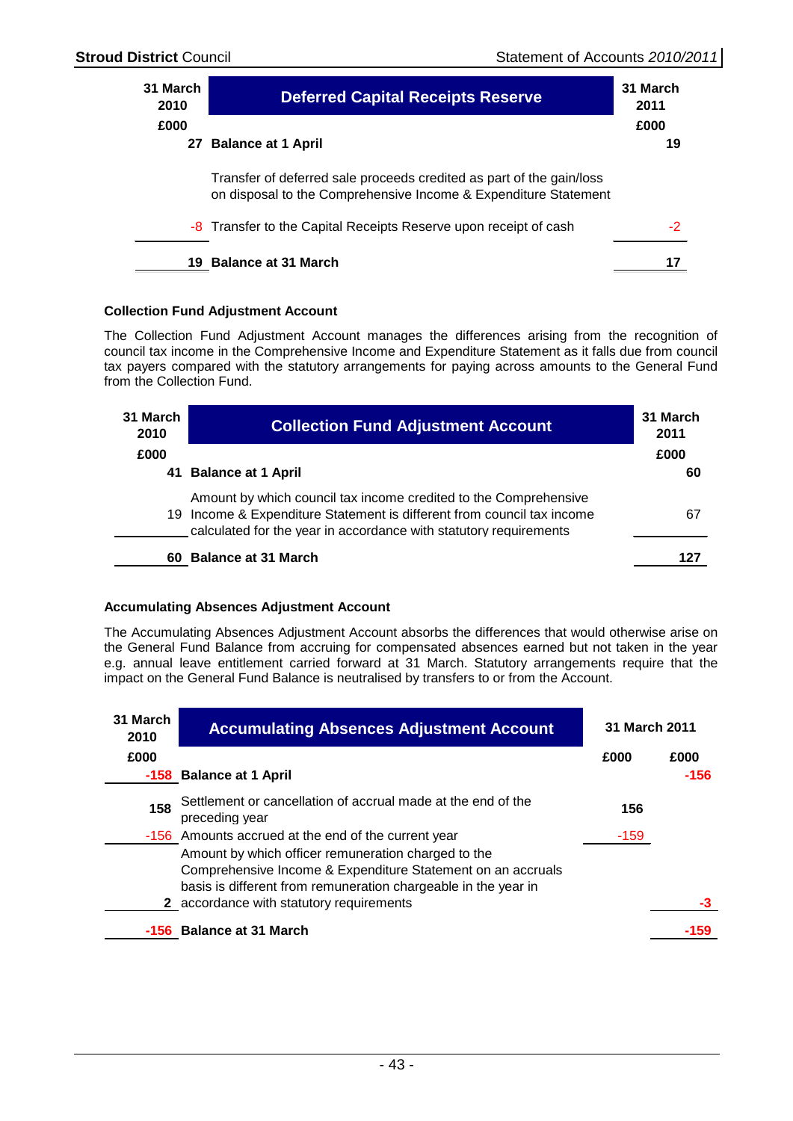| 31 March<br>2010 | <b>Deferred Capital Receipts Reserve</b>                                                                                                | 31 March<br>2011 |
|------------------|-----------------------------------------------------------------------------------------------------------------------------------------|------------------|
| £000             |                                                                                                                                         | £000             |
|                  | 27 Balance at 1 April                                                                                                                   | 19               |
|                  | Transfer of deferred sale proceeds credited as part of the gain/loss<br>on disposal to the Comprehensive Income & Expenditure Statement |                  |
|                  | -8 Transfer to the Capital Receipts Reserve upon receipt of cash                                                                        | $-2$             |
|                  | 19 Balance at 31 March                                                                                                                  |                  |

#### **Collection Fund Adjustment Account**

The Collection Fund Adjustment Account manages the differences arising from the recognition of council tax income in the Comprehensive Income and Expenditure Statement as it falls due from council tax payers compared with the statutory arrangements for paying across amounts to the General Fund from the Collection Fund.

| 31 March<br>2010 | <b>Collection Fund Adjustment Account</b>                                                                                                                                                                       | 31 March<br>2011 |
|------------------|-----------------------------------------------------------------------------------------------------------------------------------------------------------------------------------------------------------------|------------------|
| £000             |                                                                                                                                                                                                                 | £000             |
|                  | 41 Balance at 1 April                                                                                                                                                                                           | 60               |
|                  | Amount by which council tax income credited to the Comprehensive<br>19 Income & Expenditure Statement is different from council tax income<br>calculated for the year in accordance with statutory requirements | 67               |
|                  | 60 Balance at 31 March                                                                                                                                                                                          | 127              |

#### **Accumulating Absences Adjustment Account**

The Accumulating Absences Adjustment Account absorbs the differences that would otherwise arise on the General Fund Balance from accruing for compensated absences earned but not taken in the year e.g. annual leave entitlement carried forward at 31 March. Statutory arrangements require that the impact on the General Fund Balance is neutralised by transfers to or from the Account.

| 31 March<br>2010 | <b>Accumulating Absences Adjustment Account</b>                                                                                                                                      | 31 March 2011 |        |
|------------------|--------------------------------------------------------------------------------------------------------------------------------------------------------------------------------------|---------------|--------|
| £000             |                                                                                                                                                                                      | £000          | £000   |
|                  | -158 Balance at 1 April                                                                                                                                                              |               | $-156$ |
| 158              | Settlement or cancellation of accrual made at the end of the<br>preceding year                                                                                                       | 156           |        |
|                  | -156 Amounts accrued at the end of the current year                                                                                                                                  | $-159$        |        |
|                  | Amount by which officer remuneration charged to the<br>Comprehensive Income & Expenditure Statement on an accruals<br>basis is different from remuneration chargeable in the year in |               |        |
|                  | 2 accordance with statutory requirements                                                                                                                                             |               | -3     |
|                  | -156 Balance at 31 March                                                                                                                                                             |               |        |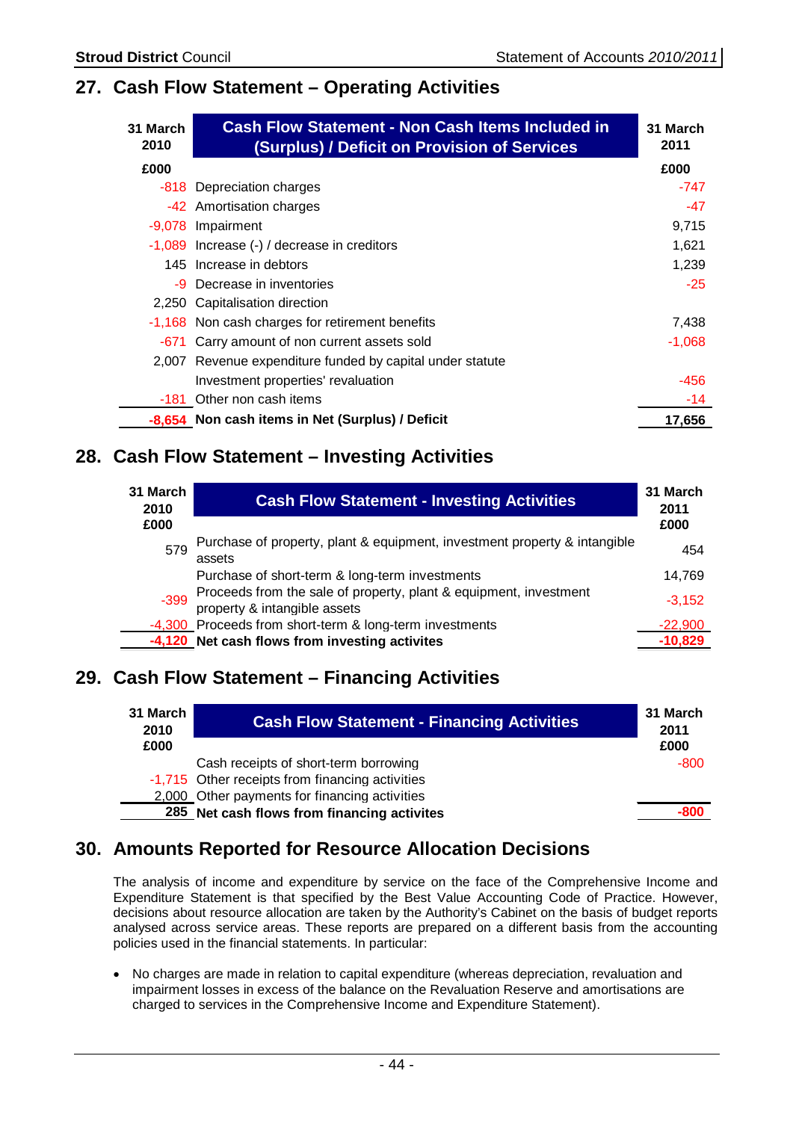## **27. Cash Flow Statement – Operating Activities**

| 31 March<br>2010 | <b>Cash Flow Statement - Non Cash Items Included in</b><br><b>(Surplus) / Deficit on Provision of Services</b> | 31 March<br>2011 |
|------------------|----------------------------------------------------------------------------------------------------------------|------------------|
| £000             |                                                                                                                | £000             |
|                  | -818 Depreciation charges                                                                                      | -747             |
|                  | -42 Amortisation charges                                                                                       | $-47$            |
|                  | -9,078 Impairment                                                                                              | 9,715            |
|                  | -1,089 Increase (-) / decrease in creditors                                                                    | 1.621            |
|                  | 145 Increase in debtors                                                                                        | 1,239            |
| -9               | Decrease in inventories                                                                                        | $-25$            |
|                  | 2,250 Capitalisation direction                                                                                 |                  |
|                  | -1,168 Non cash charges for retirement benefits                                                                | 7,438            |
|                  | -671 Carry amount of non current assets sold                                                                   | $-1,068$         |
|                  | 2,007 Revenue expenditure funded by capital under statute                                                      |                  |
|                  | Investment properties' revaluation                                                                             | $-456$           |
|                  | -181 Other non cash items                                                                                      | -14              |
|                  | -8,654 Non cash items in Net (Surplus) / Deficit                                                               | 17,656           |

## **28. Cash Flow Statement – Investing Activities**

| 31 March<br>2010<br>£000 | <b>Cash Flow Statement - Investing Activities</b>                                                 | 31 March<br>2011<br>£000 |
|--------------------------|---------------------------------------------------------------------------------------------------|--------------------------|
| 579                      | Purchase of property, plant & equipment, investment property & intangible<br>assets               | 454                      |
|                          | Purchase of short-term & long-term investments                                                    | 14.769                   |
| $-399$                   | Proceeds from the sale of property, plant & equipment, investment<br>property & intangible assets | $-3,152$                 |
|                          | -4,300 Proceeds from short-term & long-term investments                                           | $-22,900$                |
|                          | -4,120 Net cash flows from investing activites                                                    | $-10,829$                |

## **29. Cash Flow Statement – Financing Activities**

| 31 March<br>2010 | <b>Cash Flow Statement - Financing Activities</b> | 31 March<br>2011 |
|------------------|---------------------------------------------------|------------------|
| £000             |                                                   | £000             |
|                  | Cash receipts of short-term borrowing             | $-800$           |
|                  | -1,715 Other receipts from financing activities   |                  |
|                  | 2,000 Other payments for financing activities     |                  |
|                  | 285 Net cash flows from financing activites       |                  |
|                  |                                                   |                  |

## **30. Amounts Reported for Resource Allocation Decisions**

The analysis of income and expenditure by service on the face of the Comprehensive Income and Expenditure Statement is that specified by the Best Value Accounting Code of Practice. However, decisions about resource allocation are taken by the Authority's Cabinet on the basis of budget reports analysed across service areas. These reports are prepared on a different basis from the accounting policies used in the financial statements. In particular:

• No charges are made in relation to capital expenditure (whereas depreciation, revaluation and impairment losses in excess of the balance on the Revaluation Reserve and amortisations are charged to services in the Comprehensive Income and Expenditure Statement).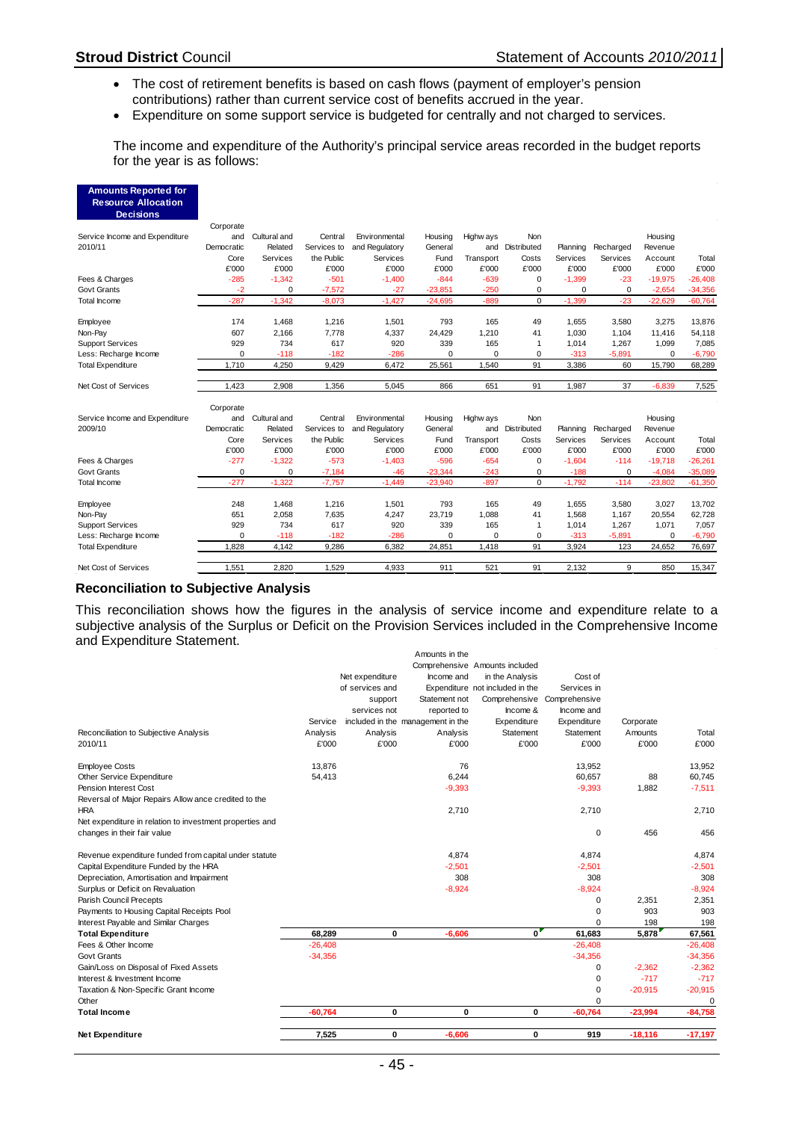- The cost of retirement benefits is based on cash flows (payment of employer's pension contributions) rather than current service cost of benefits accrued in the year.
- Expenditure on some support service is budgeted for centrally and not charged to services.

The income and expenditure of the Authority's principal service areas recorded in the budget reports for the year is as follows:

| <b>Amounts Reported for</b><br><b>Resource Allocation</b><br><b>Decisions</b> |            |              |             |                |             |           |                 |             |           |           |           |
|-------------------------------------------------------------------------------|------------|--------------|-------------|----------------|-------------|-----------|-----------------|-------------|-----------|-----------|-----------|
|                                                                               | Corporate  |              |             |                |             |           |                 |             |           |           |           |
| Service Income and Expenditure                                                | and        | Cultural and | Central     | Environmental  | Housing     | Highw ays | Non             |             |           | Housing   |           |
| 2010/11                                                                       | Democratic | Related      | Services to | and Regulatory | General     |           | and Distributed | Planning    | Recharged | Revenue   |           |
|                                                                               | Core       | Services     | the Public  | Services       | Fund        | Transport | Costs           | Services    | Services  | Account   | Total     |
|                                                                               | £'000      | £'000        | £'000       | £'000          | £'000       | £'000     | £'000           | £'000       | £'000     | £'000     | £'000     |
| Fees & Charges                                                                | $-285$     | $-1,342$     | $-501$      | $-1,400$       | $-844$      | $-639$    | 0               | $-1,399$    | $-23$     | $-19,975$ | $-26,408$ |
| <b>Govt Grants</b>                                                            | $-2$       | 0            | $-7,572$    | $-27$          | $-23,851$   | $-250$    | 0               | $\mathbf 0$ | 0         | $-2,654$  | $-34,356$ |
| Total Income                                                                  | $-287$     | $-1,342$     | $-8,073$    | $-1.427$       | $-24,695$   | $-889$    | $\mathbf 0$     | $-1,399$    | $-23$     | $-22,629$ | $-60,764$ |
| Employee                                                                      | 174        | 1,468        | 1,216       | 1,501          | 793         | 165       | 49              | 1,655       | 3,580     | 3,275     | 13,876    |
| Non-Pay                                                                       | 607        | 2,166        | 7.778       | 4,337          | 24,429      | 1,210     | 41              | 1,030       | 1.104     | 11,416    | 54,118    |
| <b>Support Services</b>                                                       | 929        | 734          | 617         | 920            | 339         | 165       | $\overline{1}$  | 1,014       | 1,267     | 1,099     | 7,085     |
| Less: Recharge Income                                                         | 0          | $-118$       | $-182$      | $-286$         | $\mathbf 0$ | 0         | 0               | $-313$      | $-5,891$  | 0         | $-6,790$  |
| <b>Total Expenditure</b>                                                      | 1.710      | 4,250        | 9,429       | 6,472          | 25,561      | 1,540     | 91              | 3,386       | 60        | 15,790    | 68,289    |
| Net Cost of Services                                                          | 1,423      | 2,908        | 1,356       | 5,045          | 866         | 651       | 91              | 1,987       | 37        | $-6,839$  | 7,525     |
|                                                                               |            |              |             |                |             |           |                 |             |           |           |           |
|                                                                               | Corporate  |              |             |                |             |           |                 |             |           |           |           |
| Service Income and Expenditure                                                | and        | Cultural and | Central     | Environmental  | Housing     | Highw ays | Non             |             |           | Housing   |           |
| 2009/10                                                                       | Democratic | Related      | Services to | and Regulatory | General     |           | and Distributed | Planning    | Recharged | Revenue   |           |
|                                                                               | Core       | Services     | the Public  | Services       | Fund        | Transport | Costs           | Services    | Services  | Account   | Total     |
|                                                                               | £'000      | £'000        | £'000       | £'000          | £'000       | £'000     | £'000           | £'000       | £'000     | £'000     | £'000     |
| Fees & Charges                                                                | $-277$     | $-1,322$     | $-573$      | $-1,403$       | $-596$      | $-654$    | $\Omega$        | $-1,604$    | $-114$    | $-19,718$ | $-26,261$ |
| <b>Govt Grants</b>                                                            | 0          | 0            | $-7,184$    | $-46$          | $-23,344$   | $-243$    | 0               | $-188$      | 0         | $-4,084$  | $-35,089$ |
| Total Income                                                                  | $-277$     | $-1,322$     | $-7,757$    | $-1,449$       | $-23,940$   | $-897$    | $\mathbf 0$     | $-1,792$    | $-114$    | $-23,802$ | $-61,350$ |
| Employee                                                                      | 248        | 1,468        | 1,216       | 1,501          | 793         | 165       | 49              | 1,655       | 3,580     | 3,027     | 13,702    |
| Non-Pay                                                                       | 651        | 2,058        | 7,635       | 4,247          | 23,719      | 1,088     | 41              | 1,568       | 1,167     | 20,554    | 62,728    |
| <b>Support Services</b>                                                       | 929        | 734          | 617         | 920            | 339         | 165       | 1               | 1,014       | 1,267     | 1,071     | 7,057     |
| Less: Recharge Income                                                         | 0          | $-118$       | $-182$      | $-286$         | $\mathbf 0$ | 0         | 0               | $-313$      | $-5,891$  | 0         | $-6,790$  |
| <b>Total Expenditure</b>                                                      | 1,828      | 4,142        | 9,286       | 6,382          | 24,851      | 1,418     | 91              | 3,924       | 123       | 24,652    | 76,697    |
| Net Cost of Services                                                          | 1,551      | 2,820        | 1,529       | 4,933          | 911         | 521       | 91              | 2,132       | 9         | 850       | 15,347    |

#### **Reconciliation to Subjective Analysis**

This reconciliation shows how the figures in the analysis of service income and expenditure relate to a subjective analysis of the Surplus or Deficit on the Provision Services included in the Comprehensive Income and Expenditure Statement.

| <b>Net Expenditure</b>                                             | 7,525     | 0               | $-6,606$                          | $\mathbf 0$                     | 919                         | $-18,116$ | $-17,197$ |
|--------------------------------------------------------------------|-----------|-----------------|-----------------------------------|---------------------------------|-----------------------------|-----------|-----------|
| <b>Total Income</b>                                                | $-60.764$ | 0               | 0                                 | 0                               | $-60.764$                   | $-23.994$ | $-84,758$ |
| Other                                                              |           |                 |                                   |                                 | 0                           |           | 0         |
| Taxation & Non-Specific Grant Income                               |           |                 |                                   |                                 | 0                           | $-20,915$ | $-20,915$ |
| Interest & Investment Income                                       |           |                 |                                   |                                 | 0                           | $-717$    | $-717$    |
| Gain/Loss on Disposal of Fixed Assets                              |           |                 |                                   |                                 | 0                           | $-2,362$  | $-2,362$  |
| Govt Grants                                                        | $-34,356$ |                 |                                   |                                 | $-34,356$                   |           | $-34,356$ |
| Fees & Other Income                                                | $-26.408$ |                 |                                   |                                 | $-26,408$                   |           | $-26,408$ |
| <b>Total Expenditure</b>                                           | 68,289    | 0               | $-6,606$                          | $^{\circ}$                      | 61,683                      | 5,878     | 67,561    |
| Interest Payable and Similar Charges                               |           |                 |                                   |                                 | $\Omega$                    | 198       | 198       |
| Payments to Housing Capital Receipts Pool                          |           |                 |                                   |                                 | 0                           | 903       | 903       |
| Parish Council Precepts                                            |           |                 |                                   |                                 | $\Omega$                    | 2,351     | 2,351     |
| Surplus or Deficit on Revaluation                                  |           |                 | $-8,924$                          |                                 | $-8,924$                    |           | $-8,924$  |
| Depreciation, Amortisation and Impairment                          |           |                 | 308                               |                                 | 308                         |           | 308       |
| Capital Expenditure Funded by the HRA                              |           |                 | $-2,501$                          |                                 | $-2,501$                    |           | $-2,501$  |
| Revenue expenditure funded from capital under statute              |           |                 | 4.874                             |                                 | 4,874                       |           | 4,874     |
| changes in their fair value                                        |           |                 |                                   |                                 | $\mathbf 0$                 | 456       | 456       |
| Net expenditure in relation to investment properties and           |           |                 |                                   |                                 |                             |           |           |
| Reversal of Major Repairs Allow ance credited to the<br><b>HRA</b> |           |                 | 2,710                             |                                 | 2,710                       |           | 2,710     |
| Pension Interest Cost                                              |           |                 | $-9,393$                          |                                 | $-9,393$                    | 1,882     | $-7,511$  |
| Other Service Expenditure                                          | 54,413    |                 | 6,244                             |                                 | 60,657                      | 88        | 60,745    |
| <b>Employee Costs</b>                                              | 13.876    |                 | 76                                |                                 | 13,952                      |           | 13,952    |
| 2010/11                                                            | £'000     | £'000           | £'000                             | £'000                           | £'000                       | £'000     | £'000     |
| Reconciliation to Subjective Analysis                              | Analysis  | Analysis        | Analysis                          | Statement                       | Statement                   | Amounts   | Total     |
|                                                                    | Service   |                 | included in the management in the | Expenditure                     | Expenditure                 | Corporate |           |
|                                                                    |           | services not    | reported to                       | Income &                        | Income and                  |           |           |
|                                                                    |           | support         | Statement not                     |                                 | Comprehensive Comprehensive |           |           |
|                                                                    |           | of services and |                                   | Expenditure not included in the | Services in                 |           |           |
|                                                                    |           | Net expenditure | Income and                        | in the Analysis                 | Cost of                     |           |           |
|                                                                    |           |                 |                                   |                                 |                             |           |           |
|                                                                    |           |                 | Amounts in the                    | Comprehensive Amounts included  |                             |           |           |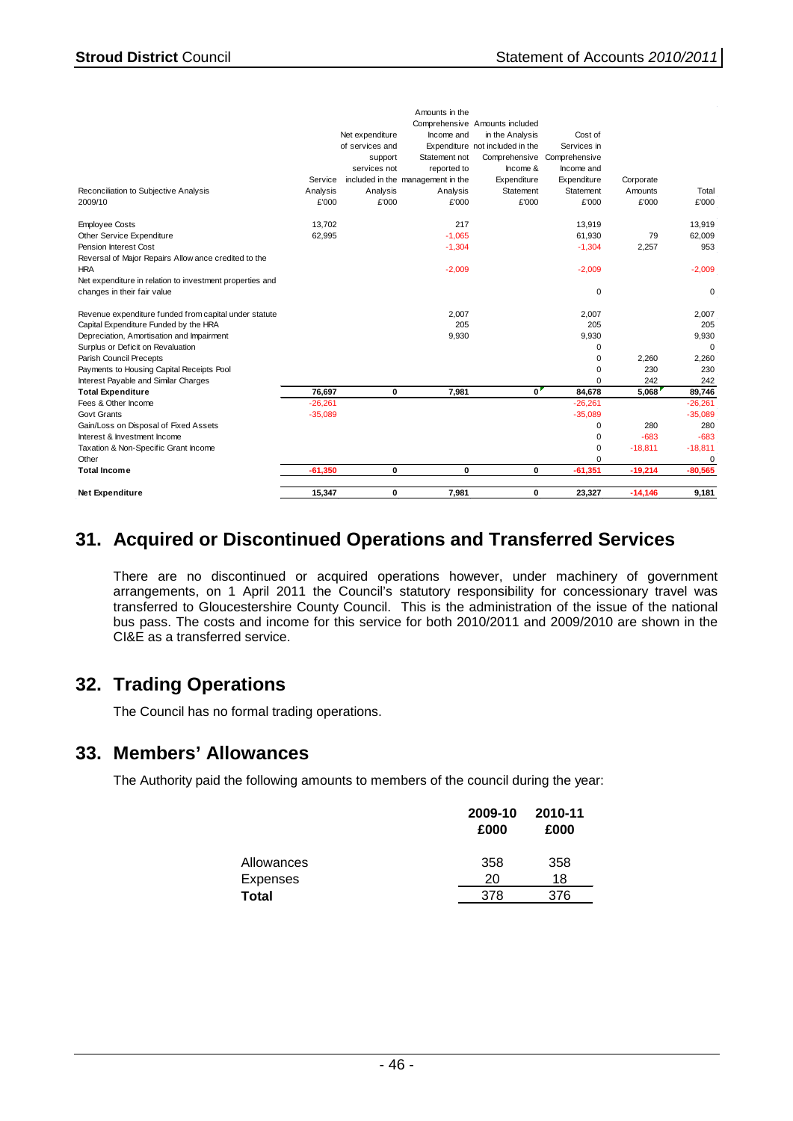|                                                          |           |                 | Amounts in the                    |                                 |             |           |             |
|----------------------------------------------------------|-----------|-----------------|-----------------------------------|---------------------------------|-------------|-----------|-------------|
|                                                          |           |                 |                                   | Comprehensive Amounts included  |             |           |             |
|                                                          |           | Net expenditure | Income and                        | in the Analysis                 | Cost of     |           |             |
|                                                          |           | of services and |                                   | Expenditure not included in the | Services in |           |             |
|                                                          |           | support         | Statement not                     | Comprehensive Comprehensive     |             |           |             |
|                                                          |           | services not    | reported to                       | Income &                        | Income and  |           |             |
|                                                          | Service   |                 | included in the management in the | Expenditure                     | Expenditure | Corporate |             |
| Reconciliation to Subjective Analysis                    | Analysis  | Analysis        | Analysis                          | Statement                       | Statement   | Amounts   | Total       |
| 2009/10                                                  | £'000     | £'000           | £'000                             | £'000                           | £'000       | £'000     | £'000       |
| <b>Employee Costs</b>                                    | 13,702    |                 | 217                               |                                 | 13.919      |           | 13,919      |
| Other Service Expenditure                                | 62,995    |                 | $-1,065$                          |                                 | 61,930      | 79        | 62,009      |
| Pension Interest Cost                                    |           |                 | $-1,304$                          |                                 | $-1,304$    | 2,257     | 953         |
| Reversal of Major Repairs Allow ance credited to the     |           |                 |                                   |                                 |             |           |             |
| <b>HRA</b>                                               |           |                 | $-2,009$                          |                                 | $-2,009$    |           | $-2.009$    |
| Net expenditure in relation to investment properties and |           |                 |                                   |                                 |             |           |             |
| changes in their fair value                              |           |                 |                                   |                                 | $\mathbf 0$ |           | $\Omega$    |
| Revenue expenditure funded from capital under statute    |           |                 | 2,007                             |                                 | 2,007       |           | 2,007       |
| Capital Expenditure Funded by the HRA                    |           |                 | 205                               |                                 | 205         |           | 205         |
| Depreciation, Amortisation and Impairment                |           |                 | 9,930                             |                                 | 9,930       |           | 9,930       |
| Surplus or Deficit on Revaluation                        |           |                 |                                   |                                 | 0           |           | $\Omega$    |
| Parish Council Precepts                                  |           |                 |                                   |                                 | 0           | 2,260     | 2,260       |
| Payments to Housing Capital Receipts Pool                |           |                 |                                   |                                 | 0           | 230       | 230         |
| Interest Payable and Similar Charges                     |           |                 |                                   |                                 | $\Omega$    | 242       | 242         |
| <b>Total Expenditure</b>                                 | 76,697    | 0               | 7,981                             | $\overline{\mathbf{0}}$         | 84,678      | 5,068     | 89,746      |
| Fees & Other Income                                      | $-26,261$ |                 |                                   |                                 | $-26,261$   |           | $-26,261$   |
| Govt Grants                                              | $-35,089$ |                 |                                   |                                 | $-35,089$   |           | $-35,089$   |
| Gain/Loss on Disposal of Fixed Assets                    |           |                 |                                   |                                 | 0           | 280       | 280         |
| Interest & Investment Income                             |           |                 |                                   |                                 | $\Omega$    | $-683$    | $-683$      |
| Taxation & Non-Specific Grant Income                     |           |                 |                                   |                                 | 0           | $-18.811$ | $-18,811$   |
| Other                                                    |           |                 |                                   |                                 | 0           |           | $\mathbf 0$ |
| <b>Total Income</b>                                      | $-61,350$ | 0               | 0                                 | $\bf{0}$                        | $-61,351$   | $-19,214$ | $-80,565$   |
| Net Expenditure                                          | 15,347    | 0               | 7,981                             | 0                               | 23,327      | $-14,146$ | 9,181       |

## **31. Acquired or Discontinued Operations and Transferred Services**

There are no discontinued or acquired operations however, under machinery of government arrangements, on 1 April 2011 the Council's statutory responsibility for concessionary travel was transferred to Gloucestershire County Council. This is the administration of the issue of the national bus pass. The costs and income for this service for both 2010/2011 and 2009/2010 are shown in the CI&E as a transferred service.

## **32. Trading Operations**

The Council has no formal trading operations.

## **33. Members' Allowances**

The Authority paid the following amounts to members of the council during the year:

|                 | 2009-10<br>£000 | 2010-11<br>£000 |
|-----------------|-----------------|-----------------|
| Allowances      | 358             | 358             |
| <b>Expenses</b> | 20              | 18              |
| <b>Total</b>    | 378             | 376             |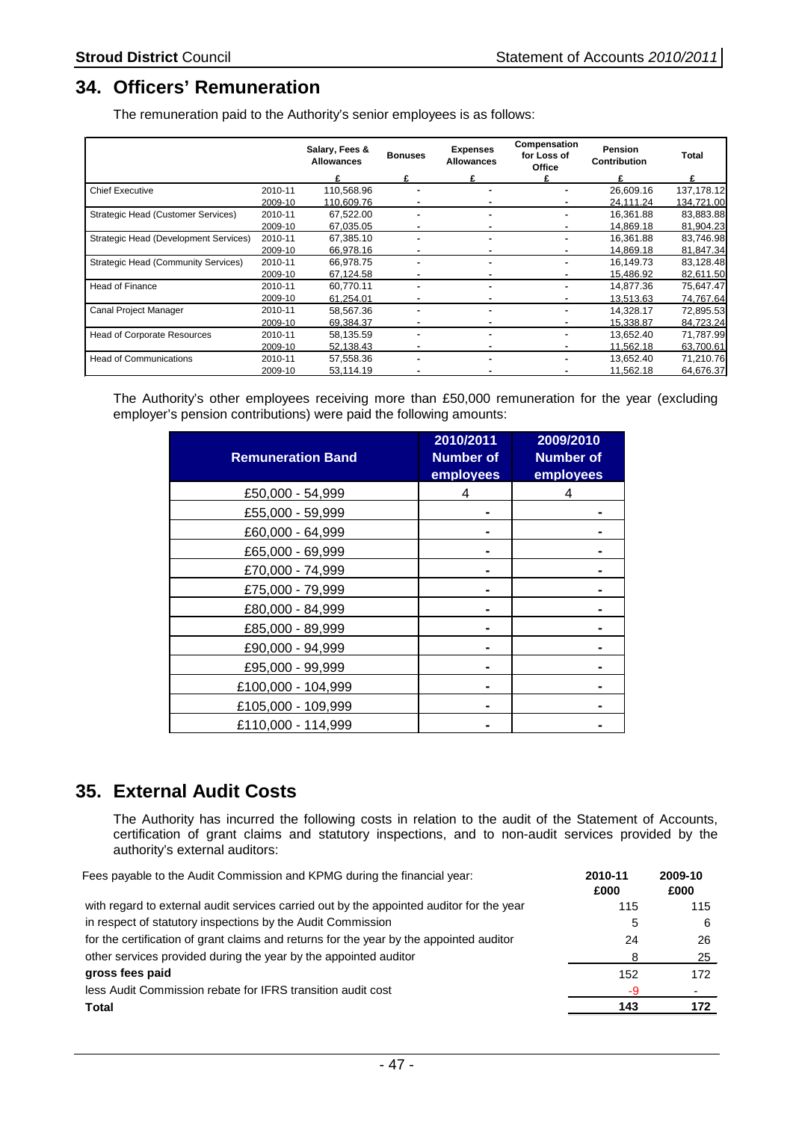## **34. Officers' Remuneration**

The remuneration paid to the Authority's senior employees is as follows:

|                                            |         | Salary, Fees &<br><b>Allowances</b> | <b>Bonuses</b> | <b>Expenses</b><br><b>Allowances</b> | Compensation<br>for Loss of<br><b>Office</b> | <b>Pension</b><br><b>Contribution</b> | Total        |
|--------------------------------------------|---------|-------------------------------------|----------------|--------------------------------------|----------------------------------------------|---------------------------------------|--------------|
|                                            |         | f                                   | £              |                                      |                                              |                                       |              |
| <b>Chief Executive</b>                     | 2010-11 | 110,568.96                          |                |                                      |                                              | 26,609.16                             | 137, 178. 12 |
|                                            | 2009-10 | 110,609.76                          |                |                                      |                                              | 24.111.24                             | 134,721.00   |
| Strategic Head (Customer Services)         | 2010-11 | 67,522.00                           |                |                                      |                                              | 16.361.88                             | 83,883.88    |
|                                            | 2009-10 | 67.035.05                           |                |                                      |                                              | 14,869.18                             | 81,904.23    |
| Strategic Head (Development Services)      | 2010-11 | 67.385.10                           |                | $\overline{\phantom{0}}$             |                                              | 16.361.88                             | 83,746.98    |
|                                            | 2009-10 | 66,978.16                           |                |                                      |                                              | 14,869.18                             | 81,847.34    |
| <b>Strategic Head (Community Services)</b> | 2010-11 | 66.978.75                           |                |                                      |                                              | 16.149.73                             | 83,128.48    |
|                                            | 2009-10 | 67,124.58                           |                |                                      |                                              | 15,486.92                             | 82,611.50    |
| <b>Head of Finance</b>                     | 2010-11 | 60.770.11                           |                |                                      |                                              | 14.877.36                             | 75.647.47    |
|                                            | 2009-10 | 61,254.01                           |                |                                      |                                              | 13,513.63                             | 74,767.64    |
| Canal Project Manager                      | 2010-11 | 58,567.36                           |                |                                      |                                              | 14,328.17                             | 72,895.53    |
|                                            | 2009-10 | 69,384.37                           |                |                                      |                                              | 15,338.87                             | 84,723.24    |
| <b>Head of Corporate Resources</b>         | 2010-11 | 58,135.59                           |                |                                      |                                              | 13.652.40                             | 71,787.99    |
|                                            | 2009-10 | 52,138.43                           |                |                                      |                                              | 11,562.18                             | 63,700.61    |
| <b>Head of Communications</b>              | 2010-11 | 57,558.36                           |                |                                      |                                              | 13,652.40                             | 71,210.76    |
|                                            | 2009-10 | 53,114.19                           |                |                                      |                                              | 11,562.18                             | 64,676.37    |

The Authority's other employees receiving more than £50,000 remuneration for the year (excluding employer's pension contributions) were paid the following amounts:

| <b>Remuneration Band</b> | 2010/2011<br><b>Number of</b><br>employees | 2009/2010<br><b>Number of</b><br>employees |
|--------------------------|--------------------------------------------|--------------------------------------------|
| £50,000 - 54,999         | 4                                          | 4                                          |
| £55,000 - 59,999         |                                            |                                            |
| £60,000 - 64,999         |                                            |                                            |
| £65,000 - 69,999         |                                            |                                            |
| £70,000 - 74,999         |                                            |                                            |
| £75,000 - 79,999         |                                            |                                            |
| £80,000 - 84,999         |                                            |                                            |
| £85,000 - 89,999         |                                            |                                            |
| £90,000 - 94,999         |                                            |                                            |
| £95,000 - 99,999         |                                            |                                            |
| £100,000 - 104,999       |                                            |                                            |
| £105,000 - 109,999       |                                            |                                            |
| £110,000 - 114,999       |                                            |                                            |

## **35. External Audit Costs**

The Authority has incurred the following costs in relation to the audit of the Statement of Accounts, certification of grant claims and statutory inspections, and to non-audit services provided by the authority's external auditors:

| Fees payable to the Audit Commission and KPMG during the financial year:                 | 2010-11<br>£000 | 2009-10<br>£000 |
|------------------------------------------------------------------------------------------|-----------------|-----------------|
| with regard to external audit services carried out by the appointed auditor for the year | 115             | 115             |
| in respect of statutory inspections by the Audit Commission                              | 5               | 6               |
| for the certification of grant claims and returns for the year by the appointed auditor  | 24              | 26              |
| other services provided during the year by the appointed auditor                         |                 | 25              |
| gross fees paid                                                                          | 152             | 172             |
| less Audit Commission rebate for IFRS transition audit cost                              | -9              |                 |
| Total                                                                                    | 143             | 172             |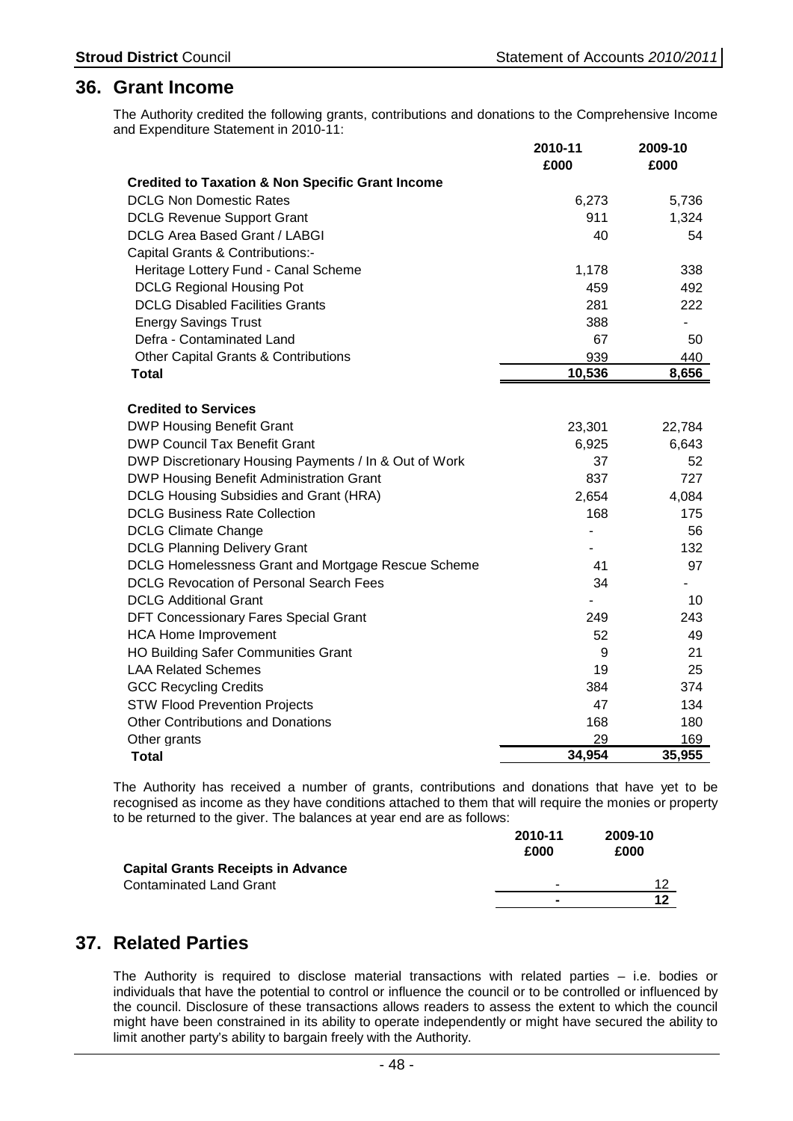## **36. Grant Income**

The Authority credited the following grants, contributions and donations to the Comprehensive Income and Expenditure Statement in 2010-11:

|                                                             | 2010-11<br>£000 | 2009-10<br>£000 |
|-------------------------------------------------------------|-----------------|-----------------|
| <b>Credited to Taxation &amp; Non Specific Grant Income</b> |                 |                 |
| <b>DCLG Non Domestic Rates</b>                              | 6,273           | 5,736           |
| <b>DCLG Revenue Support Grant</b>                           | 911             | 1,324           |
| DCLG Area Based Grant / LABGI                               | 40              | 54              |
| Capital Grants & Contributions:-                            |                 |                 |
| Heritage Lottery Fund - Canal Scheme                        | 1,178           | 338             |
| <b>DCLG Regional Housing Pot</b>                            | 459             | 492             |
| <b>DCLG Disabled Facilities Grants</b>                      | 281             | 222             |
| <b>Energy Savings Trust</b>                                 | 388             |                 |
| Defra - Contaminated Land                                   | 67              | 50              |
| <b>Other Capital Grants &amp; Contributions</b>             | 939             | 440             |
| Total                                                       | 10,536          | 8,656           |
|                                                             |                 |                 |
| <b>Credited to Services</b>                                 |                 |                 |
| <b>DWP Housing Benefit Grant</b>                            | 23,301          | 22,784          |
| <b>DWP Council Tax Benefit Grant</b>                        | 6,925           | 6,643           |
| DWP Discretionary Housing Payments / In & Out of Work       | 37              | 52              |
| <b>DWP Housing Benefit Administration Grant</b>             | 837             | 727             |
| DCLG Housing Subsidies and Grant (HRA)                      | 2,654           | 4,084           |
| <b>DCLG Business Rate Collection</b>                        | 168             | 175             |
| <b>DCLG Climate Change</b>                                  |                 | 56              |
| <b>DCLG Planning Delivery Grant</b>                         |                 | 132             |
| DCLG Homelessness Grant and Mortgage Rescue Scheme          | 41              | 97              |
| <b>DCLG Revocation of Personal Search Fees</b>              | 34              |                 |
| <b>DCLG Additional Grant</b>                                |                 | 10              |
| DFT Concessionary Fares Special Grant                       | 249             | 243             |
| <b>HCA Home Improvement</b>                                 | 52              | 49              |
| <b>HO Building Safer Communities Grant</b>                  | 9               | 21              |
| <b>LAA Related Schemes</b>                                  | 19              | 25              |
| <b>GCC Recycling Credits</b>                                | 384             | 374             |
| <b>STW Flood Prevention Projects</b>                        | 47              | 134             |
| <b>Other Contributions and Donations</b>                    | 168             | 180             |
| Other grants                                                | 29              | 169             |
| <b>Total</b>                                                | 34,954          | 35,955          |

The Authority has received a number of grants, contributions and donations that have yet to be recognised as income as they have conditions attached to them that will require the monies or property to be returned to the giver. The balances at year end are as follows:

|                                           | 2010-11<br>£000 | 2009-10<br>£000 |
|-------------------------------------------|-----------------|-----------------|
| <b>Capital Grants Receipts in Advance</b> |                 |                 |
| <b>Contaminated Land Grant</b>            | -               |                 |
|                                           | $\blacksquare$  | 12              |

## **37. Related Parties**

The Authority is required to disclose material transactions with related parties – i.e. bodies or individuals that have the potential to control or influence the council or to be controlled or influenced by the council. Disclosure of these transactions allows readers to assess the extent to which the council might have been constrained in its ability to operate independently or might have secured the ability to limit another party's ability to bargain freely with the Authority.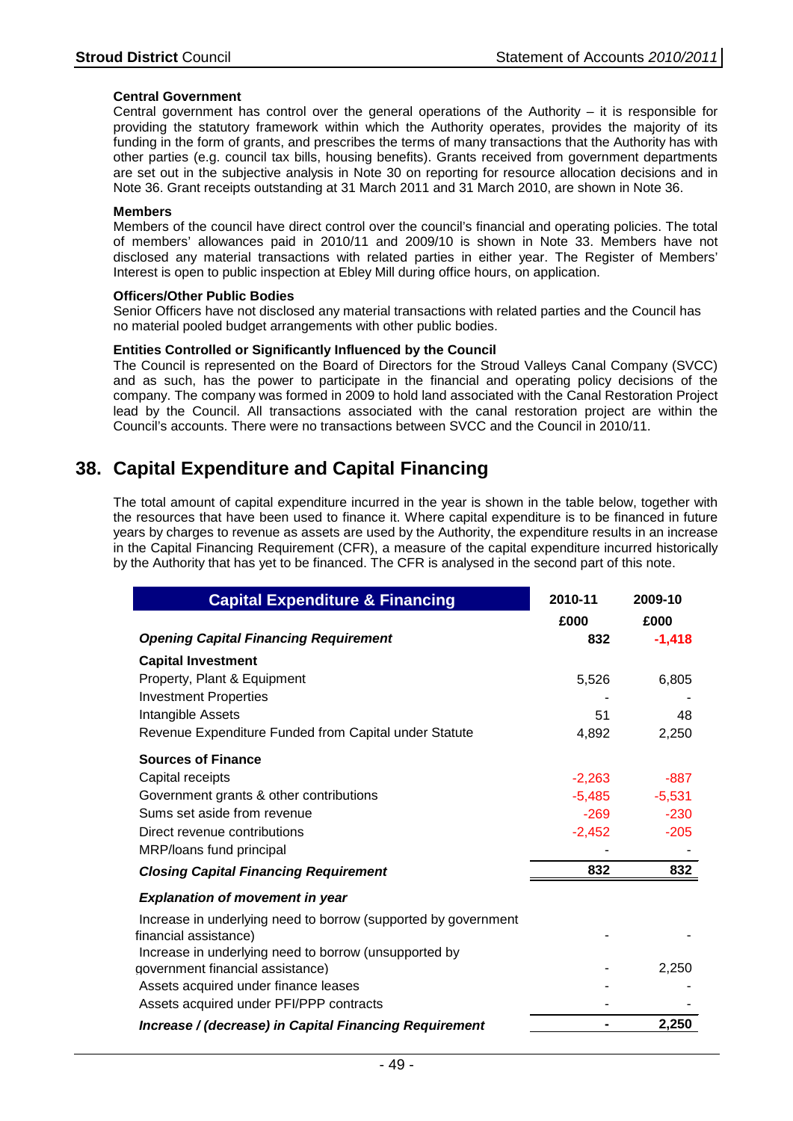#### **Central Government**

Central government has control over the general operations of the Authority  $-$  it is responsible for providing the statutory framework within which the Authority operates, provides the majority of its funding in the form of grants, and prescribes the terms of many transactions that the Authority has with other parties (e.g. council tax bills, housing benefits). Grants received from government departments are set out in the subjective analysis in Note 30 on reporting for resource allocation decisions and in Note 36. Grant receipts outstanding at 31 March 2011 and 31 March 2010, are shown in Note 36.

#### **Members**

Members of the council have direct control over the council's financial and operating policies. The total of members' allowances paid in 2010/11 and 2009/10 is shown in Note 33. Members have not disclosed any material transactions with related parties in either year. The Register of Members' Interest is open to public inspection at Ebley Mill during office hours, on application.

#### **Officers/Other Public Bodies**

Senior Officers have not disclosed any material transactions with related parties and the Council has no material pooled budget arrangements with other public bodies.

#### **Entities Controlled or Significantly Influenced by the Council**

The Council is represented on the Board of Directors for the Stroud Valleys Canal Company (SVCC) and as such, has the power to participate in the financial and operating policy decisions of the company. The company was formed in 2009 to hold land associated with the Canal Restoration Project lead by the Council. All transactions associated with the canal restoration project are within the Council's accounts. There were no transactions between SVCC and the Council in 2010/11.

## **38. Capital Expenditure and Capital Financing**

The total amount of capital expenditure incurred in the year is shown in the table below, together with the resources that have been used to finance it. Where capital expenditure is to be financed in future years by charges to revenue as assets are used by the Authority, the expenditure results in an increase in the Capital Financing Requirement (CFR), a measure of the capital expenditure incurred historically by the Authority that has yet to be financed. The CFR is analysed in the second part of this note.

| <b>Capital Expenditure &amp; Financing</b>                                      | 2010-11  | 2009-10  |
|---------------------------------------------------------------------------------|----------|----------|
|                                                                                 | £000     | £000     |
| <b>Opening Capital Financing Requirement</b>                                    | 832      | $-1,418$ |
| <b>Capital Investment</b>                                                       |          |          |
| Property, Plant & Equipment                                                     | 5,526    | 6,805    |
| <b>Investment Properties</b>                                                    |          |          |
| Intangible Assets                                                               | 51       | 48       |
| Revenue Expenditure Funded from Capital under Statute                           | 4,892    | 2,250    |
| <b>Sources of Finance</b>                                                       |          |          |
| Capital receipts                                                                | $-2,263$ | $-887$   |
| Government grants & other contributions                                         | $-5,485$ | $-5,531$ |
| Sums set aside from revenue                                                     | $-269$   | $-230$   |
| Direct revenue contributions                                                    | $-2,452$ | $-205$   |
| MRP/loans fund principal                                                        |          |          |
| <b>Closing Capital Financing Requirement</b>                                    | 832      | 832      |
| <b>Explanation of movement in year</b>                                          |          |          |
| Increase in underlying need to borrow (supported by government                  |          |          |
| financial assistance)                                                           |          |          |
| Increase in underlying need to borrow (unsupported by                           |          |          |
| government financial assistance)                                                |          | 2,250    |
| Assets acquired under finance leases<br>Assets acquired under PFI/PPP contracts |          |          |
|                                                                                 |          |          |
| Increase / (decrease) in Capital Financing Requirement                          |          | 2,250    |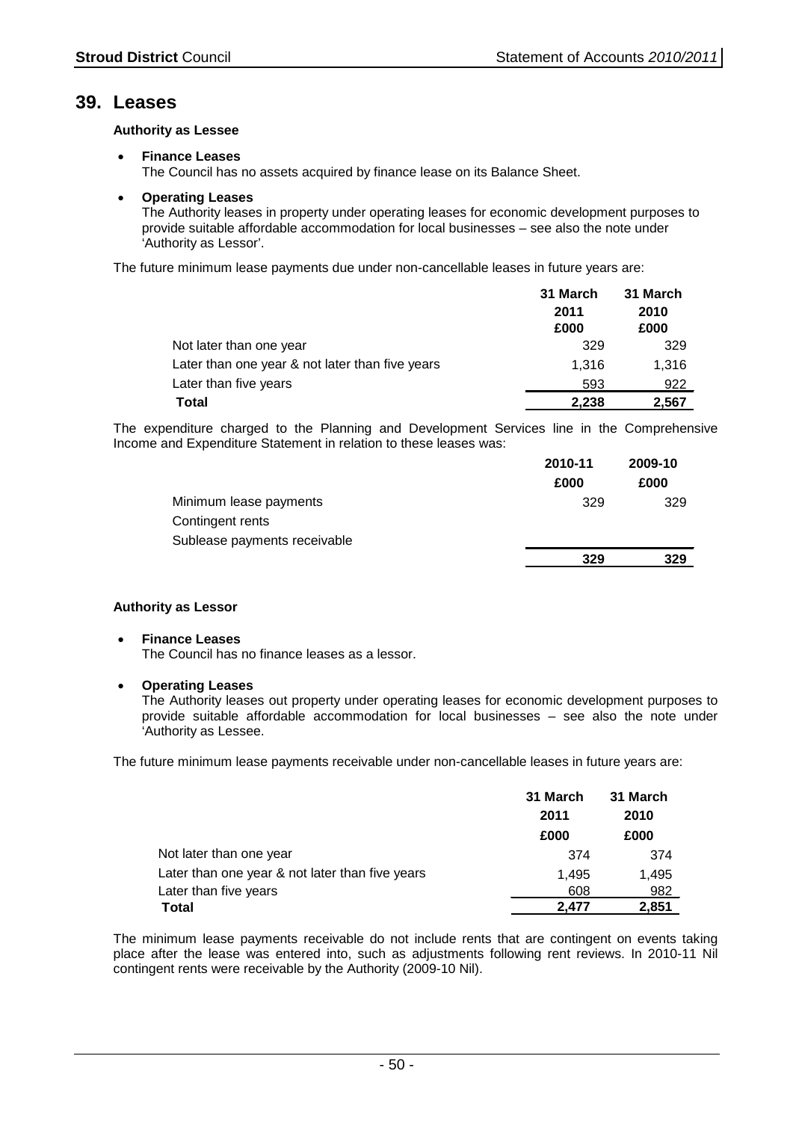## **39. Leases**

#### **Authority as Lessee**

#### • **Finance Leases**

The Council has no assets acquired by finance lease on its Balance Sheet.

#### • **Operating Leases**

The Authority leases in property under operating leases for economic development purposes to provide suitable affordable accommodation for local businesses – see also the note under 'Authority as Lessor'.

The future minimum lease payments due under non-cancellable leases in future years are:

|                                                 | 31 March | 31 March |
|-------------------------------------------------|----------|----------|
|                                                 | 2011     | 2010     |
|                                                 | £000     | £000     |
| Not later than one year                         | 329      | 329      |
| Later than one year & not later than five years | 1.316    | 1.316    |
| Later than five years                           | 593      | 922      |
| Total                                           | 2.238    | 2,567    |

The expenditure charged to the Planning and Development Services line in the Comprehensive Income and Expenditure Statement in relation to these leases was:

|                              | 2010-11 | 2009-10<br>£000 |
|------------------------------|---------|-----------------|
|                              | £000    |                 |
| Minimum lease payments       | 329     | 329             |
| Contingent rents             |         |                 |
| Sublease payments receivable |         |                 |
|                              | 329     | 329             |

#### **Authority as Lessor**

• **Finance Leases** The Council has no finance leases as a lessor.

#### • **Operating Leases**

The Authority leases out property under operating leases for economic development purposes to provide suitable affordable accommodation for local businesses – see also the note under 'Authority as Lessee.

The future minimum lease payments receivable under non-cancellable leases in future years are:

|                                                 | 31 March<br>2011<br>£000 | 31 March<br>2010<br>£000 |
|-------------------------------------------------|--------------------------|--------------------------|
| Not later than one year                         | 374                      | 374                      |
| Later than one year & not later than five years | 1.495                    | 1.495                    |
| Later than five years                           | 608                      | 982                      |
| <b>Total</b>                                    | 2.477                    | 2,851                    |

The minimum lease payments receivable do not include rents that are contingent on events taking place after the lease was entered into, such as adjustments following rent reviews. In 2010-11 Nil contingent rents were receivable by the Authority (2009-10 Nil).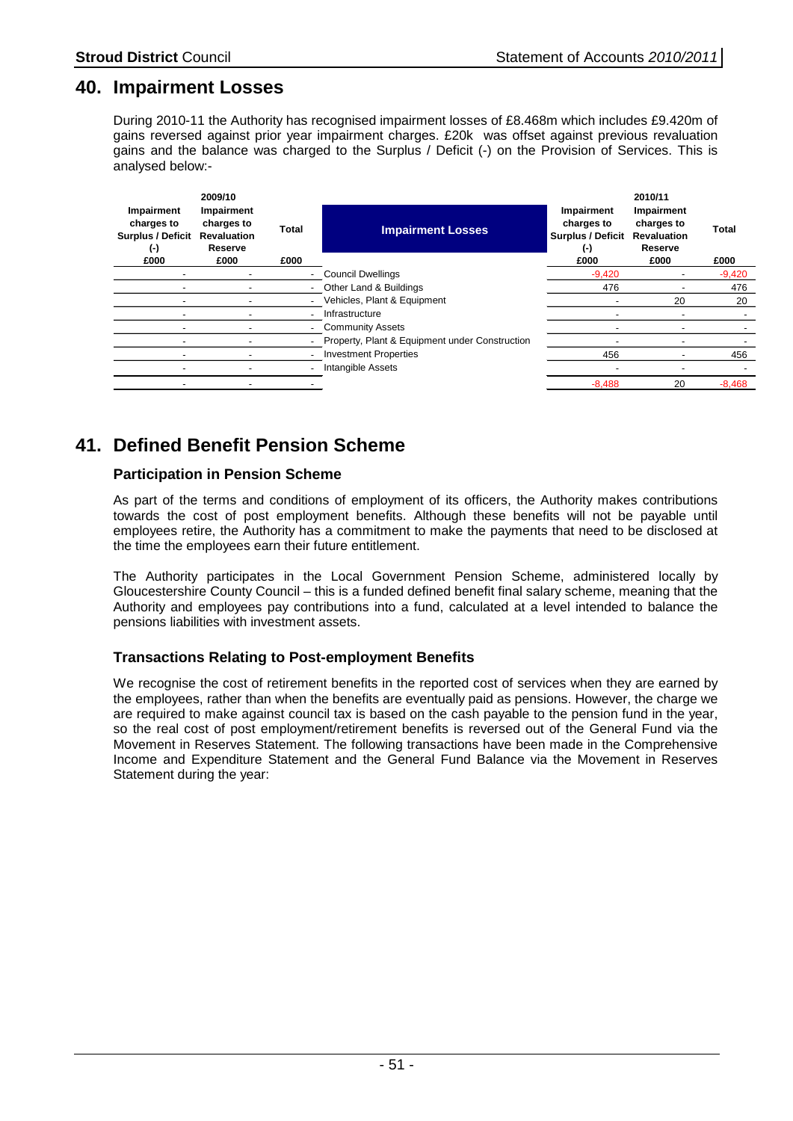## **40. Impairment Losses**

During 2010-11 the Authority has recognised impairment losses of £8.468m which includes £9.420m of gains reversed against prior year impairment charges. £20k was offset against previous revaluation gains and the balance was charged to the Surplus / Deficit (-) on the Provision of Services. This is analysed below:-



## **41. Defined Benefit Pension Scheme**

#### **Participation in Pension Scheme**

As part of the terms and conditions of employment of its officers, the Authority makes contributions towards the cost of post employment benefits. Although these benefits will not be payable until employees retire, the Authority has a commitment to make the payments that need to be disclosed at the time the employees earn their future entitlement.

The Authority participates in the Local Government Pension Scheme, administered locally by Gloucestershire County Council – this is a funded defined benefit final salary scheme, meaning that the Authority and employees pay contributions into a fund, calculated at a level intended to balance the pensions liabilities with investment assets.

### **Transactions Relating to Post-employment Benefits**

We recognise the cost of retirement benefits in the reported cost of services when they are earned by the employees, rather than when the benefits are eventually paid as pensions. However, the charge we are required to make against council tax is based on the cash payable to the pension fund in the year, so the real cost of post employment/retirement benefits is reversed out of the General Fund via the Movement in Reserves Statement. The following transactions have been made in the Comprehensive Income and Expenditure Statement and the General Fund Balance via the Movement in Reserves Statement during the year: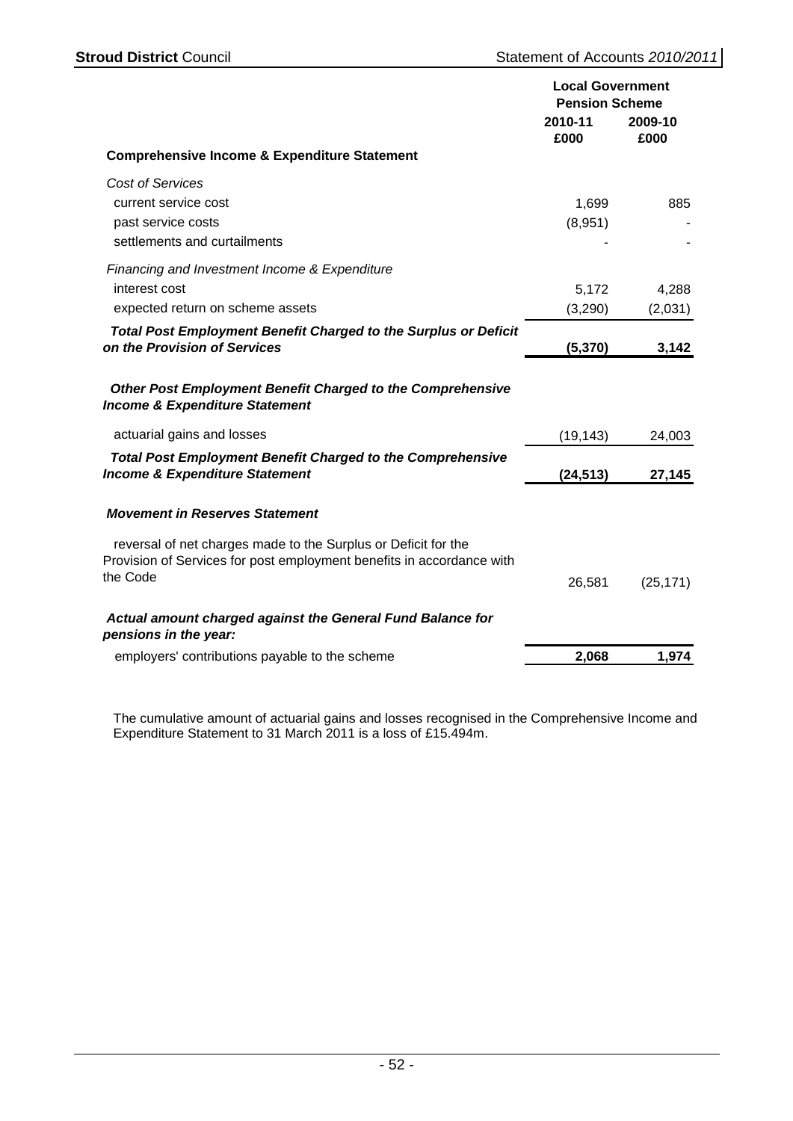|                                                                                                                                         | <b>Local Government</b><br><b>Pension Scheme</b> |                 |
|-----------------------------------------------------------------------------------------------------------------------------------------|--------------------------------------------------|-----------------|
|                                                                                                                                         | 2010-11<br>£000                                  | 2009-10<br>£000 |
| <b>Comprehensive Income &amp; Expenditure Statement</b>                                                                                 |                                                  |                 |
| <b>Cost of Services</b>                                                                                                                 |                                                  |                 |
| current service cost                                                                                                                    | 1,699                                            | 885             |
| past service costs                                                                                                                      | (8,951)                                          |                 |
| settlements and curtailments                                                                                                            |                                                  |                 |
| Financing and Investment Income & Expenditure                                                                                           |                                                  |                 |
| interest cost                                                                                                                           | 5,172                                            | 4,288           |
| expected return on scheme assets                                                                                                        | (3,290)                                          | (2,031)         |
| <b>Total Post Employment Benefit Charged to the Surplus or Deficit</b>                                                                  |                                                  |                 |
| on the Provision of Services                                                                                                            | (5, 370)                                         | 3,142           |
| Other Post Employment Benefit Charged to the Comprehensive<br><b>Income &amp; Expenditure Statement</b>                                 |                                                  |                 |
| actuarial gains and losses                                                                                                              | (19, 143)                                        | 24,003          |
| <b>Total Post Employment Benefit Charged to the Comprehensive</b><br><b>Income &amp; Expenditure Statement</b>                          | (24, 513)                                        | 27,145          |
| <b>Movement in Reserves Statement</b>                                                                                                   |                                                  |                 |
| reversal of net charges made to the Surplus or Deficit for the<br>Provision of Services for post employment benefits in accordance with |                                                  |                 |
| the Code                                                                                                                                | 26,581                                           | (25, 171)       |
| Actual amount charged against the General Fund Balance for<br>pensions in the year:                                                     |                                                  |                 |
| employers' contributions payable to the scheme                                                                                          | 2,068                                            | 1,974           |
|                                                                                                                                         |                                                  |                 |

The cumulative amount of actuarial gains and losses recognised in the Comprehensive Income and Expenditure Statement to 31 March 2011 is a loss of £15.494m.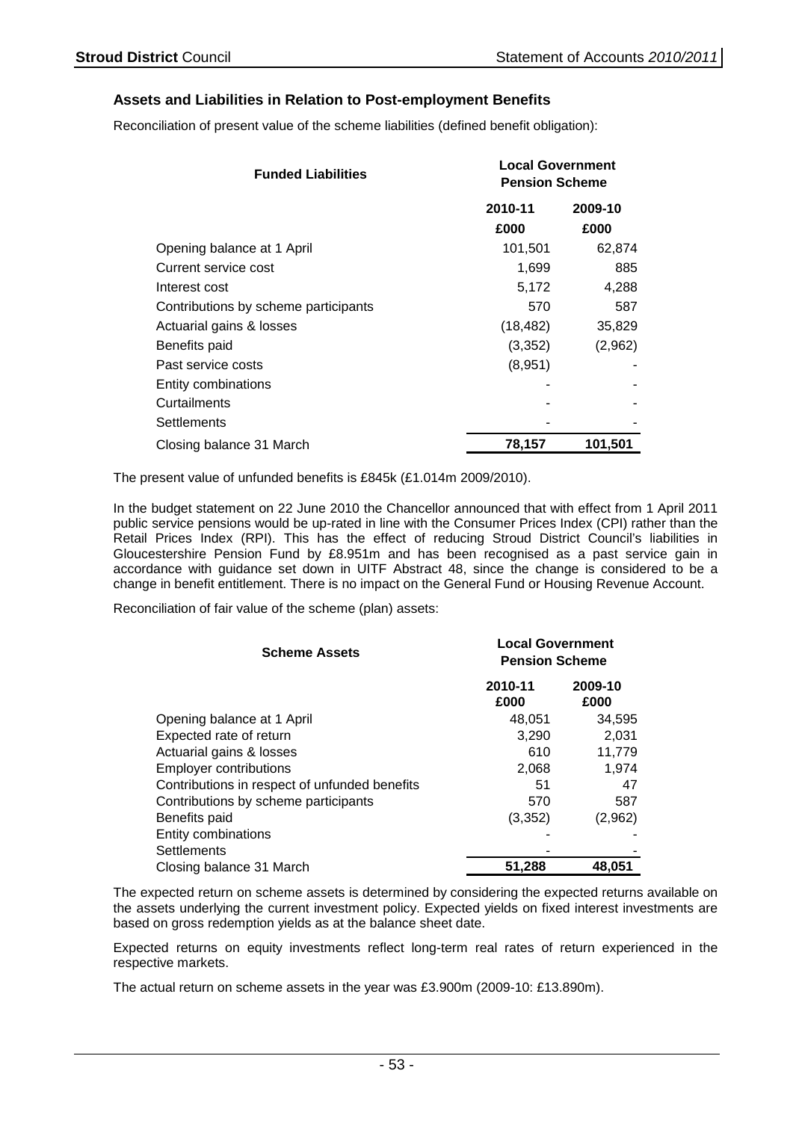#### **Assets and Liabilities in Relation to Post-employment Benefits**

Reconciliation of present value of the scheme liabilities (defined benefit obligation):

| <b>Funded Liabilities</b>            |           | <b>Local Government</b><br><b>Pension Scheme</b> |  |  |
|--------------------------------------|-----------|--------------------------------------------------|--|--|
|                                      | 2010-11   | 2009-10                                          |  |  |
|                                      | £000      | £000                                             |  |  |
| Opening balance at 1 April           | 101,501   | 62,874                                           |  |  |
| Current service cost                 | 1,699     | 885                                              |  |  |
| Interest cost                        | 5,172     | 4,288                                            |  |  |
| Contributions by scheme participants | 570       | 587                                              |  |  |
| Actuarial gains & losses             | (18, 482) | 35,829                                           |  |  |
| Benefits paid                        | (3,352)   | (2,962)                                          |  |  |
| Past service costs                   | (8,951)   |                                                  |  |  |
| <b>Entity combinations</b>           |           |                                                  |  |  |
| Curtailments                         |           |                                                  |  |  |
| Settlements                          |           |                                                  |  |  |
| Closing balance 31 March             | 78,157    | 101,501                                          |  |  |

The present value of unfunded benefits is £845k (£1.014m 2009/2010).

In the budget statement on 22 June 2010 the Chancellor announced that with effect from 1 April 2011 public service pensions would be up-rated in line with the Consumer Prices Index (CPI) rather than the Retail Prices Index (RPI). This has the effect of reducing Stroud District Council's liabilities in Gloucestershire Pension Fund by £8.951m and has been recognised as a past service gain in accordance with guidance set down in UITF Abstract 48, since the change is considered to be a change in benefit entitlement. There is no impact on the General Fund or Housing Revenue Account.

Reconciliation of fair value of the scheme (plan) assets:

| <b>Scheme Assets</b>                          | <b>Local Government</b><br><b>Pension Scheme</b> |                 |  |
|-----------------------------------------------|--------------------------------------------------|-----------------|--|
|                                               | 2010-11<br>£000                                  | 2009-10<br>£000 |  |
| Opening balance at 1 April                    | 48,051                                           | 34,595          |  |
| Expected rate of return                       | 3,290                                            | 2,031           |  |
| Actuarial gains & losses                      | 610                                              | 11,779          |  |
| <b>Employer contributions</b>                 | 2,068                                            | 1,974           |  |
| Contributions in respect of unfunded benefits | 51                                               | 47              |  |
| Contributions by scheme participants          | 570                                              | 587             |  |
| Benefits paid                                 | (3,352)                                          | (2,962)         |  |
| Entity combinations                           |                                                  |                 |  |
| Settlements                                   |                                                  |                 |  |
| Closing balance 31 March                      | 51,288                                           | 48,051          |  |

The expected return on scheme assets is determined by considering the expected returns available on the assets underlying the current investment policy. Expected yields on fixed interest investments are based on gross redemption yields as at the balance sheet date.

Expected returns on equity investments reflect long-term real rates of return experienced in the respective markets.

The actual return on scheme assets in the year was £3.900m (2009-10: £13.890m).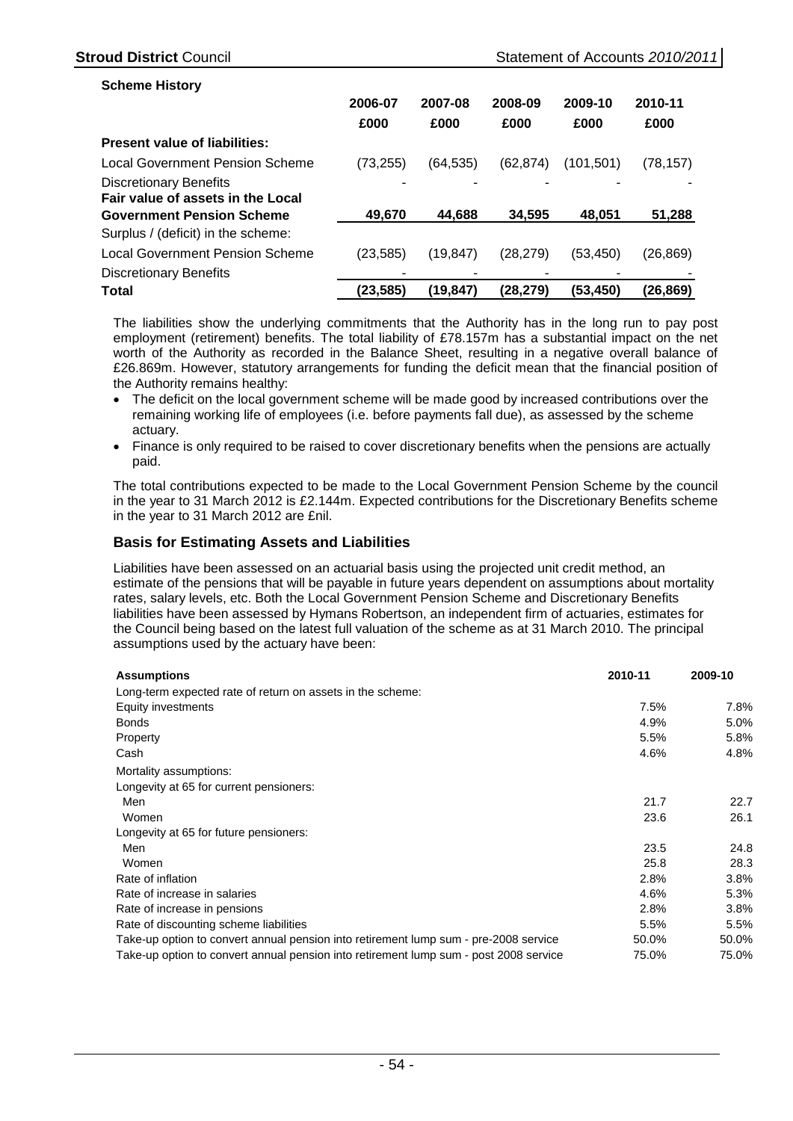### **Scheme History 2006-07 2007-08 2008-09 2009-10 2010-11 £000 £000 £000 £000 £000 Present value of liabilities:** Local Government Pension Scheme (73,255) (64,535) (62,874) (101,501) (78,157) Discretionary Benefits **Fair value of assets in the Local Government Pension Scheme 49,670 44,688 34,595 48,051 51,288** Surplus / (deficit) in the scheme: Local Government Pension Scheme (23,585) (19,847) (28,279) (53,450) (26,869) Discretionary Benefits **Total (23,585) (19,847) (28,279) (53,450) (26,869)**

The liabilities show the underlying commitments that the Authority has in the long run to pay post employment (retirement) benefits. The total liability of £78.157m has a substantial impact on the net worth of the Authority as recorded in the Balance Sheet, resulting in a negative overall balance of £26.869m. However, statutory arrangements for funding the deficit mean that the financial position of the Authority remains healthy:

- The deficit on the local government scheme will be made good by increased contributions over the remaining working life of employees (i.e. before payments fall due), as assessed by the scheme actuary.
- Finance is only required to be raised to cover discretionary benefits when the pensions are actually paid.

The total contributions expected to be made to the Local Government Pension Scheme by the council in the year to 31 March 2012 is £2.144m. Expected contributions for the Discretionary Benefits scheme in the year to 31 March 2012 are £nil.

### **Basis for Estimating Assets and Liabilities**

Liabilities have been assessed on an actuarial basis using the projected unit credit method, an estimate of the pensions that will be payable in future years dependent on assumptions about mortality rates, salary levels, etc. Both the Local Government Pension Scheme and Discretionary Benefits liabilities have been assessed by Hymans Robertson, an independent firm of actuaries, estimates for the Council being based on the latest full valuation of the scheme as at 31 March 2010. The principal assumptions used by the actuary have been:

| <b>Assumptions</b>                                                                    | 2010-11 | 2009-10 |
|---------------------------------------------------------------------------------------|---------|---------|
| Long-term expected rate of return on assets in the scheme:                            |         |         |
| Equity investments                                                                    | 7.5%    | 7.8%    |
| <b>Bonds</b>                                                                          | 4.9%    | 5.0%    |
| Property                                                                              | 5.5%    | 5.8%    |
| Cash                                                                                  | 4.6%    | 4.8%    |
| Mortality assumptions:                                                                |         |         |
| Longevity at 65 for current pensioners:                                               |         |         |
| Men                                                                                   | 21.7    | 22.7    |
| Women                                                                                 | 23.6    | 26.1    |
| Longevity at 65 for future pensioners:                                                |         |         |
| Men                                                                                   | 23.5    | 24.8    |
| Women                                                                                 | 25.8    | 28.3    |
| Rate of inflation                                                                     | 2.8%    | 3.8%    |
| Rate of increase in salaries                                                          | 4.6%    | 5.3%    |
| Rate of increase in pensions                                                          | 2.8%    | 3.8%    |
| Rate of discounting scheme liabilities                                                | 5.5%    | 5.5%    |
| Take-up option to convert annual pension into retirement lump sum - pre-2008 service  | 50.0%   | 50.0%   |
| Take-up option to convert annual pension into retirement lump sum - post 2008 service | 75.0%   | 75.0%   |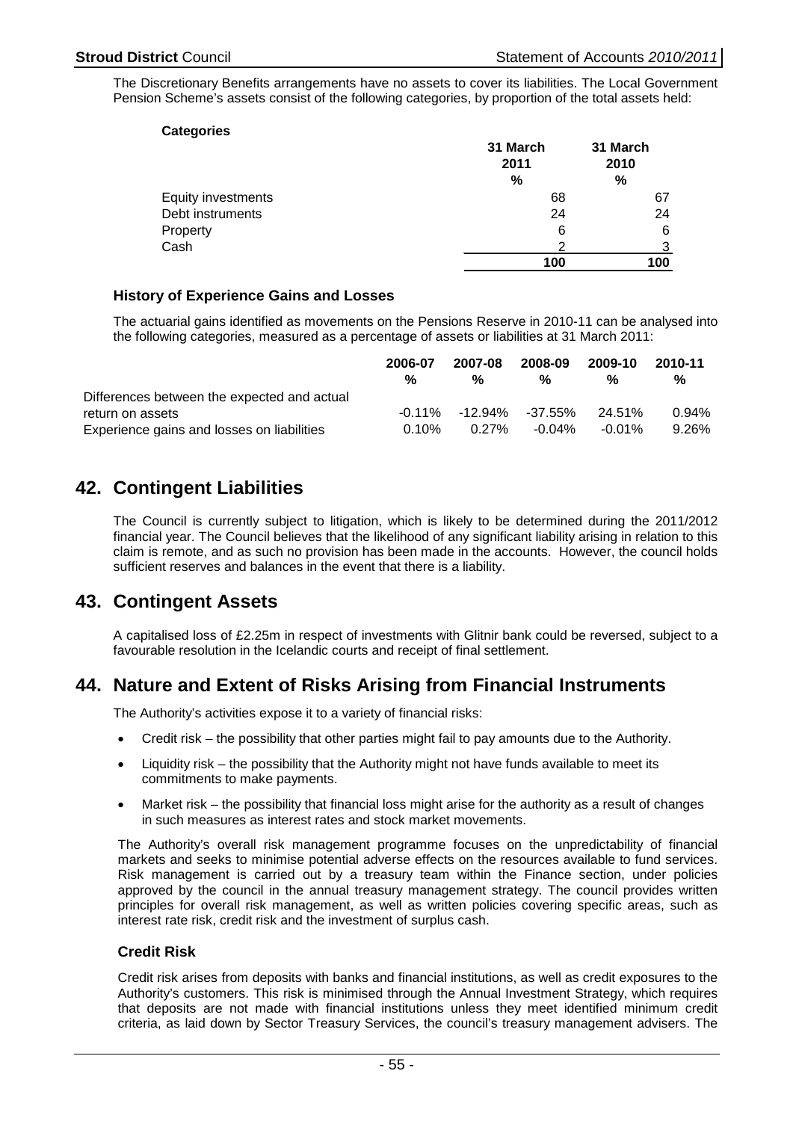The Discretionary Benefits arrangements have no assets to cover its liabilities. The Local Government Pension Scheme's assets consist of the following categories, by proportion of the total assets held:

#### **Categories**

|                    | 31 March<br>2011 | 31 March<br>2010 |
|--------------------|------------------|------------------|
|                    | %                | %                |
| Equity investments | 68               | 67               |
| Debt instruments   | 24               | 24               |
| Property           | 6                | 6                |
| Cash               | 2                | 3                |
|                    | 100              | 100              |

#### **History of Experience Gains and Losses**

The actuarial gains identified as movements on the Pensions Reserve in 2010-11 can be analysed into the following categories, measured as a percentage of assets or liabilities at 31 March 2011:

|                                             | 2006-07   | 2007-08  | 2008-09   | 2009-10   | 2010-11  |
|---------------------------------------------|-----------|----------|-----------|-----------|----------|
|                                             | %         | %        | %         | %         | %        |
| Differences between the expected and actual |           |          |           |           |          |
| return on assets                            | $-0.11\%$ | -12.94%  | -37.55%   | 24.51%    | $0.94\%$ |
| Experience gains and losses on liabilities  | $0.10\%$  | $0.27\%$ | $-0.04\%$ | $-0.01\%$ | 9.26%    |

## **42. Contingent Liabilities**

The Council is currently subject to litigation, which is likely to be determined during the 2011/2012 financial year. The Council believes that the likelihood of any significant liability arising in relation to this claim is remote, and as such no provision has been made in the accounts. However, the council holds sufficient reserves and balances in the event that there is a liability.

## **43. Contingent Assets**

A capitalised loss of £2.25m in respect of investments with Glitnir bank could be reversed, subject to a favourable resolution in the Icelandic courts and receipt of final settlement.

## **44. Nature and Extent of Risks Arising from Financial Instruments**

The Authority's activities expose it to a variety of financial risks:

- Credit risk the possibility that other parties might fail to pay amounts due to the Authority.
- Liquidity risk the possibility that the Authority might not have funds available to meet its commitments to make payments.
- Market risk the possibility that financial loss might arise for the authority as a result of changes in such measures as interest rates and stock market movements.

The Authority's overall risk management programme focuses on the unpredictability of financial markets and seeks to minimise potential adverse effects on the resources available to fund services. Risk management is carried out by a treasury team within the Finance section, under policies approved by the council in the annual treasury management strategy. The council provides written principles for overall risk management, as well as written policies covering specific areas, such as interest rate risk, credit risk and the investment of surplus cash.

#### **Credit Risk**

Credit risk arises from deposits with banks and financial institutions, as well as credit exposures to the Authority's customers. This risk is minimised through the Annual Investment Strategy, which requires that deposits are not made with financial institutions unless they meet identified minimum credit criteria, as laid down by Sector Treasury Services, the council's treasury management advisers. The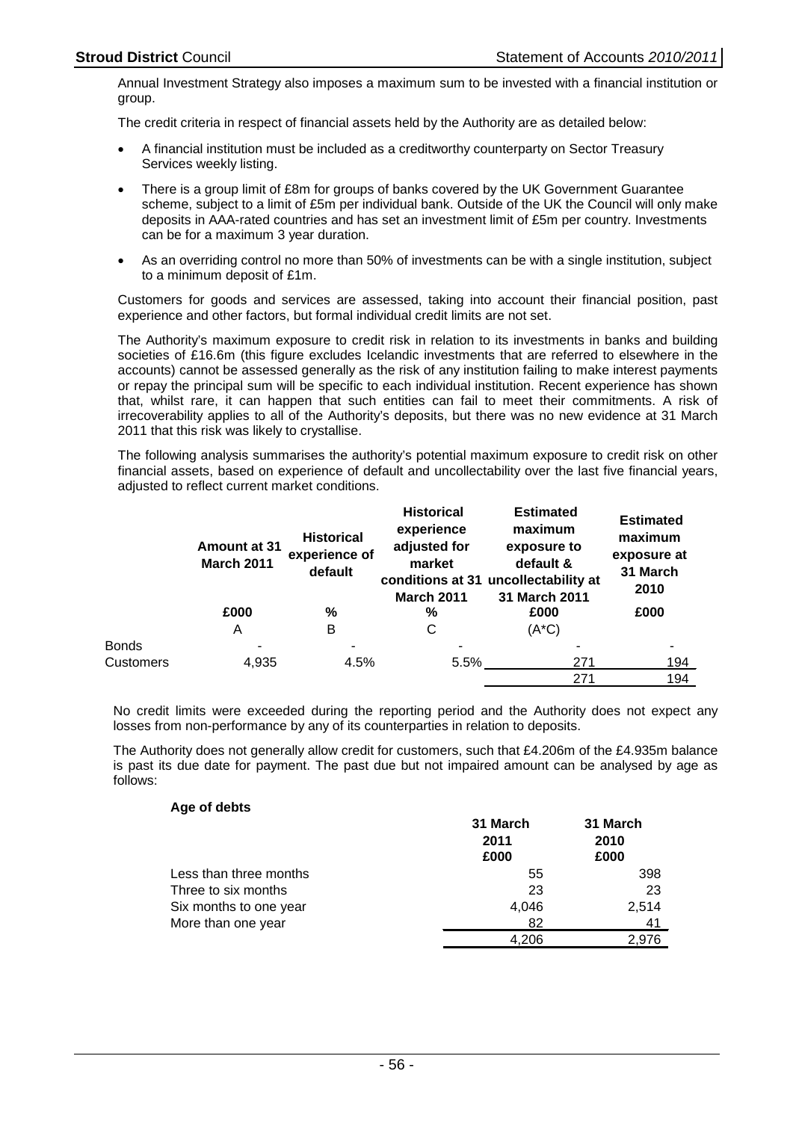Annual Investment Strategy also imposes a maximum sum to be invested with a financial institution or group.

The credit criteria in respect of financial assets held by the Authority are as detailed below:

- A financial institution must be included as a creditworthy counterparty on Sector Treasury Services weekly listing.
- There is a group limit of £8m for groups of banks covered by the UK Government Guarantee scheme, subject to a limit of £5m per individual bank. Outside of the UK the Council will only make deposits in AAA-rated countries and has set an investment limit of £5m per country. Investments can be for a maximum 3 year duration.
- As an overriding control no more than 50% of investments can be with a single institution, subject to a minimum deposit of £1m.

Customers for goods and services are assessed, taking into account their financial position, past experience and other factors, but formal individual credit limits are not set.

The Authority's maximum exposure to credit risk in relation to its investments in banks and building societies of £16.6m (this figure excludes Icelandic investments that are referred to elsewhere in the accounts) cannot be assessed generally as the risk of any institution failing to make interest payments or repay the principal sum will be specific to each individual institution. Recent experience has shown that, whilst rare, it can happen that such entities can fail to meet their commitments. A risk of irrecoverability applies to all of the Authority's deposits, but there was no new evidence at 31 March 2011 that this risk was likely to crystallise.

The following analysis summarises the authority's potential maximum exposure to credit risk on other financial assets, based on experience of default and uncollectability over the last five financial years, adjusted to reflect current market conditions.

|              | <b>Amount at 31</b><br><b>March 2011</b> | <b>Historical</b><br>experience of<br>default | <b>Historical</b><br>experience<br>adjusted for<br>market<br><b>March 2011</b> | <b>Estimated</b><br>maximum<br>exposure to<br>default &<br>conditions at 31 uncollectability at<br>31 March 2011 | <b>Estimated</b><br>maximum<br>exposure at<br>31 March<br>2010 |
|--------------|------------------------------------------|-----------------------------------------------|--------------------------------------------------------------------------------|------------------------------------------------------------------------------------------------------------------|----------------------------------------------------------------|
|              | £000                                     | %                                             | %                                                                              | £000                                                                                                             | £000                                                           |
|              | A                                        | B                                             | C                                                                              | $(A*C)$                                                                                                          |                                                                |
| <b>Bonds</b> |                                          |                                               | ٠                                                                              |                                                                                                                  |                                                                |
| Customers    | 4.935                                    | 4.5%                                          | 5.5%                                                                           | 271                                                                                                              | 194                                                            |
|              |                                          |                                               |                                                                                | 271                                                                                                              | 194                                                            |

No credit limits were exceeded during the reporting period and the Authority does not expect any losses from non-performance by any of its counterparties in relation to deposits.

The Authority does not generally allow credit for customers, such that £4.206m of the £4.935m balance is past its due date for payment. The past due but not impaired amount can be analysed by age as follows:

#### **Age of debts**

| 31 March | 31 March |
|----------|----------|
| 2011     | 2010     |
| £000     | £000     |
| 55       | 398      |
| 23       | 23       |
| 4.046    | 2.514    |
| 82       | 41       |
| 4.206    | 2,976    |
|          |          |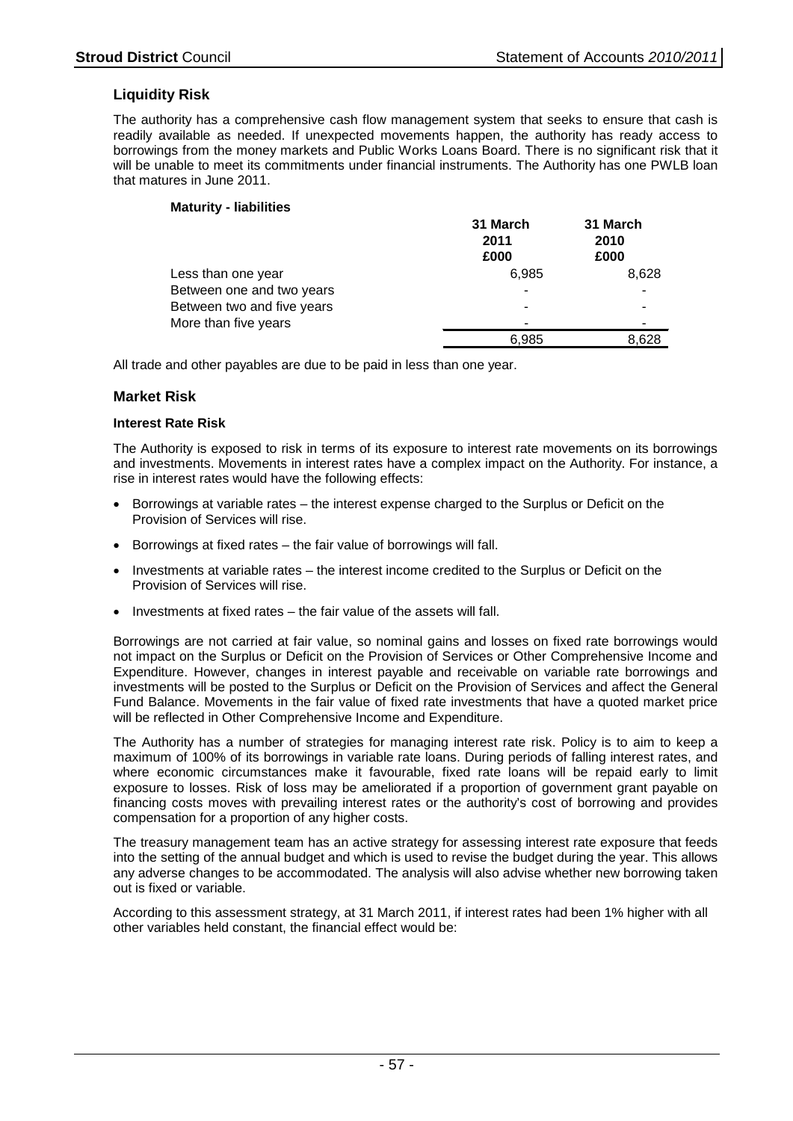#### **Liquidity Risk**

The authority has a comprehensive cash flow management system that seeks to ensure that cash is readily available as needed. If unexpected movements happen, the authority has ready access to borrowings from the money markets and Public Works Loans Board. There is no significant risk that it will be unable to meet its commitments under financial instruments. The Authority has one PWLB loan that matures in June 2011.

#### **Maturity - liabilities**

|                            | 31 March<br>2011<br>£000 |       |
|----------------------------|--------------------------|-------|
| Less than one year         | 6,985                    | 8.628 |
| Between one and two years  |                          | -     |
| Between two and five years |                          | ۰     |
| More than five years       |                          |       |
|                            | 6,985                    | 8,628 |

All trade and other payables are due to be paid in less than one year.

#### **Market Risk**

#### **Interest Rate Risk**

The Authority is exposed to risk in terms of its exposure to interest rate movements on its borrowings and investments. Movements in interest rates have a complex impact on the Authority. For instance, a rise in interest rates would have the following effects:

- Borrowings at variable rates the interest expense charged to the Surplus or Deficit on the Provision of Services will rise.
- Borrowings at fixed rates the fair value of borrowings will fall.
- Investments at variable rates the interest income credited to the Surplus or Deficit on the Provision of Services will rise.
- Investments at fixed rates the fair value of the assets will fall.

Borrowings are not carried at fair value, so nominal gains and losses on fixed rate borrowings would not impact on the Surplus or Deficit on the Provision of Services or Other Comprehensive Income and Expenditure. However, changes in interest payable and receivable on variable rate borrowings and investments will be posted to the Surplus or Deficit on the Provision of Services and affect the General Fund Balance. Movements in the fair value of fixed rate investments that have a quoted market price will be reflected in Other Comprehensive Income and Expenditure.

The Authority has a number of strategies for managing interest rate risk. Policy is to aim to keep a maximum of 100% of its borrowings in variable rate loans. During periods of falling interest rates, and where economic circumstances make it favourable, fixed rate loans will be repaid early to limit exposure to losses. Risk of loss may be ameliorated if a proportion of government grant payable on financing costs moves with prevailing interest rates or the authority's cost of borrowing and provides compensation for a proportion of any higher costs.

The treasury management team has an active strategy for assessing interest rate exposure that feeds into the setting of the annual budget and which is used to revise the budget during the year. This allows any adverse changes to be accommodated. The analysis will also advise whether new borrowing taken out is fixed or variable.

According to this assessment strategy, at 31 March 2011, if interest rates had been 1% higher with all other variables held constant, the financial effect would be: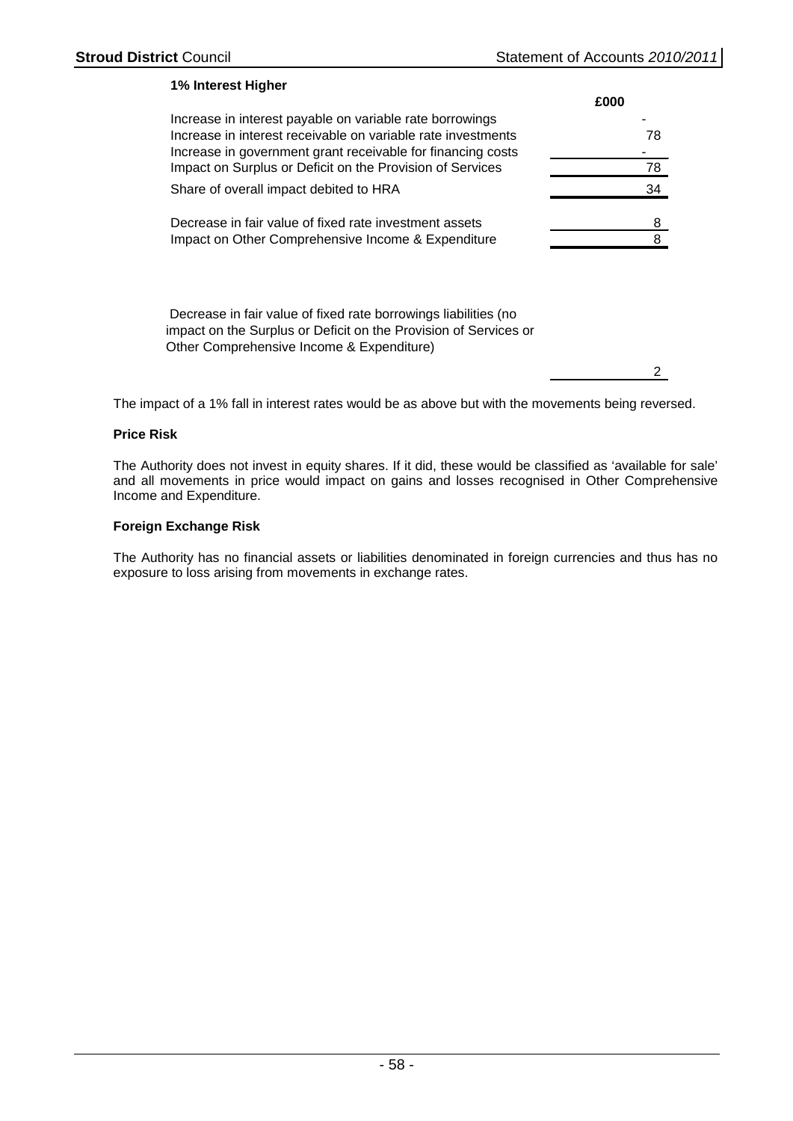**£000**

#### **1% Interest Higher**

Increase in interest payable on variable rate borrowings Increase in interest receivable on variable rate investments 78 Increase in government grant receivable for financing costs - Impact on Surplus or Deficit on the Provision of Services 78 Share of overall impact debited to HRA 34

Decrease in fair value of fixed rate investment assets<br>
Impact on Other Comprehensive Income & Expenditure 8 Impact on Other Comprehensive Income & Expenditure

 Decrease in fair value of fixed rate borrowings liabilities (no impact on the Surplus or Deficit on the Provision of Services or Other Comprehensive Income & Expenditure)

2

The impact of a 1% fall in interest rates would be as above but with the movements being reversed.

#### **Price Risk**

The Authority does not invest in equity shares. If it did, these would be classified as 'available for sale' and all movements in price would impact on gains and losses recognised in Other Comprehensive Income and Expenditure.

#### **Foreign Exchange Risk**

The Authority has no financial assets or liabilities denominated in foreign currencies and thus has no exposure to loss arising from movements in exchange rates.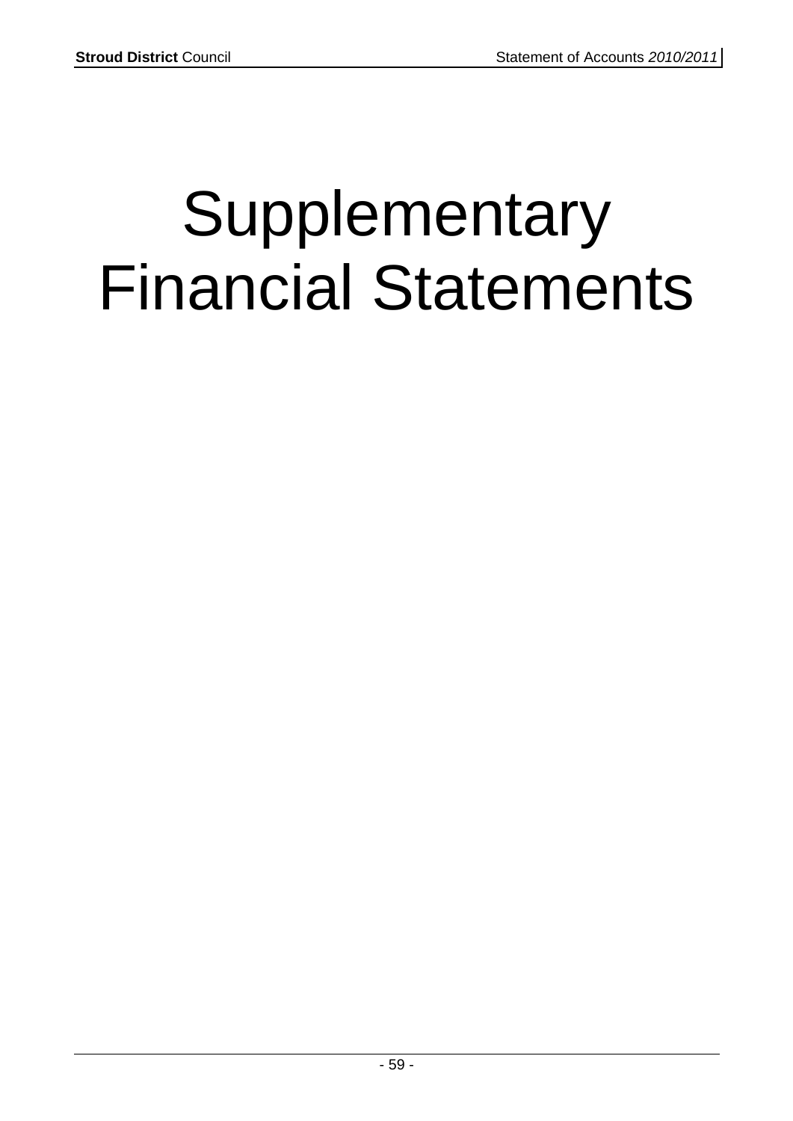# Supplementary Financial Statements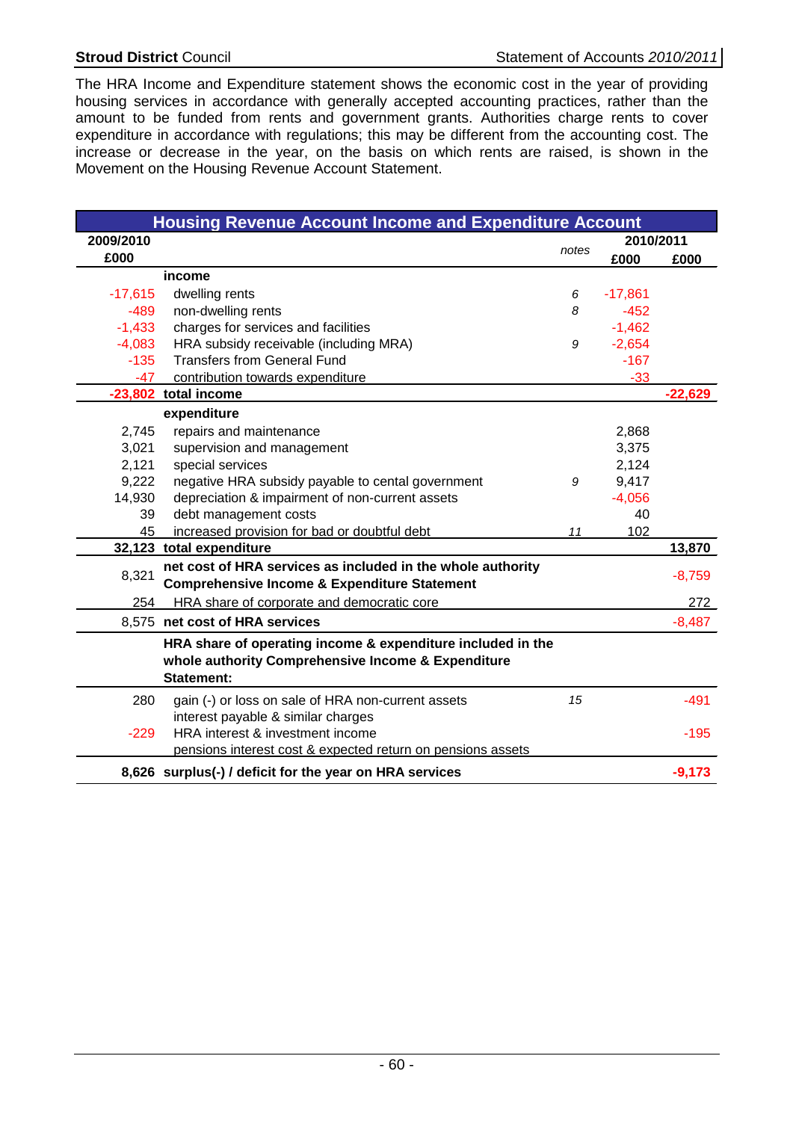The HRA Income and Expenditure statement shows the economic cost in the year of providing housing services in accordance with generally accepted accounting practices, rather than the amount to be funded from rents and government grants. Authorities charge rents to cover expenditure in accordance with regulations; this may be different from the accounting cost. The increase or decrease in the year, on the basis on which rents are raised, is shown in the Movement on the Housing Revenue Account Statement.

|           | <b>Housing Revenue Account Income and Expenditure Account</b>                                                                          |       |           |           |
|-----------|----------------------------------------------------------------------------------------------------------------------------------------|-------|-----------|-----------|
| 2009/2010 |                                                                                                                                        |       | 2010/2011 |           |
| £000      |                                                                                                                                        | notes | £000      | £000      |
|           | income                                                                                                                                 |       |           |           |
| $-17,615$ | dwelling rents                                                                                                                         | 6     | $-17,861$ |           |
| $-489$    | non-dwelling rents                                                                                                                     | 8     | $-452$    |           |
| $-1,433$  | charges for services and facilities                                                                                                    |       | $-1,462$  |           |
| $-4,083$  | HRA subsidy receivable (including MRA)                                                                                                 | 9     | $-2,654$  |           |
| $-135$    | <b>Transfers from General Fund</b>                                                                                                     |       | $-167$    |           |
| $-47$     | contribution towards expenditure                                                                                                       |       | $-33$     |           |
|           | -23,802 total income                                                                                                                   |       |           | $-22,629$ |
|           | expenditure                                                                                                                            |       |           |           |
| 2,745     | repairs and maintenance                                                                                                                |       | 2,868     |           |
| 3,021     | supervision and management                                                                                                             |       | 3,375     |           |
| 2,121     | special services                                                                                                                       |       | 2,124     |           |
| 9,222     | negative HRA subsidy payable to cental government                                                                                      | 9     | 9,417     |           |
| 14,930    | depreciation & impairment of non-current assets                                                                                        |       | $-4,056$  |           |
| 39        | debt management costs                                                                                                                  |       | 40        |           |
| 45        | increased provision for bad or doubtful debt                                                                                           | 11    | 102       |           |
|           | 32,123 total expenditure                                                                                                               |       |           | 13,870    |
| 8,321     | net cost of HRA services as included in the whole authority<br><b>Comprehensive Income &amp; Expenditure Statement</b>                 |       |           | $-8,759$  |
| 254       | HRA share of corporate and democratic core                                                                                             |       |           | 272       |
|           | 8,575 net cost of HRA services                                                                                                         |       |           | $-8,487$  |
|           | HRA share of operating income & expenditure included in the<br>whole authority Comprehensive Income & Expenditure<br><b>Statement:</b> |       |           |           |
| 280       | gain (-) or loss on sale of HRA non-current assets<br>interest payable & similar charges                                               | 15    |           | $-491$    |
| $-229$    | HRA interest & investment income<br>pensions interest cost & expected return on pensions assets                                        |       |           | $-195$    |
|           | 8,626 surplus(-) / deficit for the year on HRA services                                                                                |       |           | $-9,173$  |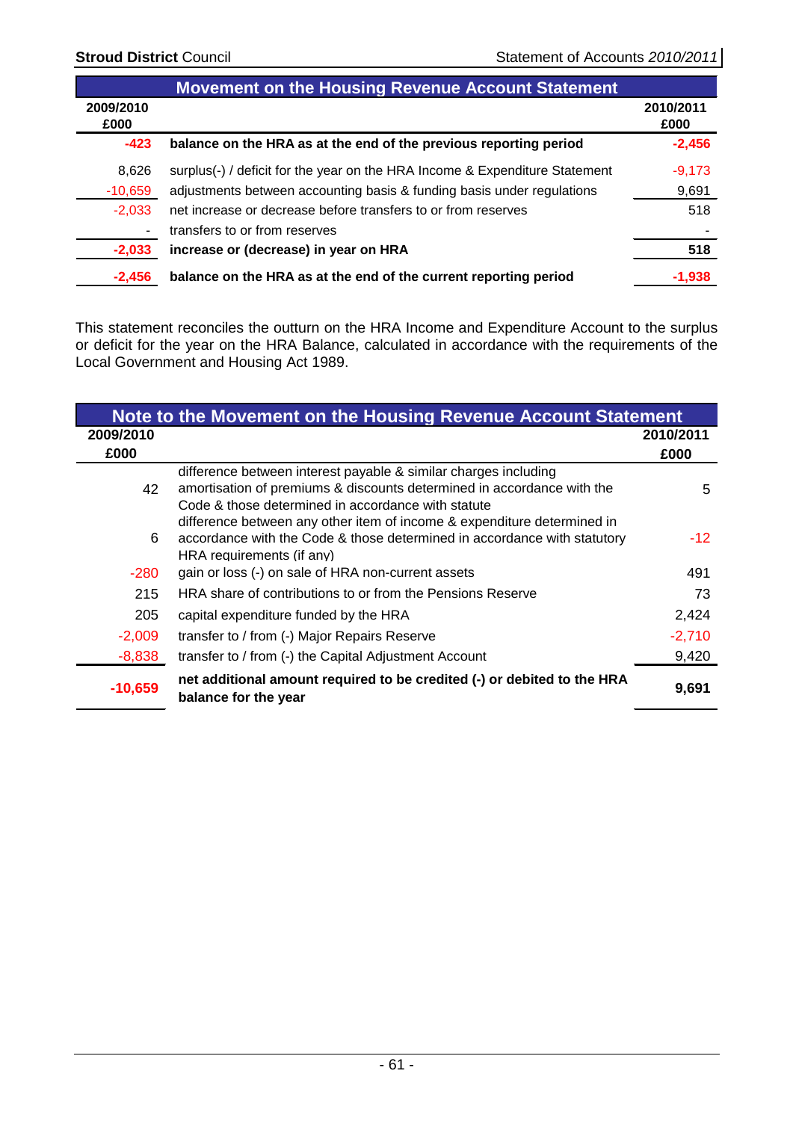|                   | <b>Movement on the Housing Revenue Account Statement</b>                    |                   |
|-------------------|-----------------------------------------------------------------------------|-------------------|
| 2009/2010<br>£000 |                                                                             | 2010/2011<br>£000 |
| $-423$            | balance on the HRA as at the end of the previous reporting period           | $-2,456$          |
| 8,626             | surplus(-) / deficit for the year on the HRA Income & Expenditure Statement | $-9,173$          |
| $-10,659$         | adjustments between accounting basis & funding basis under regulations      | 9,691             |
| $-2,033$          | net increase or decrease before transfers to or from reserves               | 518               |
|                   | transfers to or from reserves                                               |                   |
| $-2,033$          | increase or (decrease) in year on HRA                                       | 518               |
| $-2,456$          | balance on the HRA as at the end of the current reporting period            | -1,938            |

This statement reconciles the outturn on the HRA Income and Expenditure Account to the surplus or deficit for the year on the HRA Balance, calculated in accordance with the requirements of the Local Government and Housing Act 1989.

| Note to the Movement on the Housing Revenue Account Statement |                                                                                                                                                     |           |  |  |  |  |
|---------------------------------------------------------------|-----------------------------------------------------------------------------------------------------------------------------------------------------|-----------|--|--|--|--|
| 2009/2010                                                     |                                                                                                                                                     | 2010/2011 |  |  |  |  |
| £000                                                          |                                                                                                                                                     | £000      |  |  |  |  |
|                                                               | difference between interest payable & similar charges including                                                                                     |           |  |  |  |  |
| 42                                                            | amortisation of premiums & discounts determined in accordance with the                                                                              | 5         |  |  |  |  |
|                                                               | Code & those determined in accordance with statute                                                                                                  |           |  |  |  |  |
| 6                                                             | difference between any other item of income & expenditure determined in<br>accordance with the Code & those determined in accordance with statutory | $-12$     |  |  |  |  |
|                                                               | HRA requirements (if any)                                                                                                                           |           |  |  |  |  |
| -280                                                          | gain or loss (-) on sale of HRA non-current assets                                                                                                  | 491       |  |  |  |  |
| 215                                                           | HRA share of contributions to or from the Pensions Reserve                                                                                          | 73        |  |  |  |  |
| 205                                                           | capital expenditure funded by the HRA                                                                                                               | 2,424     |  |  |  |  |
| $-2.009$                                                      | transfer to / from (-) Major Repairs Reserve                                                                                                        | $-2,710$  |  |  |  |  |
| $-8,838$                                                      | transfer to / from (-) the Capital Adjustment Account                                                                                               | 9,420     |  |  |  |  |
| $-10,659$                                                     | net additional amount required to be credited (-) or debited to the HRA<br>balance for the year                                                     | 9,691     |  |  |  |  |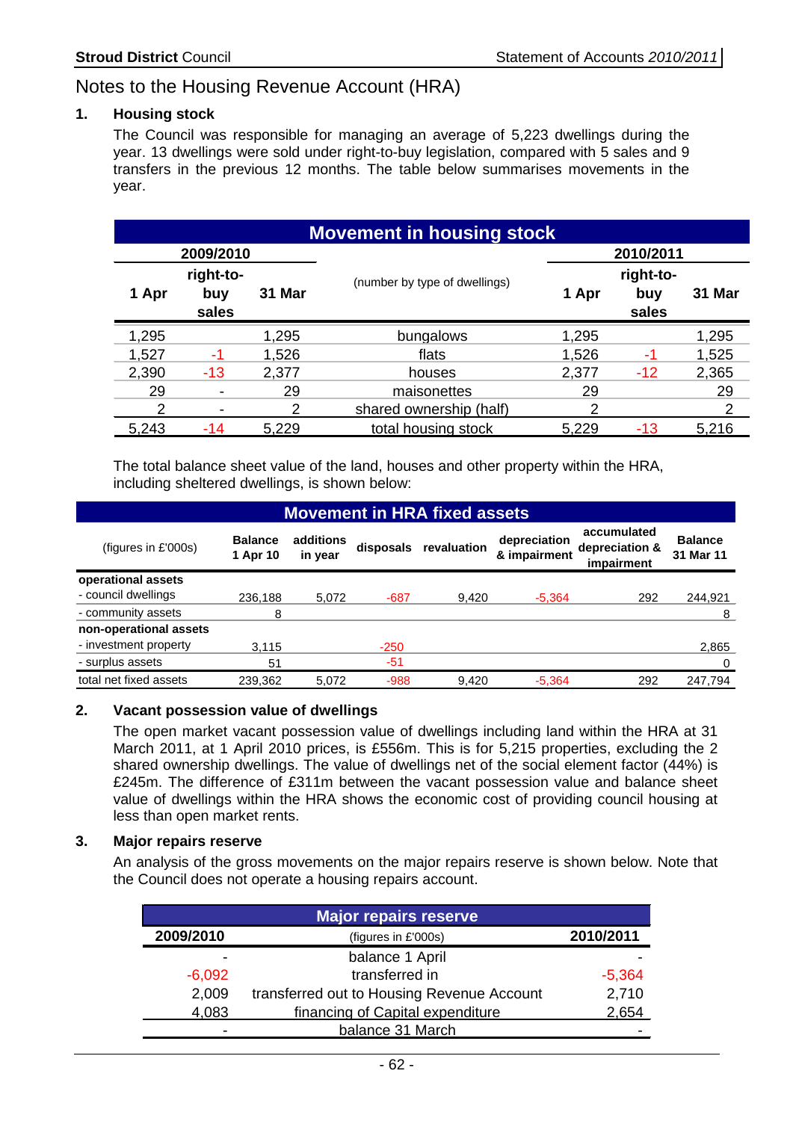## Notes to the Housing Revenue Account (HRA)

#### **1. Housing stock**

The Council was responsible for managing an average of 5,223 dwellings during the year. 13 dwellings were sold under right-to-buy legislation, compared with 5 sales and 9 transfers in the previous 12 months. The table below summarises movements in the year.

|                                              | <b>Movement in housing stock</b> |                |                               |       |                           |        |  |
|----------------------------------------------|----------------------------------|----------------|-------------------------------|-------|---------------------------|--------|--|
|                                              | 2009/2010                        |                |                               |       | 2010/2011                 |        |  |
| right-to-<br>31 Mar<br>1 Apr<br>buy<br>sales |                                  |                | (number by type of dwellings) | 1 Apr | right-to-<br>buy<br>sales | 31 Mar |  |
| 1,295                                        |                                  | 1,295          | bungalows                     | 1,295 |                           | 1,295  |  |
| 1,527                                        | -1                               | 1,526          | flats                         | 1,526 | -1                        | 1,525  |  |
| 2,390                                        | $-13$                            | 2,377          | houses                        | 2,377 | $-12$                     | 2,365  |  |
| 29                                           |                                  | 29             | maisonettes                   | 29    |                           | 29     |  |
| 2                                            |                                  | $\overline{2}$ | shared ownership (half)       | 2     |                           | 2      |  |
| 5,243                                        | $-14$                            | 5,229          | total housing stock           | 5,229 | $-13$                     | 5,216  |  |

The total balance sheet value of the land, houses and other property within the HRA, including sheltered dwellings, is shown below:

|                        | <b>Movement in HRA fixed assets</b> |                      |           |             |                              |                                             |                             |
|------------------------|-------------------------------------|----------------------|-----------|-------------|------------------------------|---------------------------------------------|-----------------------------|
| (figures in £'000s)    | <b>Balance</b><br>1 Apr 10          | additions<br>in year | disposals | revaluation | depreciation<br>& impairment | accumulated<br>depreciation &<br>impairment | <b>Balance</b><br>31 Mar 11 |
| operational assets     |                                     |                      |           |             |                              |                                             |                             |
| - council dwellings    | 236.188                             | 5.072                | $-687$    | 9,420       | $-5,364$                     | 292                                         | 244,921                     |
| - community assets     | 8                                   |                      |           |             |                              |                                             | 8                           |
| non-operational assets |                                     |                      |           |             |                              |                                             |                             |
| - investment property  | 3.115                               |                      | $-250$    |             |                              |                                             | 2,865                       |
| - surplus assets       | 51                                  |                      | -51       |             |                              |                                             | 0                           |
| total net fixed assets | 239.362                             | 5.072                | $-988$    | 9.420       | $-5.364$                     | 292                                         | 247,794                     |

#### **2. Vacant possession value of dwellings**

The open market vacant possession value of dwellings including land within the HRA at 31 March 2011, at 1 April 2010 prices, is £556m. This is for 5,215 properties, excluding the 2 shared ownership dwellings. The value of dwellings net of the social element factor (44%) is £245m. The difference of £311m between the vacant possession value and balance sheet value of dwellings within the HRA shows the economic cost of providing council housing at less than open market rents.

#### **3. Major repairs reserve**

An analysis of the gross movements on the major repairs reserve is shown below. Note that the Council does not operate a housing repairs account.

| <b>Major repairs reserve</b> |                                            |           |  |  |  |  |
|------------------------------|--------------------------------------------|-----------|--|--|--|--|
| 2009/2010                    | (figures in £'000s)                        | 2010/2011 |  |  |  |  |
| ۰                            | balance 1 April                            |           |  |  |  |  |
| $-6,092$                     | transferred in                             | $-5,364$  |  |  |  |  |
| 2,009                        | transferred out to Housing Revenue Account | 2,710     |  |  |  |  |
| 4,083                        | financing of Capital expenditure           | 2,654     |  |  |  |  |
|                              | balance 31 March                           |           |  |  |  |  |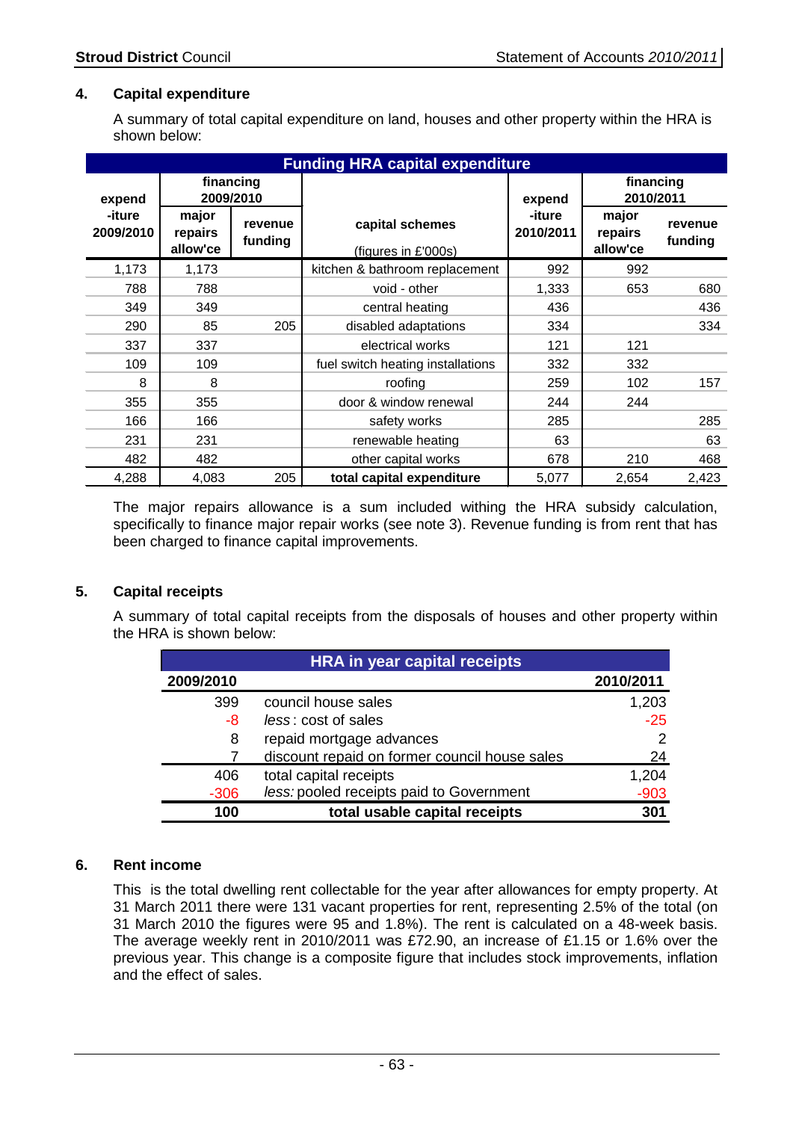### **4. Capital expenditure**

A summary of total capital expenditure on land, houses and other property within the HRA is shown below:

| <b>Funding HRA capital expenditure</b> |                        |                    |                                   |                     |                        |                    |  |  |  |
|----------------------------------------|------------------------|--------------------|-----------------------------------|---------------------|------------------------|--------------------|--|--|--|
| expend                                 | financing<br>2009/2010 |                    |                                   | expend              | financing<br>2010/2011 |                    |  |  |  |
| -iture<br>2009/2010                    | major<br>repairs       | revenue<br>funding | capital schemes                   | -iture<br>2010/2011 | major<br>repairs       | revenue<br>funding |  |  |  |
|                                        | allow'ce               |                    | (figures in $E'000s$ )            |                     | allow'ce               |                    |  |  |  |
| 1,173                                  | 1,173                  |                    | kitchen & bathroom replacement    | 992                 | 992                    |                    |  |  |  |
| 788                                    | 788                    |                    | void - other                      | 1,333               | 653                    | 680                |  |  |  |
| 349                                    | 349                    |                    | central heating                   | 436                 |                        | 436                |  |  |  |
| 290                                    | 85                     | 205                | disabled adaptations              | 334                 |                        | 334                |  |  |  |
| 337                                    | 337                    |                    | electrical works                  | 121                 | 121                    |                    |  |  |  |
| 109                                    | 109                    |                    | fuel switch heating installations | 332                 | 332                    |                    |  |  |  |
| 8                                      | 8                      |                    | roofing                           | 259                 | 102                    | 157                |  |  |  |
| 355                                    | 355                    |                    | door & window renewal             | 244                 | 244                    |                    |  |  |  |
| 166                                    | 166                    |                    | safety works                      | 285                 |                        | 285                |  |  |  |
| 231                                    | 231                    |                    | renewable heating                 | 63                  |                        | 63                 |  |  |  |
| 482                                    | 482                    |                    | other capital works               | 678                 | 210                    | 468                |  |  |  |
| 4,288                                  | 4,083                  | 205                | total capital expenditure         | 5,077               | 2,654                  | 2,423              |  |  |  |

The major repairs allowance is a sum included withing the HRA subsidy calculation, specifically to finance major repair works (see note 3). Revenue funding is from rent that has been charged to finance capital improvements.

### **5. Capital receipts**

A summary of total capital receipts from the disposals of houses and other property within the HRA is shown below:

| <b>HRA in year capital receipts</b> |                                               |           |  |  |  |  |  |
|-------------------------------------|-----------------------------------------------|-----------|--|--|--|--|--|
| 2009/2010                           |                                               | 2010/2011 |  |  |  |  |  |
| 399                                 | council house sales                           | 1,203     |  |  |  |  |  |
| -8                                  | less: cost of sales                           | $-25$     |  |  |  |  |  |
| 8                                   | repaid mortgage advances                      | 2         |  |  |  |  |  |
|                                     | discount repaid on former council house sales | 24        |  |  |  |  |  |
| 406                                 | total capital receipts                        | 1,204     |  |  |  |  |  |
| $-306$                              | less: pooled receipts paid to Government      | $-903$    |  |  |  |  |  |
| 100                                 | total usable capital receipts                 | 301       |  |  |  |  |  |

#### **6. Rent income**

This is the total dwelling rent collectable for the year after allowances for empty property. At 31 March 2011 there were 131 vacant properties for rent, representing 2.5% of the total (on 31 March 2010 the figures were 95 and 1.8%). The rent is calculated on a 48-week basis. The average weekly rent in 2010/2011 was £72.90, an increase of £1.15 or 1.6% over the previous year. This change is a composite figure that includes stock improvements, inflation and the effect of sales.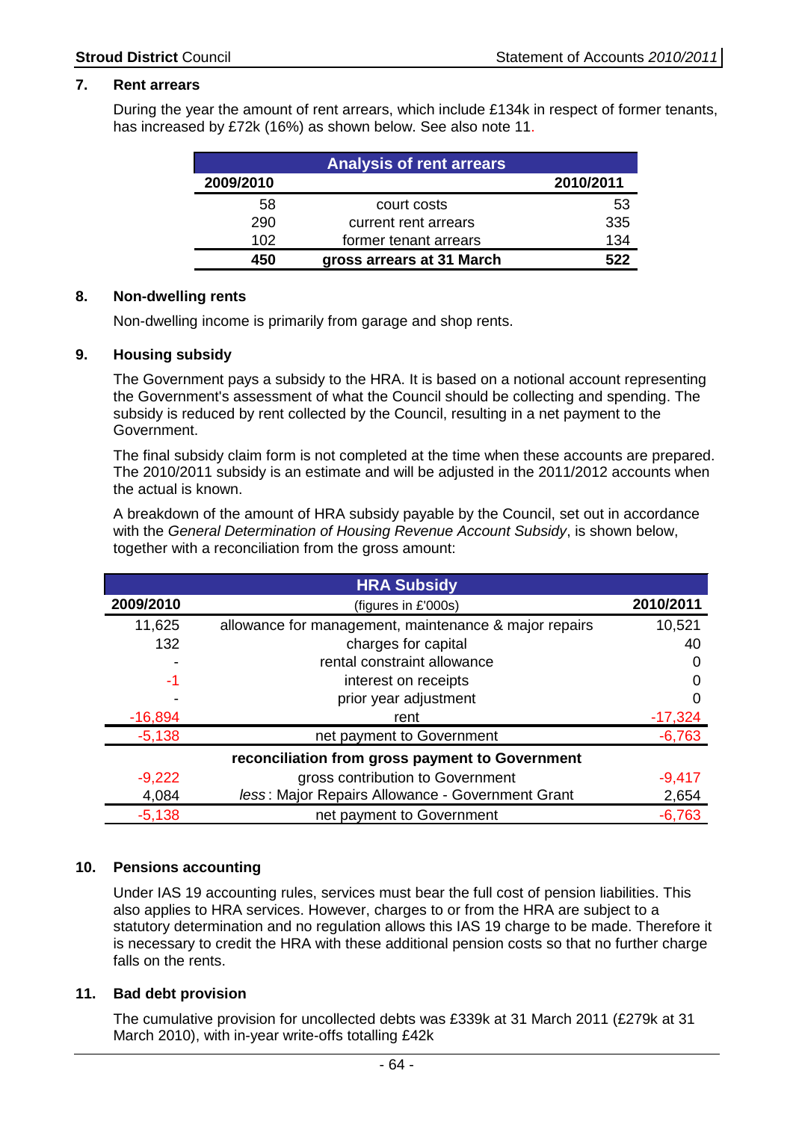#### **7. Rent arrears**

During the year the amount of rent arrears, which include £134k in respect of former tenants, has increased by £72k (16%) as shown below. See also note 11.

| <b>Analysis of rent arrears</b> |                           |           |  |  |  |  |
|---------------------------------|---------------------------|-----------|--|--|--|--|
| 2009/2010                       |                           | 2010/2011 |  |  |  |  |
| 58                              | court costs               | 53        |  |  |  |  |
| 290                             | current rent arrears      | 335       |  |  |  |  |
| 102                             | former tenant arrears     | 134       |  |  |  |  |
| 450                             | gross arrears at 31 March | 522       |  |  |  |  |

#### **8. Non-dwelling rents**

Non-dwelling income is primarily from garage and shop rents.

#### **9. Housing subsidy**

The Government pays a subsidy to the HRA. It is based on a notional account representing the Government's assessment of what the Council should be collecting and spending. The subsidy is reduced by rent collected by the Council, resulting in a net payment to the Government.

The final subsidy claim form is not completed at the time when these accounts are prepared. The 2010/2011 subsidy is an estimate and will be adjusted in the 2011/2012 accounts when the actual is known.

A breakdown of the amount of HRA subsidy payable by the Council, set out in accordance with the *General Determination of Housing Revenue Account Subsidy*, is shown below, together with a reconciliation from the gross amount:

| <b>HRA Subsidy</b> |                                                       |           |  |  |  |  |
|--------------------|-------------------------------------------------------|-----------|--|--|--|--|
| 2009/2010          | (figures in £'000s)                                   | 2010/2011 |  |  |  |  |
| 11,625             | allowance for management, maintenance & major repairs | 10,521    |  |  |  |  |
| 132                | charges for capital                                   | 40        |  |  |  |  |
|                    | rental constraint allowance                           |           |  |  |  |  |
| -1                 | interest on receipts                                  |           |  |  |  |  |
|                    | prior year adjustment                                 |           |  |  |  |  |
| $-16,894$          | rent                                                  | $-17,324$ |  |  |  |  |
| $-5,138$           | net payment to Government                             | $-6,763$  |  |  |  |  |
|                    | reconciliation from gross payment to Government       |           |  |  |  |  |
| $-9,222$           | gross contribution to Government                      | $-9,417$  |  |  |  |  |
| 4,084              | less: Major Repairs Allowance - Government Grant      | 2,654     |  |  |  |  |
| $-5,138$           | net payment to Government                             | $-6,763$  |  |  |  |  |

### **10. Pensions accounting**

Under IAS 19 accounting rules, services must bear the full cost of pension liabilities. This also applies to HRA services. However, charges to or from the HRA are subject to a statutory determination and no regulation allows this IAS 19 charge to be made. Therefore it is necessary to credit the HRA with these additional pension costs so that no further charge falls on the rents.

#### **11. Bad debt provision**

The cumulative provision for uncollected debts was £339k at 31 March 2011 (£279k at 31 March 2010), with in-year write-offs totalling £42k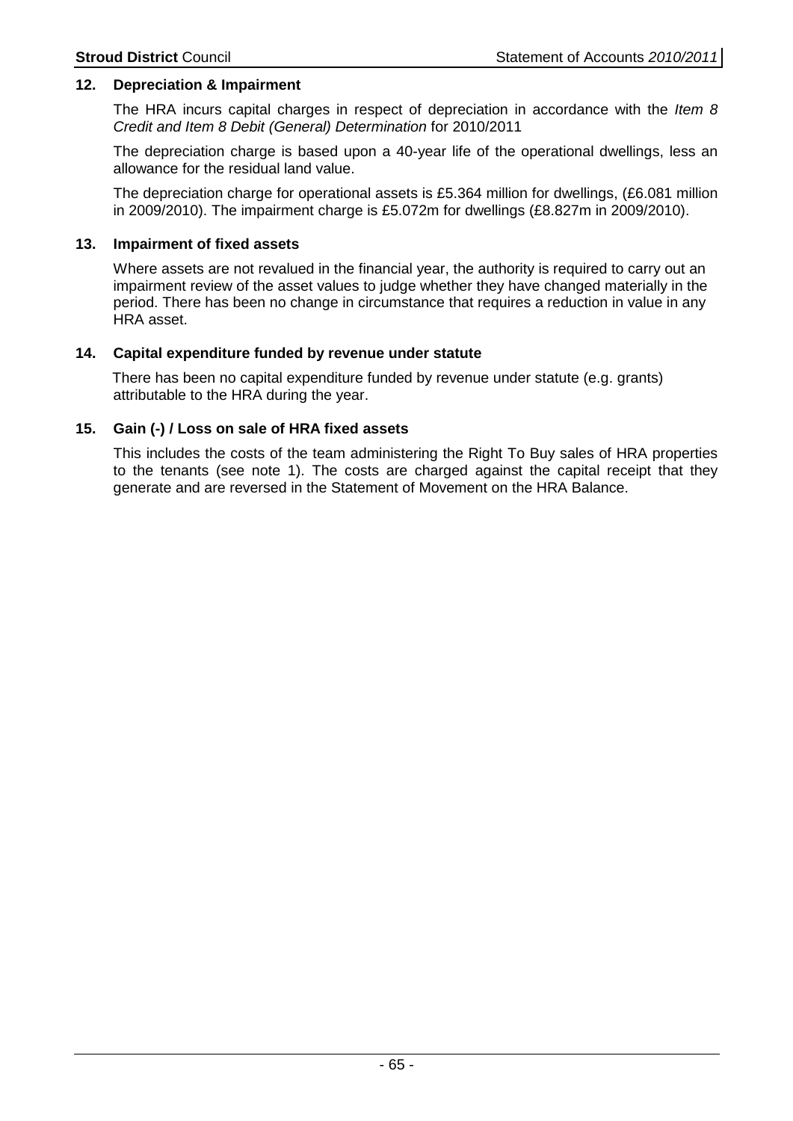### **12. Depreciation & Impairment**

The HRA incurs capital charges in respect of depreciation in accordance with the *Item 8 Credit and Item 8 Debit (General) Determination* for 2010/2011

The depreciation charge is based upon a 40-year life of the operational dwellings, less an allowance for the residual land value.

The depreciation charge for operational assets is £5.364 million for dwellings, (£6.081 million in 2009/2010). The impairment charge is £5.072m for dwellings (£8.827m in 2009/2010).

#### **13. Impairment of fixed assets**

Where assets are not revalued in the financial year, the authority is required to carry out an impairment review of the asset values to judge whether they have changed materially in the period. There has been no change in circumstance that requires a reduction in value in any HRA asset.

#### **14. Capital expenditure funded by revenue under statute**

 There has been no capital expenditure funded by revenue under statute (e.g. grants) attributable to the HRA during the year.

#### **15. Gain (-) / Loss on sale of HRA fixed assets**

This includes the costs of the team administering the Right To Buy sales of HRA properties to the tenants (see note 1). The costs are charged against the capital receipt that they generate and are reversed in the Statement of Movement on the HRA Balance.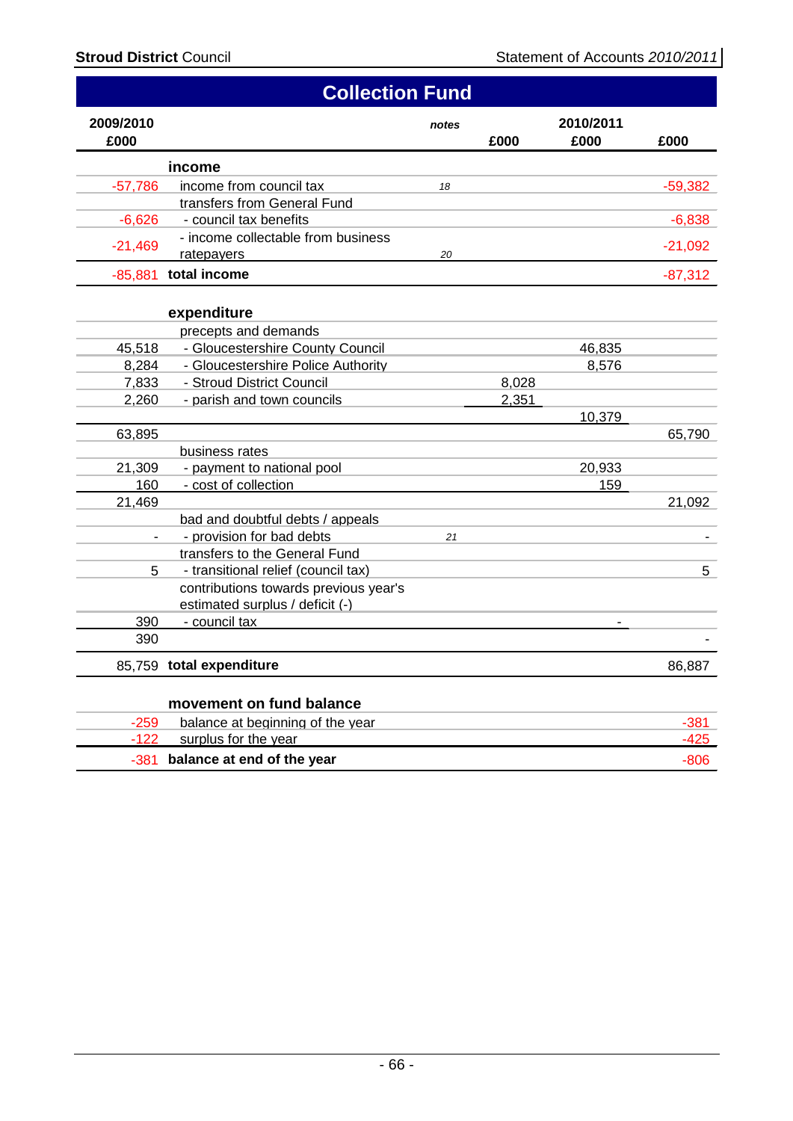|                   | <b>Collection Fund</b>                |       |       |                   |           |  |  |  |  |
|-------------------|---------------------------------------|-------|-------|-------------------|-----------|--|--|--|--|
| 2009/2010<br>£000 |                                       | notes | £000  | 2010/2011<br>£000 | £000      |  |  |  |  |
|                   | income                                |       |       |                   |           |  |  |  |  |
| $-57,786$         | income from council tax               | 18    |       |                   | $-59,382$ |  |  |  |  |
|                   | transfers from General Fund           |       |       |                   |           |  |  |  |  |
| $-6,626$          | - council tax benefits                |       |       |                   | $-6,838$  |  |  |  |  |
| $-21,469$         | - income collectable from business    |       |       |                   | $-21,092$ |  |  |  |  |
|                   | ratepayers                            | 20    |       |                   |           |  |  |  |  |
| $-85,881$         | total income                          |       |       |                   | $-87,312$ |  |  |  |  |
|                   | expenditure                           |       |       |                   |           |  |  |  |  |
|                   | precepts and demands                  |       |       |                   |           |  |  |  |  |
| 45,518            | - Gloucestershire County Council      |       |       | 46,835            |           |  |  |  |  |
| 8,284             | - Gloucestershire Police Authority    |       |       | 8,576             |           |  |  |  |  |
| 7,833             | - Stroud District Council             |       | 8,028 |                   |           |  |  |  |  |
| 2,260             | - parish and town councils            |       | 2,351 |                   |           |  |  |  |  |
|                   |                                       |       |       | 10,379            |           |  |  |  |  |
| 63,895            |                                       |       |       |                   | 65,790    |  |  |  |  |
|                   | business rates                        |       |       |                   |           |  |  |  |  |
| 21,309            | - payment to national pool            |       |       | 20,933            |           |  |  |  |  |
| 160               | - cost of collection                  |       |       | 159               |           |  |  |  |  |
| 21,469            |                                       |       |       |                   | 21,092    |  |  |  |  |
|                   | bad and doubtful debts / appeals      |       |       |                   |           |  |  |  |  |
| $\blacksquare$    | - provision for bad debts             | 21    |       |                   |           |  |  |  |  |
|                   | transfers to the General Fund         |       |       |                   |           |  |  |  |  |
| 5                 | - transitional relief (council tax)   |       |       |                   | 5         |  |  |  |  |
|                   | contributions towards previous year's |       |       |                   |           |  |  |  |  |
|                   | estimated surplus / deficit (-)       |       |       |                   |           |  |  |  |  |
| 390               | - council tax                         |       |       |                   |           |  |  |  |  |
| 390               |                                       |       |       |                   |           |  |  |  |  |
|                   | 85,759 total expenditure              |       |       |                   | 86,887    |  |  |  |  |
|                   | movement on fund balance              |       |       |                   |           |  |  |  |  |
| $-259$            | balance at beginning of the year      |       |       |                   | $-381$    |  |  |  |  |
|                   |                                       |       |       |                   |           |  |  |  |  |

| ____ |                                 | --- |
|------|---------------------------------|-----|
|      | surplus for the year            |     |
|      | -381 balance at end of the year |     |
|      |                                 |     |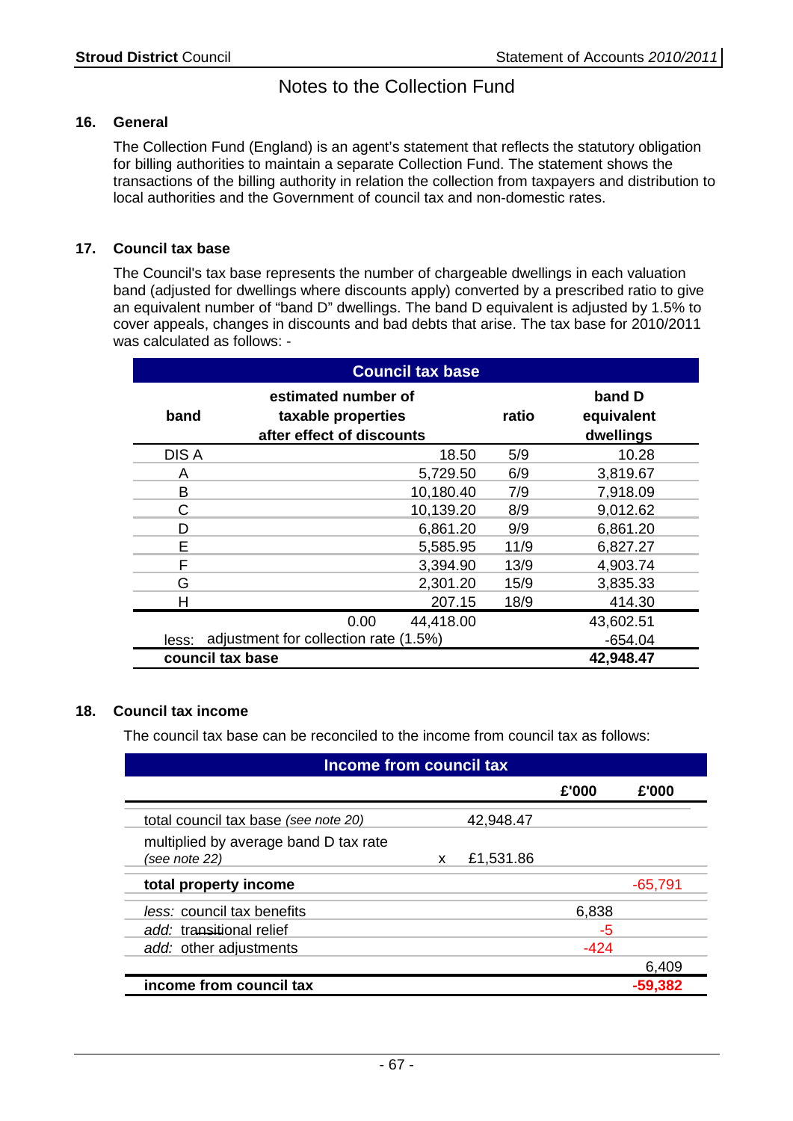## Notes to the Collection Fund

#### **16. General**

The Collection Fund (England) is an agent's statement that reflects the statutory obligation for billing authorities to maintain a separate Collection Fund. The statement shows the transactions of the billing authority in relation the collection from taxpayers and distribution to local authorities and the Government of council tax and non-domestic rates.

#### **17. Council tax base**

The Council's tax base represents the number of chargeable dwellings in each valuation band (adjusted for dwellings where discounts apply) converted by a prescribed ratio to give an equivalent number of "band D" dwellings. The band D equivalent is adjusted by 1.5% to cover appeals, changes in discounts and bad debts that arise. The tax base for 2010/2011 was calculated as follows: -

| <b>Council tax base</b> |                                                                        |       |                                   |  |  |  |  |
|-------------------------|------------------------------------------------------------------------|-------|-----------------------------------|--|--|--|--|
| band                    | estimated number of<br>taxable properties<br>after effect of discounts | ratio | band D<br>equivalent<br>dwellings |  |  |  |  |
| <b>DISA</b>             | 18.50                                                                  | 5/9   | 10.28                             |  |  |  |  |
| A                       | 5,729.50                                                               | 6/9   | 3,819.67                          |  |  |  |  |
| B                       | 10,180.40                                                              | 7/9   | 7,918.09                          |  |  |  |  |
| C                       | 10,139.20                                                              | 8/9   | 9,012.62                          |  |  |  |  |
| D                       | 6,861.20                                                               | 9/9   | 6,861.20                          |  |  |  |  |
| F                       | 5,585.95                                                               | 11/9  | 6,827.27                          |  |  |  |  |
| F                       | 3,394.90                                                               | 13/9  | 4,903.74                          |  |  |  |  |
| G                       | 2,301.20                                                               | 15/9  | 3,835.33                          |  |  |  |  |
| н                       | 207.15                                                                 | 18/9  | 414.30                            |  |  |  |  |
|                         | 44,418.00<br>0.00                                                      |       | 43,602.51                         |  |  |  |  |
| less:                   | adjustment for collection rate (1.5%)                                  |       | $-654.04$                         |  |  |  |  |
|                         | council tax base                                                       |       | 42,948.47                         |  |  |  |  |

#### **18. Council tax income**

The council tax base can be reconciled to the income from council tax as follows:

| Income from council tax                                |   |           |        |           |  |  |  |
|--------------------------------------------------------|---|-----------|--------|-----------|--|--|--|
|                                                        |   |           | £'000  | £'000     |  |  |  |
| total council tax base (see note 20)                   |   | 42,948.47 |        |           |  |  |  |
| multiplied by average band D tax rate<br>(see note 22) | X | £1,531.86 |        |           |  |  |  |
| total property income                                  |   |           |        | $-65,791$ |  |  |  |
| less: council tax benefits                             |   |           | 6,838  |           |  |  |  |
| add: transitional relief                               |   |           | -5     |           |  |  |  |
| add: other adjustments                                 |   |           | $-424$ |           |  |  |  |
|                                                        |   |           |        | 6,409     |  |  |  |
| income from council tax                                |   |           |        |           |  |  |  |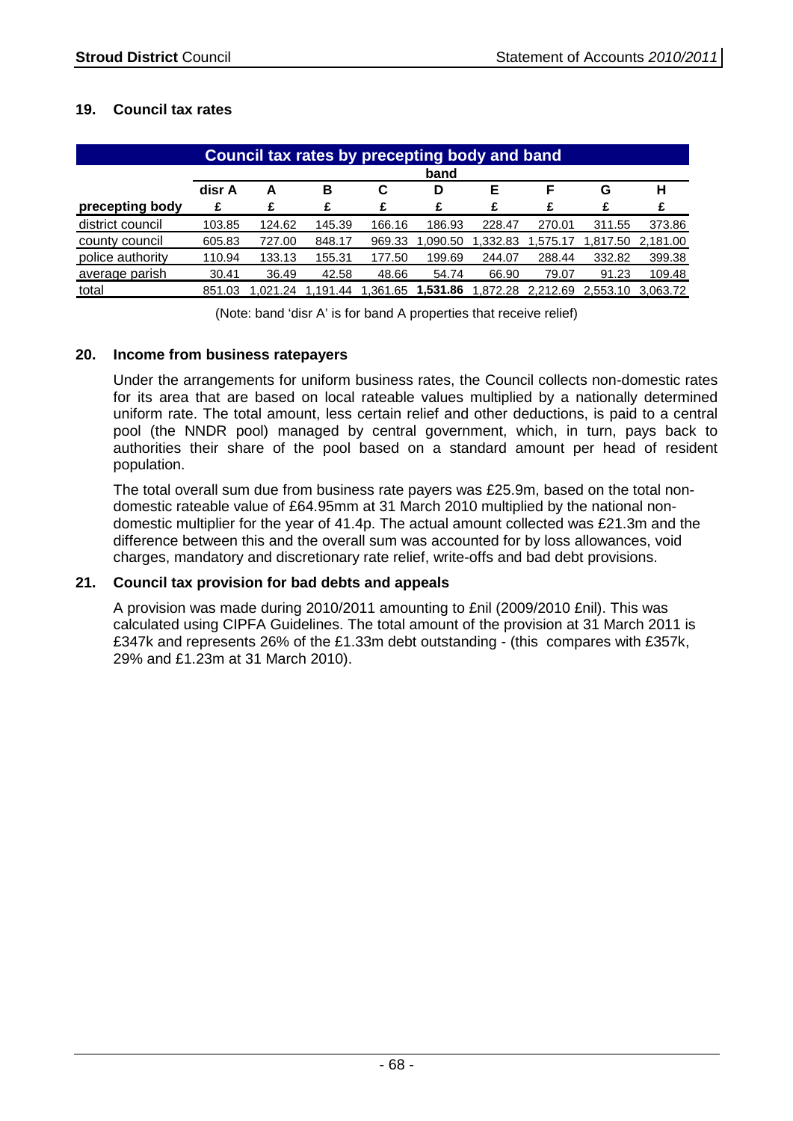### **19. Council tax rates**

| Council tax rates by precepting body and band |        |          |          |          |          |          |          |          |          |
|-----------------------------------------------|--------|----------|----------|----------|----------|----------|----------|----------|----------|
|                                               |        | band     |          |          |          |          |          |          |          |
|                                               | disr A | A        | в        | С        | D        | Е        | F        | G        | н        |
| precepting body                               | £      | £        | £        | £        | £        | £        | £        | £        | £        |
| district council                              | 103.85 | 124.62   | 145.39   | 166.16   | 186.93   | 228.47   | 270.01   | 311.55   | 373.86   |
| county council                                | 605.83 | 727.00   | 848.17   | 969.33   | 1.090.50 | 1.332.83 | .575.17  | 1.817.50 | 2,181.00 |
| police authority                              | 110.94 | 133.13   | 155.31   | 177.50   | 199.69   | 244.07   | 288.44   | 332.82   | 399.38   |
| average parish                                | 30.41  | 36.49    | 42.58    | 48.66    | 54.74    | 66.90    | 79.07    | 91.23    | 109.48   |
| total                                         | 851.03 | 1.021.24 | 1.191.44 | 1,361.65 | 1,531.86 | 1.872.28 | 2.212.69 | 2.553.10 | 3.063.72 |

(Note: band 'disr A' is for band A properties that receive relief)

#### **20. Income from business ratepayers**

Under the arrangements for uniform business rates, the Council collects non-domestic rates for its area that are based on local rateable values multiplied by a nationally determined uniform rate. The total amount, less certain relief and other deductions, is paid to a central pool (the NNDR pool) managed by central government, which, in turn, pays back to authorities their share of the pool based on a standard amount per head of resident population.

The total overall sum due from business rate payers was £25.9m, based on the total nondomestic rateable value of £64.95mm at 31 March 2010 multiplied by the national nondomestic multiplier for the year of 41.4p. The actual amount collected was £21.3m and the difference between this and the overall sum was accounted for by loss allowances, void charges, mandatory and discretionary rate relief, write-offs and bad debt provisions.

#### **21. Council tax provision for bad debts and appeals**

A provision was made during 2010/2011 amounting to £nil (2009/2010 £nil). This was calculated using CIPFA Guidelines. The total amount of the provision at 31 March 2011 is £347k and represents 26% of the £1.33m debt outstanding - (this compares with £357k, 29% and £1.23m at 31 March 2010).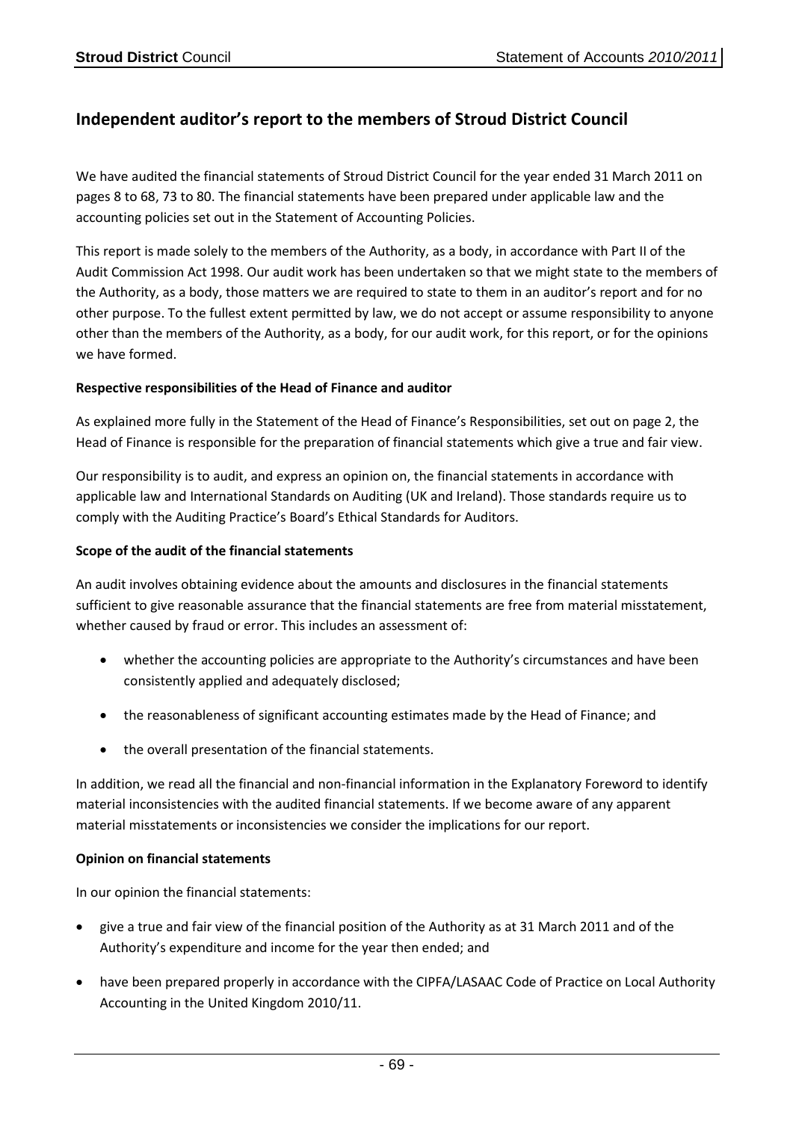## **Independent auditor's report to the members of Stroud District Council**

We have audited the financial statements of Stroud District Council for the year ended 31 March 2011 on pages 8 to 68, 73 to 80. The financial statements have been prepared under applicable law and the accounting policies set out in the Statement of Accounting Policies.

This report is made solely to the members of the Authority, as a body, in accordance with Part II of the Audit Commission Act 1998. Our audit work has been undertaken so that we might state to the members of the Authority, as a body, those matters we are required to state to them in an auditor's report and for no other purpose. To the fullest extent permitted by law, we do not accept or assume responsibility to anyone other than the members of the Authority, as a body, for our audit work, for this report, or for the opinions we have formed.

#### **Respective responsibilities of the Head of Finance and auditor**

As explained more fully in the Statement of the Head of Finance's Responsibilities, set out on page 2, the Head of Finance is responsible for the preparation of financial statements which give a true and fair view.

Our responsibility is to audit, and express an opinion on, the financial statements in accordance with applicable law and International Standards on Auditing (UK and Ireland). Those standards require us to comply with the Auditing Practice's Board's Ethical Standards for Auditors.

#### **Scope of the audit of the financial statements**

An audit involves obtaining evidence about the amounts and disclosures in the financial statements sufficient to give reasonable assurance that the financial statements are free from material misstatement, whether caused by fraud or error. This includes an assessment of:

- whether the accounting policies are appropriate to the Authority's circumstances and have been consistently applied and adequately disclosed;
- the reasonableness of significant accounting estimates made by the Head of Finance; and
- the overall presentation of the financial statements.

In addition, we read all the financial and non-financial information in the Explanatory Foreword to identify material inconsistencies with the audited financial statements. If we become aware of any apparent material misstatements or inconsistencies we consider the implications for our report.

#### **Opinion on financial statements**

In our opinion the financial statements:

- give a true and fair view of the financial position of the Authority as at 31 March 2011 and of the Authority's expenditure and income for the year then ended; and
- have been prepared properly in accordance with the CIPFA/LASAAC Code of Practice on Local Authority Accounting in the United Kingdom 2010/11.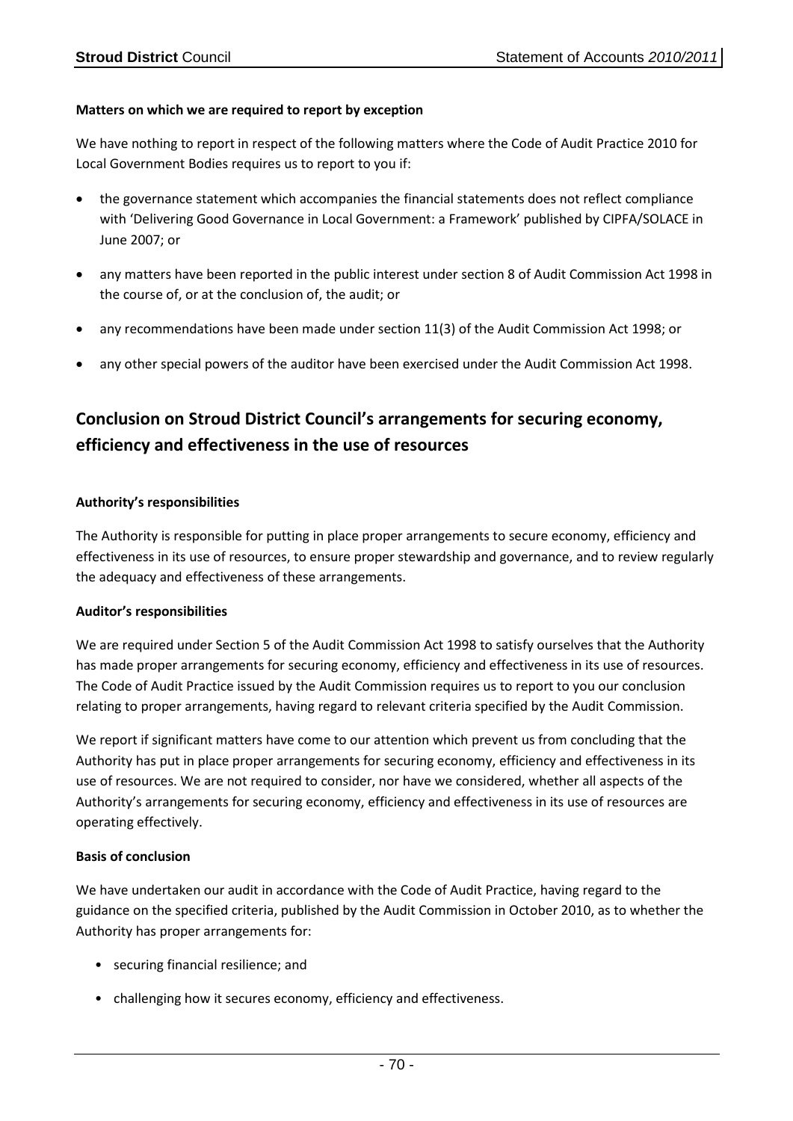#### **Matters on which we are required to report by exception**

We have nothing to report in respect of the following matters where the Code of Audit Practice 2010 for Local Government Bodies requires us to report to you if:

- the governance statement which accompanies the financial statements does not reflect compliance with 'Delivering Good Governance in Local Government: a Framework' published by CIPFA/SOLACE in June 2007; or
- any matters have been reported in the public interest under section 8 of Audit Commission Act 1998 in the course of, or at the conclusion of, the audit; or
- any recommendations have been made under section 11(3) of the Audit Commission Act 1998; or
- any other special powers of the auditor have been exercised under the Audit Commission Act 1998.

## **Conclusion on Stroud District Council's arrangements for securing economy, efficiency and effectiveness in the use of resources**

#### **Authority's responsibilities**

The Authority is responsible for putting in place proper arrangements to secure economy, efficiency and effectiveness in its use of resources, to ensure proper stewardship and governance, and to review regularly the adequacy and effectiveness of these arrangements.

#### **Auditor's responsibilities**

We are required under Section 5 of the Audit Commission Act 1998 to satisfy ourselves that the Authority has made proper arrangements for securing economy, efficiency and effectiveness in its use of resources. The Code of Audit Practice issued by the Audit Commission requires us to report to you our conclusion relating to proper arrangements, having regard to relevant criteria specified by the Audit Commission.

We report if significant matters have come to our attention which prevent us from concluding that the Authority has put in place proper arrangements for securing economy, efficiency and effectiveness in its use of resources. We are not required to consider, nor have we considered, whether all aspects of the Authority's arrangements for securing economy, efficiency and effectiveness in its use of resources are operating effectively.

#### **Basis of conclusion**

We have undertaken our audit in accordance with the Code of Audit Practice, having regard to the guidance on the specified criteria, published by the Audit Commission in October 2010, as to whether the Authority has proper arrangements for:

- securing financial resilience; and
- challenging how it secures economy, efficiency and effectiveness.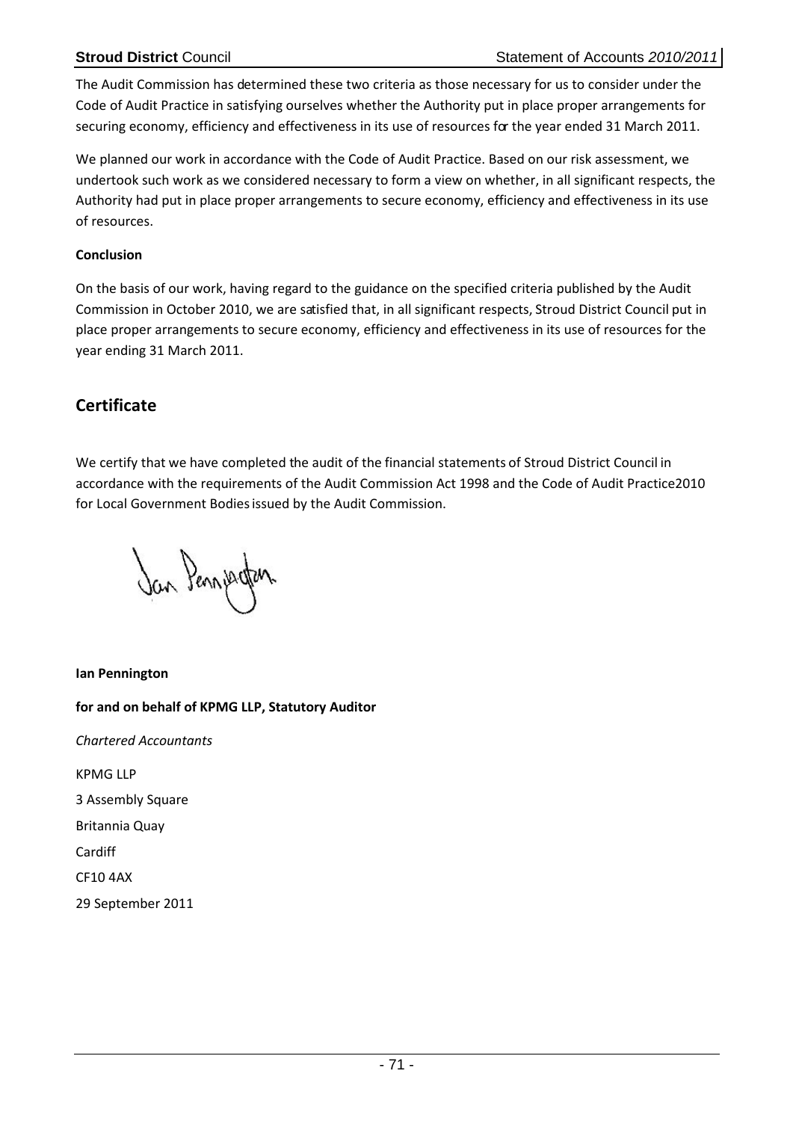The Audit Commission has determined these two criteria as those necessary for us to consider under the Code of Audit Practice in satisfying ourselves whether the Authority put in place proper arrangements for securing economy, efficiency and effectiveness in its use of resources for the year ended 31 March 2011.

We planned our work in accordance with the Code of Audit Practice. Based on our risk assessment, we undertook such work as we considered necessary to form a view on whether, in all significant respects, the Authority had put in place proper arrangements to secure economy, efficiency and effectiveness in its use of resources.

#### **Conclusion**

On the basis of our work, having regard to the guidance on the specified criteria published by the Audit Commission in October 2010, we are satisfied that, in all significant respects, Stroud District Council put in place proper arrangements to secure economy, efficiency and effectiveness in its use of resources for the year ending 31 March 2011.

## **Certificate**

We certify that we have completed the audit of the financial statements of Stroud District Council in accordance with the requirements of the Audit Commission Act 1998 and the Code of Audit Practice2010 for Local Government Bodiesissued by the Audit Commission.

Jan Pennyagter

**Ian Pennington for and on behalf of KPMG LLP, Statutory Auditor** *Chartered Accountants* KPMG LLP 3 Assembly Square Britannia Quay Cardiff CF10 4AX

29 September 2011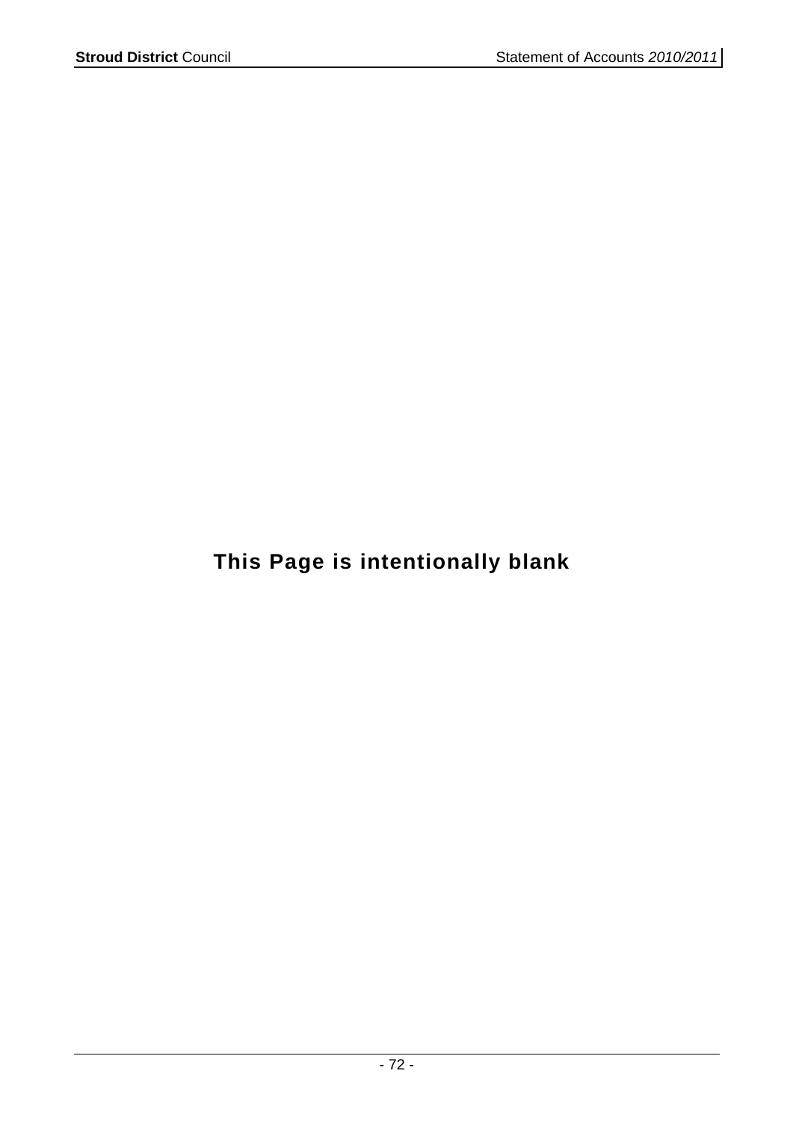**This Page is intentionally blank**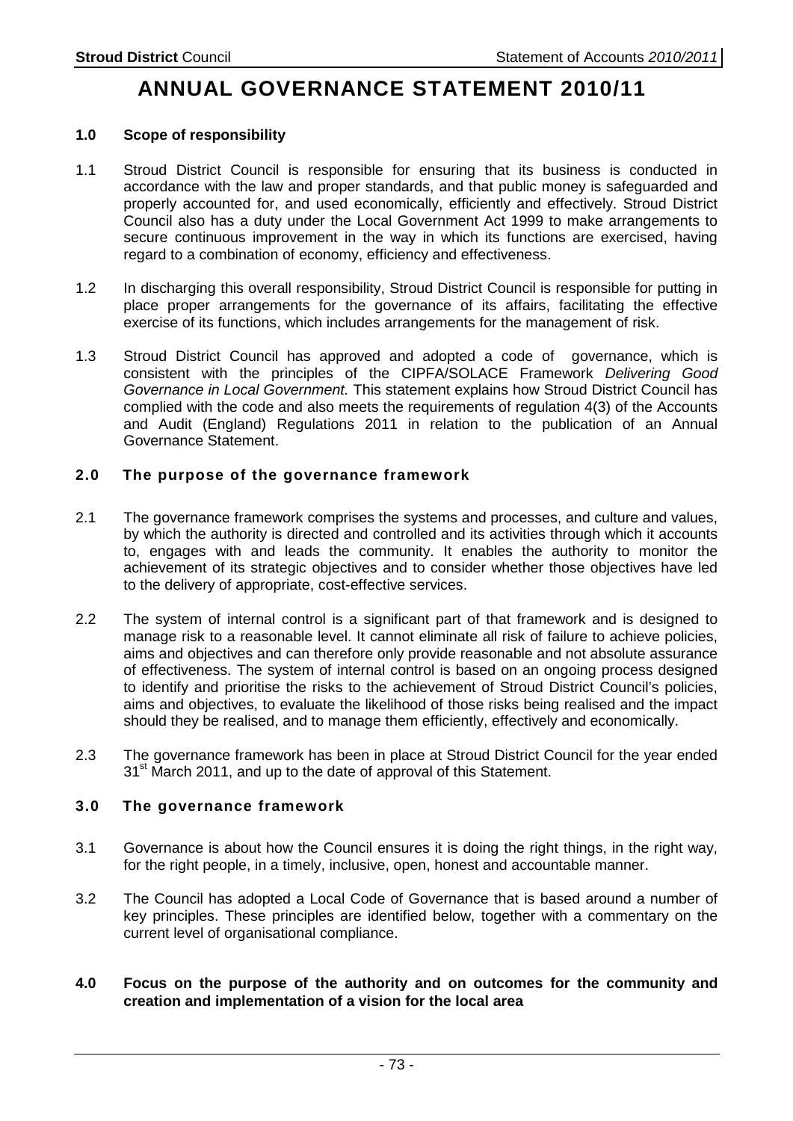# **ANNUAL GOVERNANCE STATEMENT 2010/11**

#### **1.0 Scope of responsibility**

- 1.1 Stroud District Council is responsible for ensuring that its business is conducted in accordance with the law and proper standards, and that public money is safeguarded and properly accounted for, and used economically, efficiently and effectively. Stroud District Council also has a duty under the Local Government Act 1999 to make arrangements to secure continuous improvement in the way in which its functions are exercised, having regard to a combination of economy, efficiency and effectiveness.
- 1.2 In discharging this overall responsibility, Stroud District Council is responsible for putting in place proper arrangements for the governance of its affairs, facilitating the effective exercise of its functions, which includes arrangements for the management of risk.
- 1.3 Stroud District Council has approved and adopted a code of governance, which is consistent with the principles of the CIPFA/SOLACE Framework *Delivering Good Governance in Local Government.* This statement explains how Stroud District Council has complied with the code and also meets the requirements of regulation 4(3) of the Accounts and Audit (England) Regulations 2011 in relation to the publication of an Annual Governance Statement.

# **2.0 The purpose of the governance framework**

- 2.1 The governance framework comprises the systems and processes, and culture and values, by which the authority is directed and controlled and its activities through which it accounts to, engages with and leads the community. It enables the authority to monitor the achievement of its strategic objectives and to consider whether those objectives have led to the delivery of appropriate, cost-effective services.
- 2.2 The system of internal control is a significant part of that framework and is designed to manage risk to a reasonable level. It cannot eliminate all risk of failure to achieve policies, aims and objectives and can therefore only provide reasonable and not absolute assurance of effectiveness. The system of internal control is based on an ongoing process designed to identify and prioritise the risks to the achievement of Stroud District Council's policies, aims and objectives, to evaluate the likelihood of those risks being realised and the impact should they be realised, and to manage them efficiently, effectively and economically.
- 2.3 The governance framework has been in place at Stroud District Council for the year ended 31<sup>st</sup> March 2011, and up to the date of approval of this Statement.

# **3.0 The governance framework**

- 3.1 Governance is about how the Council ensures it is doing the right things, in the right way, for the right people, in a timely, inclusive, open, honest and accountable manner.
- 3.2 The Council has adopted a Local Code of Governance that is based around a number of key principles. These principles are identified below, together with a commentary on the current level of organisational compliance.
- **4.0 Focus on the purpose of the authority and on outcomes for the community and creation and implementation of a vision for the local area**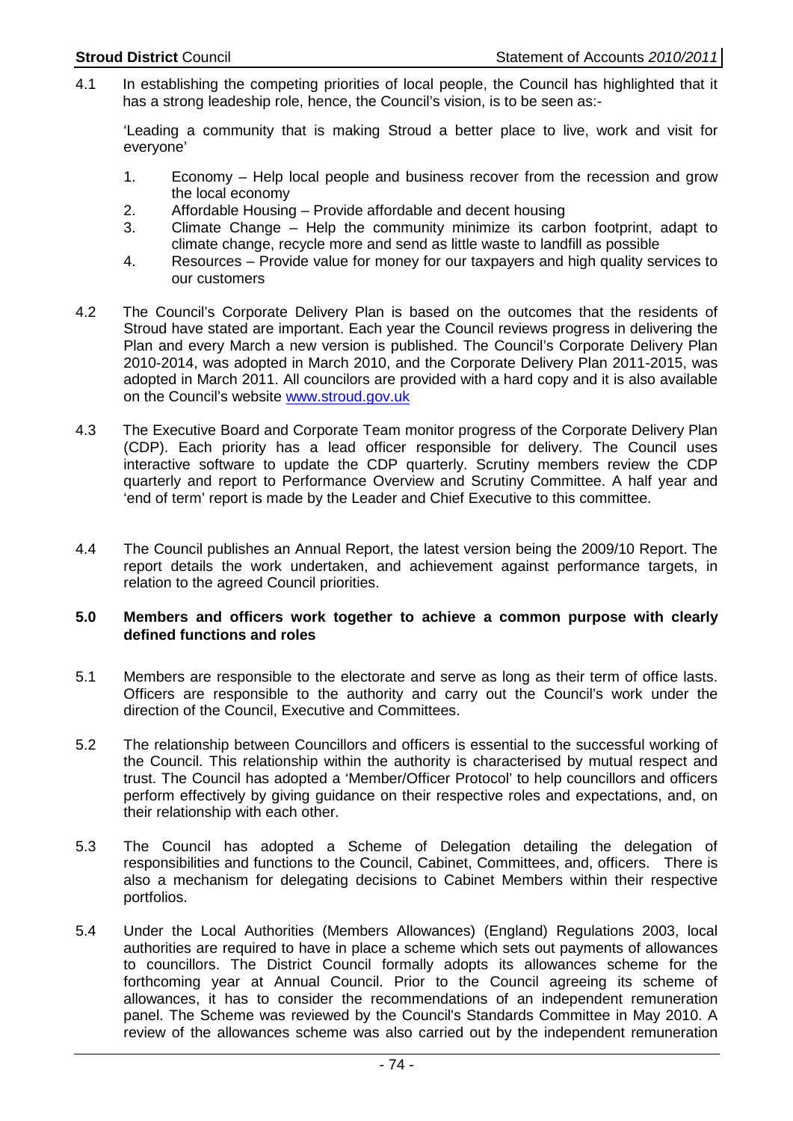4.1 In establishing the competing priorities of local people, the Council has highlighted that it has a strong leadeship role, hence, the Council's vision, is to be seen as:-

'Leading a community that is making Stroud a better place to live, work and visit for everyone'

- 1. Economy Help local people and business recover from the recession and grow the local economy
- 2. Affordable Housing Provide affordable and decent housing<br>3. Climate Change Help the community minimize its carb
- 3. Climate Change Help the community minimize its carbon footprint, adapt to climate change, recycle more and send as little waste to landfill as possible
- 4. Resources Provide value for money for our taxpayers and high quality services to our customers
- 4.2 The Council's Corporate Delivery Plan is based on the outcomes that the residents of Stroud have stated are important. Each year the Council reviews progress in delivering the Plan and every March a new version is published. The Council's Corporate Delivery Plan 2010-2014, was adopted in March 2010, and the Corporate Delivery Plan 2011-2015, was adopted in March 2011. All councilors are provided with a hard copy and it is also available on the Council's website [www.stroud.gov.uk](http://www.stroud.gov.uk/)
- 4.3 The Executive Board and Corporate Team monitor progress of the Corporate Delivery Plan (CDP). Each priority has a lead officer responsible for delivery. The Council uses interactive software to update the CDP quarterly. Scrutiny members review the CDP quarterly and report to Performance Overview and Scrutiny Committee. A half year and 'end of term' report is made by the Leader and Chief Executive to this committee.
- 4.4 The Council publishes an Annual Report, the latest version being the 2009/10 Report. The report details the work undertaken, and achievement against performance targets, in relation to the agreed Council priorities.

#### **5.0 Members and officers work together to achieve a common purpose with clearly defined functions and roles**

- 5.1 Members are responsible to the electorate and serve as long as their term of office lasts. Officers are responsible to the authority and carry out the Council's work under the direction of the Council, Executive and Committees.
- 5.2 The relationship between Councillors and officers is essential to the successful working of the Council. This relationship within the authority is characterised by mutual respect and trust. The Council has adopted a 'Member/Officer Protocol' to help councillors and officers perform effectively by giving guidance on their respective roles and expectations, and, on their relationship with each other.
- 5.3 The Council has adopted a Scheme of Delegation detailing the delegation of responsibilities and functions to the Council, Cabinet, Committees, and, officers. There is also a mechanism for delegating decisions to Cabinet Members within their respective portfolios.
- 5.4 Under the Local Authorities (Members Allowances) (England) Regulations 2003, local authorities are required to have in place a scheme which sets out payments of allowances to councillors. The District Council formally adopts its allowances scheme for the forthcoming year at Annual Council. Prior to the Council agreeing its scheme of allowances, it has to consider the recommendations of an independent remuneration panel. The Scheme was reviewed by the Council's Standards Committee in May 2010. A review of the allowances scheme was also carried out by the independent remuneration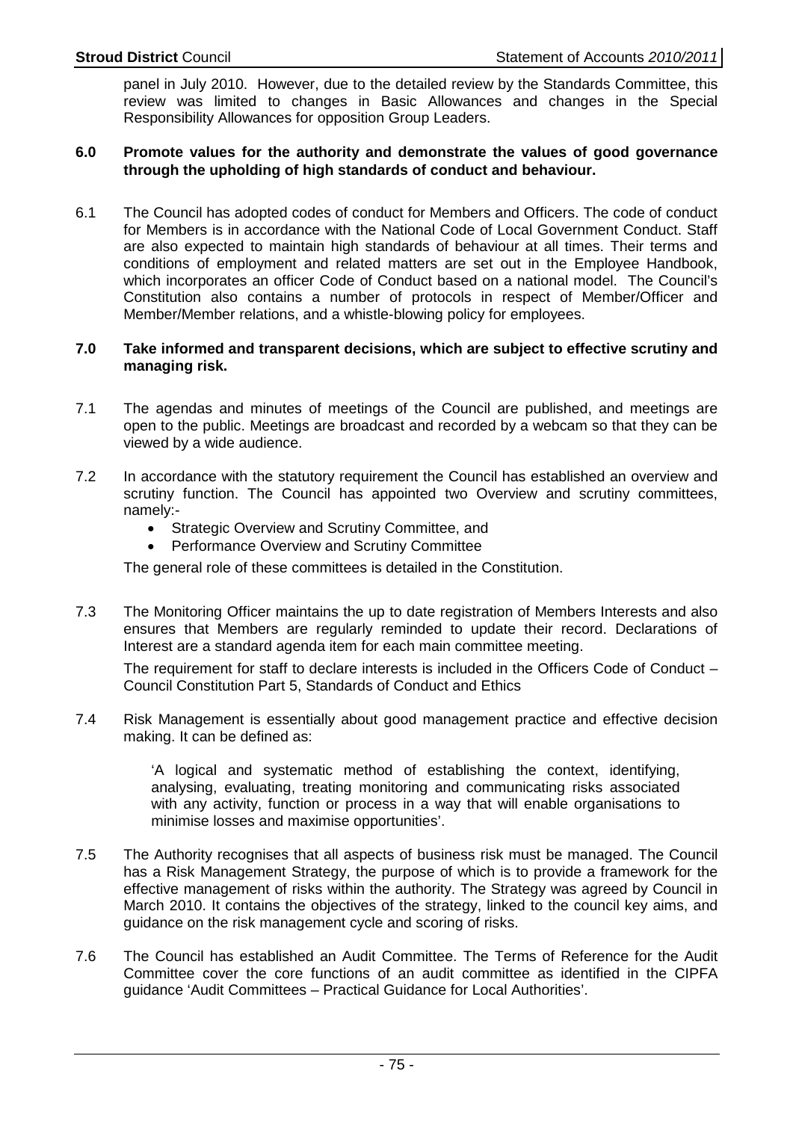panel in July 2010. However, due to the detailed review by the Standards Committee, this review was limited to changes in Basic Allowances and changes in the Special Responsibility Allowances for opposition Group Leaders.

#### **6.0 Promote values for the authority and demonstrate the values of good governance through the upholding of high standards of conduct and behaviour.**

6.1 The Council has adopted codes of conduct for Members and Officers. The code of conduct for Members is in accordance with the National Code of Local Government Conduct. Staff are also expected to maintain high standards of behaviour at all times. Their terms and conditions of employment and related matters are set out in the Employee Handbook, which incorporates an officer Code of Conduct based on a national model. The Council's Constitution also contains a number of protocols in respect of Member/Officer and Member/Member relations, and a whistle-blowing policy for employees.

#### **7.0 Take informed and transparent decisions, which are subject to effective scrutiny and managing risk.**

- 7.1 The agendas and minutes of meetings of the Council are published, and meetings are open to the public. Meetings are broadcast and recorded by a webcam so that they can be viewed by a wide audience.
- 7.2 In accordance with the statutory requirement the Council has established an overview and scrutiny function. The Council has appointed two Overview and scrutiny committees, namely:-
	- Strategic Overview and Scrutiny Committee, and
	- Performance Overview and Scrutiny Committee

The general role of these committees is detailed in the Constitution.

7.3 The Monitoring Officer maintains the up to date registration of Members Interests and also ensures that Members are regularly reminded to update their record. Declarations of Interest are a standard agenda item for each main committee meeting.

The requirement for staff to declare interests is included in the Officers Code of Conduct – Council Constitution Part 5, Standards of Conduct and Ethics

7.4 Risk Management is essentially about good management practice and effective decision making. It can be defined as:

> 'A logical and systematic method of establishing the context, identifying, analysing, evaluating, treating monitoring and communicating risks associated with any activity, function or process in a way that will enable organisations to minimise losses and maximise opportunities'.

- 7.5 The Authority recognises that all aspects of business risk must be managed. The Council has a Risk Management Strategy, the purpose of which is to provide a framework for the effective management of risks within the authority. The Strategy was agreed by Council in March 2010. It contains the objectives of the strategy, linked to the council key aims, and guidance on the risk management cycle and scoring of risks.
- 7.6 The Council has established an Audit Committee. The Terms of Reference for the Audit Committee cover the core functions of an audit committee as identified in the CIPFA guidance 'Audit Committees – Practical Guidance for Local Authorities'.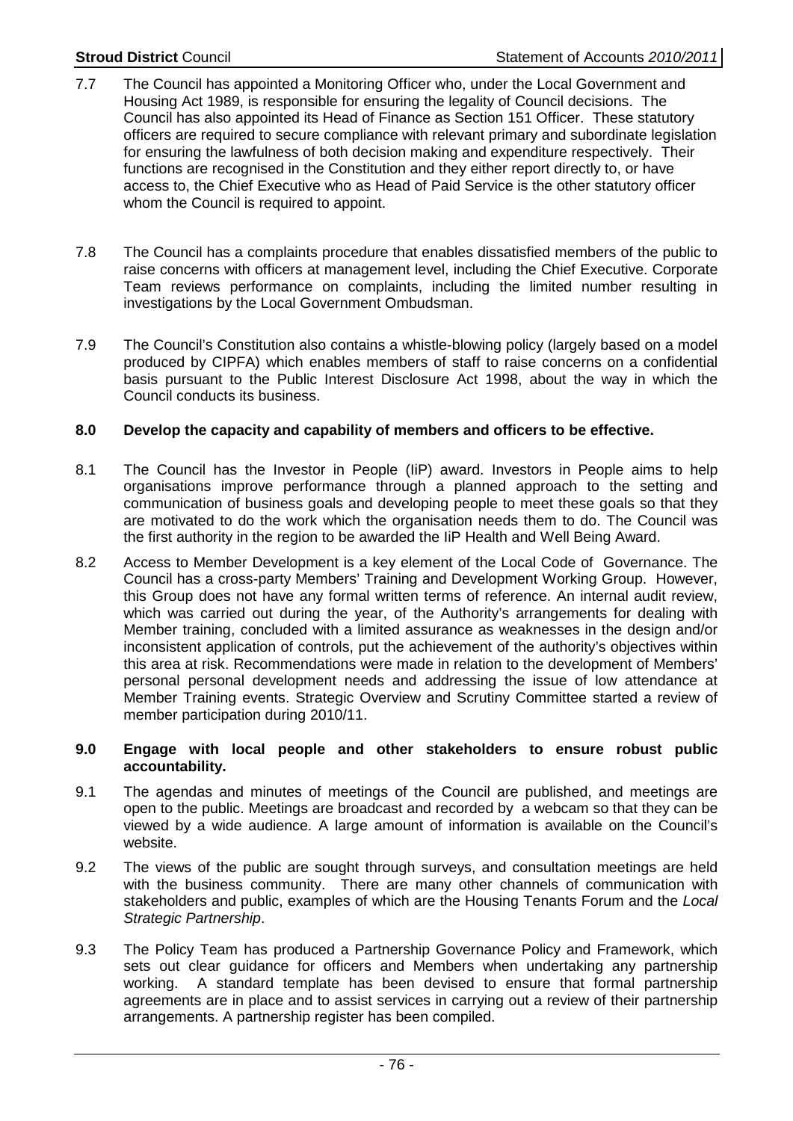- 7.7 The Council has appointed a Monitoring Officer who, under the Local Government and Housing Act 1989, is responsible for ensuring the legality of Council decisions. The Council has also appointed its Head of Finance as Section 151 Officer. These statutory officers are required to secure compliance with relevant primary and subordinate legislation for ensuring the lawfulness of both decision making and expenditure respectively. Their functions are recognised in the Constitution and they either report directly to, or have access to, the Chief Executive who as Head of Paid Service is the other statutory officer whom the Council is required to appoint.
- 7.8 The Council has a complaints procedure that enables dissatisfied members of the public to raise concerns with officers at management level, including the Chief Executive. Corporate Team reviews performance on complaints, including the limited number resulting in investigations by the Local Government Ombudsman.
- 7.9 The Council's Constitution also contains a whistle-blowing policy (largely based on a model produced by CIPFA) which enables members of staff to raise concerns on a confidential basis pursuant to the Public Interest Disclosure Act 1998, about the way in which the Council conducts its business.

# **8.0 Develop the capacity and capability of members and officers to be effective.**

- 8.1 The Council has the Investor in People (IiP) award. Investors in People aims to help organisations improve performance through a planned approach to the setting and communication of business goals and developing people to meet these goals so that they are motivated to do the work which the organisation needs them to do. The Council was the first authority in the region to be awarded the IiP Health and Well Being Award.
- 8.2 Access to Member Development is a key element of the Local Code of Governance. The Council has a cross-party Members' Training and Development Working Group. However, this Group does not have any formal written terms of reference. An internal audit review, which was carried out during the year, of the Authority's arrangements for dealing with Member training, concluded with a limited assurance as weaknesses in the design and/or inconsistent application of controls, put the achievement of the authority's objectives within this area at risk. Recommendations were made in relation to the development of Members' personal personal development needs and addressing the issue of low attendance at Member Training events. Strategic Overview and Scrutiny Committee started a review of member participation during 2010/11.

#### **9.0 Engage with local people and other stakeholders to ensure robust public accountability.**

- 9.1 The agendas and minutes of meetings of the Council are published, and meetings are open to the public. Meetings are broadcast and recorded by a webcam so that they can be viewed by a wide audience. A large amount of information is available on the Council's website.
- 9.2 The views of the public are sought through surveys, and consultation meetings are held with the business community. There are many other channels of communication with stakeholders and public, examples of which are the Housing Tenants Forum and the *Local Strategic Partnership*.
- 9.3 The Policy Team has produced a Partnership Governance Policy and Framework, which sets out clear guidance for officers and Members when undertaking any partnership working. A standard template has been devised to ensure that formal partnership agreements are in place and to assist services in carrying out a review of their partnership arrangements. A partnership register has been compiled.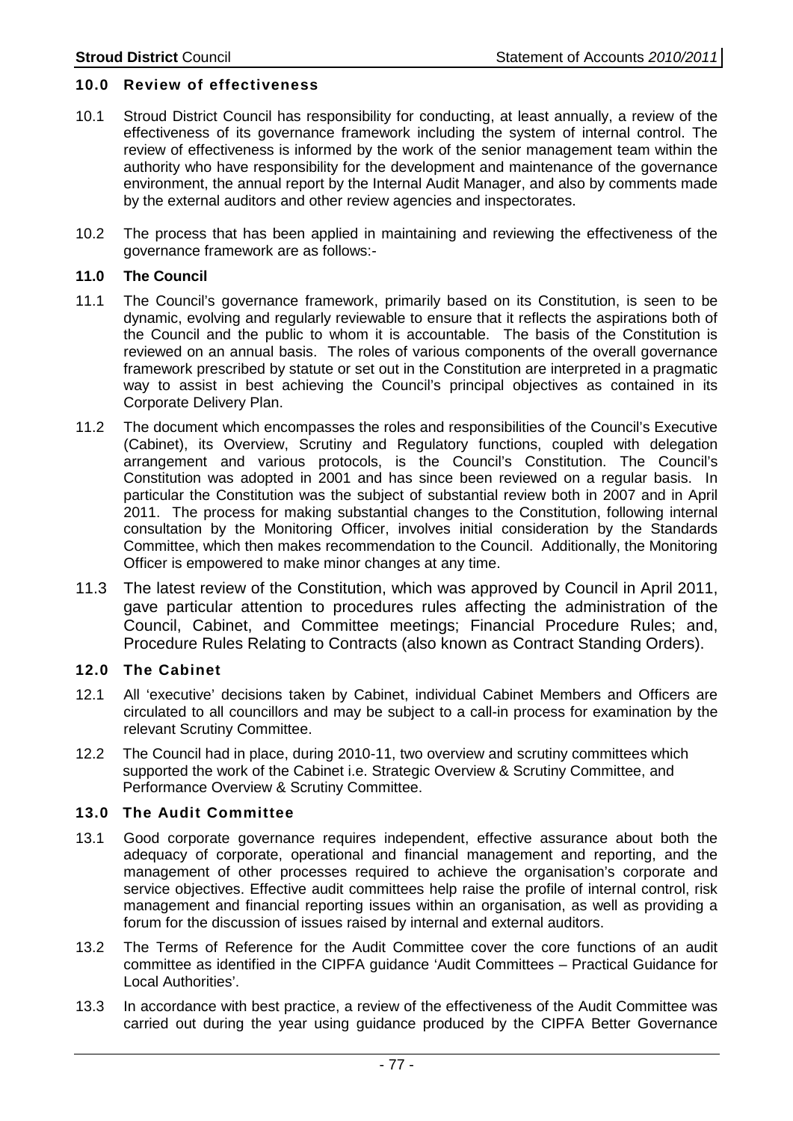# **10.0 Review of effectiveness**

- 10.1 Stroud District Council has responsibility for conducting, at least annually, a review of the effectiveness of its governance framework including the system of internal control. The review of effectiveness is informed by the work of the senior management team within the authority who have responsibility for the development and maintenance of the governance environment, the annual report by the Internal Audit Manager, and also by comments made by the external auditors and other review agencies and inspectorates.
- 10.2 The process that has been applied in maintaining and reviewing the effectiveness of the governance framework are as follows:-

#### **11.0 The Council**

- 11.1 The Council's governance framework, primarily based on its Constitution, is seen to be dynamic, evolving and regularly reviewable to ensure that it reflects the aspirations both of the Council and the public to whom it is accountable. The basis of the Constitution is reviewed on an annual basis. The roles of various components of the overall governance framework prescribed by statute or set out in the Constitution are interpreted in a pragmatic way to assist in best achieving the Council's principal objectives as contained in its Corporate Delivery Plan.
- 11.2 The document which encompasses the roles and responsibilities of the Council's Executive (Cabinet), its Overview, Scrutiny and Regulatory functions, coupled with delegation arrangement and various protocols, is the Council's Constitution. The Council's Constitution was adopted in 2001 and has since been reviewed on a regular basis. In particular the Constitution was the subject of substantial review both in 2007 and in April 2011. The process for making substantial changes to the Constitution, following internal consultation by the Monitoring Officer, involves initial consideration by the Standards Committee, which then makes recommendation to the Council. Additionally, the Monitoring Officer is empowered to make minor changes at any time.
- 11.3 The latest review of the Constitution, which was approved by Council in April 2011, gave particular attention to procedures rules affecting the administration of the Council, Cabinet, and Committee meetings; Financial Procedure Rules; and, Procedure Rules Relating to Contracts (also known as Contract Standing Orders).

#### **12.0 The Cabinet**

- 12.1 All 'executive' decisions taken by Cabinet, individual Cabinet Members and Officers are circulated to all councillors and may be subject to a call-in process for examination by the relevant Scrutiny Committee.
- 12.2 The Council had in place, during 2010-11, two overview and scrutiny committees which supported the work of the Cabinet i.e. Strategic Overview & Scrutiny Committee, and Performance Overview & Scrutiny Committee.

# **13.0 The Audit Committee**

- 13.1 Good corporate governance requires independent, effective assurance about both the adequacy of corporate, operational and financial management and reporting, and the management of other processes required to achieve the organisation's corporate and service objectives. Effective audit committees help raise the profile of internal control, risk management and financial reporting issues within an organisation, as well as providing a forum for the discussion of issues raised by internal and external auditors.
- 13.2 The Terms of Reference for the Audit Committee cover the core functions of an audit committee as identified in the CIPFA guidance 'Audit Committees – Practical Guidance for Local Authorities'.
- 13.3 In accordance with best practice, a review of the effectiveness of the Audit Committee was carried out during the year using guidance produced by the CIPFA Better Governance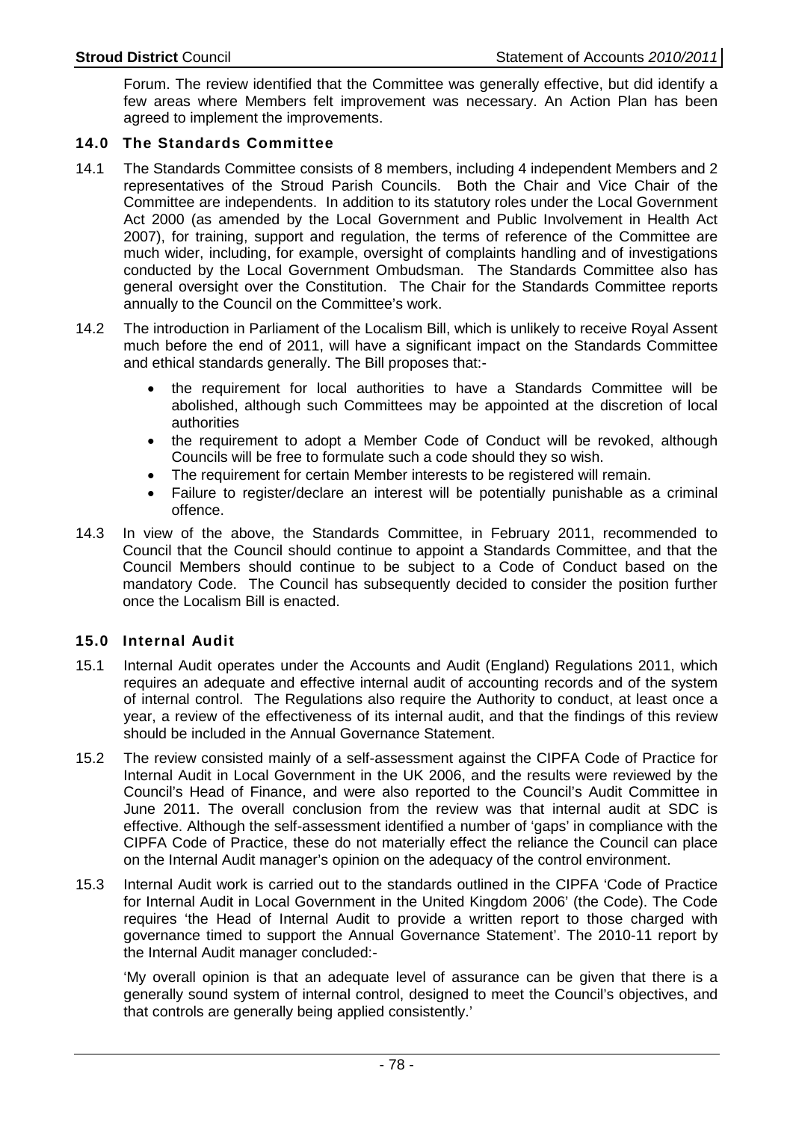Forum. The review identified that the Committee was generally effective, but did identify a few areas where Members felt improvement was necessary. An Action Plan has been agreed to implement the improvements.

# **14.0 The Standards Committee**

- 14.1 The Standards Committee consists of 8 members, including 4 independent Members and 2 representatives of the Stroud Parish Councils. Both the Chair and Vice Chair of the Committee are independents. In addition to its statutory roles under the Local Government Act 2000 (as amended by the Local Government and Public Involvement in Health Act 2007), for training, support and regulation, the terms of reference of the Committee are much wider, including, for example, oversight of complaints handling and of investigations conducted by the Local Government Ombudsman. The Standards Committee also has general oversight over the Constitution. The Chair for the Standards Committee reports annually to the Council on the Committee's work.
- 14.2 The introduction in Parliament of the Localism Bill, which is unlikely to receive Royal Assent much before the end of 2011, will have a significant impact on the Standards Committee and ethical standards generally. The Bill proposes that:-
	- the requirement for local authorities to have a Standards Committee will be abolished, although such Committees may be appointed at the discretion of local authorities
	- the requirement to adopt a Member Code of Conduct will be revoked, although Councils will be free to formulate such a code should they so wish.
	- The requirement for certain Member interests to be registered will remain.
	- Failure to register/declare an interest will be potentially punishable as a criminal offence.
- 14.3 In view of the above, the Standards Committee, in February 2011, recommended to Council that the Council should continue to appoint a Standards Committee, and that the Council Members should continue to be subject to a Code of Conduct based on the mandatory Code. The Council has subsequently decided to consider the position further once the Localism Bill is enacted.

# **15.0 Internal Audit**

- 15.1 Internal Audit operates under the Accounts and Audit (England) Regulations 2011, which requires an adequate and effective internal audit of accounting records and of the system of internal control. The Regulations also require the Authority to conduct, at least once a year, a review of the effectiveness of its internal audit, and that the findings of this review should be included in the Annual Governance Statement.
- 15.2 The review consisted mainly of a self-assessment against the CIPFA Code of Practice for Internal Audit in Local Government in the UK 2006, and the results were reviewed by the Council's Head of Finance, and were also reported to the Council's Audit Committee in June 2011. The overall conclusion from the review was that internal audit at SDC is effective. Although the self-assessment identified a number of 'gaps' in compliance with the CIPFA Code of Practice, these do not materially effect the reliance the Council can place on the Internal Audit manager's opinion on the adequacy of the control environment.
- 15.3 Internal Audit work is carried out to the standards outlined in the CIPFA 'Code of Practice for Internal Audit in Local Government in the United Kingdom 2006' (the Code). The Code requires 'the Head of Internal Audit to provide a written report to those charged with governance timed to support the Annual Governance Statement'. The 2010-11 report by the Internal Audit manager concluded:-

'My overall opinion is that an adequate level of assurance can be given that there is a generally sound system of internal control, designed to meet the Council's objectives, and that controls are generally being applied consistently.'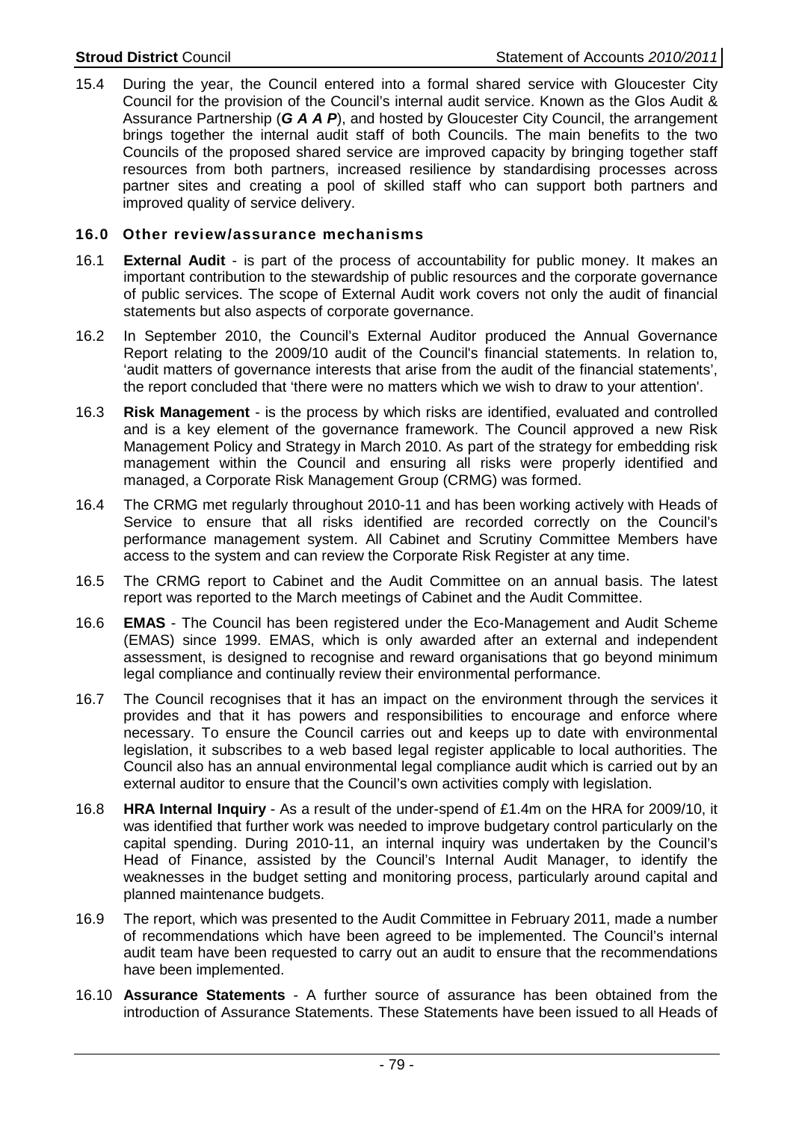15.4 During the year, the Council entered into a formal shared service with Gloucester City Council for the provision of the Council's internal audit service. Known as the Glos Audit & Assurance Partnership (*G A A P*), and hosted by Gloucester City Council, the arrangement brings together the internal audit staff of both Councils. The main benefits to the two Councils of the proposed shared service are improved capacity by bringing together staff resources from both partners, increased resilience by standardising processes across partner sites and creating a pool of skilled staff who can support both partners and improved quality of service delivery.

# **16.0 Other review/assurance mechanisms**

- 16.1 **External Audit** is part of the process of accountability for public money. It makes an important contribution to the stewardship of public resources and the corporate governance of public services. The scope of External Audit work covers not only the audit of financial statements but also aspects of corporate governance.
- 16.2 In September 2010, the Council's External Auditor produced the Annual Governance Report relating to the 2009/10 audit of the Council's financial statements. In relation to, 'audit matters of governance interests that arise from the audit of the financial statements', the report concluded that 'there were no matters which we wish to draw to your attention'.
- 16.3 **Risk Management** is the process by which risks are identified, evaluated and controlled and is a key element of the governance framework. The Council approved a new Risk Management Policy and Strategy in March 2010. As part of the strategy for embedding risk management within the Council and ensuring all risks were properly identified and managed, a Corporate Risk Management Group (CRMG) was formed.
- 16.4 The CRMG met regularly throughout 2010-11 and has been working actively with Heads of Service to ensure that all risks identified are recorded correctly on the Council's performance management system. All Cabinet and Scrutiny Committee Members have access to the system and can review the Corporate Risk Register at any time.
- 16.5 The CRMG report to Cabinet and the Audit Committee on an annual basis. The latest report was reported to the March meetings of Cabinet and the Audit Committee.
- 16.6 **EMAS** The Council has been registered under the Eco-Management and Audit Scheme (EMAS) since 1999. EMAS, which is only awarded after an external and independent assessment, is designed to recognise and reward organisations that go beyond minimum legal compliance and continually review their environmental performance.
- 16.7 The Council recognises that it has an impact on the environment through the services it provides and that it has powers and responsibilities to encourage and enforce where necessary. To ensure the Council carries out and keeps up to date with environmental legislation, it subscribes to a web based legal register applicable to local authorities. The Council also has an annual environmental legal compliance audit which is carried out by an external auditor to ensure that the Council's own activities comply with legislation.
- 16.8 **HRA Internal Inquiry** As a result of the under-spend of £1.4m on the HRA for 2009/10, it was identified that further work was needed to improve budgetary control particularly on the capital spending. During 2010-11, an internal inquiry was undertaken by the Council's Head of Finance, assisted by the Council's Internal Audit Manager, to identify the weaknesses in the budget setting and monitoring process, particularly around capital and planned maintenance budgets.
- 16.9 The report, which was presented to the Audit Committee in February 2011, made a number of recommendations which have been agreed to be implemented. The Council's internal audit team have been requested to carry out an audit to ensure that the recommendations have been implemented.
- 16.10 **Assurance Statements** A further source of assurance has been obtained from the introduction of Assurance Statements. These Statements have been issued to all Heads of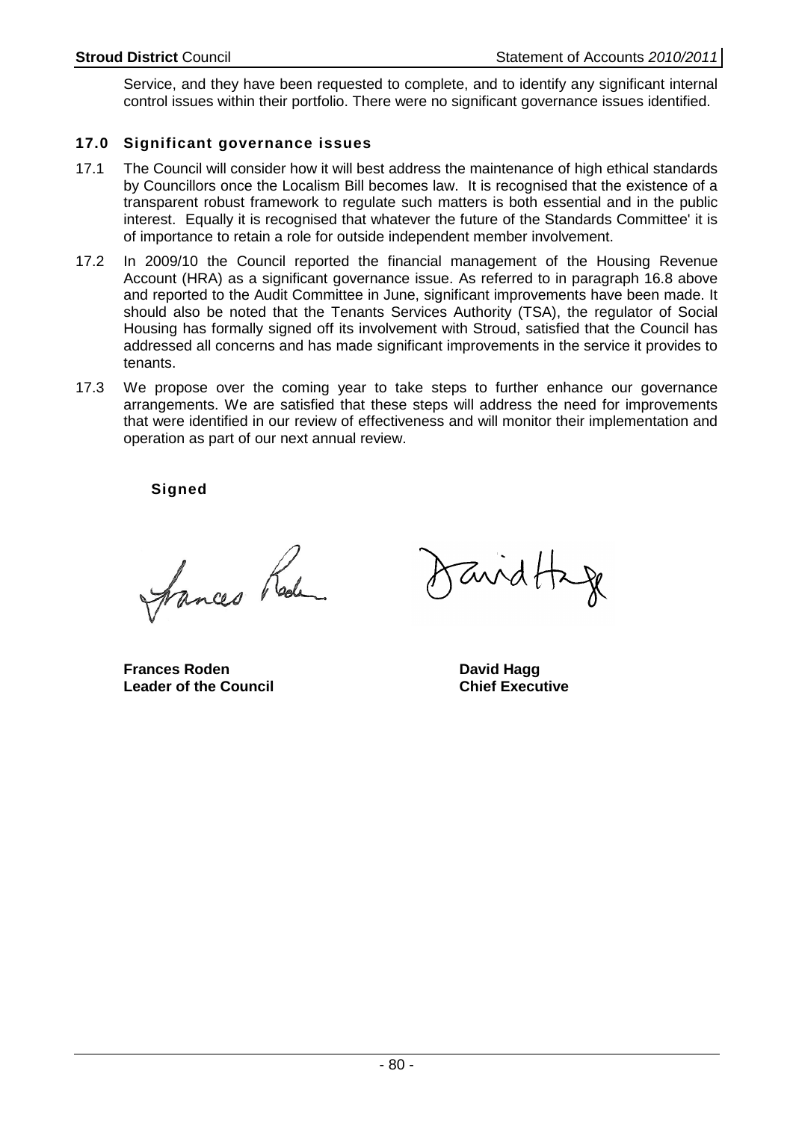Service, and they have been requested to complete, and to identify any significant internal control issues within their portfolio. There were no significant governance issues identified.

# **17.0 Significant governance issues**

- 17.1 The Council will consider how it will best address the maintenance of high ethical standards by Councillors once the Localism Bill becomes law. It is recognised that the existence of a transparent robust framework to regulate such matters is both essential and in the public interest. Equally it is recognised that whatever the future of the Standards Committee' it is of importance to retain a role for outside independent member involvement.
- 17.2 In 2009/10 the Council reported the financial management of the Housing Revenue Account (HRA) as a significant governance issue. As referred to in paragraph 16.8 above and reported to the Audit Committee in June, significant improvements have been made. It should also be noted that the Tenants Services Authority (TSA), the regulator of Social Housing has formally signed off its involvement with Stroud, satisfied that the Council has addressed all concerns and has made significant improvements in the service it provides to tenants.
- 17.3 We propose over the coming year to take steps to further enhance our governance arrangements. We are satisfied that these steps will address the need for improvements that were identified in our review of effectiveness and will monitor their implementation and operation as part of our next annual review.

**Signed**

Stances Reden

**Frances Roden David Hagg Leader of the Council** 

and Hz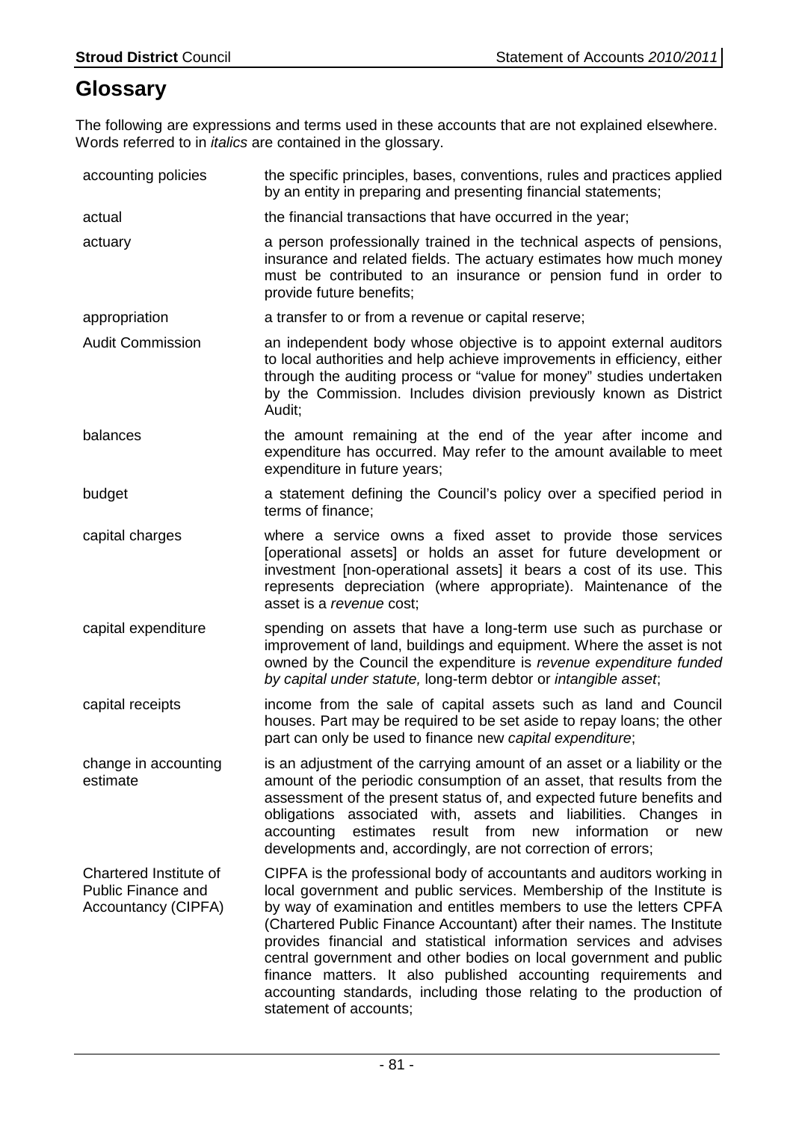# **Glossary**

The following are expressions and terms used in these accounts that are not explained elsewhere. Words referred to in *italics* are contained in the glossary.

| accounting policies                                                        | the specific principles, bases, conventions, rules and practices applied<br>by an entity in preparing and presenting financial statements;                                                                                                                                                                                                                                                                                                                                                                                                                                                                    |  |
|----------------------------------------------------------------------------|---------------------------------------------------------------------------------------------------------------------------------------------------------------------------------------------------------------------------------------------------------------------------------------------------------------------------------------------------------------------------------------------------------------------------------------------------------------------------------------------------------------------------------------------------------------------------------------------------------------|--|
| actual                                                                     | the financial transactions that have occurred in the year;                                                                                                                                                                                                                                                                                                                                                                                                                                                                                                                                                    |  |
| actuary                                                                    | a person professionally trained in the technical aspects of pensions,<br>insurance and related fields. The actuary estimates how much money<br>must be contributed to an insurance or pension fund in order to<br>provide future benefits;                                                                                                                                                                                                                                                                                                                                                                    |  |
| appropriation                                                              | a transfer to or from a revenue or capital reserve;                                                                                                                                                                                                                                                                                                                                                                                                                                                                                                                                                           |  |
| <b>Audit Commission</b>                                                    | an independent body whose objective is to appoint external auditors<br>to local authorities and help achieve improvements in efficiency, either<br>through the auditing process or "value for money" studies undertaken<br>by the Commission. Includes division previously known as District<br>Audit;                                                                                                                                                                                                                                                                                                        |  |
| balances                                                                   | the amount remaining at the end of the year after income and<br>expenditure has occurred. May refer to the amount available to meet<br>expenditure in future years;                                                                                                                                                                                                                                                                                                                                                                                                                                           |  |
| budget                                                                     | a statement defining the Council's policy over a specified period in<br>terms of finance;                                                                                                                                                                                                                                                                                                                                                                                                                                                                                                                     |  |
| capital charges                                                            | where a service owns a fixed asset to provide those services<br>[operational assets] or holds an asset for future development or<br>investment [non-operational assets] it bears a cost of its use. This<br>represents depreciation (where appropriate). Maintenance of the<br>asset is a revenue cost;                                                                                                                                                                                                                                                                                                       |  |
| capital expenditure                                                        | spending on assets that have a long-term use such as purchase or<br>improvement of land, buildings and equipment. Where the asset is not<br>owned by the Council the expenditure is revenue expenditure funded<br>by capital under statute, long-term debtor or intangible asset,                                                                                                                                                                                                                                                                                                                             |  |
| capital receipts                                                           | income from the sale of capital assets such as land and Council<br>houses. Part may be required to be set aside to repay loans; the other<br>part can only be used to finance new capital expenditure;                                                                                                                                                                                                                                                                                                                                                                                                        |  |
| change in accounting<br>estimate                                           | is an adjustment of the carrying amount of an asset or a liability or the<br>amount of the periodic consumption of an asset, that results from the<br>assessment of the present status of, and expected future benefits and<br>obligations associated with, assets and liabilities. Changes in<br>information<br>accounting<br>estimates<br>result from<br>new<br><b>or</b><br>new<br>developments and, accordingly, are not correction of errors;                                                                                                                                                            |  |
| Chartered Institute of<br><b>Public Finance and</b><br>Accountancy (CIPFA) | CIPFA is the professional body of accountants and auditors working in<br>local government and public services. Membership of the Institute is<br>by way of examination and entitles members to use the letters CPFA<br>(Chartered Public Finance Accountant) after their names. The Institute<br>provides financial and statistical information services and advises<br>central government and other bodies on local government and public<br>finance matters. It also published accounting requirements and<br>accounting standards, including those relating to the production of<br>statement of accounts; |  |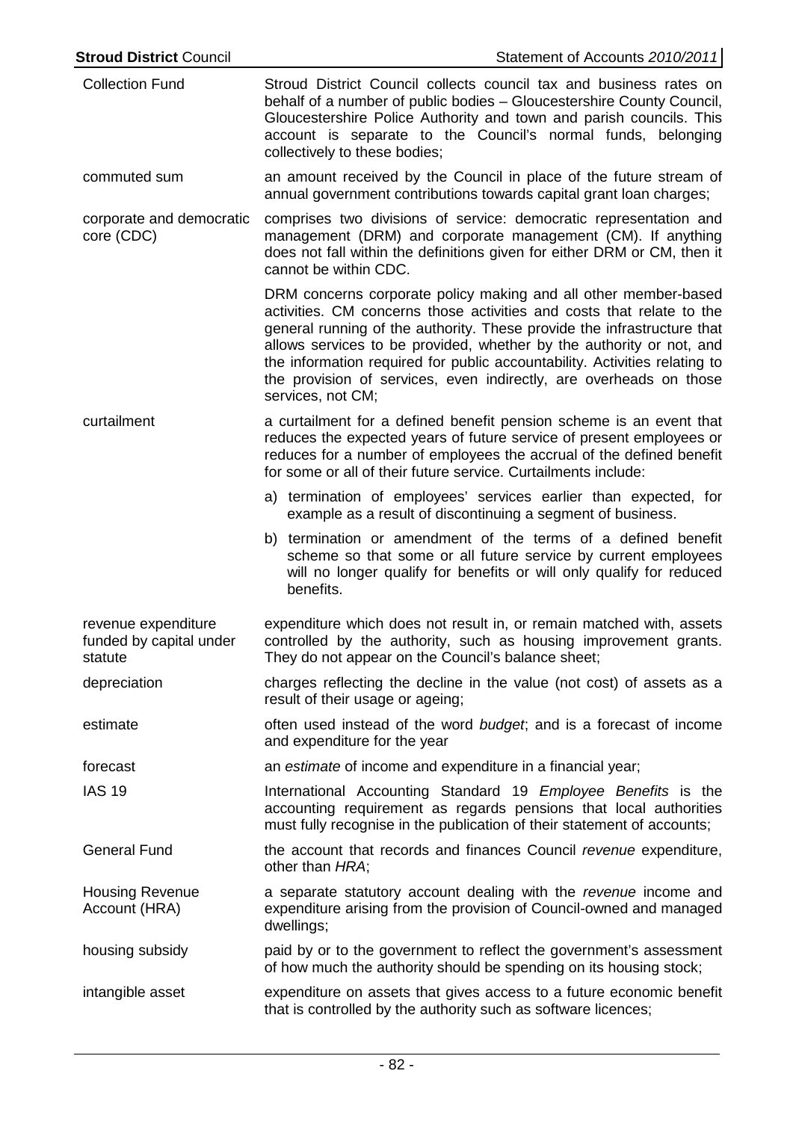| <b>Collection Fund</b>                                    | Stroud District Council collects council tax and business rates on<br>behalf of a number of public bodies - Gloucestershire County Council,<br>Gloucestershire Police Authority and town and parish councils. This<br>account is separate to the Council's normal funds, belonging<br>collectively to these bodies;                                                                                                                                                  |  |  |
|-----------------------------------------------------------|----------------------------------------------------------------------------------------------------------------------------------------------------------------------------------------------------------------------------------------------------------------------------------------------------------------------------------------------------------------------------------------------------------------------------------------------------------------------|--|--|
| commuted sum                                              | an amount received by the Council in place of the future stream of<br>annual government contributions towards capital grant loan charges;                                                                                                                                                                                                                                                                                                                            |  |  |
| corporate and democratic<br>core (CDC)                    | comprises two divisions of service: democratic representation and<br>management (DRM) and corporate management (CM). If anything<br>does not fall within the definitions given for either DRM or CM, then it<br>cannot be within CDC.                                                                                                                                                                                                                                |  |  |
|                                                           | DRM concerns corporate policy making and all other member-based<br>activities. CM concerns those activities and costs that relate to the<br>general running of the authority. These provide the infrastructure that<br>allows services to be provided, whether by the authority or not, and<br>the information required for public accountability. Activities relating to<br>the provision of services, even indirectly, are overheads on those<br>services, not CM; |  |  |
| curtailment                                               | a curtailment for a defined benefit pension scheme is an event that<br>reduces the expected years of future service of present employees or<br>reduces for a number of employees the accrual of the defined benefit<br>for some or all of their future service. Curtailments include:                                                                                                                                                                                |  |  |
|                                                           | a) termination of employees' services earlier than expected, for<br>example as a result of discontinuing a segment of business.                                                                                                                                                                                                                                                                                                                                      |  |  |
|                                                           | b) termination or amendment of the terms of a defined benefit<br>scheme so that some or all future service by current employees<br>will no longer qualify for benefits or will only qualify for reduced<br>benefits.                                                                                                                                                                                                                                                 |  |  |
| revenue expenditure<br>funded by capital under<br>statute | expenditure which does not result in, or remain matched with, assets<br>controlled by the authority, such as housing improvement grants.<br>They do not appear on the Council's balance sheet;                                                                                                                                                                                                                                                                       |  |  |
| depreciation                                              | charges reflecting the decline in the value (not cost) of assets as a<br>result of their usage or ageing;                                                                                                                                                                                                                                                                                                                                                            |  |  |
| estimate                                                  | often used instead of the word budget; and is a forecast of income<br>and expenditure for the year                                                                                                                                                                                                                                                                                                                                                                   |  |  |
| forecast                                                  | an estimate of income and expenditure in a financial year;                                                                                                                                                                                                                                                                                                                                                                                                           |  |  |
| <b>IAS 19</b>                                             | International Accounting Standard 19 Employee Benefits is the<br>accounting requirement as regards pensions that local authorities<br>must fully recognise in the publication of their statement of accounts;                                                                                                                                                                                                                                                        |  |  |
| <b>General Fund</b>                                       | the account that records and finances Council revenue expenditure,<br>other than HRA;                                                                                                                                                                                                                                                                                                                                                                                |  |  |
| <b>Housing Revenue</b><br>Account (HRA)                   | a separate statutory account dealing with the revenue income and<br>expenditure arising from the provision of Council-owned and managed<br>dwellings;                                                                                                                                                                                                                                                                                                                |  |  |
| housing subsidy                                           | paid by or to the government to reflect the government's assessment<br>of how much the authority should be spending on its housing stock;                                                                                                                                                                                                                                                                                                                            |  |  |
| intangible asset                                          | expenditure on assets that gives access to a future economic benefit<br>that is controlled by the authority such as software licences;                                                                                                                                                                                                                                                                                                                               |  |  |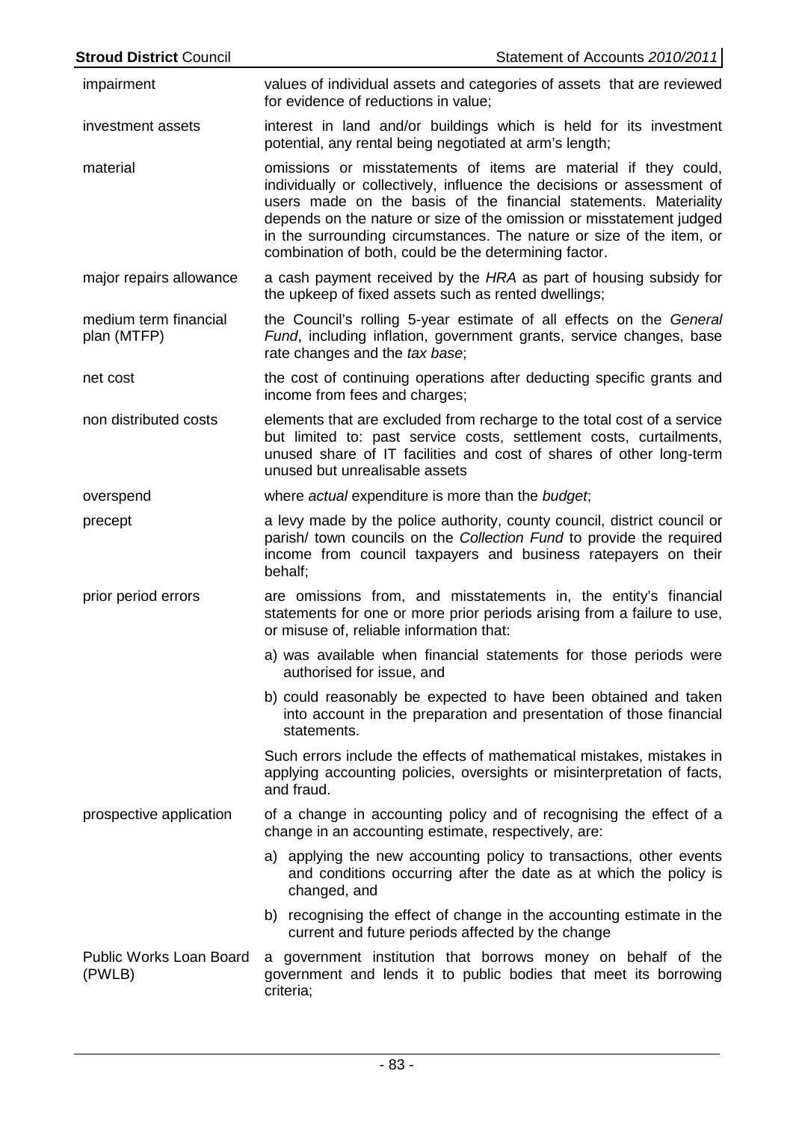| <b>Stroud District Council</b>       | Statement of Accounts 2010/2011                                                                                                                                                                                                                                                                                                                                                                                        |
|--------------------------------------|------------------------------------------------------------------------------------------------------------------------------------------------------------------------------------------------------------------------------------------------------------------------------------------------------------------------------------------------------------------------------------------------------------------------|
| impairment                           | values of individual assets and categories of assets that are reviewed<br>for evidence of reductions in value;                                                                                                                                                                                                                                                                                                         |
| investment assets                    | interest in land and/or buildings which is held for its investment<br>potential, any rental being negotiated at arm's length;                                                                                                                                                                                                                                                                                          |
| material                             | omissions or misstatements of items are material if they could,<br>individually or collectively, influence the decisions or assessment of<br>users made on the basis of the financial statements. Materiality<br>depends on the nature or size of the omission or misstatement judged<br>in the surrounding circumstances. The nature or size of the item, or<br>combination of both, could be the determining factor. |
| major repairs allowance              | a cash payment received by the HRA as part of housing subsidy for<br>the upkeep of fixed assets such as rented dwellings;                                                                                                                                                                                                                                                                                              |
| medium term financial<br>plan (MTFP) | the Council's rolling 5-year estimate of all effects on the General<br>Fund, including inflation, government grants, service changes, base<br>rate changes and the tax base;                                                                                                                                                                                                                                           |
| net cost                             | the cost of continuing operations after deducting specific grants and<br>income from fees and charges;                                                                                                                                                                                                                                                                                                                 |
| non distributed costs                | elements that are excluded from recharge to the total cost of a service<br>but limited to: past service costs, settlement costs, curtailments,<br>unused share of IT facilities and cost of shares of other long-term<br>unused but unrealisable assets                                                                                                                                                                |
| overspend                            | where <i>actual</i> expenditure is more than the <i>budget</i> ;                                                                                                                                                                                                                                                                                                                                                       |
| precept                              | a levy made by the police authority, county council, district council or<br>parish/ town councils on the Collection Fund to provide the required<br>income from council taxpayers and business ratepayers on their<br>behalf;                                                                                                                                                                                          |
| prior period errors                  | are omissions from, and misstatements in, the entity's financial<br>statements for one or more prior periods arising from a failure to use,<br>or misuse of, reliable information that:                                                                                                                                                                                                                                |
|                                      | a) was available when financial statements for those periods were<br>authorised for issue, and                                                                                                                                                                                                                                                                                                                         |
|                                      | b) could reasonably be expected to have been obtained and taken<br>into account in the preparation and presentation of those financial<br>statements.                                                                                                                                                                                                                                                                  |
|                                      | Such errors include the effects of mathematical mistakes, mistakes in<br>applying accounting policies, oversights or misinterpretation of facts,<br>and fraud.                                                                                                                                                                                                                                                         |
| prospective application              | of a change in accounting policy and of recognising the effect of a<br>change in an accounting estimate, respectively, are:                                                                                                                                                                                                                                                                                            |
|                                      | a) applying the new accounting policy to transactions, other events<br>and conditions occurring after the date as at which the policy is<br>changed, and                                                                                                                                                                                                                                                               |
|                                      | b) recognising the effect of change in the accounting estimate in the<br>current and future periods affected by the change                                                                                                                                                                                                                                                                                             |
| Public Works Loan Board<br>(PWLB)    | a government institution that borrows money on behalf of the<br>government and lends it to public bodies that meet its borrowing<br>criteria;                                                                                                                                                                                                                                                                          |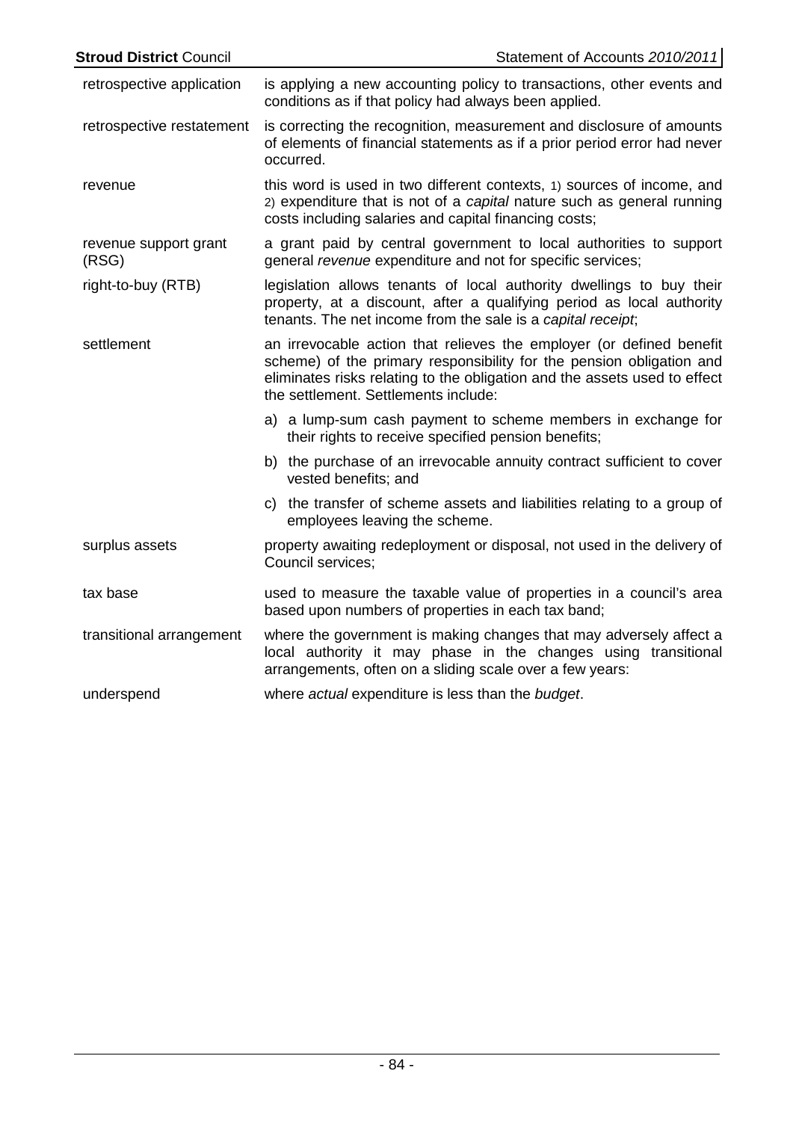| <b>Stroud District Council</b> | Statement of Accounts 2010/2011                                                                                                                                                                                                                                   |  |  |
|--------------------------------|-------------------------------------------------------------------------------------------------------------------------------------------------------------------------------------------------------------------------------------------------------------------|--|--|
| retrospective application      | is applying a new accounting policy to transactions, other events and<br>conditions as if that policy had always been applied.                                                                                                                                    |  |  |
| retrospective restatement      | is correcting the recognition, measurement and disclosure of amounts<br>of elements of financial statements as if a prior period error had never<br>occurred.                                                                                                     |  |  |
| revenue                        | this word is used in two different contexts, 1) sources of income, and<br>2) expenditure that is not of a capital nature such as general running<br>costs including salaries and capital financing costs;                                                         |  |  |
| revenue support grant<br>(RSG) | a grant paid by central government to local authorities to support<br>general revenue expenditure and not for specific services;                                                                                                                                  |  |  |
| right-to-buy (RTB)             | legislation allows tenants of local authority dwellings to buy their<br>property, at a discount, after a qualifying period as local authority<br>tenants. The net income from the sale is a capital receipt;                                                      |  |  |
| settlement                     | an irrevocable action that relieves the employer (or defined benefit<br>scheme) of the primary responsibility for the pension obligation and<br>eliminates risks relating to the obligation and the assets used to effect<br>the settlement. Settlements include: |  |  |
|                                | a) a lump-sum cash payment to scheme members in exchange for<br>their rights to receive specified pension benefits;                                                                                                                                               |  |  |
|                                | b) the purchase of an irrevocable annuity contract sufficient to cover<br>vested benefits; and                                                                                                                                                                    |  |  |
|                                | c) the transfer of scheme assets and liabilities relating to a group of<br>employees leaving the scheme.                                                                                                                                                          |  |  |
| surplus assets                 | property awaiting redeployment or disposal, not used in the delivery of<br>Council services;                                                                                                                                                                      |  |  |
| tax base                       | used to measure the taxable value of properties in a council's area<br>based upon numbers of properties in each tax band;                                                                                                                                         |  |  |
| transitional arrangement       | where the government is making changes that may adversely affect a<br>local authority it may phase in the changes using transitional<br>arrangements, often on a sliding scale over a few years:                                                                  |  |  |
| underspend                     | where actual expenditure is less than the budget.                                                                                                                                                                                                                 |  |  |